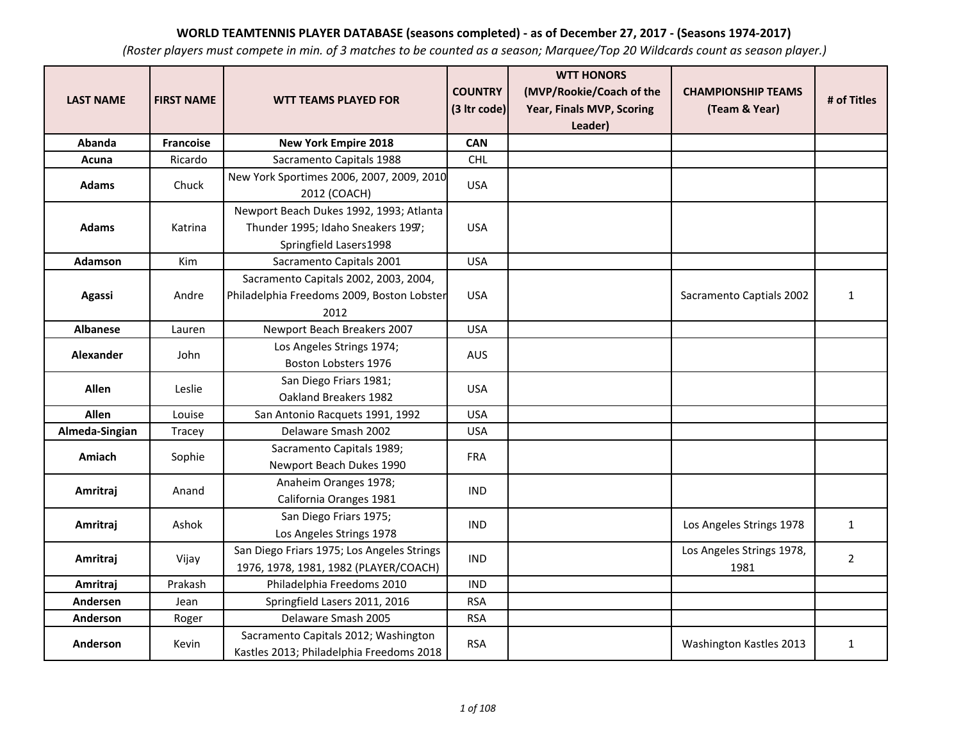| <b>LAST NAME</b> | <b>FIRST NAME</b> | <b>WTT TEAMS PLAYED FOR</b>                                                                             | <b>COUNTRY</b><br>(3 Itr code) | <b>WTT HONORS</b><br>(MVP/Rookie/Coach of the<br>Year, Finals MVP, Scoring<br>Leader) | <b>CHAMPIONSHIP TEAMS</b><br>(Team & Year) | # of Titles    |
|------------------|-------------------|---------------------------------------------------------------------------------------------------------|--------------------------------|---------------------------------------------------------------------------------------|--------------------------------------------|----------------|
| Abanda           | <b>Francoise</b>  | <b>New York Empire 2018</b>                                                                             | <b>CAN</b>                     |                                                                                       |                                            |                |
| Acuna            | Ricardo           | Sacramento Capitals 1988                                                                                | <b>CHL</b>                     |                                                                                       |                                            |                |
| <b>Adams</b>     | Chuck             | New York Sportimes 2006, 2007, 2009, 2010<br>2012 (COACH)                                               | <b>USA</b>                     |                                                                                       |                                            |                |
| <b>Adams</b>     | Katrina           | Newport Beach Dukes 1992, 1993; Atlanta<br>Thunder 1995; Idaho Sneakers 1997;<br>Springfield Lasers1998 | <b>USA</b>                     |                                                                                       |                                            |                |
| <b>Adamson</b>   | Kim               | Sacramento Capitals 2001                                                                                | <b>USA</b>                     |                                                                                       |                                            |                |
| <b>Agassi</b>    | Andre             | Sacramento Capitals 2002, 2003, 2004,<br>Philadelphia Freedoms 2009, Boston Lobster<br>2012             | <b>USA</b>                     |                                                                                       | Sacramento Captials 2002                   | $\mathbf{1}$   |
| <b>Albanese</b>  | Lauren            | Newport Beach Breakers 2007                                                                             | <b>USA</b>                     |                                                                                       |                                            |                |
| Alexander        | John              | Los Angeles Strings 1974;<br>Boston Lobsters 1976                                                       | <b>AUS</b>                     |                                                                                       |                                            |                |
| <b>Allen</b>     | Leslie            | San Diego Friars 1981;<br>Oakland Breakers 1982                                                         | <b>USA</b>                     |                                                                                       |                                            |                |
| <b>Allen</b>     | Louise            | San Antonio Racquets 1991, 1992                                                                         | <b>USA</b>                     |                                                                                       |                                            |                |
| Almeda-Singian   | Tracey            | Delaware Smash 2002                                                                                     | <b>USA</b>                     |                                                                                       |                                            |                |
| Amiach           | Sophie            | Sacramento Capitals 1989;<br>Newport Beach Dukes 1990                                                   | <b>FRA</b>                     |                                                                                       |                                            |                |
| Amritraj         | Anand             | Anaheim Oranges 1978;<br>California Oranges 1981                                                        | <b>IND</b>                     |                                                                                       |                                            |                |
| Amritraj         | Ashok             | San Diego Friars 1975;<br>Los Angeles Strings 1978                                                      | <b>IND</b>                     |                                                                                       | Los Angeles Strings 1978                   | $\mathbf{1}$   |
| Amritraj         | Vijay             | San Diego Friars 1975; Los Angeles Strings<br>1976, 1978, 1981, 1982 (PLAYER/COACH)                     | <b>IND</b>                     |                                                                                       | Los Angeles Strings 1978,<br>1981          | $\overline{2}$ |
| Amritraj         | Prakash           | Philadelphia Freedoms 2010                                                                              | <b>IND</b>                     |                                                                                       |                                            |                |
| Andersen         | Jean              | Springfield Lasers 2011, 2016                                                                           | <b>RSA</b>                     |                                                                                       |                                            |                |
| Anderson         | Roger             | Delaware Smash 2005                                                                                     | <b>RSA</b>                     |                                                                                       |                                            |                |
| Anderson         | Kevin             | Sacramento Capitals 2012; Washington<br>Kastles 2013; Philadelphia Freedoms 2018                        | <b>RSA</b>                     |                                                                                       | Washington Kastles 2013                    | $\mathbf{1}$   |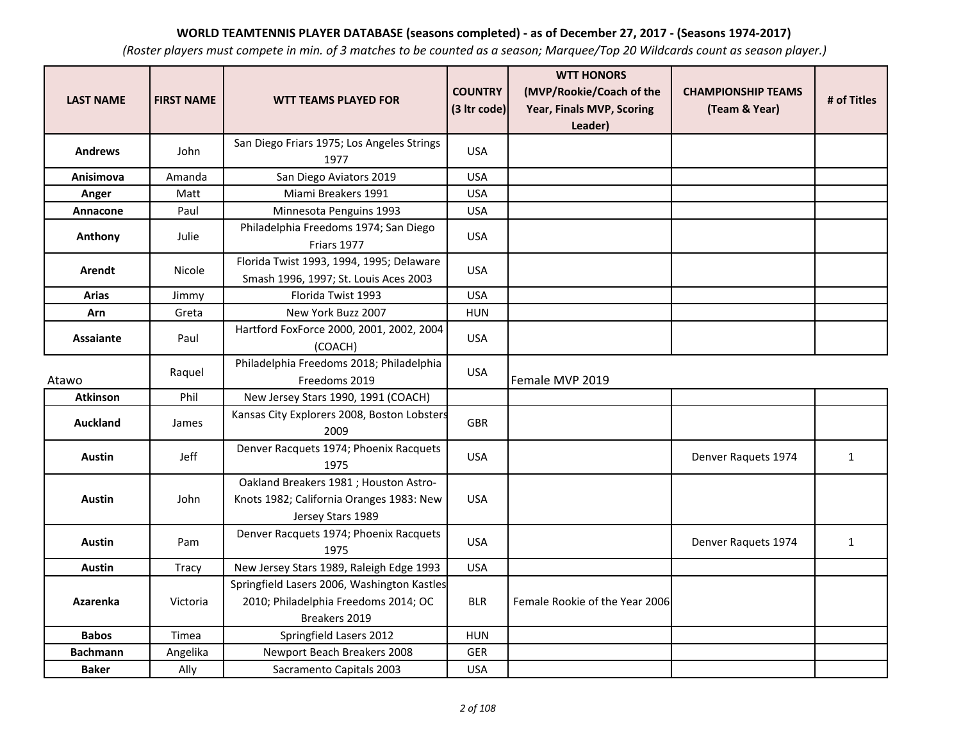| <b>LAST NAME</b> | <b>FIRST NAME</b> | <b>WTT TEAMS PLAYED FOR</b>                                                                            | <b>COUNTRY</b><br>(3 Itr code) | <b>WTT HONORS</b><br>(MVP/Rookie/Coach of the<br><b>Year, Finals MVP, Scoring</b><br>Leader) | <b>CHAMPIONSHIP TEAMS</b><br>(Team & Year) | # of Titles  |
|------------------|-------------------|--------------------------------------------------------------------------------------------------------|--------------------------------|----------------------------------------------------------------------------------------------|--------------------------------------------|--------------|
| <b>Andrews</b>   | John              | San Diego Friars 1975; Los Angeles Strings<br>1977                                                     | <b>USA</b>                     |                                                                                              |                                            |              |
| Anisimova        | Amanda            | San Diego Aviators 2019                                                                                | <b>USA</b>                     |                                                                                              |                                            |              |
| Anger            | Matt              | Miami Breakers 1991                                                                                    | <b>USA</b>                     |                                                                                              |                                            |              |
| Annacone         | Paul              | Minnesota Penguins 1993                                                                                | <b>USA</b>                     |                                                                                              |                                            |              |
| Anthony          | Julie             | Philadelphia Freedoms 1974; San Diego<br>Friars 1977                                                   | <b>USA</b>                     |                                                                                              |                                            |              |
| Arendt           | Nicole            | Florida Twist 1993, 1994, 1995; Delaware<br>Smash 1996, 1997; St. Louis Aces 2003                      | <b>USA</b>                     |                                                                                              |                                            |              |
| <b>Arias</b>     | Jimmy             | Florida Twist 1993                                                                                     | <b>USA</b>                     |                                                                                              |                                            |              |
| <b>Arn</b>       | Greta             | New York Buzz 2007                                                                                     | <b>HUN</b>                     |                                                                                              |                                            |              |
| <b>Assaiante</b> | Paul              | Hartford FoxForce 2000, 2001, 2002, 2004<br>(COACH)                                                    | <b>USA</b>                     |                                                                                              |                                            |              |
| Atawo            | Raquel            | Philadelphia Freedoms 2018; Philadelphia<br>Freedoms 2019                                              | <b>USA</b>                     | Female MVP 2019                                                                              |                                            |              |
| <b>Atkinson</b>  | Phil              | New Jersey Stars 1990, 1991 (COACH)                                                                    |                                |                                                                                              |                                            |              |
| <b>Auckland</b>  | James             | Kansas City Explorers 2008, Boston Lobsters<br>2009                                                    | <b>GBR</b>                     |                                                                                              |                                            |              |
| <b>Austin</b>    | Jeff              | Denver Racquets 1974; Phoenix Racquets<br>1975                                                         | <b>USA</b>                     |                                                                                              | Denver Raquets 1974                        | $\mathbf{1}$ |
| <b>Austin</b>    | John              | Oakland Breakers 1981; Houston Astro-<br>Knots 1982; California Oranges 1983: New<br>Jersey Stars 1989 | <b>USA</b>                     |                                                                                              |                                            |              |
| <b>Austin</b>    | Pam               | Denver Racquets 1974; Phoenix Racquets<br>1975                                                         | <b>USA</b>                     |                                                                                              | Denver Raquets 1974                        | $\mathbf{1}$ |
| <b>Austin</b>    | <b>Tracy</b>      | New Jersey Stars 1989, Raleigh Edge 1993                                                               | <b>USA</b>                     |                                                                                              |                                            |              |
| <b>Azarenka</b>  | Victoria          | Springfield Lasers 2006, Washington Kastles<br>2010; Philadelphia Freedoms 2014; OC<br>Breakers 2019   | <b>BLR</b>                     | Female Rookie of the Year 2006                                                               |                                            |              |
| <b>Babos</b>     | Timea             | Springfield Lasers 2012                                                                                | <b>HUN</b>                     |                                                                                              |                                            |              |
| <b>Bachmann</b>  | Angelika          | Newport Beach Breakers 2008                                                                            | <b>GER</b>                     |                                                                                              |                                            |              |
| <b>Baker</b>     | Ally              | Sacramento Capitals 2003                                                                               | <b>USA</b>                     |                                                                                              |                                            |              |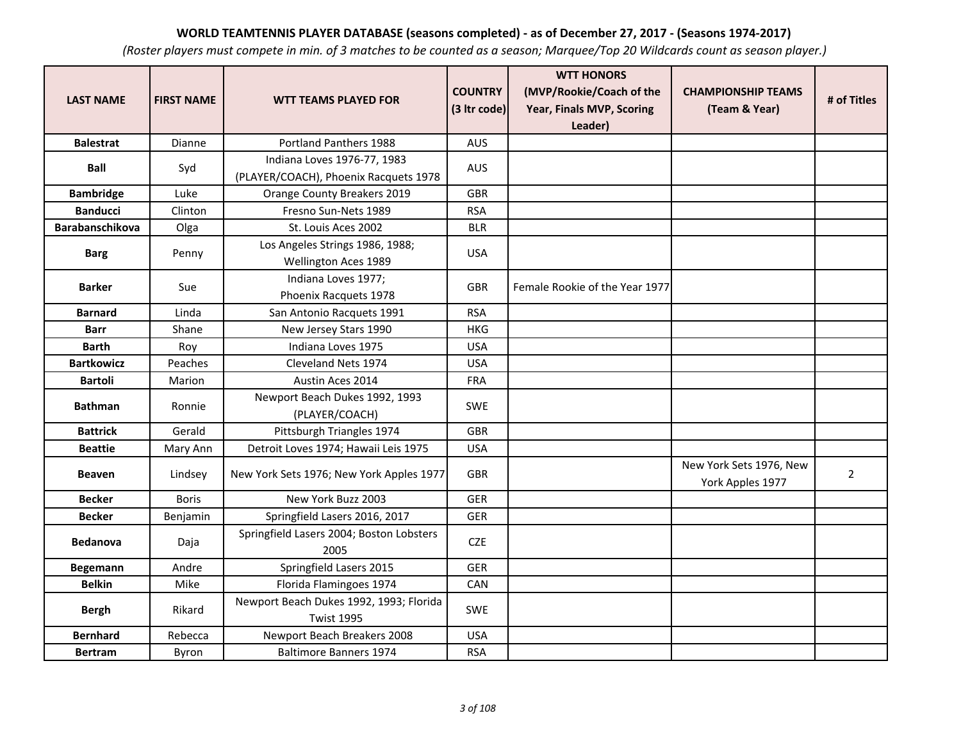| <b>LAST NAME</b>  | <b>FIRST NAME</b> | <b>WTT TEAMS PLAYED FOR</b>                                  | <b>COUNTRY</b> | <b>WTT HONORS</b><br>(MVP/Rookie/Coach of the | <b>CHAMPIONSHIP TEAMS</b>                   | # of Titles    |
|-------------------|-------------------|--------------------------------------------------------------|----------------|-----------------------------------------------|---------------------------------------------|----------------|
|                   |                   |                                                              | (3 Itr code)   | Year, Finals MVP, Scoring<br>Leader)          | (Team & Year)                               |                |
| <b>Balestrat</b>  | Dianne            | Portland Panthers 1988                                       | <b>AUS</b>     |                                               |                                             |                |
|                   |                   | Indiana Loves 1976-77, 1983                                  |                |                                               |                                             |                |
| <b>Ball</b>       | Syd               | (PLAYER/COACH), Phoenix Racquets 1978                        | <b>AUS</b>     |                                               |                                             |                |
| <b>Bambridge</b>  | Luke              | Orange County Breakers 2019                                  | <b>GBR</b>     |                                               |                                             |                |
| <b>Banducci</b>   | Clinton           | Fresno Sun-Nets 1989                                         | <b>RSA</b>     |                                               |                                             |                |
| Barabanschikova   | Olga              | St. Louis Aces 2002                                          | <b>BLR</b>     |                                               |                                             |                |
| <b>Barg</b>       | Penny             | Los Angeles Strings 1986, 1988;<br>Wellington Aces 1989      | <b>USA</b>     |                                               |                                             |                |
| <b>Barker</b>     | Sue               | Indiana Loves 1977;<br>Phoenix Racquets 1978                 | <b>GBR</b>     | Female Rookie of the Year 1977                |                                             |                |
| <b>Barnard</b>    | Linda             | San Antonio Racquets 1991                                    | <b>RSA</b>     |                                               |                                             |                |
| <b>Barr</b>       | Shane             | New Jersey Stars 1990                                        | <b>HKG</b>     |                                               |                                             |                |
| <b>Barth</b>      | Roy               | Indiana Loves 1975                                           | <b>USA</b>     |                                               |                                             |                |
| <b>Bartkowicz</b> | Peaches           | Cleveland Nets 1974                                          | <b>USA</b>     |                                               |                                             |                |
| <b>Bartoli</b>    | Marion            | Austin Aces 2014                                             | <b>FRA</b>     |                                               |                                             |                |
| <b>Bathman</b>    | Ronnie            | Newport Beach Dukes 1992, 1993<br>(PLAYER/COACH)             | <b>SWE</b>     |                                               |                                             |                |
| <b>Battrick</b>   | Gerald            | Pittsburgh Triangles 1974                                    | <b>GBR</b>     |                                               |                                             |                |
| <b>Beattie</b>    | Mary Ann          | Detroit Loves 1974; Hawaii Leis 1975                         | <b>USA</b>     |                                               |                                             |                |
| <b>Beaven</b>     | Lindsey           | New York Sets 1976; New York Apples 1977                     | <b>GBR</b>     |                                               | New York Sets 1976, New<br>York Apples 1977 | $\overline{2}$ |
| <b>Becker</b>     | <b>Boris</b>      | New York Buzz 2003                                           | <b>GER</b>     |                                               |                                             |                |
| <b>Becker</b>     | Benjamin          | Springfield Lasers 2016, 2017                                | <b>GER</b>     |                                               |                                             |                |
| <b>Bedanova</b>   | Daja              | Springfield Lasers 2004; Boston Lobsters<br>2005             | <b>CZE</b>     |                                               |                                             |                |
| <b>Begemann</b>   | Andre             | Springfield Lasers 2015                                      | <b>GER</b>     |                                               |                                             |                |
| <b>Belkin</b>     | Mike              | Florida Flamingoes 1974                                      | CAN            |                                               |                                             |                |
| <b>Bergh</b>      | Rikard            | Newport Beach Dukes 1992, 1993; Florida<br><b>Twist 1995</b> | <b>SWE</b>     |                                               |                                             |                |
| <b>Bernhard</b>   | Rebecca           | Newport Beach Breakers 2008                                  | <b>USA</b>     |                                               |                                             |                |
| <b>Bertram</b>    | Byron             | <b>Baltimore Banners 1974</b>                                | <b>RSA</b>     |                                               |                                             |                |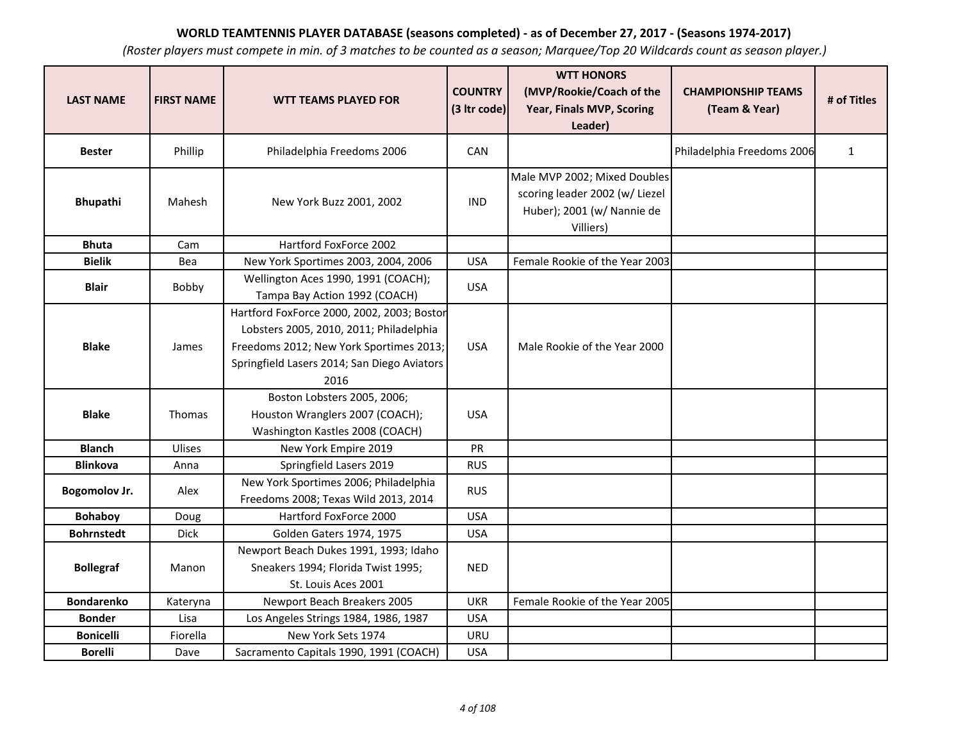| <b>LAST NAME</b>     | <b>FIRST NAME</b> | <b>WTT TEAMS PLAYED FOR</b>                                                                                                                                                             | <b>COUNTRY</b><br>(3 Itr code) | <b>WTT HONORS</b><br>(MVP/Rookie/Coach of the<br>Year, Finals MVP, Scoring<br>Leader)                     | <b>CHAMPIONSHIP TEAMS</b><br>(Team & Year) | # of Titles  |
|----------------------|-------------------|-----------------------------------------------------------------------------------------------------------------------------------------------------------------------------------------|--------------------------------|-----------------------------------------------------------------------------------------------------------|--------------------------------------------|--------------|
| <b>Bester</b>        | Phillip           | Philadelphia Freedoms 2006                                                                                                                                                              | CAN                            |                                                                                                           | Philadelphia Freedoms 2006                 | $\mathbf{1}$ |
| Bhupathi             | Mahesh            | New York Buzz 2001, 2002                                                                                                                                                                | <b>IND</b>                     | Male MVP 2002; Mixed Doubles<br>scoring leader 2002 (w/ Liezel<br>Huber); 2001 (w/ Nannie de<br>Villiers) |                                            |              |
| <b>Bhuta</b>         | Cam               | Hartford FoxForce 2002                                                                                                                                                                  |                                |                                                                                                           |                                            |              |
| <b>Bielik</b>        | Bea               | New York Sportimes 2003, 2004, 2006                                                                                                                                                     | <b>USA</b>                     | Female Rookie of the Year 2003                                                                            |                                            |              |
| <b>Blair</b>         | Bobby             | Wellington Aces 1990, 1991 (COACH);<br>Tampa Bay Action 1992 (COACH)                                                                                                                    | <b>USA</b>                     |                                                                                                           |                                            |              |
| <b>Blake</b>         | James             | Hartford FoxForce 2000, 2002, 2003; Bostor<br>Lobsters 2005, 2010, 2011; Philadelphia<br>Freedoms 2012; New York Sportimes 2013;<br>Springfield Lasers 2014; San Diego Aviators<br>2016 | <b>USA</b>                     | Male Rookie of the Year 2000                                                                              |                                            |              |
| <b>Blake</b>         | <b>Thomas</b>     | Boston Lobsters 2005, 2006;<br>Houston Wranglers 2007 (COACH);<br>Washington Kastles 2008 (COACH)                                                                                       | <b>USA</b>                     |                                                                                                           |                                            |              |
| <b>Blanch</b>        | Ulises            | New York Empire 2019                                                                                                                                                                    | PR                             |                                                                                                           |                                            |              |
| <b>Blinkova</b>      | Anna              | Springfield Lasers 2019                                                                                                                                                                 | <b>RUS</b>                     |                                                                                                           |                                            |              |
| <b>Bogomolov Jr.</b> | Alex              | New York Sportimes 2006; Philadelphia<br>Freedoms 2008; Texas Wild 2013, 2014                                                                                                           | <b>RUS</b>                     |                                                                                                           |                                            |              |
| <b>Bohaboy</b>       | Doug              | Hartford FoxForce 2000                                                                                                                                                                  | <b>USA</b>                     |                                                                                                           |                                            |              |
| <b>Bohrnstedt</b>    | Dick              | Golden Gaters 1974, 1975                                                                                                                                                                | <b>USA</b>                     |                                                                                                           |                                            |              |
| <b>Bollegraf</b>     | Manon             | Newport Beach Dukes 1991, 1993; Idaho<br>Sneakers 1994; Florida Twist 1995;<br>St. Louis Aces 2001                                                                                      | <b>NED</b>                     |                                                                                                           |                                            |              |
| <b>Bondarenko</b>    | Kateryna          | Newport Beach Breakers 2005                                                                                                                                                             | <b>UKR</b>                     | Female Rookie of the Year 2005                                                                            |                                            |              |
| <b>Bonder</b>        | Lisa              | Los Angeles Strings 1984, 1986, 1987                                                                                                                                                    | <b>USA</b>                     |                                                                                                           |                                            |              |
| <b>Bonicelli</b>     | Fiorella          | New York Sets 1974                                                                                                                                                                      | <b>URU</b>                     |                                                                                                           |                                            |              |
| <b>Borelli</b>       | Dave              | Sacramento Capitals 1990, 1991 (COACH)                                                                                                                                                  | <b>USA</b>                     |                                                                                                           |                                            |              |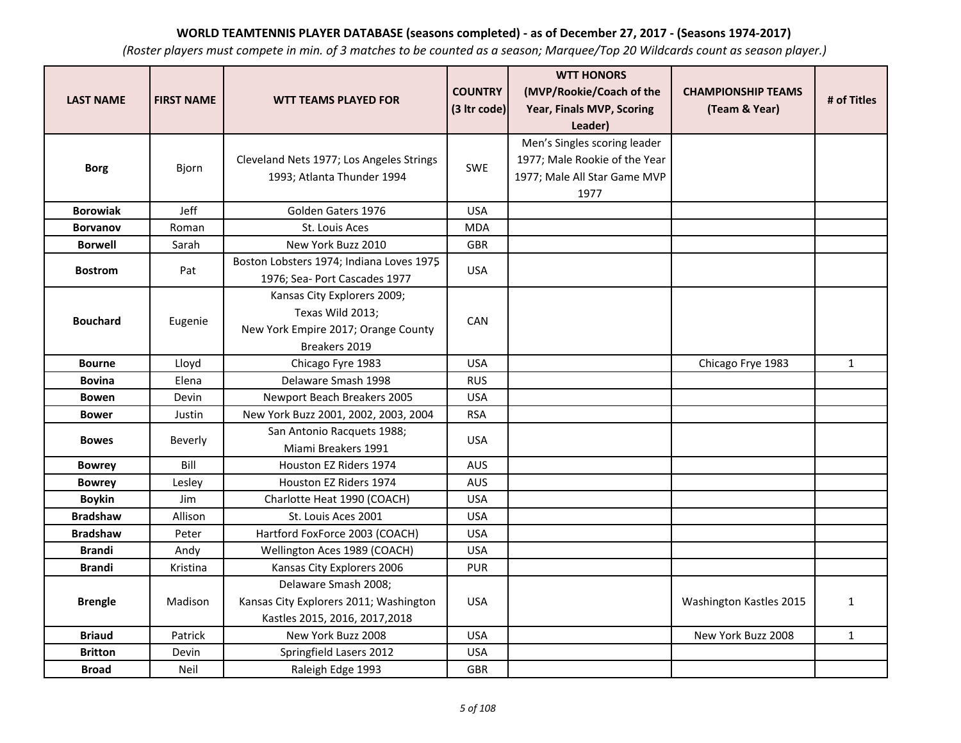|                  |                   |                                          | <b>COUNTRY</b> | <b>WTT HONORS</b><br>(MVP/Rookie/Coach of the | <b>CHAMPIONSHIP TEAMS</b> |              |
|------------------|-------------------|------------------------------------------|----------------|-----------------------------------------------|---------------------------|--------------|
| <b>LAST NAME</b> | <b>FIRST NAME</b> | <b>WTT TEAMS PLAYED FOR</b>              | (3 Itr code)   | Year, Finals MVP, Scoring                     | (Team & Year)             | # of Titles  |
|                  |                   |                                          |                | Leader)                                       |                           |              |
|                  |                   |                                          |                | Men's Singles scoring leader                  |                           |              |
|                  |                   | Cleveland Nets 1977; Los Angeles Strings |                | 1977; Male Rookie of the Year                 |                           |              |
| <b>Borg</b>      | Bjorn             | 1993; Atlanta Thunder 1994               | SWE            | 1977; Male All Star Game MVP                  |                           |              |
|                  |                   |                                          |                | 1977                                          |                           |              |
| <b>Borowiak</b>  | Jeff              | Golden Gaters 1976                       | <b>USA</b>     |                                               |                           |              |
| <b>Borvanov</b>  | Roman             | St. Louis Aces                           | <b>MDA</b>     |                                               |                           |              |
| <b>Borwell</b>   | Sarah             | New York Buzz 2010                       | <b>GBR</b>     |                                               |                           |              |
|                  |                   | Boston Lobsters 1974; Indiana Loves 1975 |                |                                               |                           |              |
| <b>Bostrom</b>   | Pat               | 1976; Sea- Port Cascades 1977            | <b>USA</b>     |                                               |                           |              |
|                  |                   | Kansas City Explorers 2009;              |                |                                               |                           |              |
|                  |                   | Texas Wild 2013;                         | CAN            |                                               |                           |              |
| <b>Bouchard</b>  | Eugenie           | New York Empire 2017; Orange County      |                |                                               |                           |              |
|                  |                   | Breakers 2019                            |                |                                               |                           |              |
| <b>Bourne</b>    | Lloyd             | Chicago Fyre 1983                        | <b>USA</b>     |                                               | Chicago Frye 1983         | $\mathbf{1}$ |
| <b>Bovina</b>    | Elena             | Delaware Smash 1998                      | <b>RUS</b>     |                                               |                           |              |
| <b>Bowen</b>     | Devin             | Newport Beach Breakers 2005              | <b>USA</b>     |                                               |                           |              |
| <b>Bower</b>     | Justin            | New York Buzz 2001, 2002, 2003, 2004     | <b>RSA</b>     |                                               |                           |              |
| <b>Bowes</b>     | <b>Beverly</b>    | San Antonio Racquets 1988;               | <b>USA</b>     |                                               |                           |              |
|                  |                   | Miami Breakers 1991                      |                |                                               |                           |              |
| <b>Bowrey</b>    | Bill              | Houston EZ Riders 1974                   | <b>AUS</b>     |                                               |                           |              |
| <b>Bowrey</b>    | Lesley            | Houston EZ Riders 1974                   | <b>AUS</b>     |                                               |                           |              |
| <b>Boykin</b>    | <b>Jim</b>        | Charlotte Heat 1990 (COACH)              | <b>USA</b>     |                                               |                           |              |
| <b>Bradshaw</b>  | Allison           | St. Louis Aces 2001                      | <b>USA</b>     |                                               |                           |              |
| <b>Bradshaw</b>  | Peter             | Hartford FoxForce 2003 (COACH)           | <b>USA</b>     |                                               |                           |              |
| <b>Brandi</b>    | Andy              | Wellington Aces 1989 (COACH)             | <b>USA</b>     |                                               |                           |              |
| <b>Brandi</b>    | Kristina          | Kansas City Explorers 2006               | <b>PUR</b>     |                                               |                           |              |
|                  |                   | Delaware Smash 2008;                     |                |                                               |                           |              |
| <b>Brengle</b>   | Madison           | Kansas City Explorers 2011; Washington   | <b>USA</b>     |                                               | Washington Kastles 2015   | $\mathbf{1}$ |
|                  |                   | Kastles 2015, 2016, 2017, 2018           |                |                                               |                           |              |
| <b>Briaud</b>    | Patrick           | New York Buzz 2008                       | <b>USA</b>     |                                               | New York Buzz 2008        | $\mathbf{1}$ |
| <b>Britton</b>   | Devin             | Springfield Lasers 2012                  | <b>USA</b>     |                                               |                           |              |
| <b>Broad</b>     | Neil              | Raleigh Edge 1993                        | <b>GBR</b>     |                                               |                           |              |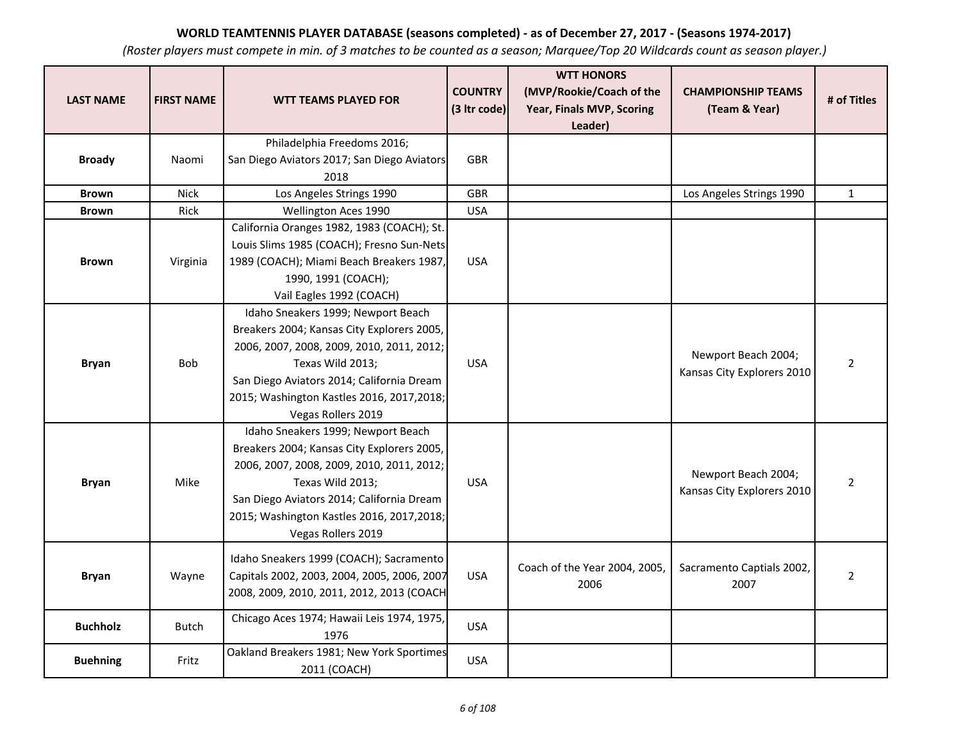| <b>LAST NAME</b> | <b>FIRST NAME</b> | <b>WTT TEAMS PLAYED FOR</b>                                                                                                                                                                                                                                        | <b>COUNTRY</b><br>(3 Itr code) | <b>WTT HONORS</b><br>(MVP/Rookie/Coach of the<br>Year, Finals MVP, Scoring<br>Leader) | <b>CHAMPIONSHIP TEAMS</b><br>(Team & Year)        | # of Titles    |
|------------------|-------------------|--------------------------------------------------------------------------------------------------------------------------------------------------------------------------------------------------------------------------------------------------------------------|--------------------------------|---------------------------------------------------------------------------------------|---------------------------------------------------|----------------|
| <b>Broady</b>    | Naomi             | Philadelphia Freedoms 2016;<br>San Diego Aviators 2017; San Diego Aviators<br>2018                                                                                                                                                                                 | <b>GBR</b>                     |                                                                                       |                                                   |                |
| <b>Brown</b>     | <b>Nick</b>       | Los Angeles Strings 1990                                                                                                                                                                                                                                           | <b>GBR</b>                     |                                                                                       | Los Angeles Strings 1990                          | $\mathbf{1}$   |
| <b>Brown</b>     | Rick              | Wellington Aces 1990                                                                                                                                                                                                                                               | <b>USA</b>                     |                                                                                       |                                                   |                |
| <b>Brown</b>     | Virginia          | California Oranges 1982, 1983 (COACH); St.<br>Louis Slims 1985 (COACH); Fresno Sun-Nets<br>1989 (COACH); Miami Beach Breakers 1987,<br>1990, 1991 (COACH);<br>Vail Eagles 1992 (COACH)                                                                             | <b>USA</b>                     |                                                                                       |                                                   |                |
| <b>Bryan</b>     | <b>Bob</b>        | Idaho Sneakers 1999; Newport Beach<br>Breakers 2004; Kansas City Explorers 2005,<br>2006, 2007, 2008, 2009, 2010, 2011, 2012;<br>Texas Wild 2013;<br>San Diego Aviators 2014; California Dream<br>2015; Washington Kastles 2016, 2017, 2018;<br>Vegas Rollers 2019 | <b>USA</b>                     |                                                                                       | Newport Beach 2004;<br>Kansas City Explorers 2010 | $\overline{2}$ |
| <b>Bryan</b>     | Mike              | Idaho Sneakers 1999; Newport Beach<br>Breakers 2004; Kansas City Explorers 2005,<br>2006, 2007, 2008, 2009, 2010, 2011, 2012;<br>Texas Wild 2013;<br>San Diego Aviators 2014; California Dream<br>2015; Washington Kastles 2016, 2017, 2018;<br>Vegas Rollers 2019 | <b>USA</b>                     |                                                                                       | Newport Beach 2004;<br>Kansas City Explorers 2010 | $\overline{2}$ |
| <b>Bryan</b>     | Wayne             | Idaho Sneakers 1999 (COACH); Sacramento<br>Capitals 2002, 2003, 2004, 2005, 2006, 2007<br>2008, 2009, 2010, 2011, 2012, 2013 (COACH                                                                                                                                | <b>USA</b>                     | Coach of the Year 2004, 2005,<br>2006                                                 | Sacramento Captials 2002,<br>2007                 | $\overline{2}$ |
| <b>Buchholz</b>  | <b>Butch</b>      | Chicago Aces 1974; Hawaii Leis 1974, 1975,<br>1976                                                                                                                                                                                                                 | <b>USA</b>                     |                                                                                       |                                                   |                |
| <b>Buehning</b>  | Fritz             | Oakland Breakers 1981; New York Sportimes<br>2011 (COACH)                                                                                                                                                                                                          | <b>USA</b>                     |                                                                                       |                                                   |                |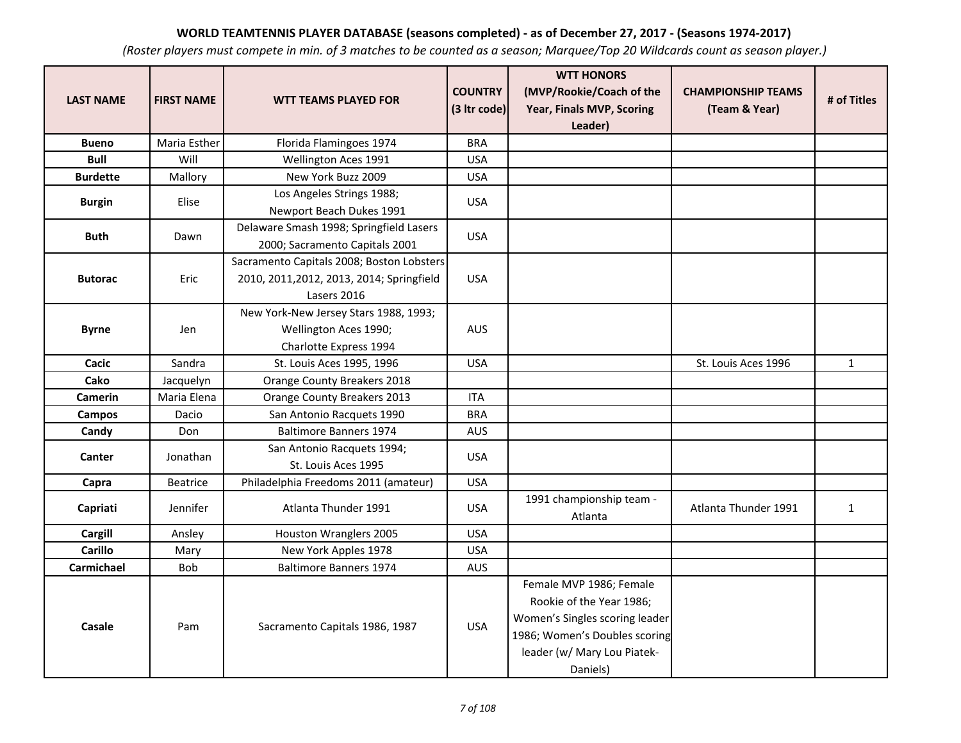| <b>LAST NAME</b> | <b>FIRST NAME</b> | <b>WTT TEAMS PLAYED FOR</b>                                                                           | <b>COUNTRY</b><br>(3 Itr code) | <b>WTT HONORS</b><br>(MVP/Rookie/Coach of the<br>Year, Finals MVP, Scoring                                                                                        | <b>CHAMPIONSHIP TEAMS</b><br>(Team & Year) | # of Titles  |
|------------------|-------------------|-------------------------------------------------------------------------------------------------------|--------------------------------|-------------------------------------------------------------------------------------------------------------------------------------------------------------------|--------------------------------------------|--------------|
|                  |                   |                                                                                                       |                                | Leader)                                                                                                                                                           |                                            |              |
| <b>Bueno</b>     | Maria Esther      | Florida Flamingoes 1974                                                                               | <b>BRA</b>                     |                                                                                                                                                                   |                                            |              |
| <b>Bull</b>      | Will              | Wellington Aces 1991                                                                                  | <b>USA</b>                     |                                                                                                                                                                   |                                            |              |
| <b>Burdette</b>  | Mallory           | New York Buzz 2009                                                                                    | <b>USA</b>                     |                                                                                                                                                                   |                                            |              |
| <b>Burgin</b>    | Elise             | Los Angeles Strings 1988;<br>Newport Beach Dukes 1991                                                 | <b>USA</b>                     |                                                                                                                                                                   |                                            |              |
| <b>Buth</b>      | Dawn              | Delaware Smash 1998; Springfield Lasers<br>2000; Sacramento Capitals 2001                             | <b>USA</b>                     |                                                                                                                                                                   |                                            |              |
| <b>Butorac</b>   | Eric              | Sacramento Capitals 2008; Boston Lobsters<br>2010, 2011, 2012, 2013, 2014; Springfield<br>Lasers 2016 | <b>USA</b>                     |                                                                                                                                                                   |                                            |              |
| <b>Byrne</b>     | Jen               | New York-New Jersey Stars 1988, 1993;<br>Wellington Aces 1990;<br>Charlotte Express 1994              | <b>AUS</b>                     |                                                                                                                                                                   |                                            |              |
| Cacic            | Sandra            | St. Louis Aces 1995, 1996                                                                             | <b>USA</b>                     |                                                                                                                                                                   | St. Louis Aces 1996                        | $\mathbf{1}$ |
| Cako             | Jacquelyn         | Orange County Breakers 2018                                                                           |                                |                                                                                                                                                                   |                                            |              |
| <b>Camerin</b>   | Maria Elena       | Orange County Breakers 2013                                                                           | <b>ITA</b>                     |                                                                                                                                                                   |                                            |              |
| Campos           | Dacio             | San Antonio Racquets 1990                                                                             | <b>BRA</b>                     |                                                                                                                                                                   |                                            |              |
| Candy            | Don               | <b>Baltimore Banners 1974</b>                                                                         | <b>AUS</b>                     |                                                                                                                                                                   |                                            |              |
| Canter           | Jonathan          | San Antonio Racquets 1994;<br>St. Louis Aces 1995                                                     | <b>USA</b>                     |                                                                                                                                                                   |                                            |              |
| Capra            | <b>Beatrice</b>   | Philadelphia Freedoms 2011 (amateur)                                                                  | <b>USA</b>                     |                                                                                                                                                                   |                                            |              |
| Capriati         | Jennifer          | Atlanta Thunder 1991                                                                                  | <b>USA</b>                     | 1991 championship team -<br>Atlanta                                                                                                                               | Atlanta Thunder 1991                       | $\mathbf{1}$ |
| <b>Cargill</b>   | Ansley            | Houston Wranglers 2005                                                                                | <b>USA</b>                     |                                                                                                                                                                   |                                            |              |
| <b>Carillo</b>   | Mary              | New York Apples 1978                                                                                  | <b>USA</b>                     |                                                                                                                                                                   |                                            |              |
| Carmichael       | Bob               | <b>Baltimore Banners 1974</b>                                                                         | <b>AUS</b>                     |                                                                                                                                                                   |                                            |              |
| Casale           | Pam               | Sacramento Capitals 1986, 1987                                                                        | <b>USA</b>                     | Female MVP 1986; Female<br>Rookie of the Year 1986;<br>Women's Singles scoring leader<br>1986; Women's Doubles scoring<br>leader (w/ Mary Lou Piatek-<br>Daniels) |                                            |              |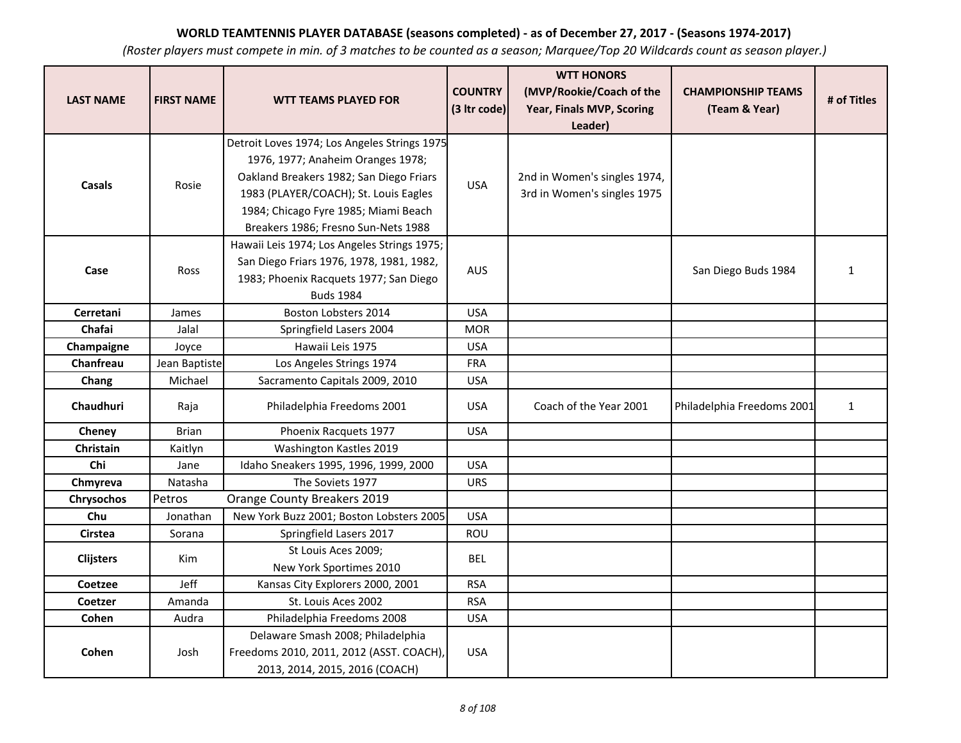| <b>LAST NAME</b> | <b>FIRST NAME</b> | <b>WTT TEAMS PLAYED FOR</b>                    | <b>COUNTRY</b> | <b>WTT HONORS</b><br>(MVP/Rookie/Coach of the | <b>CHAMPIONSHIP TEAMS</b>  | # of Titles  |
|------------------|-------------------|------------------------------------------------|----------------|-----------------------------------------------|----------------------------|--------------|
|                  |                   |                                                | (3 Itr code)   | Year, Finals MVP, Scoring<br>Leader)          | (Team & Year)              |              |
|                  |                   | Detroit Loves 1974; Los Angeles Strings 1975   |                |                                               |                            |              |
|                  |                   | 1976, 1977; Anaheim Oranges 1978;              |                |                                               |                            |              |
| <b>Casals</b>    | Rosie             | Oakland Breakers 1982; San Diego Friars        | <b>USA</b>     | 2nd in Women's singles 1974,                  |                            |              |
|                  |                   | 1983 (PLAYER/COACH); St. Louis Eagles          |                | 3rd in Women's singles 1975                   |                            |              |
|                  |                   | 1984; Chicago Fyre 1985; Miami Beach           |                |                                               |                            |              |
|                  |                   | Breakers 1986; Fresno Sun-Nets 1988            |                |                                               |                            |              |
|                  |                   | Hawaii Leis 1974; Los Angeles Strings 1975;    |                |                                               |                            |              |
| Case             | Ross              | San Diego Friars 1976, 1978, 1981, 1982,       | AUS            |                                               | San Diego Buds 1984        | $\mathbf{1}$ |
|                  |                   | 1983; Phoenix Racquets 1977; San Diego         |                |                                               |                            |              |
|                  |                   | <b>Buds 1984</b>                               |                |                                               |                            |              |
| Cerretani        | James             | Boston Lobsters 2014                           | <b>USA</b>     |                                               |                            |              |
| Chafai           | Jalal             | Springfield Lasers 2004                        | <b>MOR</b>     |                                               |                            |              |
| Champaigne       | Joyce             | Hawaii Leis 1975                               | <b>USA</b>     |                                               |                            |              |
| Chanfreau        | Jean Baptiste     | Los Angeles Strings 1974                       | <b>FRA</b>     |                                               |                            |              |
| Chang            | Michael           | Sacramento Capitals 2009, 2010                 | <b>USA</b>     |                                               |                            |              |
| Chaudhuri        | Raja              | Philadelphia Freedoms 2001                     | <b>USA</b>     | Coach of the Year 2001                        | Philadelphia Freedoms 2001 | $\mathbf{1}$ |
| Cheney           | <b>Brian</b>      | Phoenix Racquets 1977                          | <b>USA</b>     |                                               |                            |              |
| Christain        | Kaitlyn           | Washington Kastles 2019                        |                |                                               |                            |              |
| Chi              | Jane              | Idaho Sneakers 1995, 1996, 1999, 2000          | <b>USA</b>     |                                               |                            |              |
| Chmyreva         | Natasha           | The Soviets 1977                               | <b>URS</b>     |                                               |                            |              |
| Chrysochos       | Petros            | Orange County Breakers 2019                    |                |                                               |                            |              |
| Chu              | Jonathan          | New York Buzz 2001; Boston Lobsters 2005       | <b>USA</b>     |                                               |                            |              |
| <b>Cirstea</b>   | Sorana            | Springfield Lasers 2017                        | ROU            |                                               |                            |              |
| <b>Clijsters</b> | Kim               | St Louis Aces 2009;<br>New York Sportimes 2010 | <b>BEL</b>     |                                               |                            |              |
| Coetzee          | Jeff              | Kansas City Explorers 2000, 2001               | <b>RSA</b>     |                                               |                            |              |
| Coetzer          | Amanda            | St. Louis Aces 2002                            | <b>RSA</b>     |                                               |                            |              |
| Cohen            | Audra             | Philadelphia Freedoms 2008                     | <b>USA</b>     |                                               |                            |              |
|                  |                   | Delaware Smash 2008; Philadelphia              |                |                                               |                            |              |
| Cohen            | Josh              | Freedoms 2010, 2011, 2012 (ASST. COACH),       | <b>USA</b>     |                                               |                            |              |
|                  |                   | 2013, 2014, 2015, 2016 (COACH)                 |                |                                               |                            |              |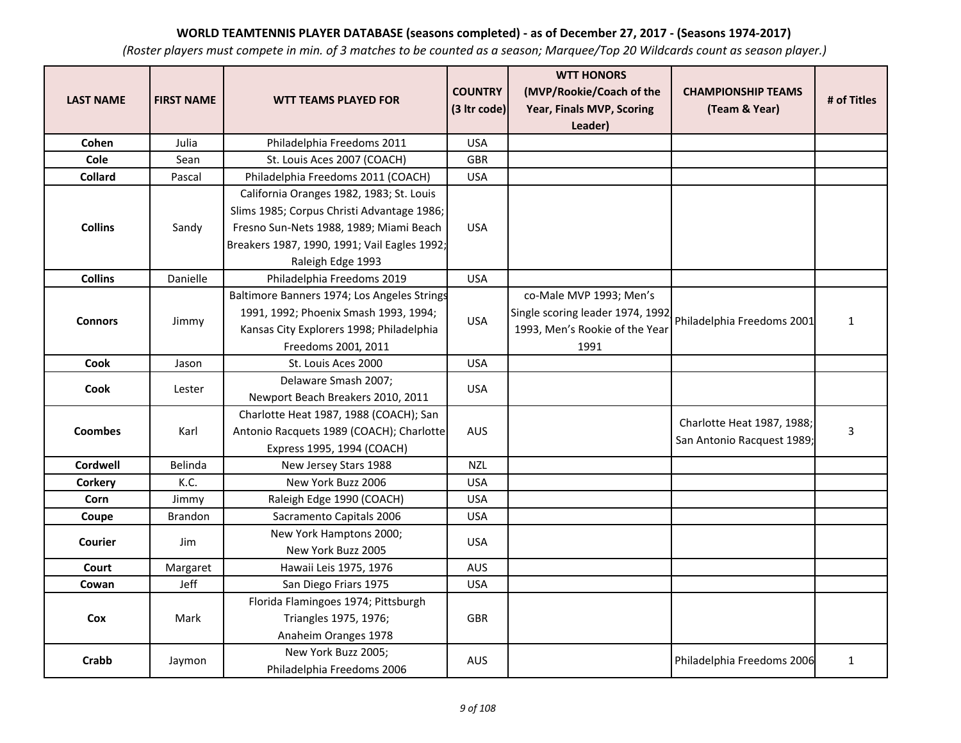| <b>LAST NAME</b> | <b>FIRST NAME</b> | <b>WTT TEAMS PLAYED FOR</b>                       | <b>COUNTRY</b><br>(3 Itr code) | <b>WTT HONORS</b><br>(MVP/Rookie/Coach of the<br>Year, Finals MVP, Scoring | <b>CHAMPIONSHIP TEAMS</b><br>(Team & Year) | # of Titles  |
|------------------|-------------------|---------------------------------------------------|--------------------------------|----------------------------------------------------------------------------|--------------------------------------------|--------------|
|                  |                   |                                                   |                                | Leader)                                                                    |                                            |              |
| Cohen            | Julia             | Philadelphia Freedoms 2011                        | <b>USA</b>                     |                                                                            |                                            |              |
| <b>Cole</b>      | Sean              | St. Louis Aces 2007 (COACH)                       | <b>GBR</b>                     |                                                                            |                                            |              |
| Collard          | Pascal            | Philadelphia Freedoms 2011 (COACH)                | <b>USA</b>                     |                                                                            |                                            |              |
|                  |                   | California Oranges 1982, 1983; St. Louis          |                                |                                                                            |                                            |              |
|                  |                   | Slims 1985; Corpus Christi Advantage 1986;        |                                |                                                                            |                                            |              |
| <b>Collins</b>   | Sandy             | Fresno Sun-Nets 1988, 1989; Miami Beach           | <b>USA</b>                     |                                                                            |                                            |              |
|                  |                   | Breakers 1987, 1990, 1991; Vail Eagles 1992;      |                                |                                                                            |                                            |              |
|                  |                   | Raleigh Edge 1993                                 |                                |                                                                            |                                            |              |
| <b>Collins</b>   | Danielle          | Philadelphia Freedoms 2019                        | <b>USA</b>                     |                                                                            |                                            |              |
|                  |                   | Baltimore Banners 1974; Los Angeles Strings       |                                | co-Male MVP 1993; Men's                                                    |                                            |              |
| <b>Connors</b>   | Jimmy             | 1991, 1992; Phoenix Smash 1993, 1994;             | <b>USA</b>                     | Single scoring leader 1974, 1992                                           | Philadelphia Freedoms 2001                 | $\mathbf{1}$ |
|                  |                   | Kansas City Explorers 1998; Philadelphia          |                                | 1993, Men's Rookie of the Year                                             |                                            |              |
|                  |                   | Freedoms 2001, 2011                               |                                | 1991                                                                       |                                            |              |
| Cook             | Jason             | St. Louis Aces 2000                               | <b>USA</b>                     |                                                                            |                                            |              |
| <b>Cook</b>      | Lester            | Delaware Smash 2007;                              | <b>USA</b>                     |                                                                            |                                            |              |
|                  |                   | Newport Beach Breakers 2010, 2011                 |                                |                                                                            |                                            |              |
|                  |                   | Charlotte Heat 1987, 1988 (COACH); San            |                                |                                                                            | Charlotte Heat 1987, 1988;                 |              |
| <b>Coombes</b>   | Karl              | Antonio Racquets 1989 (COACH); Charlotte          | AUS                            |                                                                            | San Antonio Racquest 1989;                 | 3            |
|                  |                   | Express 1995, 1994 (COACH)                        |                                |                                                                            |                                            |              |
| <b>Cordwell</b>  | Belinda           | New Jersey Stars 1988                             | <b>NZL</b>                     |                                                                            |                                            |              |
| Corkery          | K.C.              | New York Buzz 2006                                | <b>USA</b>                     |                                                                            |                                            |              |
| Corn             | Jimmy             | Raleigh Edge 1990 (COACH)                         | <b>USA</b>                     |                                                                            |                                            |              |
| Coupe            | Brandon           | Sacramento Capitals 2006                          | <b>USA</b>                     |                                                                            |                                            |              |
| <b>Courier</b>   | Jim               | New York Hamptons 2000;                           | <b>USA</b>                     |                                                                            |                                            |              |
|                  |                   | New York Buzz 2005                                |                                |                                                                            |                                            |              |
| Court            | Margaret          | Hawaii Leis 1975, 1976                            | <b>AUS</b>                     |                                                                            |                                            |              |
| Cowan            | Jeff              | San Diego Friars 1975                             | <b>USA</b>                     |                                                                            |                                            |              |
|                  |                   | Florida Flamingoes 1974; Pittsburgh               |                                |                                                                            |                                            |              |
| Cox              | Mark              | Triangles 1975, 1976;                             | <b>GBR</b>                     |                                                                            |                                            |              |
|                  |                   | Anaheim Oranges 1978                              |                                |                                                                            |                                            |              |
| Crabb            | Jaymon            | New York Buzz 2005;<br>Philadelphia Freedoms 2006 | AUS                            |                                                                            | Philadelphia Freedoms 2006                 | $\mathbf{1}$ |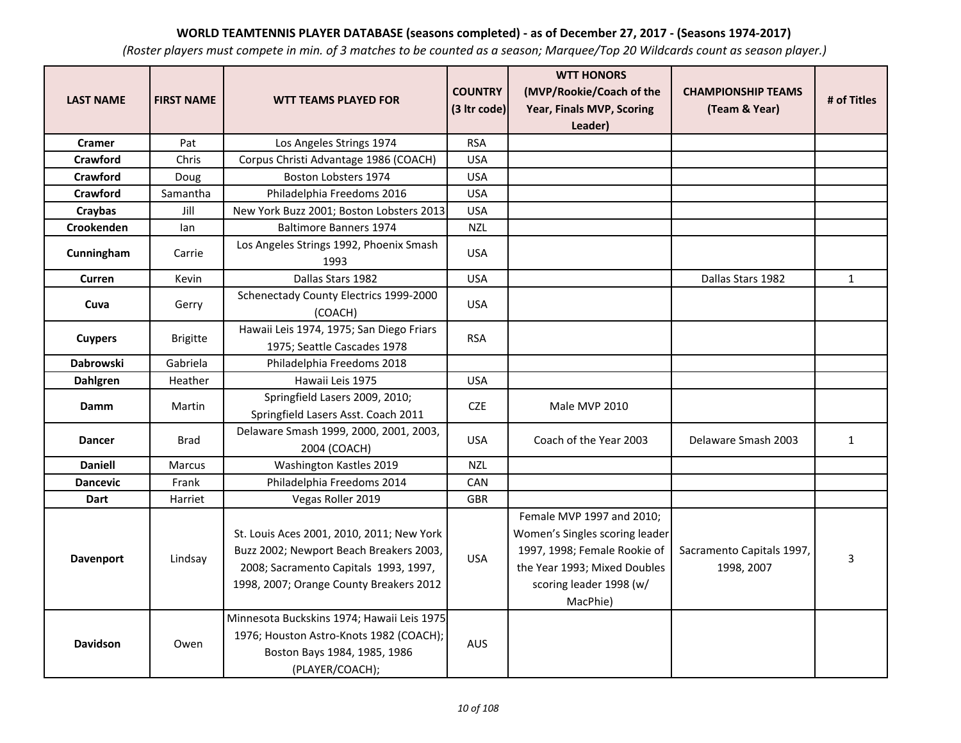| <b>LAST NAME</b> | <b>FIRST NAME</b> | <b>WTT TEAMS PLAYED FOR</b>                                                                                                                                              | <b>COUNTRY</b><br>(3 Itr code) | <b>WTT HONORS</b><br>(MVP/Rookie/Coach of the<br>Year, Finals MVP, Scoring                                                                                         | <b>CHAMPIONSHIP TEAMS</b><br>(Team & Year) | # of Titles  |
|------------------|-------------------|--------------------------------------------------------------------------------------------------------------------------------------------------------------------------|--------------------------------|--------------------------------------------------------------------------------------------------------------------------------------------------------------------|--------------------------------------------|--------------|
| <b>Cramer</b>    | Pat               | Los Angeles Strings 1974                                                                                                                                                 | <b>RSA</b>                     | Leader)                                                                                                                                                            |                                            |              |
| Crawford         | Chris             | Corpus Christi Advantage 1986 (COACH)                                                                                                                                    | <b>USA</b>                     |                                                                                                                                                                    |                                            |              |
| <b>Crawford</b>  | Doug              | Boston Lobsters 1974                                                                                                                                                     | <b>USA</b>                     |                                                                                                                                                                    |                                            |              |
| Crawford         | Samantha          | Philadelphia Freedoms 2016                                                                                                                                               | <b>USA</b>                     |                                                                                                                                                                    |                                            |              |
| Craybas          | Jill              | New York Buzz 2001; Boston Lobsters 2013                                                                                                                                 | <b>USA</b>                     |                                                                                                                                                                    |                                            |              |
| Crookenden       | lan               | <b>Baltimore Banners 1974</b>                                                                                                                                            | <b>NZL</b>                     |                                                                                                                                                                    |                                            |              |
| Cunningham       | Carrie            | Los Angeles Strings 1992, Phoenix Smash<br>1993                                                                                                                          | <b>USA</b>                     |                                                                                                                                                                    |                                            |              |
| Curren           | Kevin             | Dallas Stars 1982                                                                                                                                                        | <b>USA</b>                     |                                                                                                                                                                    | Dallas Stars 1982                          | $\mathbf{1}$ |
| Cuva             | Gerry             | Schenectady County Electrics 1999-2000<br>(COACH)                                                                                                                        | <b>USA</b>                     |                                                                                                                                                                    |                                            |              |
| <b>Cuypers</b>   | <b>Brigitte</b>   | Hawaii Leis 1974, 1975; San Diego Friars<br>1975; Seattle Cascades 1978                                                                                                  | <b>RSA</b>                     |                                                                                                                                                                    |                                            |              |
| <b>Dabrowski</b> | Gabriela          | Philadelphia Freedoms 2018                                                                                                                                               |                                |                                                                                                                                                                    |                                            |              |
| <b>Dahlgren</b>  | Heather           | Hawaii Leis 1975                                                                                                                                                         | <b>USA</b>                     |                                                                                                                                                                    |                                            |              |
| Damm             | Martin            | Springfield Lasers 2009, 2010;<br>Springfield Lasers Asst. Coach 2011                                                                                                    | <b>CZE</b>                     | Male MVP 2010                                                                                                                                                      |                                            |              |
| <b>Dancer</b>    | Brad              | Delaware Smash 1999, 2000, 2001, 2003,<br>2004 (COACH)                                                                                                                   | <b>USA</b>                     | Coach of the Year 2003                                                                                                                                             | Delaware Smash 2003                        | $\mathbf{1}$ |
| <b>Daniell</b>   | Marcus            | Washington Kastles 2019                                                                                                                                                  | <b>NZL</b>                     |                                                                                                                                                                    |                                            |              |
| <b>Dancevic</b>  | Frank             | Philadelphia Freedoms 2014                                                                                                                                               | CAN                            |                                                                                                                                                                    |                                            |              |
| Dart             | Harriet           | Vegas Roller 2019                                                                                                                                                        | GBR                            |                                                                                                                                                                    |                                            |              |
| Davenport        | Lindsay           | St. Louis Aces 2001, 2010, 2011; New York<br>Buzz 2002; Newport Beach Breakers 2003,<br>2008; Sacramento Capitals 1993, 1997,<br>1998, 2007; Orange County Breakers 2012 | <b>USA</b>                     | Female MVP 1997 and 2010;<br>Women's Singles scoring leader<br>1997, 1998; Female Rookie of<br>the Year 1993; Mixed Doubles<br>scoring leader 1998 (w/<br>MacPhie) | Sacramento Capitals 1997,<br>1998, 2007    | 3            |
| <b>Davidson</b>  | Owen              | Minnesota Buckskins 1974; Hawaii Leis 1975<br>1976; Houston Astro-Knots 1982 (COACH);<br>Boston Bays 1984, 1985, 1986<br>(PLAYER/COACH);                                 | <b>AUS</b>                     |                                                                                                                                                                    |                                            |              |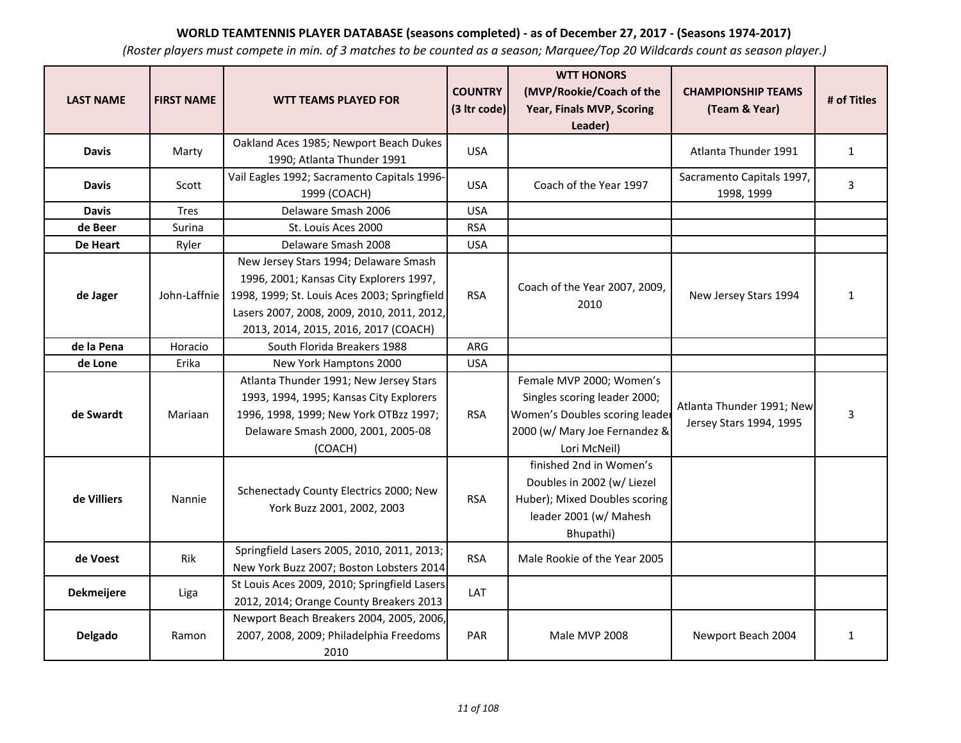| <b>LAST NAME</b> | <b>FIRST NAME</b> | <b>WTT TEAMS PLAYED FOR</b>                                                                                                                                                                                            | <b>COUNTRY</b><br>(3 Itr code) | <b>WTT HONORS</b><br>(MVP/Rookie/Coach of the<br>Year, Finals MVP, Scoring<br>Leader)                                                       | <b>CHAMPIONSHIP TEAMS</b><br>(Team & Year)           | # of Titles  |
|------------------|-------------------|------------------------------------------------------------------------------------------------------------------------------------------------------------------------------------------------------------------------|--------------------------------|---------------------------------------------------------------------------------------------------------------------------------------------|------------------------------------------------------|--------------|
| <b>Davis</b>     | Marty             | Oakland Aces 1985; Newport Beach Dukes<br>1990; Atlanta Thunder 1991                                                                                                                                                   | <b>USA</b>                     |                                                                                                                                             | Atlanta Thunder 1991                                 | $\mathbf{1}$ |
| <b>Davis</b>     | Scott             | Vail Eagles 1992; Sacramento Capitals 1996-<br>1999 (COACH)                                                                                                                                                            | USA.                           | Coach of the Year 1997                                                                                                                      | Sacramento Capitals 1997,<br>1998, 1999              | 3            |
| <b>Davis</b>     | <b>Tres</b>       | Delaware Smash 2006                                                                                                                                                                                                    | <b>USA</b>                     |                                                                                                                                             |                                                      |              |
| de Beer          | Surina            | St. Louis Aces 2000                                                                                                                                                                                                    | <b>RSA</b>                     |                                                                                                                                             |                                                      |              |
| De Heart         | Ryler             | Delaware Smash 2008                                                                                                                                                                                                    | <b>USA</b>                     |                                                                                                                                             |                                                      |              |
| de Jager         | John-Laffnie      | New Jersey Stars 1994; Delaware Smash<br>1996, 2001; Kansas City Explorers 1997,<br>1998, 1999; St. Louis Aces 2003; Springfield<br>Lasers 2007, 2008, 2009, 2010, 2011, 2012,<br>2013, 2014, 2015, 2016, 2017 (COACH) | <b>RSA</b>                     | Coach of the Year 2007, 2009,<br>2010                                                                                                       | New Jersey Stars 1994                                | $\mathbf{1}$ |
| de la Pena       | Horacio           | South Florida Breakers 1988                                                                                                                                                                                            | ARG                            |                                                                                                                                             |                                                      |              |
| de Lone          | Erika             | New York Hamptons 2000                                                                                                                                                                                                 | <b>USA</b>                     |                                                                                                                                             |                                                      |              |
| de Swardt        | Mariaan           | Atlanta Thunder 1991; New Jersey Stars<br>1993, 1994, 1995; Kansas City Explorers<br>1996, 1998, 1999; New York OTBzz 1997;<br>Delaware Smash 2000, 2001, 2005-08<br>(COACH)                                           | <b>RSA</b>                     | Female MVP 2000; Women's<br>Singles scoring leader 2000;<br>Women's Doubles scoring leader<br>2000 (w/ Mary Joe Fernandez &<br>Lori McNeil) | Atlanta Thunder 1991; New<br>Jersey Stars 1994, 1995 | 3            |
| de Villiers      | Nannie            | Schenectady County Electrics 2000; New<br>York Buzz 2001, 2002, 2003                                                                                                                                                   | <b>RSA</b>                     | finished 2nd in Women's<br>Doubles in 2002 (w/ Liezel<br>Huber); Mixed Doubles scoring<br>leader 2001 (w/ Mahesh<br>Bhupathi)               |                                                      |              |
| de Voest         | Rik               | Springfield Lasers 2005, 2010, 2011, 2013;<br>New York Buzz 2007; Boston Lobsters 2014                                                                                                                                 | <b>RSA</b>                     | Male Rookie of the Year 2005                                                                                                                |                                                      |              |
| Dekmeijere       | Liga              | St Louis Aces 2009, 2010; Springfield Lasers<br>2012, 2014; Orange County Breakers 2013                                                                                                                                | LAT                            |                                                                                                                                             |                                                      |              |
| Delgado          | Ramon             | Newport Beach Breakers 2004, 2005, 2006,<br>2007, 2008, 2009; Philadelphia Freedoms<br>2010                                                                                                                            | <b>PAR</b>                     | Male MVP 2008                                                                                                                               | Newport Beach 2004                                   | $\mathbf{1}$ |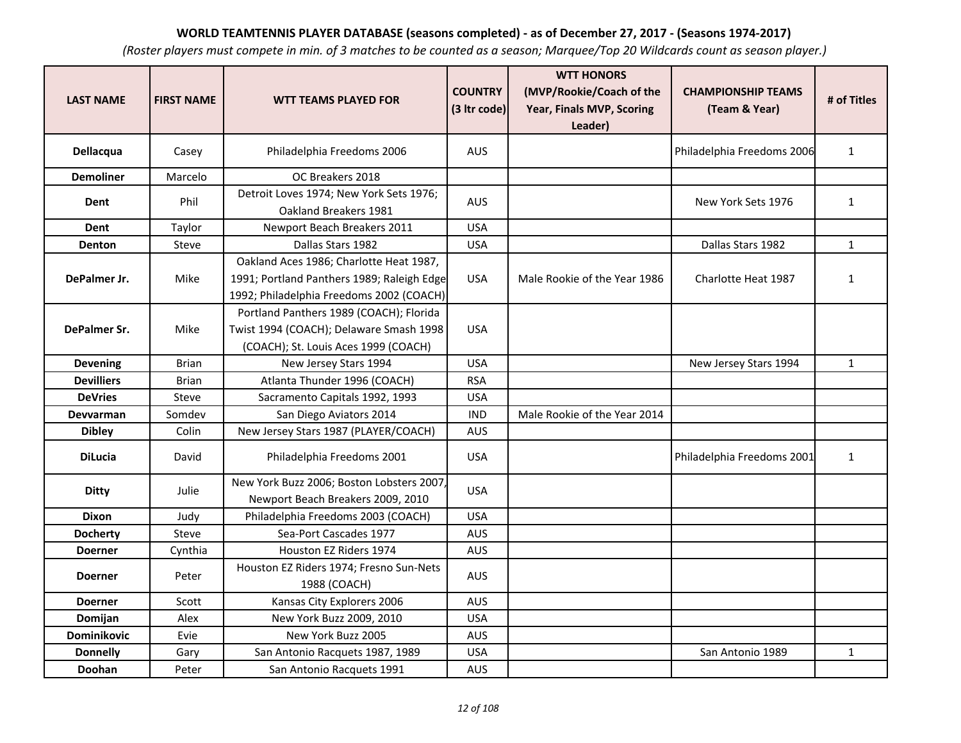| <b>LAST NAME</b>   | <b>FIRST NAME</b> | <b>WTT TEAMS PLAYED FOR</b>                                                                                                       | <b>COUNTRY</b><br>(3 Itr code) | <b>WTT HONORS</b><br>(MVP/Rookie/Coach of the<br>Year, Finals MVP, Scoring<br>Leader) | <b>CHAMPIONSHIP TEAMS</b><br>(Team & Year) | # of Titles  |
|--------------------|-------------------|-----------------------------------------------------------------------------------------------------------------------------------|--------------------------------|---------------------------------------------------------------------------------------|--------------------------------------------|--------------|
| Dellacqua          | Casey             | Philadelphia Freedoms 2006                                                                                                        | <b>AUS</b>                     |                                                                                       | Philadelphia Freedoms 2006                 | $\mathbf{1}$ |
| <b>Demoliner</b>   | Marcelo           | OC Breakers 2018                                                                                                                  |                                |                                                                                       |                                            |              |
| Dent               | Phil              | Detroit Loves 1974; New York Sets 1976;<br>Oakland Breakers 1981                                                                  | <b>AUS</b>                     |                                                                                       | New York Sets 1976                         | $\mathbf{1}$ |
| Dent               | Taylor            | Newport Beach Breakers 2011                                                                                                       | <b>USA</b>                     |                                                                                       |                                            |              |
| <b>Denton</b>      | Steve             | Dallas Stars 1982                                                                                                                 | <b>USA</b>                     |                                                                                       | Dallas Stars 1982                          | $\mathbf{1}$ |
| DePalmer Jr.       | Mike              | Oakland Aces 1986; Charlotte Heat 1987,<br>1991; Portland Panthers 1989; Raleigh Edge<br>1992; Philadelphia Freedoms 2002 (COACH) | <b>USA</b>                     | Male Rookie of the Year 1986                                                          | Charlotte Heat 1987                        | $\mathbf{1}$ |
| DePalmer Sr.       | Mike              | Portland Panthers 1989 (COACH); Florida<br>Twist 1994 (COACH); Delaware Smash 1998<br>(COACH); St. Louis Aces 1999 (COACH)        | <b>USA</b>                     |                                                                                       |                                            |              |
| <b>Devening</b>    | <b>Brian</b>      | New Jersey Stars 1994                                                                                                             | <b>USA</b>                     |                                                                                       | New Jersey Stars 1994                      | $\mathbf{1}$ |
| <b>Devilliers</b>  | <b>Brian</b>      | Atlanta Thunder 1996 (COACH)                                                                                                      | <b>RSA</b>                     |                                                                                       |                                            |              |
| <b>DeVries</b>     | Steve             | Sacramento Capitals 1992, 1993                                                                                                    | <b>USA</b>                     |                                                                                       |                                            |              |
| <b>Devvarman</b>   | Somdev            | San Diego Aviators 2014                                                                                                           | <b>IND</b>                     | Male Rookie of the Year 2014                                                          |                                            |              |
| <b>Dibley</b>      | Colin             | New Jersey Stars 1987 (PLAYER/COACH)                                                                                              | <b>AUS</b>                     |                                                                                       |                                            |              |
| <b>DiLucia</b>     | David             | Philadelphia Freedoms 2001                                                                                                        | <b>USA</b>                     |                                                                                       | Philadelphia Freedoms 2001                 | $\mathbf{1}$ |
| <b>Ditty</b>       | Julie             | New York Buzz 2006; Boston Lobsters 2007,<br>Newport Beach Breakers 2009, 2010                                                    | <b>USA</b>                     |                                                                                       |                                            |              |
| <b>Dixon</b>       | Judy              | Philadelphia Freedoms 2003 (COACH)                                                                                                | <b>USA</b>                     |                                                                                       |                                            |              |
| <b>Docherty</b>    | Steve             | Sea-Port Cascades 1977                                                                                                            | <b>AUS</b>                     |                                                                                       |                                            |              |
| <b>Doerner</b>     | Cynthia           | Houston EZ Riders 1974                                                                                                            | AUS                            |                                                                                       |                                            |              |
| <b>Doerner</b>     | Peter             | Houston EZ Riders 1974; Fresno Sun-Nets<br>1988 (COACH)                                                                           | <b>AUS</b>                     |                                                                                       |                                            |              |
| <b>Doerner</b>     | Scott             | Kansas City Explorers 2006                                                                                                        | AUS                            |                                                                                       |                                            |              |
| Domijan            | Alex              | New York Buzz 2009, 2010                                                                                                          | <b>USA</b>                     |                                                                                       |                                            |              |
| <b>Dominikovic</b> | Evie              | New York Buzz 2005                                                                                                                | AUS                            |                                                                                       |                                            |              |
| <b>Donnelly</b>    | Gary              | San Antonio Racquets 1987, 1989                                                                                                   | <b>USA</b>                     |                                                                                       | San Antonio 1989                           | $\mathbf{1}$ |
| Doohan             | Peter             | San Antonio Racquets 1991                                                                                                         | <b>AUS</b>                     |                                                                                       |                                            |              |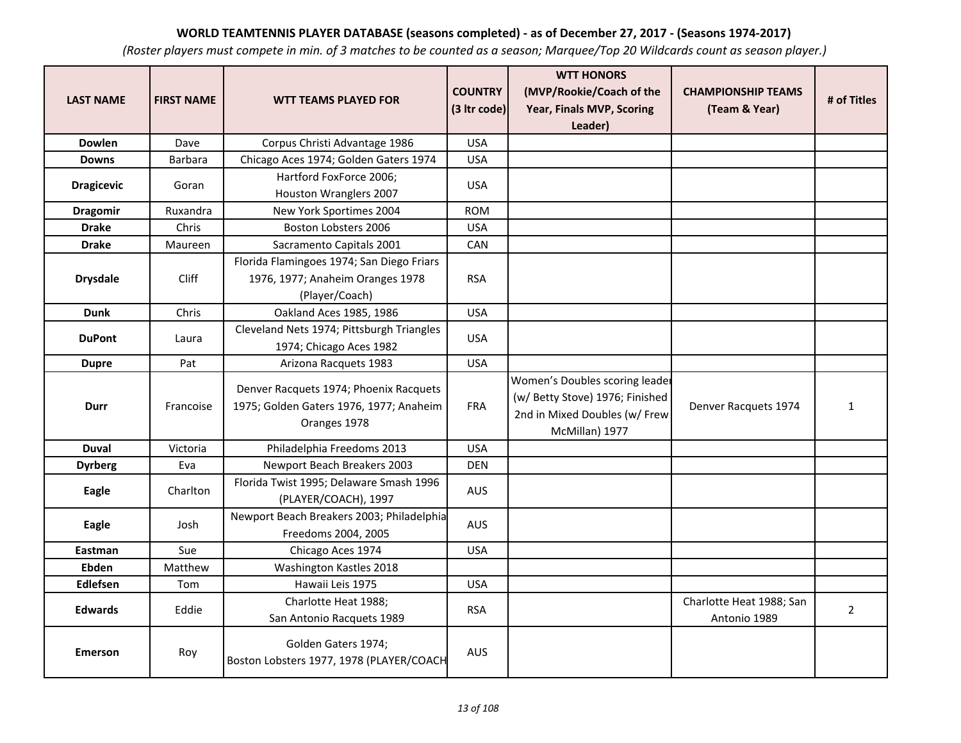| <b>LAST NAME</b>  | <b>FIRST NAME</b> | <b>WTT TEAMS PLAYED FOR</b>                                                                       | <b>COUNTRY</b><br>(3 Itr code) | <b>WTT HONORS</b><br>(MVP/Rookie/Coach of the<br>Year, Finals MVP, Scoring<br>Leader)                                | <b>CHAMPIONSHIP TEAMS</b><br>(Team & Year) | # of Titles    |
|-------------------|-------------------|---------------------------------------------------------------------------------------------------|--------------------------------|----------------------------------------------------------------------------------------------------------------------|--------------------------------------------|----------------|
| <b>Dowlen</b>     | Dave              | Corpus Christi Advantage 1986                                                                     | <b>USA</b>                     |                                                                                                                      |                                            |                |
| <b>Downs</b>      | Barbara           | Chicago Aces 1974; Golden Gaters 1974                                                             | <b>USA</b>                     |                                                                                                                      |                                            |                |
| <b>Dragicevic</b> | Goran             | Hartford FoxForce 2006;<br>Houston Wranglers 2007                                                 | <b>USA</b>                     |                                                                                                                      |                                            |                |
| <b>Dragomir</b>   | Ruxandra          | New York Sportimes 2004                                                                           | <b>ROM</b>                     |                                                                                                                      |                                            |                |
| <b>Drake</b>      | Chris             | Boston Lobsters 2006                                                                              | <b>USA</b>                     |                                                                                                                      |                                            |                |
| <b>Drake</b>      | Maureen           | Sacramento Capitals 2001                                                                          | <b>CAN</b>                     |                                                                                                                      |                                            |                |
| <b>Drysdale</b>   | <b>Cliff</b>      | Florida Flamingoes 1974; San Diego Friars<br>1976, 1977; Anaheim Oranges 1978<br>(Player/Coach)   | <b>RSA</b>                     |                                                                                                                      |                                            |                |
| <b>Dunk</b>       | Chris             | Oakland Aces 1985, 1986                                                                           | <b>USA</b>                     |                                                                                                                      |                                            |                |
| <b>DuPont</b>     | Laura             | Cleveland Nets 1974; Pittsburgh Triangles<br>1974; Chicago Aces 1982                              | <b>USA</b>                     |                                                                                                                      |                                            |                |
| <b>Dupre</b>      | Pat               | Arizona Racquets 1983                                                                             | <b>USA</b>                     |                                                                                                                      |                                            |                |
| Durr              | Francoise         | Denver Racquets 1974; Phoenix Racquets<br>1975; Golden Gaters 1976, 1977; Anaheim<br>Oranges 1978 | <b>FRA</b>                     | Women's Doubles scoring leader<br>(w/ Betty Stove) 1976; Finished<br>2nd in Mixed Doubles (w/ Frew<br>McMillan) 1977 | Denver Racquets 1974                       | $\mathbf{1}$   |
| <b>Duval</b>      | Victoria          | Philadelphia Freedoms 2013                                                                        | <b>USA</b>                     |                                                                                                                      |                                            |                |
| <b>Dyrberg</b>    | Eva               | Newport Beach Breakers 2003                                                                       | <b>DEN</b>                     |                                                                                                                      |                                            |                |
| Eagle             | Charlton          | Florida Twist 1995; Delaware Smash 1996<br>(PLAYER/COACH), 1997                                   | <b>AUS</b>                     |                                                                                                                      |                                            |                |
| Eagle             | Josh              | Newport Beach Breakers 2003; Philadelphia<br>Freedoms 2004, 2005                                  | <b>AUS</b>                     |                                                                                                                      |                                            |                |
| Eastman           | Sue               | Chicago Aces 1974                                                                                 | <b>USA</b>                     |                                                                                                                      |                                            |                |
| Ebden             | Matthew           | Washington Kastles 2018                                                                           |                                |                                                                                                                      |                                            |                |
| Edlefsen          | Tom               | Hawaii Leis 1975                                                                                  | <b>USA</b>                     |                                                                                                                      |                                            |                |
| <b>Edwards</b>    | Eddie             | Charlotte Heat 1988;<br>San Antonio Racquets 1989                                                 | <b>RSA</b>                     |                                                                                                                      | Charlotte Heat 1988; San<br>Antonio 1989   | $\overline{2}$ |
| <b>Emerson</b>    | Roy               | Golden Gaters 1974;<br>Boston Lobsters 1977, 1978 (PLAYER/COACH                                   | <b>AUS</b>                     |                                                                                                                      |                                            |                |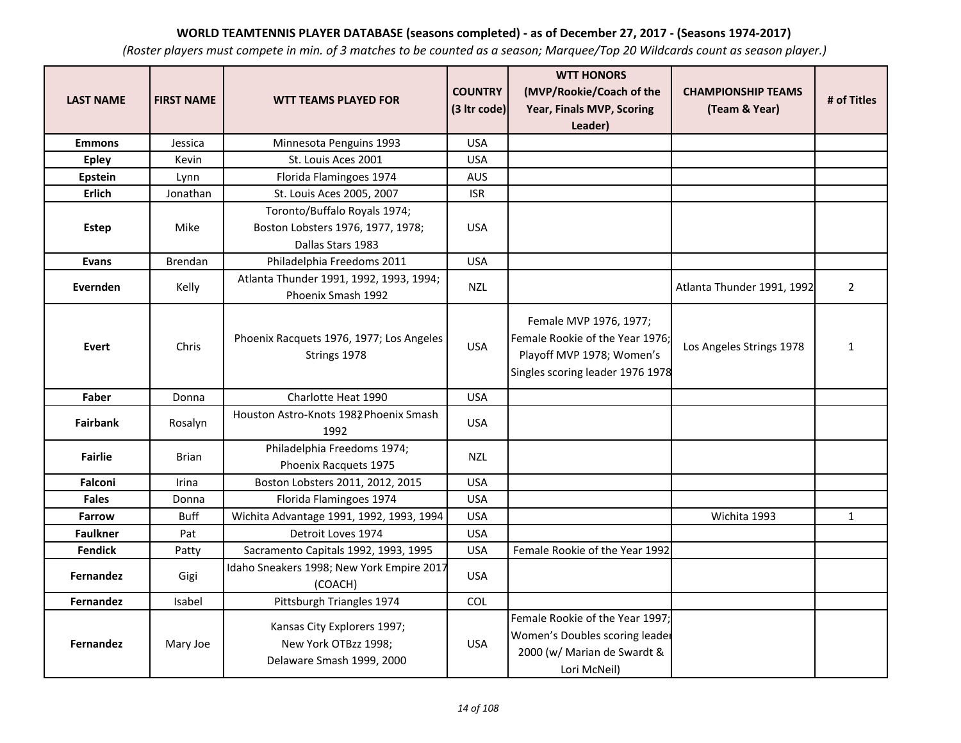| <b>LAST NAME</b> | <b>FIRST NAME</b> | <b>WTT TEAMS PLAYED FOR</b>                                                      | <b>COUNTRY</b> | <b>WTT HONORS</b><br>(MVP/Rookie/Coach of the                                                                              | <b>CHAMPIONSHIP TEAMS</b>  | # of Titles    |
|------------------|-------------------|----------------------------------------------------------------------------------|----------------|----------------------------------------------------------------------------------------------------------------------------|----------------------------|----------------|
|                  |                   |                                                                                  | (3 Itr code)   | Year, Finals MVP, Scoring                                                                                                  | (Team & Year)              |                |
| <b>Emmons</b>    | Jessica           | Minnesota Penguins 1993                                                          | <b>USA</b>     | Leader)                                                                                                                    |                            |                |
| <b>Epley</b>     | Kevin             | St. Louis Aces 2001                                                              | <b>USA</b>     |                                                                                                                            |                            |                |
| <b>Epstein</b>   | Lynn              | Florida Flamingoes 1974                                                          | <b>AUS</b>     |                                                                                                                            |                            |                |
| Erlich           | Jonathan          | St. Louis Aces 2005, 2007                                                        | <b>ISR</b>     |                                                                                                                            |                            |                |
|                  |                   | Toronto/Buffalo Royals 1974;                                                     |                |                                                                                                                            |                            |                |
| Estep            | Mike              | Boston Lobsters 1976, 1977, 1978;                                                | <b>USA</b>     |                                                                                                                            |                            |                |
|                  |                   | Dallas Stars 1983                                                                |                |                                                                                                                            |                            |                |
| <b>Evans</b>     | <b>Brendan</b>    | Philadelphia Freedoms 2011                                                       | <b>USA</b>     |                                                                                                                            |                            |                |
| Evernden         | Kelly             | Atlanta Thunder 1991, 1992, 1993, 1994;<br>Phoenix Smash 1992                    | <b>NZL</b>     |                                                                                                                            | Atlanta Thunder 1991, 1992 | $\overline{2}$ |
| <b>Evert</b>     | Chris             | Phoenix Racquets 1976, 1977; Los Angeles<br>Strings 1978                         | <b>USA</b>     | Female MVP 1976, 1977;<br>Female Rookie of the Year 1976;<br>Playoff MVP 1978; Women's<br>Singles scoring leader 1976 1978 | Los Angeles Strings 1978   | $\mathbf{1}$   |
| Faber            | Donna             | Charlotte Heat 1990                                                              | <b>USA</b>     |                                                                                                                            |                            |                |
| <b>Fairbank</b>  | Rosalyn           | Houston Astro-Knots 1982 Phoenix Smash<br>1992                                   | <b>USA</b>     |                                                                                                                            |                            |                |
| <b>Fairlie</b>   | <b>Brian</b>      | Philadelphia Freedoms 1974;<br>Phoenix Racquets 1975                             | <b>NZL</b>     |                                                                                                                            |                            |                |
| Falconi          | Irina             | Boston Lobsters 2011, 2012, 2015                                                 | <b>USA</b>     |                                                                                                                            |                            |                |
| <b>Fales</b>     | Donna             | Florida Flamingoes 1974                                                          | <b>USA</b>     |                                                                                                                            |                            |                |
| <b>Farrow</b>    | <b>Buff</b>       | Wichita Advantage 1991, 1992, 1993, 1994                                         | <b>USA</b>     |                                                                                                                            | Wichita 1993               | $\mathbf{1}$   |
| <b>Faulkner</b>  | Pat               | Detroit Loves 1974                                                               | <b>USA</b>     |                                                                                                                            |                            |                |
| <b>Fendick</b>   | Patty             | Sacramento Capitals 1992, 1993, 1995                                             | <b>USA</b>     | Female Rookie of the Year 1992                                                                                             |                            |                |
| <b>Fernandez</b> | Gigi              | Idaho Sneakers 1998; New York Empire 2017<br>(COACH)                             | <b>USA</b>     |                                                                                                                            |                            |                |
| <b>Fernandez</b> | Isabel            | Pittsburgh Triangles 1974                                                        | COL            |                                                                                                                            |                            |                |
| <b>Fernandez</b> | Mary Joe          | Kansas City Explorers 1997;<br>New York OTBzz 1998;<br>Delaware Smash 1999, 2000 | <b>USA</b>     | Female Rookie of the Year 1997;<br>Women's Doubles scoring leader<br>2000 (w/ Marian de Swardt &<br>Lori McNeil)           |                            |                |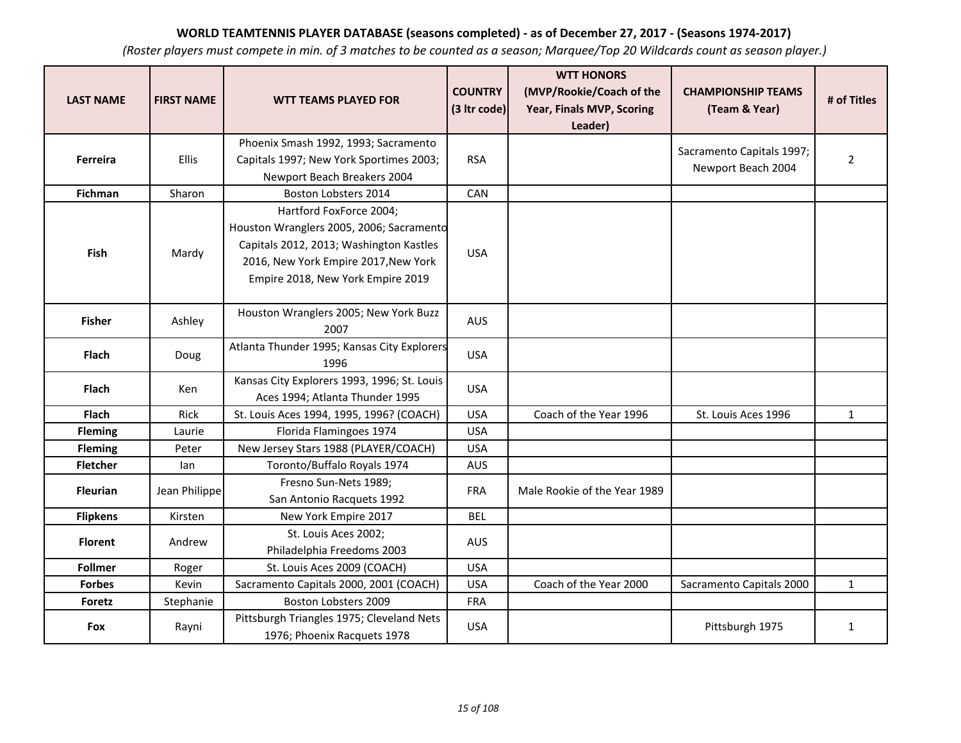| <b>LAST NAME</b> | <b>FIRST NAME</b> | <b>WTT TEAMS PLAYED FOR</b>                                                                                                                                                                 | <b>COUNTRY</b><br>(3 Itr code) | <b>WTT HONORS</b><br>(MVP/Rookie/Coach of the<br>Year, Finals MVP, Scoring<br>Leader) | <b>CHAMPIONSHIP TEAMS</b><br>(Team & Year)      | # of Titles    |
|------------------|-------------------|---------------------------------------------------------------------------------------------------------------------------------------------------------------------------------------------|--------------------------------|---------------------------------------------------------------------------------------|-------------------------------------------------|----------------|
| Ferreira         | Ellis             | Phoenix Smash 1992, 1993; Sacramento<br>Capitals 1997; New York Sportimes 2003;<br>Newport Beach Breakers 2004                                                                              | <b>RSA</b>                     |                                                                                       | Sacramento Capitals 1997;<br>Newport Beach 2004 | $\overline{2}$ |
| Fichman          | Sharon            | Boston Lobsters 2014                                                                                                                                                                        | CAN                            |                                                                                       |                                                 |                |
| Fish             | Mardy             | Hartford FoxForce 2004;<br>Houston Wranglers 2005, 2006; Sacramento<br>Capitals 2012, 2013; Washington Kastles<br>2016, New York Empire 2017, New York<br>Empire 2018, New York Empire 2019 | <b>USA</b>                     |                                                                                       |                                                 |                |
| <b>Fisher</b>    | Ashley            | Houston Wranglers 2005; New York Buzz<br>2007                                                                                                                                               | <b>AUS</b>                     |                                                                                       |                                                 |                |
| <b>Flach</b>     | Doug              | Atlanta Thunder 1995; Kansas City Explorers<br>1996                                                                                                                                         | <b>USA</b>                     |                                                                                       |                                                 |                |
| Flach            | <b>Ken</b>        | Kansas City Explorers 1993, 1996; St. Louis<br>Aces 1994; Atlanta Thunder 1995                                                                                                              | <b>USA</b>                     |                                                                                       |                                                 |                |
| Flach            | Rick              | St. Louis Aces 1994, 1995, 1996? (COACH)                                                                                                                                                    | <b>USA</b>                     | Coach of the Year 1996                                                                | St. Louis Aces 1996                             | $\mathbf{1}$   |
| <b>Fleming</b>   | Laurie            | Florida Flamingoes 1974                                                                                                                                                                     | <b>USA</b>                     |                                                                                       |                                                 |                |
| <b>Fleming</b>   | Peter             | New Jersey Stars 1988 (PLAYER/COACH)                                                                                                                                                        | <b>USA</b>                     |                                                                                       |                                                 |                |
| <b>Fletcher</b>  | lan               | Toronto/Buffalo Royals 1974                                                                                                                                                                 | AUS                            |                                                                                       |                                                 |                |
| <b>Fleurian</b>  | Jean Philippe     | Fresno Sun-Nets 1989;<br>San Antonio Racquets 1992                                                                                                                                          | <b>FRA</b>                     | Male Rookie of the Year 1989                                                          |                                                 |                |
| <b>Flipkens</b>  | Kirsten           | New York Empire 2017                                                                                                                                                                        | <b>BEL</b>                     |                                                                                       |                                                 |                |
| <b>Florent</b>   | Andrew            | St. Louis Aces 2002;<br>Philadelphia Freedoms 2003                                                                                                                                          | <b>AUS</b>                     |                                                                                       |                                                 |                |
| <b>Follmer</b>   | Roger             | St. Louis Aces 2009 (COACH)                                                                                                                                                                 | <b>USA</b>                     |                                                                                       |                                                 |                |
| <b>Forbes</b>    | Kevin             | Sacramento Capitals 2000, 2001 (COACH)                                                                                                                                                      | <b>USA</b>                     | Coach of the Year 2000                                                                | Sacramento Capitals 2000                        | $\mathbf{1}$   |
| Foretz           | Stephanie         | Boston Lobsters 2009                                                                                                                                                                        | <b>FRA</b>                     |                                                                                       |                                                 |                |
| Fox              | Rayni             | Pittsburgh Triangles 1975; Cleveland Nets<br>1976; Phoenix Racquets 1978                                                                                                                    | <b>USA</b>                     |                                                                                       | Pittsburgh 1975                                 | $\mathbf{1}$   |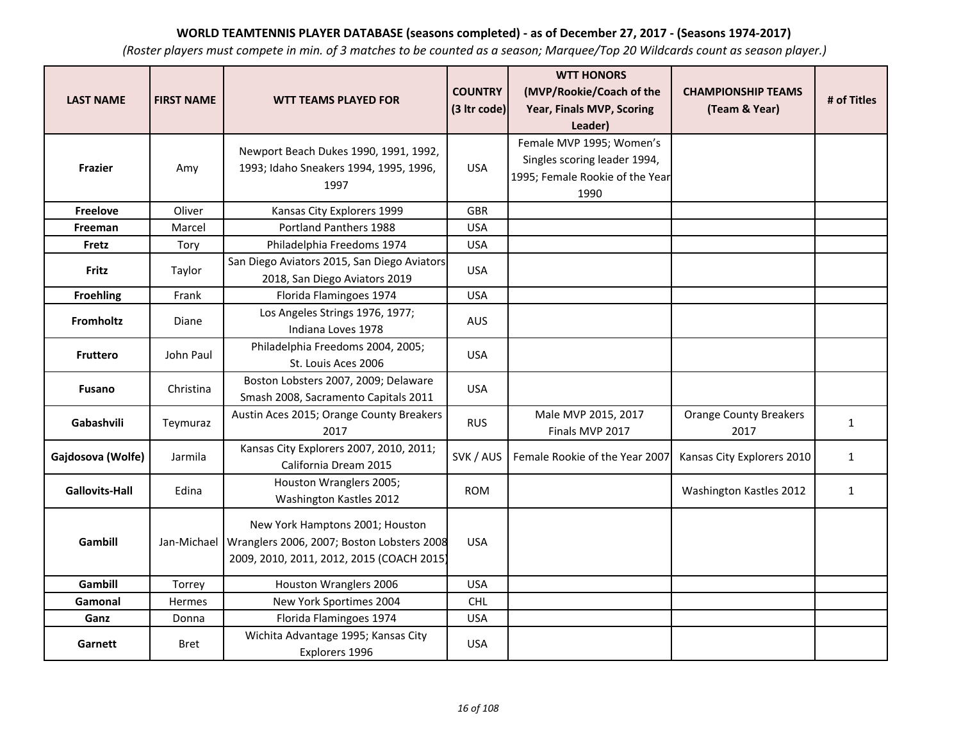| <b>LAST NAME</b>      | <b>FIRST NAME</b> | <b>WTT TEAMS PLAYED FOR</b>                                                                                                              | <b>COUNTRY</b><br>(3 Itr code) | <b>WTT HONORS</b><br>(MVP/Rookie/Coach of the<br>Year, Finals MVP, Scoring                          | <b>CHAMPIONSHIP TEAMS</b><br>(Team & Year) | # of Titles  |
|-----------------------|-------------------|------------------------------------------------------------------------------------------------------------------------------------------|--------------------------------|-----------------------------------------------------------------------------------------------------|--------------------------------------------|--------------|
|                       |                   |                                                                                                                                          |                                | Leader)                                                                                             |                                            |              |
| <b>Frazier</b>        | Amy               | Newport Beach Dukes 1990, 1991, 1992,<br>1993; Idaho Sneakers 1994, 1995, 1996,<br>1997                                                  | <b>USA</b>                     | Female MVP 1995; Women's<br>Singles scoring leader 1994,<br>1995; Female Rookie of the Year<br>1990 |                                            |              |
| <b>Freelove</b>       | Oliver            | Kansas City Explorers 1999                                                                                                               | <b>GBR</b>                     |                                                                                                     |                                            |              |
| Freeman               | Marcel            | Portland Panthers 1988                                                                                                                   | <b>USA</b>                     |                                                                                                     |                                            |              |
| Fretz                 | Tory              | Philadelphia Freedoms 1974                                                                                                               | <b>USA</b>                     |                                                                                                     |                                            |              |
| Fritz                 | Taylor            | San Diego Aviators 2015, San Diego Aviators<br>2018, San Diego Aviators 2019                                                             | <b>USA</b>                     |                                                                                                     |                                            |              |
| <b>Froehling</b>      | Frank             | Florida Flamingoes 1974                                                                                                                  | <b>USA</b>                     |                                                                                                     |                                            |              |
| <b>Fromholtz</b>      | Diane             | Los Angeles Strings 1976, 1977;<br>Indiana Loves 1978                                                                                    | <b>AUS</b>                     |                                                                                                     |                                            |              |
| <b>Fruttero</b>       | John Paul         | Philadelphia Freedoms 2004, 2005;<br>St. Louis Aces 2006                                                                                 | <b>USA</b>                     |                                                                                                     |                                            |              |
| <b>Fusano</b>         | Christina         | Boston Lobsters 2007, 2009; Delaware<br>Smash 2008, Sacramento Capitals 2011                                                             | <b>USA</b>                     |                                                                                                     |                                            |              |
| Gabashvili            | Teymuraz          | Austin Aces 2015; Orange County Breakers<br>2017                                                                                         | <b>RUS</b>                     | Male MVP 2015, 2017<br>Finals MVP 2017                                                              | <b>Orange County Breakers</b><br>2017      | $\mathbf{1}$ |
| Gajdosova (Wolfe)     | Jarmila           | Kansas City Explorers 2007, 2010, 2011;<br>California Dream 2015                                                                         | SVK / AUS                      | Female Rookie of the Year 2007                                                                      | Kansas City Explorers 2010                 | $\mathbf{1}$ |
| <b>Gallovits-Hall</b> | Edina             | Houston Wranglers 2005;<br>Washington Kastles 2012                                                                                       | <b>ROM</b>                     |                                                                                                     | Washington Kastles 2012                    | $\mathbf{1}$ |
| Gambill               |                   | New York Hamptons 2001; Houston<br>Jan-Michael   Wranglers 2006, 2007; Boston Lobsters 2008<br>2009, 2010, 2011, 2012, 2015 (COACH 2015) | <b>USA</b>                     |                                                                                                     |                                            |              |
| Gambill               | Torrey            | Houston Wranglers 2006                                                                                                                   | <b>USA</b>                     |                                                                                                     |                                            |              |
| Gamonal               | <b>Hermes</b>     | New York Sportimes 2004                                                                                                                  | <b>CHL</b>                     |                                                                                                     |                                            |              |
| Ganz                  | Donna             | Florida Flamingoes 1974                                                                                                                  | <b>USA</b>                     |                                                                                                     |                                            |              |
| Garnett               | <b>Bret</b>       | Wichita Advantage 1995; Kansas City<br>Explorers 1996                                                                                    | <b>USA</b>                     |                                                                                                     |                                            |              |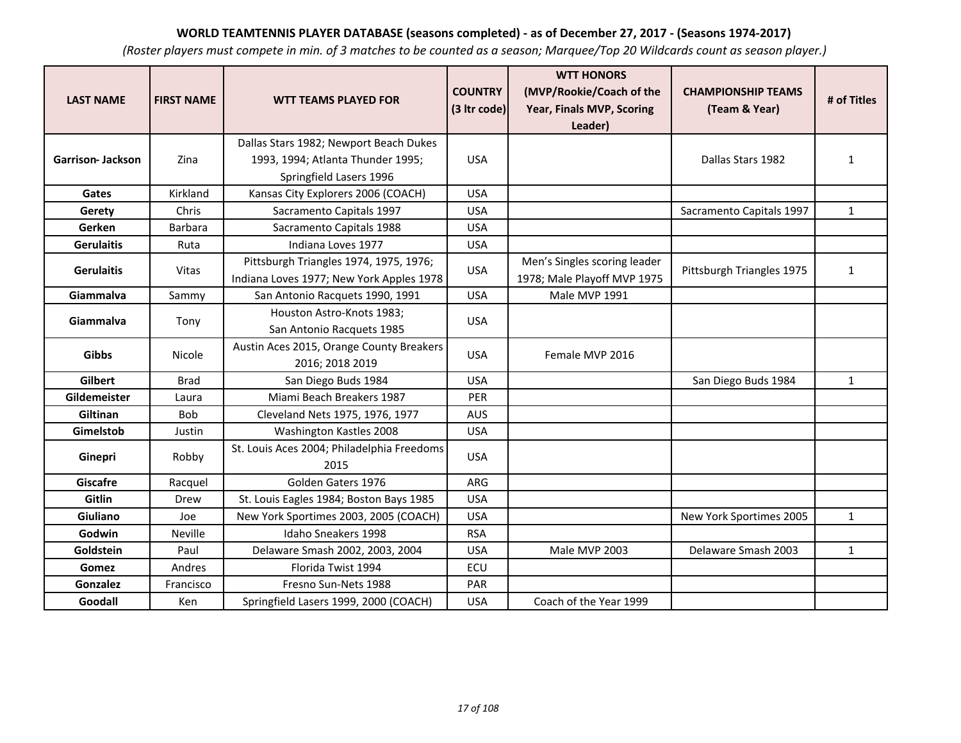| <b>LAST NAME</b>  | <b>FIRST NAME</b> | <b>WTT TEAMS PLAYED FOR</b>                                 | <b>COUNTRY</b><br>(3 Itr code) | <b>WTT HONORS</b><br>(MVP/Rookie/Coach of the<br>Year, Finals MVP, Scoring<br>Leader) | <b>CHAMPIONSHIP TEAMS</b><br>(Team & Year) | # of Titles  |
|-------------------|-------------------|-------------------------------------------------------------|--------------------------------|---------------------------------------------------------------------------------------|--------------------------------------------|--------------|
|                   |                   | Dallas Stars 1982; Newport Beach Dukes                      |                                |                                                                                       |                                            |              |
| Garrison- Jackson | Zina              | 1993, 1994; Atlanta Thunder 1995;                           | <b>USA</b>                     |                                                                                       | Dallas Stars 1982                          | $\mathbf{1}$ |
|                   |                   | Springfield Lasers 1996                                     |                                |                                                                                       |                                            |              |
| Gates             | Kirkland          | Kansas City Explorers 2006 (COACH)                          | <b>USA</b>                     |                                                                                       |                                            |              |
| Gerety            | Chris             | Sacramento Capitals 1997                                    | <b>USA</b>                     |                                                                                       | Sacramento Capitals 1997                   | $\mathbf{1}$ |
| Gerken            | <b>Barbara</b>    | Sacramento Capitals 1988                                    | <b>USA</b>                     |                                                                                       |                                            |              |
| <b>Gerulaitis</b> | Ruta              | Indiana Loves 1977                                          | <b>USA</b>                     |                                                                                       |                                            |              |
| <b>Gerulaitis</b> | Vitas             | Pittsburgh Triangles 1974, 1975, 1976;                      | <b>USA</b>                     | Men's Singles scoring leader                                                          | Pittsburgh Triangles 1975                  | $\mathbf{1}$ |
|                   |                   | Indiana Loves 1977; New York Apples 1978                    |                                | 1978; Male Playoff MVP 1975                                                           |                                            |              |
| Giammalva         | Sammy             | San Antonio Racquets 1990, 1991                             | <b>USA</b>                     | Male MVP 1991                                                                         |                                            |              |
| Giammalva         | Tony              | Houston Astro-Knots 1983;<br>San Antonio Racquets 1985      | <b>USA</b>                     |                                                                                       |                                            |              |
| <b>Gibbs</b>      | Nicole            | Austin Aces 2015, Orange County Breakers<br>2016; 2018 2019 | <b>USA</b>                     | Female MVP 2016                                                                       |                                            |              |
| Gilbert           | <b>Brad</b>       | San Diego Buds 1984                                         | <b>USA</b>                     |                                                                                       | San Diego Buds 1984                        | $\mathbf{1}$ |
| Gildemeister      | Laura             | Miami Beach Breakers 1987                                   | PER                            |                                                                                       |                                            |              |
| Giltinan          | Bob               | Cleveland Nets 1975, 1976, 1977                             | <b>AUS</b>                     |                                                                                       |                                            |              |
| Gimelstob         | Justin            | Washington Kastles 2008                                     | <b>USA</b>                     |                                                                                       |                                            |              |
| Ginepri           | Robby             | St. Louis Aces 2004; Philadelphia Freedoms<br>2015          | <b>USA</b>                     |                                                                                       |                                            |              |
| <b>Giscafre</b>   | Racquel           | Golden Gaters 1976                                          | ARG                            |                                                                                       |                                            |              |
| Gitlin            | Drew              | St. Louis Eagles 1984; Boston Bays 1985                     | <b>USA</b>                     |                                                                                       |                                            |              |
| Giuliano          | Joe               | New York Sportimes 2003, 2005 (COACH)                       | <b>USA</b>                     |                                                                                       | New York Sportimes 2005                    | $\mathbf{1}$ |
| Godwin            | Neville           | Idaho Sneakers 1998                                         | <b>RSA</b>                     |                                                                                       |                                            |              |
| Goldstein         | Paul              | Delaware Smash 2002, 2003, 2004                             | <b>USA</b>                     | Male MVP 2003                                                                         | Delaware Smash 2003                        | $\mathbf{1}$ |
| Gomez             | Andres            | Florida Twist 1994                                          | ECU                            |                                                                                       |                                            |              |
| Gonzalez          | Francisco         | Fresno Sun-Nets 1988                                        | PAR                            |                                                                                       |                                            |              |
| Goodall           | Ken               | Springfield Lasers 1999, 2000 (COACH)                       | <b>USA</b>                     | Coach of the Year 1999                                                                |                                            |              |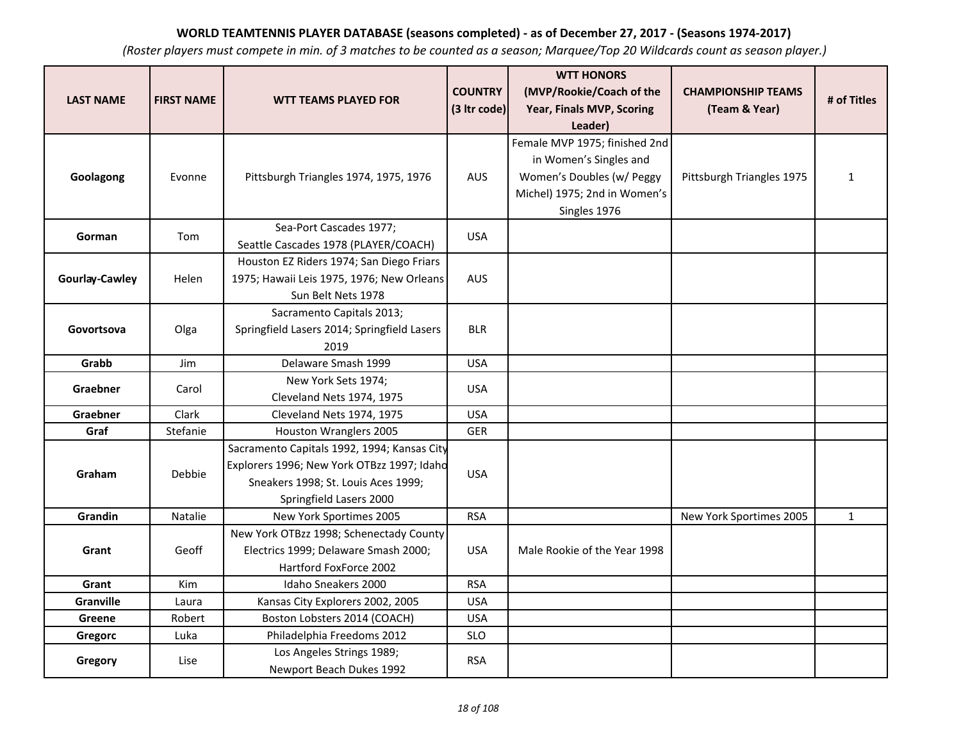|                  |                   |                                                    | <b>COUNTRY</b> | <b>WTT HONORS</b><br>(MVP/Rookie/Coach of the | <b>CHAMPIONSHIP TEAMS</b> |              |
|------------------|-------------------|----------------------------------------------------|----------------|-----------------------------------------------|---------------------------|--------------|
| <b>LAST NAME</b> | <b>FIRST NAME</b> | <b>WTT TEAMS PLAYED FOR</b>                        | (3 Itr code)   | Year, Finals MVP, Scoring                     | (Team & Year)             | # of Titles  |
|                  |                   |                                                    |                | Leader)                                       |                           |              |
|                  |                   |                                                    |                | Female MVP 1975; finished 2nd                 |                           |              |
|                  |                   |                                                    |                | in Women's Singles and                        |                           |              |
| Goolagong        | Evonne            | Pittsburgh Triangles 1974, 1975, 1976              | <b>AUS</b>     | Women's Doubles (w/ Peggy                     | Pittsburgh Triangles 1975 | $\mathbf{1}$ |
|                  |                   |                                                    |                | Michel) 1975; 2nd in Women's                  |                           |              |
|                  |                   |                                                    |                | Singles 1976                                  |                           |              |
| Gorman           | Tom               | Sea-Port Cascades 1977;                            | <b>USA</b>     |                                               |                           |              |
|                  |                   | Seattle Cascades 1978 (PLAYER/COACH)               |                |                                               |                           |              |
|                  |                   | Houston EZ Riders 1974; San Diego Friars           |                |                                               |                           |              |
| Gourlay-Cawley   | Helen             | 1975; Hawaii Leis 1975, 1976; New Orleans          | <b>AUS</b>     |                                               |                           |              |
|                  |                   | Sun Belt Nets 1978                                 |                |                                               |                           |              |
|                  |                   | Sacramento Capitals 2013;                          |                |                                               |                           |              |
| Govortsova       | Olga              | Springfield Lasers 2014; Springfield Lasers        | <b>BLR</b>     |                                               |                           |              |
|                  |                   | 2019                                               |                |                                               |                           |              |
| Grabb            | Jim               | Delaware Smash 1999                                | <b>USA</b>     |                                               |                           |              |
| Graebner         | Carol             | New York Sets 1974;                                | <b>USA</b>     |                                               |                           |              |
|                  |                   | Cleveland Nets 1974, 1975                          |                |                                               |                           |              |
| Graebner         | Clark             | Cleveland Nets 1974, 1975                          | <b>USA</b>     |                                               |                           |              |
| Graf             | Stefanie          | Houston Wranglers 2005                             | <b>GER</b>     |                                               |                           |              |
|                  |                   | Sacramento Capitals 1992, 1994; Kansas City        |                |                                               |                           |              |
| Graham           | Debbie            | Explorers 1996; New York OTBzz 1997; Idahd         | <b>USA</b>     |                                               |                           |              |
|                  |                   | Sneakers 1998; St. Louis Aces 1999;                |                |                                               |                           |              |
| Grandin          | <b>Natalie</b>    | Springfield Lasers 2000<br>New York Sportimes 2005 | <b>RSA</b>     |                                               | New York Sportimes 2005   |              |
|                  |                   | New York OTBzz 1998; Schenectady County            |                |                                               |                           | $\mathbf{1}$ |
| Grant            | Geoff             | Electrics 1999; Delaware Smash 2000;               | <b>USA</b>     | Male Rookie of the Year 1998                  |                           |              |
|                  |                   | Hartford FoxForce 2002                             |                |                                               |                           |              |
| Grant            | Kim               | Idaho Sneakers 2000                                | <b>RSA</b>     |                                               |                           |              |
| Granville        | Laura             | Kansas City Explorers 2002, 2005                   | <b>USA</b>     |                                               |                           |              |
| Greene           | Robert            | Boston Lobsters 2014 (COACH)                       | <b>USA</b>     |                                               |                           |              |
| Gregorc          | Luka              | Philadelphia Freedoms 2012                         | <b>SLO</b>     |                                               |                           |              |
|                  |                   | Los Angeles Strings 1989;                          |                |                                               |                           |              |
| Gregory          | Lise              | Newport Beach Dukes 1992                           | <b>RSA</b>     |                                               |                           |              |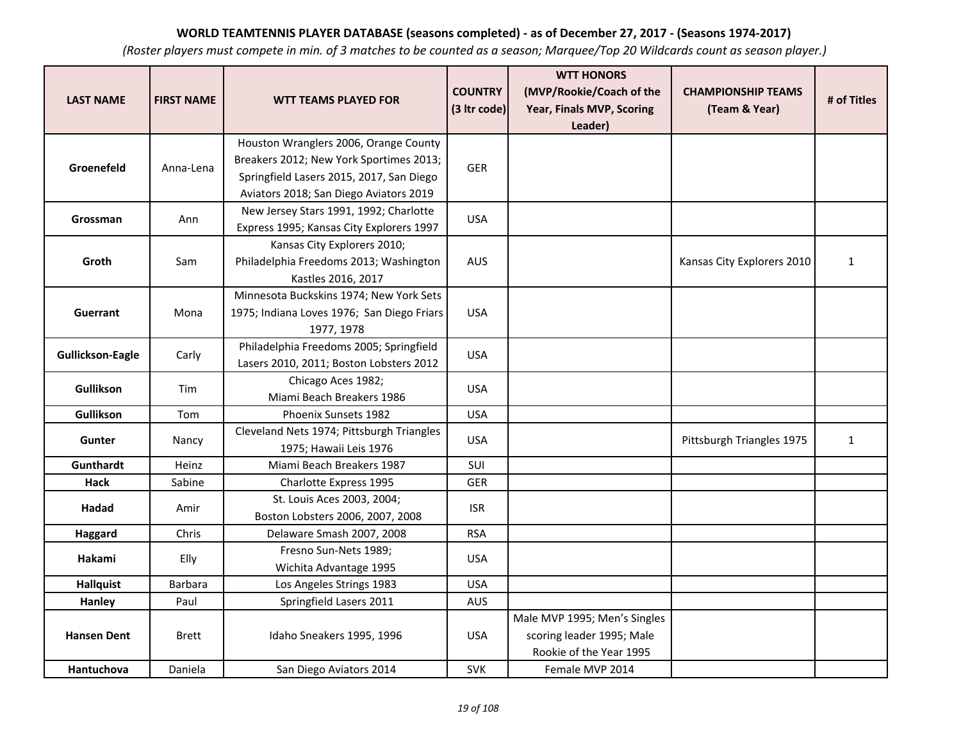| <b>LAST NAME</b>        | <b>FIRST NAME</b> | <b>WTT TEAMS PLAYED FOR</b>                                                                                                                                            | <b>COUNTRY</b><br>(3 Itr code) | <b>WTT HONORS</b><br>(MVP/Rookie/Coach of the<br>Year, Finals MVP, Scoring<br>Leader) | <b>CHAMPIONSHIP TEAMS</b><br>(Team & Year) | # of Titles  |
|-------------------------|-------------------|------------------------------------------------------------------------------------------------------------------------------------------------------------------------|--------------------------------|---------------------------------------------------------------------------------------|--------------------------------------------|--------------|
| Groenefeld              | Anna-Lena         | Houston Wranglers 2006, Orange County<br>Breakers 2012; New York Sportimes 2013;<br>Springfield Lasers 2015, 2017, San Diego<br>Aviators 2018; San Diego Aviators 2019 | <b>GER</b>                     |                                                                                       |                                            |              |
| Grossman                | Ann               | New Jersey Stars 1991, 1992; Charlotte<br>Express 1995; Kansas City Explorers 1997                                                                                     | <b>USA</b>                     |                                                                                       |                                            |              |
| Groth                   | Sam               | Kansas City Explorers 2010;<br>Philadelphia Freedoms 2013; Washington<br>Kastles 2016, 2017                                                                            | <b>AUS</b>                     |                                                                                       | Kansas City Explorers 2010                 | $\mathbf{1}$ |
| Guerrant                | Mona              | Minnesota Buckskins 1974; New York Sets<br>1975; Indiana Loves 1976; San Diego Friars<br>1977, 1978                                                                    | <b>USA</b>                     |                                                                                       |                                            |              |
| <b>Gullickson-Eagle</b> | Carly             | Philadelphia Freedoms 2005; Springfield<br>Lasers 2010, 2011; Boston Lobsters 2012                                                                                     | <b>USA</b>                     |                                                                                       |                                            |              |
| <b>Gullikson</b>        | Tim               | Chicago Aces 1982;<br>Miami Beach Breakers 1986                                                                                                                        | <b>USA</b>                     |                                                                                       |                                            |              |
| <b>Gullikson</b>        | Tom               | <b>Phoenix Sunsets 1982</b>                                                                                                                                            | <b>USA</b>                     |                                                                                       |                                            |              |
| <b>Gunter</b>           | Nancy             | Cleveland Nets 1974; Pittsburgh Triangles<br>1975; Hawaii Leis 1976                                                                                                    | <b>USA</b>                     |                                                                                       | Pittsburgh Triangles 1975                  | $\mathbf{1}$ |
| Gunthardt               | Heinz             | Miami Beach Breakers 1987                                                                                                                                              | SUI                            |                                                                                       |                                            |              |
| Hack                    | Sabine            | Charlotte Express 1995                                                                                                                                                 | <b>GER</b>                     |                                                                                       |                                            |              |
| Hadad                   | Amir              | St. Louis Aces 2003, 2004;<br>Boston Lobsters 2006, 2007, 2008                                                                                                         | <b>ISR</b>                     |                                                                                       |                                            |              |
| Haggard                 | Chris             | Delaware Smash 2007, 2008                                                                                                                                              | <b>RSA</b>                     |                                                                                       |                                            |              |
| Hakami                  | Elly              | Fresno Sun-Nets 1989;<br>Wichita Advantage 1995                                                                                                                        | <b>USA</b>                     |                                                                                       |                                            |              |
| <b>Hallquist</b>        | Barbara           | Los Angeles Strings 1983                                                                                                                                               | <b>USA</b>                     |                                                                                       |                                            |              |
| Hanley                  | Paul              | Springfield Lasers 2011                                                                                                                                                | <b>AUS</b>                     |                                                                                       |                                            |              |
| <b>Hansen Dent</b>      | <b>Brett</b>      | Idaho Sneakers 1995, 1996                                                                                                                                              | <b>USA</b>                     | Male MVP 1995; Men's Singles<br>scoring leader 1995; Male<br>Rookie of the Year 1995  |                                            |              |
| Hantuchova              | Daniela           | San Diego Aviators 2014                                                                                                                                                | <b>SVK</b>                     | Female MVP 2014                                                                       |                                            |              |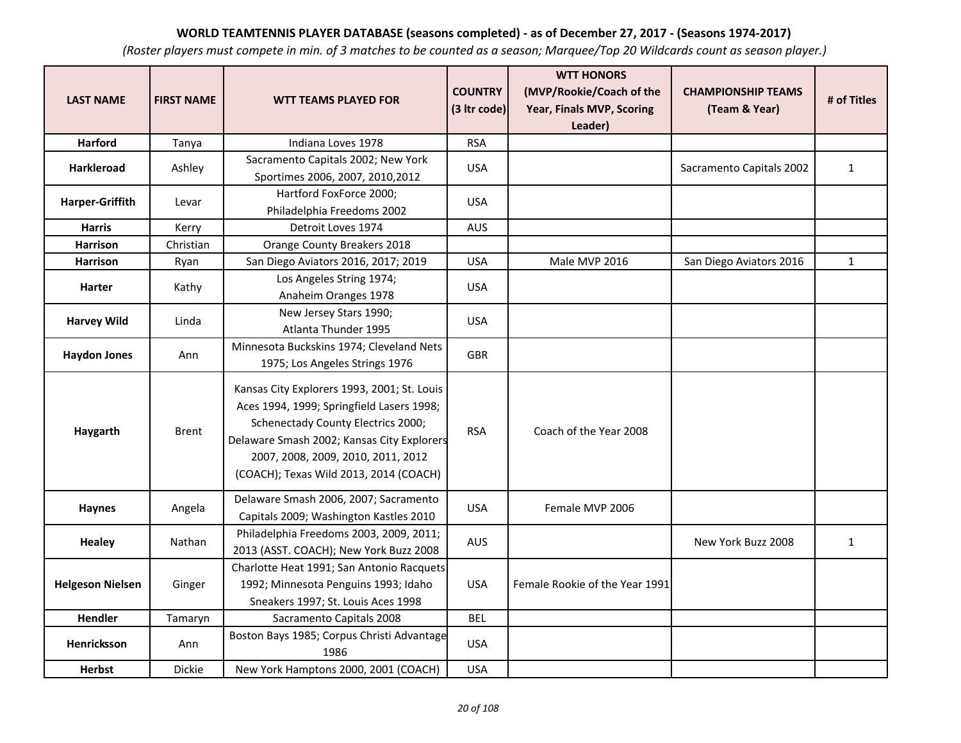| <b>LAST NAME</b>        | <b>FIRST NAME</b> | <b>WTT TEAMS PLAYED FOR</b>                                                                                                                                                                                                                                  | <b>COUNTRY</b><br>(3 Itr code) | <b>WTT HONORS</b><br>(MVP/Rookie/Coach of the<br>Year, Finals MVP, Scoring | <b>CHAMPIONSHIP TEAMS</b><br>(Team & Year) | # of Titles  |
|-------------------------|-------------------|--------------------------------------------------------------------------------------------------------------------------------------------------------------------------------------------------------------------------------------------------------------|--------------------------------|----------------------------------------------------------------------------|--------------------------------------------|--------------|
|                         |                   |                                                                                                                                                                                                                                                              |                                | Leader)                                                                    |                                            |              |
| <b>Harford</b>          | Tanya             | Indiana Loves 1978                                                                                                                                                                                                                                           | <b>RSA</b>                     |                                                                            |                                            |              |
| Harkleroad              | Ashley            | Sacramento Capitals 2002; New York<br>Sportimes 2006, 2007, 2010, 2012                                                                                                                                                                                       | <b>USA</b>                     |                                                                            | Sacramento Capitals 2002                   | $\mathbf{1}$ |
| Harper-Griffith         | Levar             | Hartford FoxForce 2000;<br>Philadelphia Freedoms 2002                                                                                                                                                                                                        | <b>USA</b>                     |                                                                            |                                            |              |
| <b>Harris</b>           | Kerry             | Detroit Loves 1974                                                                                                                                                                                                                                           | <b>AUS</b>                     |                                                                            |                                            |              |
| <b>Harrison</b>         | Christian         | Orange County Breakers 2018                                                                                                                                                                                                                                  |                                |                                                                            |                                            |              |
| <b>Harrison</b>         | Ryan              | San Diego Aviators 2016, 2017; 2019                                                                                                                                                                                                                          | <b>USA</b>                     | Male MVP 2016                                                              | San Diego Aviators 2016                    | $\mathbf{1}$ |
| <b>Harter</b>           | Kathy             | Los Angeles String 1974;<br>Anaheim Oranges 1978                                                                                                                                                                                                             | <b>USA</b>                     |                                                                            |                                            |              |
| <b>Harvey Wild</b>      | Linda             | New Jersey Stars 1990;<br>Atlanta Thunder 1995                                                                                                                                                                                                               | <b>USA</b>                     |                                                                            |                                            |              |
| <b>Haydon Jones</b>     | Ann               | Minnesota Buckskins 1974; Cleveland Nets<br>1975; Los Angeles Strings 1976                                                                                                                                                                                   | <b>GBR</b>                     |                                                                            |                                            |              |
| Haygarth                | <b>Brent</b>      | Kansas City Explorers 1993, 2001; St. Louis<br>Aces 1994, 1999; Springfield Lasers 1998;<br>Schenectady County Electrics 2000;<br>Delaware Smash 2002; Kansas City Explorers<br>2007, 2008, 2009, 2010, 2011, 2012<br>(COACH); Texas Wild 2013, 2014 (COACH) | <b>RSA</b>                     | Coach of the Year 2008                                                     |                                            |              |
| <b>Haynes</b>           | Angela            | Delaware Smash 2006, 2007; Sacramento<br>Capitals 2009; Washington Kastles 2010                                                                                                                                                                              | <b>USA</b>                     | Female MVP 2006                                                            |                                            |              |
| <b>Healey</b>           | Nathan            | Philadelphia Freedoms 2003, 2009, 2011;<br>2013 (ASST. COACH); New York Buzz 2008                                                                                                                                                                            | <b>AUS</b>                     |                                                                            | New York Buzz 2008                         | $\mathbf{1}$ |
| <b>Helgeson Nielsen</b> | Ginger            | Charlotte Heat 1991; San Antonio Racquets<br>1992; Minnesota Penguins 1993; Idaho<br>Sneakers 1997; St. Louis Aces 1998                                                                                                                                      | <b>USA</b>                     | Female Rookie of the Year 1991                                             |                                            |              |
| Hendler                 | Tamaryn           | Sacramento Capitals 2008                                                                                                                                                                                                                                     | <b>BEL</b>                     |                                                                            |                                            |              |
| <b>Henricksson</b>      | Ann               | Boston Bays 1985; Corpus Christi Advantage<br>1986                                                                                                                                                                                                           | <b>USA</b>                     |                                                                            |                                            |              |
| <b>Herbst</b>           | <b>Dickie</b>     | New York Hamptons 2000, 2001 (COACH)                                                                                                                                                                                                                         | <b>USA</b>                     |                                                                            |                                            |              |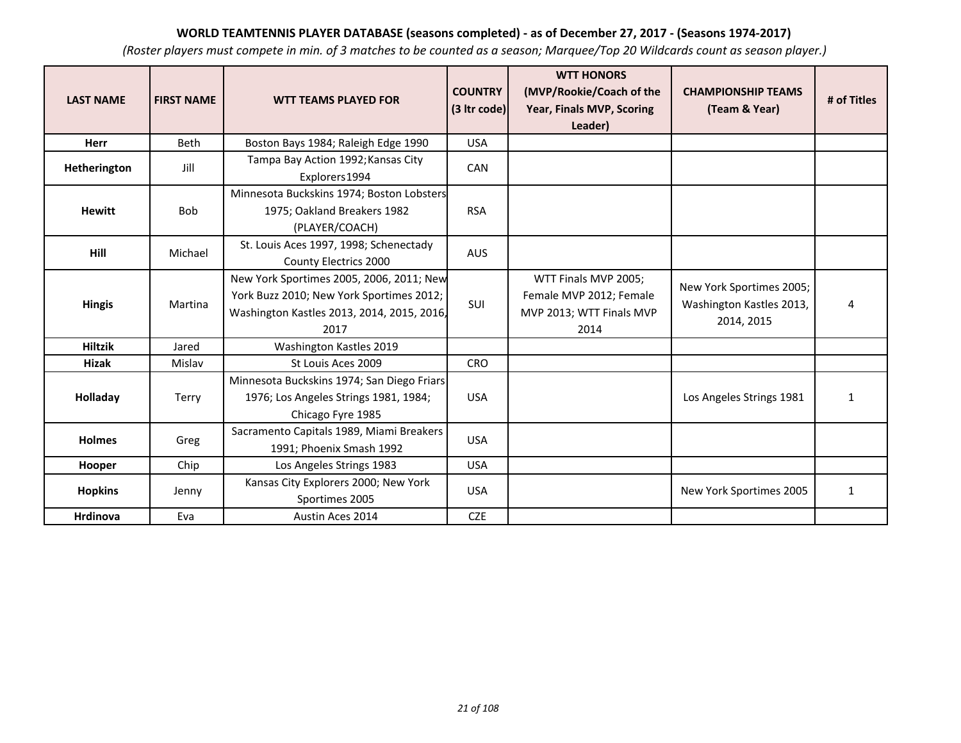| <b>LAST NAME</b> | <b>FIRST NAME</b> | <b>WTT TEAMS PLAYED FOR</b>                                                                                                                | <b>COUNTRY</b><br>(3 Itr code) | <b>WTT HONORS</b><br>(MVP/Rookie/Coach of the<br>Year, Finals MVP, Scoring<br>Leader) | <b>CHAMPIONSHIP TEAMS</b><br>(Team & Year)                         | # of Titles  |
|------------------|-------------------|--------------------------------------------------------------------------------------------------------------------------------------------|--------------------------------|---------------------------------------------------------------------------------------|--------------------------------------------------------------------|--------------|
| Herr             | Beth              | Boston Bays 1984; Raleigh Edge 1990                                                                                                        | <b>USA</b>                     |                                                                                       |                                                                    |              |
| Hetherington     | Jill              | Tampa Bay Action 1992; Kansas City<br>Explorers 1994                                                                                       | CAN                            |                                                                                       |                                                                    |              |
| <b>Hewitt</b>    | <b>Bob</b>        | Minnesota Buckskins 1974; Boston Lobsters<br>1975; Oakland Breakers 1982<br>(PLAYER/COACH)                                                 | <b>RSA</b>                     |                                                                                       |                                                                    |              |
| Hill             | Michael           | St. Louis Aces 1997, 1998; Schenectady<br>County Electrics 2000                                                                            | <b>AUS</b>                     |                                                                                       |                                                                    |              |
| <b>Hingis</b>    | Martina           | New York Sportimes 2005, 2006, 2011; New<br>York Buzz 2010; New York Sportimes 2012;<br>Washington Kastles 2013, 2014, 2015, 2016,<br>2017 | SUI                            | WTT Finals MVP 2005;<br>Female MVP 2012; Female<br>MVP 2013; WTT Finals MVP<br>2014   | New York Sportimes 2005;<br>Washington Kastles 2013,<br>2014, 2015 | 4            |
| <b>Hiltzik</b>   | Jared             | Washington Kastles 2019                                                                                                                    |                                |                                                                                       |                                                                    |              |
| Hizak            | Mislav            | St Louis Aces 2009                                                                                                                         | <b>CRO</b>                     |                                                                                       |                                                                    |              |
| Holladay         | Terry             | Minnesota Buckskins 1974; San Diego Friars<br>1976; Los Angeles Strings 1981, 1984;<br>Chicago Fyre 1985                                   | <b>USA</b>                     |                                                                                       | Los Angeles Strings 1981                                           | $\mathbf{1}$ |
| <b>Holmes</b>    | Greg              | Sacramento Capitals 1989, Miami Breakers<br>1991; Phoenix Smash 1992                                                                       | <b>USA</b>                     |                                                                                       |                                                                    |              |
| Hooper           | Chip              | Los Angeles Strings 1983                                                                                                                   | <b>USA</b>                     |                                                                                       |                                                                    |              |
| <b>Hopkins</b>   | Jenny             | Kansas City Explorers 2000; New York<br>Sportimes 2005                                                                                     | <b>USA</b>                     |                                                                                       | New York Sportimes 2005                                            | 1            |
| Hrdinova         | Eva               | Austin Aces 2014                                                                                                                           | <b>CZE</b>                     |                                                                                       |                                                                    |              |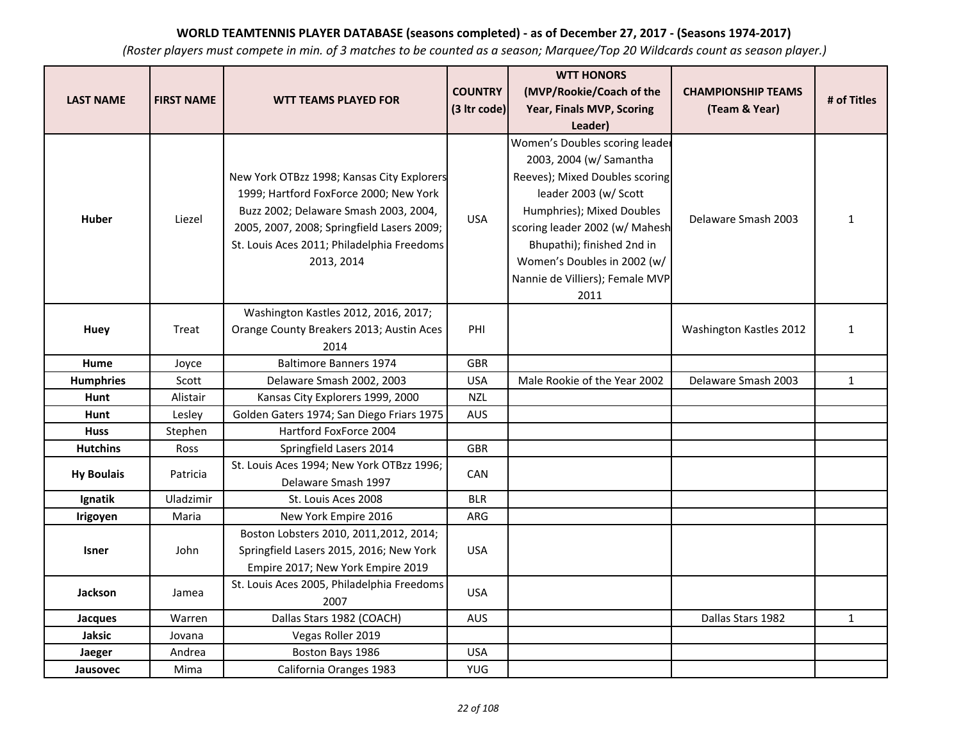|                   |                   |                                            |                | <b>WTT HONORS</b>               |                           |              |
|-------------------|-------------------|--------------------------------------------|----------------|---------------------------------|---------------------------|--------------|
| <b>LAST NAME</b>  | <b>FIRST NAME</b> | <b>WTT TEAMS PLAYED FOR</b>                | <b>COUNTRY</b> | (MVP/Rookie/Coach of the        | <b>CHAMPIONSHIP TEAMS</b> | # of Titles  |
|                   |                   |                                            | (3 Itr code)   | Year, Finals MVP, Scoring       | (Team & Year)             |              |
|                   |                   |                                            |                | Leader)                         |                           |              |
|                   |                   |                                            |                | Women's Doubles scoring leader  |                           |              |
|                   |                   |                                            |                | 2003, 2004 (w/ Samantha         |                           |              |
|                   |                   | New York OTBzz 1998; Kansas City Explorers |                | Reeves); Mixed Doubles scoring  |                           |              |
|                   |                   | 1999; Hartford FoxForce 2000; New York     |                | leader 2003 (w/ Scott           |                           |              |
| <b>Huber</b>      | Liezel            | Buzz 2002; Delaware Smash 2003, 2004,      | <b>USA</b>     | Humphries); Mixed Doubles       | Delaware Smash 2003       | $\mathbf{1}$ |
|                   |                   | 2005, 2007, 2008; Springfield Lasers 2009; |                | scoring leader 2002 (w/ Mahesh  |                           |              |
|                   |                   | St. Louis Aces 2011; Philadelphia Freedoms |                | Bhupathi); finished 2nd in      |                           |              |
|                   |                   | 2013, 2014                                 |                | Women's Doubles in 2002 (w/     |                           |              |
|                   |                   |                                            |                | Nannie de Villiers); Female MVP |                           |              |
|                   |                   |                                            |                | 2011                            |                           |              |
|                   |                   | Washington Kastles 2012, 2016, 2017;       |                |                                 |                           |              |
| Huey              | Treat             | Orange County Breakers 2013; Austin Aces   | PHI            |                                 | Washington Kastles 2012   | $\mathbf{1}$ |
|                   |                   | 2014                                       |                |                                 |                           |              |
| <b>Hume</b>       | Joyce             | <b>Baltimore Banners 1974</b>              | <b>GBR</b>     |                                 |                           |              |
| <b>Humphries</b>  | Scott             | Delaware Smash 2002, 2003                  | <b>USA</b>     | Male Rookie of the Year 2002    | Delaware Smash 2003       | $\mathbf{1}$ |
| Hunt              | Alistair          | Kansas City Explorers 1999, 2000           | <b>NZL</b>     |                                 |                           |              |
| Hunt              | Lesley            | Golden Gaters 1974; San Diego Friars 1975  | AUS            |                                 |                           |              |
| <b>Huss</b>       | Stephen           | Hartford FoxForce 2004                     |                |                                 |                           |              |
| <b>Hutchins</b>   | Ross              | Springfield Lasers 2014                    | <b>GBR</b>     |                                 |                           |              |
| <b>Hy Boulais</b> | Patricia          | St. Louis Aces 1994; New York OTBzz 1996;  | CAN            |                                 |                           |              |
|                   |                   | Delaware Smash 1997                        |                |                                 |                           |              |
| Ignatik           | Uladzimir         | St. Louis Aces 2008                        | <b>BLR</b>     |                                 |                           |              |
| Irigoyen          | Maria             | New York Empire 2016                       | ARG            |                                 |                           |              |
|                   |                   | Boston Lobsters 2010, 2011, 2012, 2014;    |                |                                 |                           |              |
| <b>Isner</b>      | John              | Springfield Lasers 2015, 2016; New York    | <b>USA</b>     |                                 |                           |              |
|                   |                   | Empire 2017; New York Empire 2019          |                |                                 |                           |              |
| <b>Jackson</b>    | Jamea             | St. Louis Aces 2005, Philadelphia Freedoms | <b>USA</b>     |                                 |                           |              |
|                   |                   | 2007                                       |                |                                 |                           |              |
| <b>Jacques</b>    | Warren            | Dallas Stars 1982 (COACH)                  | <b>AUS</b>     |                                 | Dallas Stars 1982         | $\mathbf{1}$ |
| <b>Jaksic</b>     | Jovana            | Vegas Roller 2019                          |                |                                 |                           |              |
| Jaeger            | Andrea            | Boston Bays 1986                           | <b>USA</b>     |                                 |                           |              |
| Jausovec          | Mima              | California Oranges 1983                    | <b>YUG</b>     |                                 |                           |              |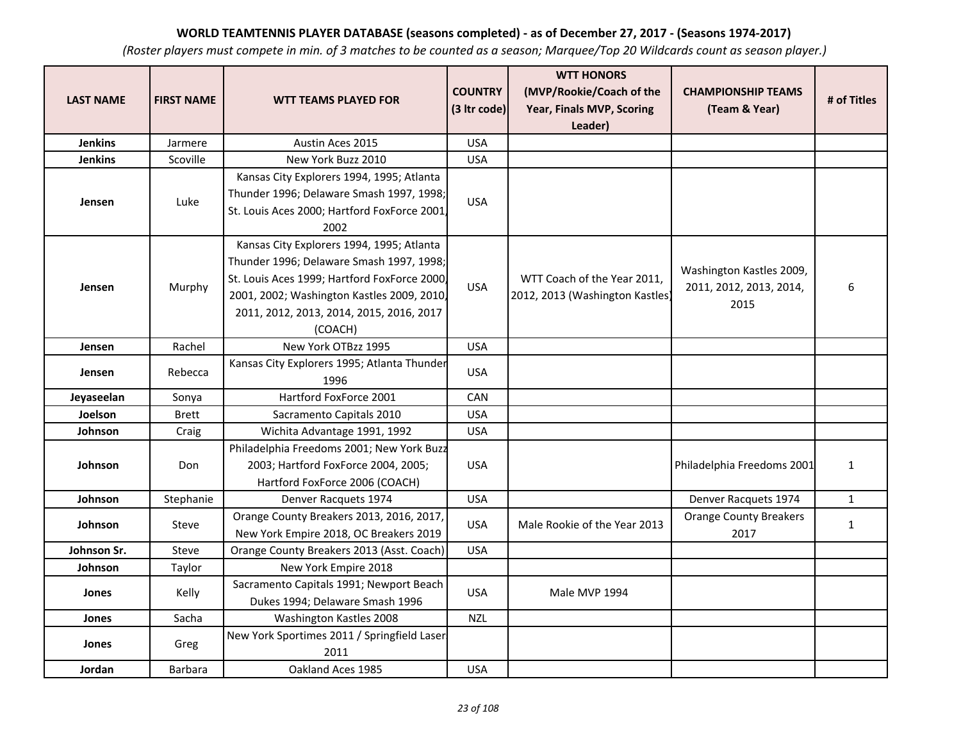| <b>LAST NAME</b> | <b>FIRST NAME</b> | <b>WTT TEAMS PLAYED FOR</b>                                                                                                                                                                                                                | <b>COUNTRY</b><br>(3 Itr code) | <b>WTT HONORS</b><br>(MVP/Rookie/Coach of the<br>Year, Finals MVP, Scoring<br>Leader) | <b>CHAMPIONSHIP TEAMS</b><br>(Team & Year)                  | # of Titles  |
|------------------|-------------------|--------------------------------------------------------------------------------------------------------------------------------------------------------------------------------------------------------------------------------------------|--------------------------------|---------------------------------------------------------------------------------------|-------------------------------------------------------------|--------------|
| <b>Jenkins</b>   | Jarmere           | Austin Aces 2015                                                                                                                                                                                                                           | <b>USA</b>                     |                                                                                       |                                                             |              |
| <b>Jenkins</b>   | Scoville          | New York Buzz 2010                                                                                                                                                                                                                         | <b>USA</b>                     |                                                                                       |                                                             |              |
| Jensen           | Luke              | Kansas City Explorers 1994, 1995; Atlanta<br>Thunder 1996; Delaware Smash 1997, 1998;<br>St. Louis Aces 2000; Hartford FoxForce 2001,<br>2002                                                                                              | <b>USA</b>                     |                                                                                       |                                                             |              |
| Jensen           | Murphy            | Kansas City Explorers 1994, 1995; Atlanta<br>Thunder 1996; Delaware Smash 1997, 1998;<br>St. Louis Aces 1999; Hartford FoxForce 2000,<br>2001, 2002; Washington Kastles 2009, 2010,<br>2011, 2012, 2013, 2014, 2015, 2016, 2017<br>(COACH) | <b>USA</b>                     | WTT Coach of the Year 2011,<br>2012, 2013 (Washington Kastles)                        | Washington Kastles 2009,<br>2011, 2012, 2013, 2014,<br>2015 | 6            |
| Jensen           | Rachel            | New York OTBzz 1995                                                                                                                                                                                                                        | <b>USA</b>                     |                                                                                       |                                                             |              |
| Jensen           | Rebecca           | Kansas City Explorers 1995; Atlanta Thunder<br>1996                                                                                                                                                                                        | <b>USA</b>                     |                                                                                       |                                                             |              |
| Jeyaseelan       | Sonya             | Hartford FoxForce 2001                                                                                                                                                                                                                     | <b>CAN</b>                     |                                                                                       |                                                             |              |
| Joelson          | <b>Brett</b>      | Sacramento Capitals 2010                                                                                                                                                                                                                   | <b>USA</b>                     |                                                                                       |                                                             |              |
| Johnson          | Craig             | Wichita Advantage 1991, 1992                                                                                                                                                                                                               | <b>USA</b>                     |                                                                                       |                                                             |              |
| Johnson          | Don               | Philadelphia Freedoms 2001; New York Buzz<br>2003; Hartford FoxForce 2004, 2005;<br>Hartford FoxForce 2006 (COACH)                                                                                                                         | <b>USA</b>                     |                                                                                       | Philadelphia Freedoms 2001                                  | $\mathbf{1}$ |
| Johnson          | Stephanie         | Denver Racquets 1974                                                                                                                                                                                                                       | <b>USA</b>                     |                                                                                       | Denver Racquets 1974                                        | $\mathbf 1$  |
| Johnson          | Steve             | Orange County Breakers 2013, 2016, 2017,<br>New York Empire 2018, OC Breakers 2019                                                                                                                                                         | <b>USA</b>                     | Male Rookie of the Year 2013                                                          | <b>Orange County Breakers</b><br>2017                       | $\mathbf{1}$ |
| Johnson Sr.      | Steve             | Orange County Breakers 2013 (Asst. Coach)                                                                                                                                                                                                  | <b>USA</b>                     |                                                                                       |                                                             |              |
| Johnson          | Taylor            | New York Empire 2018                                                                                                                                                                                                                       |                                |                                                                                       |                                                             |              |
| Jones            | Kelly             | Sacramento Capitals 1991; Newport Beach<br>Dukes 1994; Delaware Smash 1996                                                                                                                                                                 | <b>USA</b>                     | Male MVP 1994                                                                         |                                                             |              |
| Jones            | Sacha             | Washington Kastles 2008                                                                                                                                                                                                                    | <b>NZL</b>                     |                                                                                       |                                                             |              |
| Jones            | Greg              | New York Sportimes 2011 / Springfield Laser<br>2011                                                                                                                                                                                        |                                |                                                                                       |                                                             |              |
| Jordan           | <b>Barbara</b>    | Oakland Aces 1985                                                                                                                                                                                                                          | <b>USA</b>                     |                                                                                       |                                                             |              |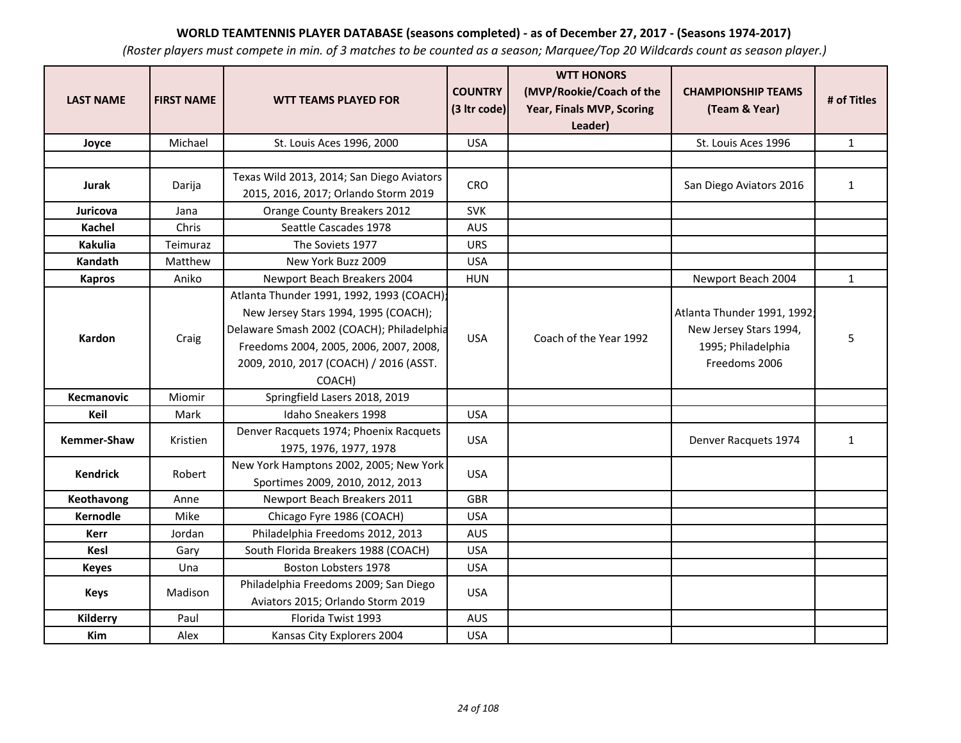| <b>LAST NAME</b>   | <b>FIRST NAME</b> | <b>WTT TEAMS PLAYED FOR</b>                                                                                                                                                                                                  | <b>COUNTRY</b><br>(3 Itr code) | <b>WTT HONORS</b><br>(MVP/Rookie/Coach of the<br>Year, Finals MVP, Scoring<br>Leader) | <b>CHAMPIONSHIP TEAMS</b><br>(Team & Year)                                                  | # of Titles  |
|--------------------|-------------------|------------------------------------------------------------------------------------------------------------------------------------------------------------------------------------------------------------------------------|--------------------------------|---------------------------------------------------------------------------------------|---------------------------------------------------------------------------------------------|--------------|
| Joyce              | Michael           | St. Louis Aces 1996, 2000                                                                                                                                                                                                    | <b>USA</b>                     |                                                                                       | St. Louis Aces 1996                                                                         | $\mathbf{1}$ |
|                    |                   |                                                                                                                                                                                                                              |                                |                                                                                       |                                                                                             |              |
| Jurak              | Darija            | Texas Wild 2013, 2014; San Diego Aviators<br>2015, 2016, 2017; Orlando Storm 2019                                                                                                                                            | CRO                            |                                                                                       | San Diego Aviators 2016                                                                     | $\mathbf{1}$ |
| Juricova           | Jana              | Orange County Breakers 2012                                                                                                                                                                                                  | <b>SVK</b>                     |                                                                                       |                                                                                             |              |
| Kachel             | Chris             | Seattle Cascades 1978                                                                                                                                                                                                        | <b>AUS</b>                     |                                                                                       |                                                                                             |              |
| <b>Kakulia</b>     | Teimuraz          | The Soviets 1977                                                                                                                                                                                                             | <b>URS</b>                     |                                                                                       |                                                                                             |              |
| Kandath            | Matthew           | New York Buzz 2009                                                                                                                                                                                                           | <b>USA</b>                     |                                                                                       |                                                                                             |              |
| <b>Kapros</b>      | Aniko             | Newport Beach Breakers 2004                                                                                                                                                                                                  | <b>HUN</b>                     |                                                                                       | Newport Beach 2004                                                                          | $\mathbf{1}$ |
| Kardon             | Craig             | Atlanta Thunder 1991, 1992, 1993 (COACH);<br>New Jersey Stars 1994, 1995 (COACH);<br>Delaware Smash 2002 (COACH); Philadelphia<br>Freedoms 2004, 2005, 2006, 2007, 2008,<br>2009, 2010, 2017 (COACH) / 2016 (ASST.<br>COACH) | <b>USA</b>                     | Coach of the Year 1992                                                                | Atlanta Thunder 1991, 1992<br>New Jersey Stars 1994,<br>1995; Philadelphia<br>Freedoms 2006 | 5            |
| Kecmanovic         | Miomir            | Springfield Lasers 2018, 2019                                                                                                                                                                                                |                                |                                                                                       |                                                                                             |              |
| Keil               | Mark              | Idaho Sneakers 1998                                                                                                                                                                                                          | <b>USA</b>                     |                                                                                       |                                                                                             |              |
| <b>Kemmer-Shaw</b> | Kristien          | Denver Racquets 1974; Phoenix Racquets<br>1975, 1976, 1977, 1978                                                                                                                                                             | <b>USA</b>                     |                                                                                       | Denver Racquets 1974                                                                        | $\mathbf{1}$ |
| <b>Kendrick</b>    | Robert            | New York Hamptons 2002, 2005; New York<br>Sportimes 2009, 2010, 2012, 2013                                                                                                                                                   | <b>USA</b>                     |                                                                                       |                                                                                             |              |
| Keothavong         | Anne              | Newport Beach Breakers 2011                                                                                                                                                                                                  | <b>GBR</b>                     |                                                                                       |                                                                                             |              |
| <b>Kernodle</b>    | Mike              | Chicago Fyre 1986 (COACH)                                                                                                                                                                                                    | <b>USA</b>                     |                                                                                       |                                                                                             |              |
| <b>Kerr</b>        | Jordan            | Philadelphia Freedoms 2012, 2013                                                                                                                                                                                             | <b>AUS</b>                     |                                                                                       |                                                                                             |              |
| <b>Kesl</b>        | Gary              | South Florida Breakers 1988 (COACH)                                                                                                                                                                                          | <b>USA</b>                     |                                                                                       |                                                                                             |              |
| <b>Keyes</b>       | Una               | Boston Lobsters 1978                                                                                                                                                                                                         | <b>USA</b>                     |                                                                                       |                                                                                             |              |
| <b>Keys</b>        | Madison           | Philadelphia Freedoms 2009; San Diego<br>Aviators 2015; Orlando Storm 2019                                                                                                                                                   | <b>USA</b>                     |                                                                                       |                                                                                             |              |
| Kilderry           | Paul              | Florida Twist 1993                                                                                                                                                                                                           | <b>AUS</b>                     |                                                                                       |                                                                                             |              |
| <b>Kim</b>         | Alex              | Kansas City Explorers 2004                                                                                                                                                                                                   | <b>USA</b>                     |                                                                                       |                                                                                             |              |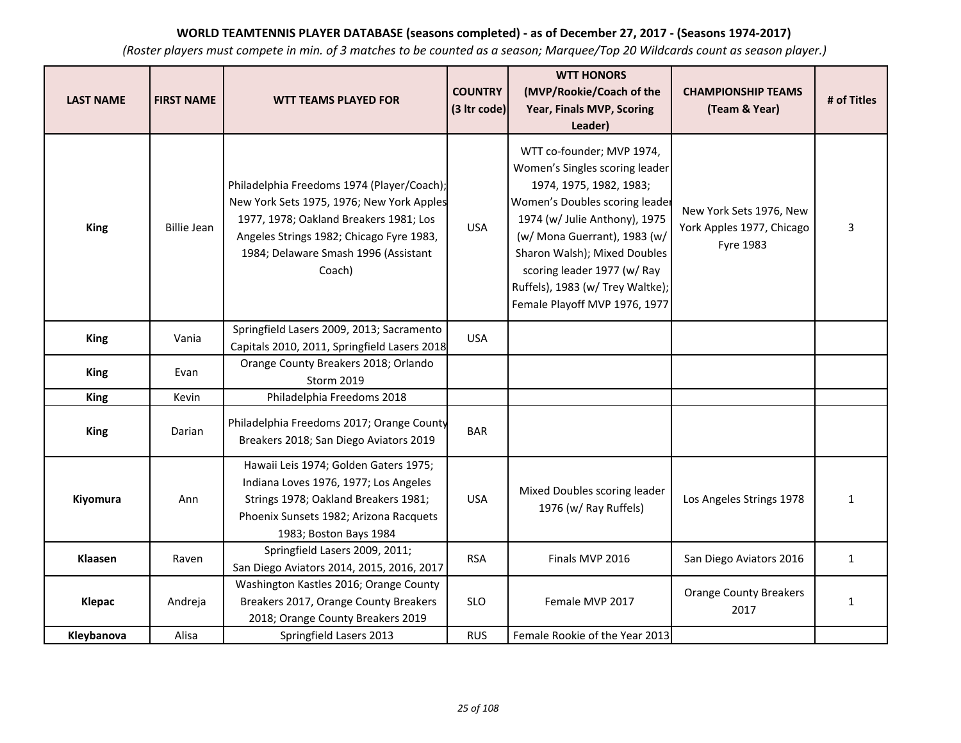| <b>LAST NAME</b> | <b>FIRST NAME</b>  | <b>WTT TEAMS PLAYED FOR</b>                                                                                                                                                                                                     | <b>COUNTRY</b><br>(3 Itr code) | <b>WTT HONORS</b><br>(MVP/Rookie/Coach of the<br>Year, Finals MVP, Scoring<br>Leader)                                                                                                                                                                                                                                         | <b>CHAMPIONSHIP TEAMS</b><br>(Team & Year)                               | # of Titles  |
|------------------|--------------------|---------------------------------------------------------------------------------------------------------------------------------------------------------------------------------------------------------------------------------|--------------------------------|-------------------------------------------------------------------------------------------------------------------------------------------------------------------------------------------------------------------------------------------------------------------------------------------------------------------------------|--------------------------------------------------------------------------|--------------|
| <b>King</b>      | <b>Billie Jean</b> | Philadelphia Freedoms 1974 (Player/Coach);<br>New York Sets 1975, 1976; New York Apples<br>1977, 1978; Oakland Breakers 1981; Los<br>Angeles Strings 1982; Chicago Fyre 1983,<br>1984; Delaware Smash 1996 (Assistant<br>Coach) | <b>USA</b>                     | WTT co-founder; MVP 1974,<br>Women's Singles scoring leader<br>1974, 1975, 1982, 1983;<br>Women's Doubles scoring leader<br>1974 (w/ Julie Anthony), 1975<br>(w/ Mona Guerrant), 1983 (w/<br>Sharon Walsh); Mixed Doubles<br>scoring leader 1977 (w/ Ray<br>Ruffels), 1983 (w/ Trey Waltke);<br>Female Playoff MVP 1976, 1977 | New York Sets 1976, New<br>York Apples 1977, Chicago<br><b>Fyre 1983</b> | 3            |
| <b>King</b>      | Vania              | Springfield Lasers 2009, 2013; Sacramento<br>Capitals 2010, 2011, Springfield Lasers 2018                                                                                                                                       | <b>USA</b>                     |                                                                                                                                                                                                                                                                                                                               |                                                                          |              |
| <b>King</b>      | Evan               | Orange County Breakers 2018; Orlando<br>Storm 2019                                                                                                                                                                              |                                |                                                                                                                                                                                                                                                                                                                               |                                                                          |              |
| King             | Kevin              | Philadelphia Freedoms 2018                                                                                                                                                                                                      |                                |                                                                                                                                                                                                                                                                                                                               |                                                                          |              |
| <b>King</b>      | Darian             | Philadelphia Freedoms 2017; Orange County<br>Breakers 2018; San Diego Aviators 2019                                                                                                                                             | <b>BAR</b>                     |                                                                                                                                                                                                                                                                                                                               |                                                                          |              |
| Kiyomura         | Ann                | Hawaii Leis 1974; Golden Gaters 1975;<br>Indiana Loves 1976, 1977; Los Angeles<br>Strings 1978; Oakland Breakers 1981;<br>Phoenix Sunsets 1982; Arizona Racquets<br>1983; Boston Bays 1984                                      | <b>USA</b>                     | Mixed Doubles scoring leader<br>1976 (w/ Ray Ruffels)                                                                                                                                                                                                                                                                         | Los Angeles Strings 1978                                                 | $\mathbf{1}$ |
| <b>Klaasen</b>   | Raven              | Springfield Lasers 2009, 2011;<br>San Diego Aviators 2014, 2015, 2016, 2017                                                                                                                                                     | <b>RSA</b>                     | Finals MVP 2016                                                                                                                                                                                                                                                                                                               | San Diego Aviators 2016                                                  | $\mathbf{1}$ |
| <b>Klepac</b>    | Andreja            | Washington Kastles 2016; Orange County<br>Breakers 2017, Orange County Breakers<br>2018; Orange County Breakers 2019                                                                                                            | <b>SLO</b>                     | Female MVP 2017                                                                                                                                                                                                                                                                                                               | <b>Orange County Breakers</b><br>2017                                    | $\mathbf{1}$ |
| Kleybanova       | Alisa              | Springfield Lasers 2013                                                                                                                                                                                                         | <b>RUS</b>                     | Female Rookie of the Year 2013                                                                                                                                                                                                                                                                                                |                                                                          |              |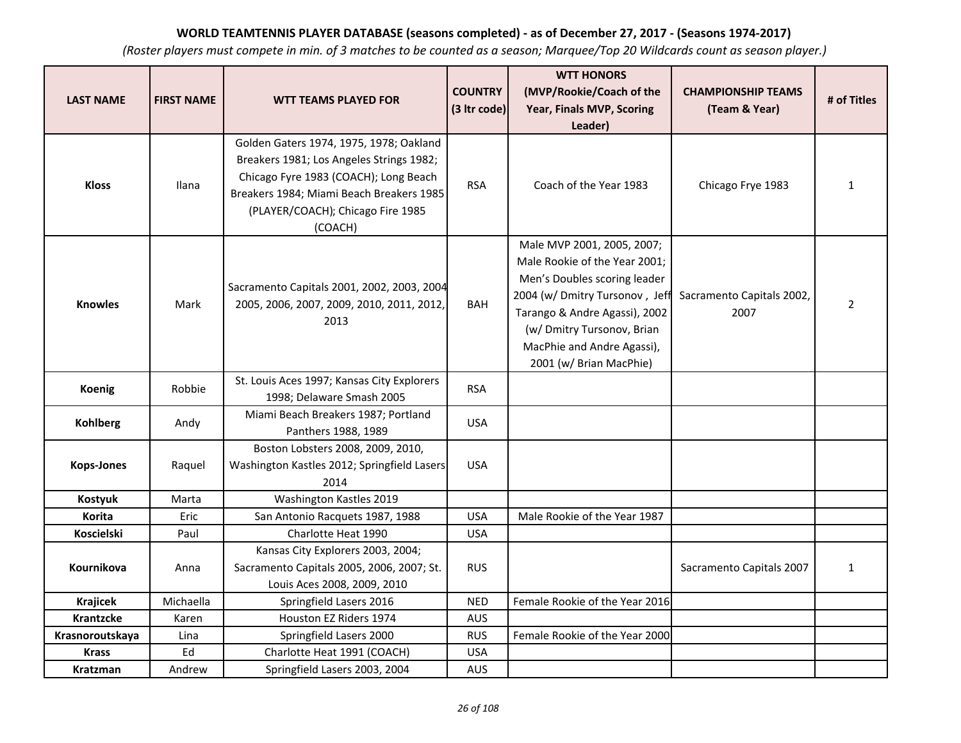| <b>LAST NAME</b>  | <b>FIRST NAME</b> | <b>WTT TEAMS PLAYED FOR</b>                                                                                                                                                                                              | <b>COUNTRY</b><br>(3 Itr code) | <b>WTT HONORS</b><br>(MVP/Rookie/Coach of the<br>Year, Finals MVP, Scoring                                                                                                                                                                            | <b>CHAMPIONSHIP TEAMS</b><br>(Team & Year) | # of Titles    |
|-------------------|-------------------|--------------------------------------------------------------------------------------------------------------------------------------------------------------------------------------------------------------------------|--------------------------------|-------------------------------------------------------------------------------------------------------------------------------------------------------------------------------------------------------------------------------------------------------|--------------------------------------------|----------------|
|                   |                   |                                                                                                                                                                                                                          |                                | Leader)                                                                                                                                                                                                                                               |                                            |                |
| <b>Kloss</b>      | Ilana             | Golden Gaters 1974, 1975, 1978; Oakland<br>Breakers 1981; Los Angeles Strings 1982;<br>Chicago Fyre 1983 (COACH); Long Beach<br>Breakers 1984; Miami Beach Breakers 1985<br>(PLAYER/COACH); Chicago Fire 1985<br>(COACH) | <b>RSA</b>                     | Coach of the Year 1983                                                                                                                                                                                                                                | Chicago Frye 1983                          | $\mathbf{1}$   |
| <b>Knowles</b>    | Mark              | Sacramento Capitals 2001, 2002, 2003, 2004<br>2005, 2006, 2007, 2009, 2010, 2011, 2012,<br>2013                                                                                                                          | <b>BAH</b>                     | Male MVP 2001, 2005, 2007;<br>Male Rookie of the Year 2001;<br>Men's Doubles scoring leader<br>2004 (w/ Dmitry Tursonov, Jeff<br>Tarango & Andre Agassi), 2002<br>(w/ Dmitry Tursonov, Brian<br>MacPhie and Andre Agassi),<br>2001 (w/ Brian MacPhie) | Sacramento Capitals 2002,<br>2007          | $\overline{2}$ |
| <b>Koenig</b>     | Robbie            | St. Louis Aces 1997; Kansas City Explorers<br>1998; Delaware Smash 2005                                                                                                                                                  | <b>RSA</b>                     |                                                                                                                                                                                                                                                       |                                            |                |
| <b>Kohlberg</b>   | Andy              | Miami Beach Breakers 1987; Portland<br>Panthers 1988, 1989                                                                                                                                                               | <b>USA</b>                     |                                                                                                                                                                                                                                                       |                                            |                |
| <b>Kops-Jones</b> | Raquel            | Boston Lobsters 2008, 2009, 2010,<br>Washington Kastles 2012; Springfield Lasers<br>2014                                                                                                                                 | <b>USA</b>                     |                                                                                                                                                                                                                                                       |                                            |                |
| <b>Kostyuk</b>    | Marta             | Washington Kastles 2019                                                                                                                                                                                                  |                                |                                                                                                                                                                                                                                                       |                                            |                |
| <b>Korita</b>     | Eric              | San Antonio Racquets 1987, 1988                                                                                                                                                                                          | <b>USA</b>                     | Male Rookie of the Year 1987                                                                                                                                                                                                                          |                                            |                |
| <b>Koscielski</b> | Paul              | Charlotte Heat 1990                                                                                                                                                                                                      | <b>USA</b>                     |                                                                                                                                                                                                                                                       |                                            |                |
| Kournikova        | Anna              | Kansas City Explorers 2003, 2004;<br>Sacramento Capitals 2005, 2006, 2007; St.<br>Louis Aces 2008, 2009, 2010                                                                                                            | <b>RUS</b>                     |                                                                                                                                                                                                                                                       | Sacramento Capitals 2007                   | $\mathbf{1}$   |
| <b>Krajicek</b>   | Michaella         | Springfield Lasers 2016                                                                                                                                                                                                  | <b>NED</b>                     | Female Rookie of the Year 2016                                                                                                                                                                                                                        |                                            |                |
| <b>Krantzcke</b>  | Karen             | Houston EZ Riders 1974                                                                                                                                                                                                   | <b>AUS</b>                     |                                                                                                                                                                                                                                                       |                                            |                |
| Krasnoroutskaya   | Lina              | Springfield Lasers 2000                                                                                                                                                                                                  | <b>RUS</b>                     | Female Rookie of the Year 2000                                                                                                                                                                                                                        |                                            |                |
| <b>Krass</b>      | Ed                | Charlotte Heat 1991 (COACH)                                                                                                                                                                                              | <b>USA</b>                     |                                                                                                                                                                                                                                                       |                                            |                |
| Kratzman          | Andrew            | Springfield Lasers 2003, 2004                                                                                                                                                                                            | <b>AUS</b>                     |                                                                                                                                                                                                                                                       |                                            |                |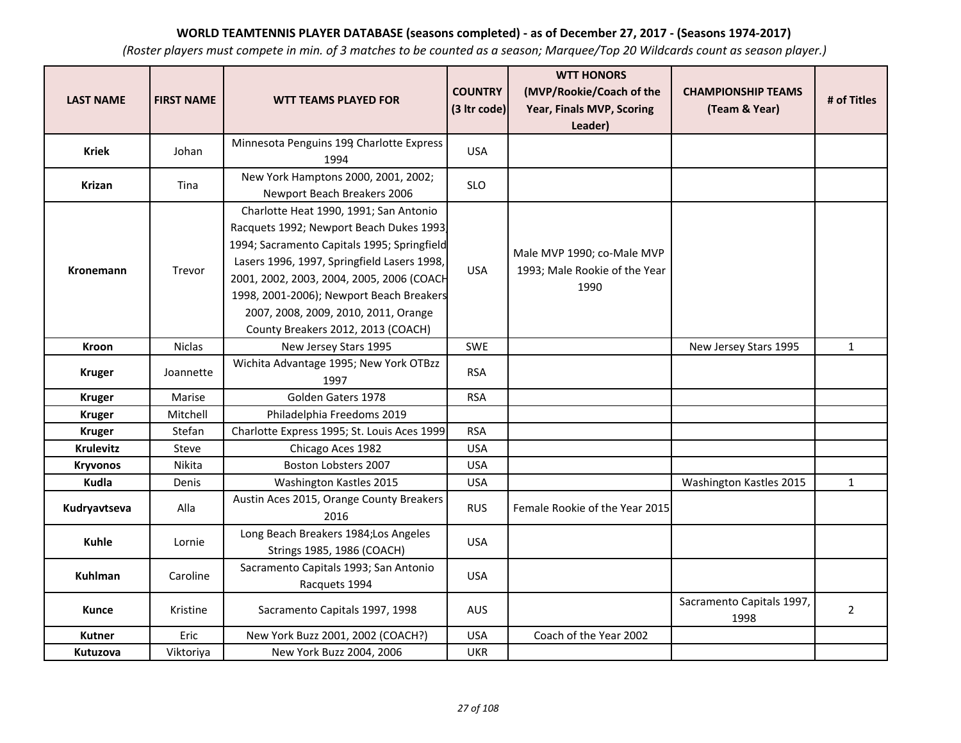| <b>LAST NAME</b> | <b>FIRST NAME</b> | <b>WTT TEAMS PLAYED FOR</b>                                                                                                                                                                                                                                                                                                                            | <b>COUNTRY</b><br>(3 Itr code) | <b>WTT HONORS</b><br>(MVP/Rookie/Coach of the<br>Year, Finals MVP, Scoring<br>Leader) | <b>CHAMPIONSHIP TEAMS</b><br>(Team & Year) | # of Titles    |
|------------------|-------------------|--------------------------------------------------------------------------------------------------------------------------------------------------------------------------------------------------------------------------------------------------------------------------------------------------------------------------------------------------------|--------------------------------|---------------------------------------------------------------------------------------|--------------------------------------------|----------------|
| Kriek            | Johan             | Minnesota Penguins 199 Charlotte Express<br>1994                                                                                                                                                                                                                                                                                                       | <b>USA</b>                     |                                                                                       |                                            |                |
| Krizan           | Tina              | New York Hamptons 2000, 2001, 2002;<br>Newport Beach Breakers 2006                                                                                                                                                                                                                                                                                     | <b>SLO</b>                     |                                                                                       |                                            |                |
| Kronemann        | Trevor            | Charlotte Heat 1990, 1991; San Antonio<br>Racquets 1992; Newport Beach Dukes 1993<br>1994; Sacramento Capitals 1995; Springfield<br>Lasers 1996, 1997, Springfield Lasers 1998,<br>2001, 2002, 2003, 2004, 2005, 2006 (COACH<br>1998, 2001-2006); Newport Beach Breakers<br>2007, 2008, 2009, 2010, 2011, Orange<br>County Breakers 2012, 2013 (COACH) | <b>USA</b>                     | Male MVP 1990; co-Male MVP<br>1993; Male Rookie of the Year<br>1990                   |                                            |                |
| Kroon            | Niclas            | New Jersey Stars 1995                                                                                                                                                                                                                                                                                                                                  | SWE                            |                                                                                       | New Jersey Stars 1995                      | $\mathbf{1}$   |
| <b>Kruger</b>    | Joannette         | Wichita Advantage 1995; New York OTBzz<br>1997                                                                                                                                                                                                                                                                                                         | <b>RSA</b>                     |                                                                                       |                                            |                |
| <b>Kruger</b>    | Marise            | Golden Gaters 1978                                                                                                                                                                                                                                                                                                                                     | <b>RSA</b>                     |                                                                                       |                                            |                |
| <b>Kruger</b>    | Mitchell          | Philadelphia Freedoms 2019                                                                                                                                                                                                                                                                                                                             |                                |                                                                                       |                                            |                |
| <b>Kruger</b>    | Stefan            | Charlotte Express 1995; St. Louis Aces 1999                                                                                                                                                                                                                                                                                                            | <b>RSA</b>                     |                                                                                       |                                            |                |
| <b>Krulevitz</b> | Steve             | Chicago Aces 1982                                                                                                                                                                                                                                                                                                                                      | <b>USA</b>                     |                                                                                       |                                            |                |
| <b>Kryvonos</b>  | Nikita            | Boston Lobsters 2007                                                                                                                                                                                                                                                                                                                                   | <b>USA</b>                     |                                                                                       |                                            |                |
| Kudla            | Denis             | Washington Kastles 2015                                                                                                                                                                                                                                                                                                                                | <b>USA</b>                     |                                                                                       | Washington Kastles 2015                    | $\mathbf{1}$   |
| Kudryavtseva     | Alla              | Austin Aces 2015, Orange County Breakers<br>2016                                                                                                                                                                                                                                                                                                       | <b>RUS</b>                     | Female Rookie of the Year 2015                                                        |                                            |                |
| <b>Kuhle</b>     | Lornie            | Long Beach Breakers 1984; Los Angeles<br>Strings 1985, 1986 (COACH)                                                                                                                                                                                                                                                                                    | <b>USA</b>                     |                                                                                       |                                            |                |
| <b>Kuhlman</b>   | Caroline          | Sacramento Capitals 1993; San Antonio<br>Racquets 1994                                                                                                                                                                                                                                                                                                 | <b>USA</b>                     |                                                                                       |                                            |                |
| <b>Kunce</b>     | Kristine          | Sacramento Capitals 1997, 1998                                                                                                                                                                                                                                                                                                                         | <b>AUS</b>                     |                                                                                       | Sacramento Capitals 1997,<br>1998          | $\overline{2}$ |
| <b>Kutner</b>    | <b>Eric</b>       | New York Buzz 2001, 2002 (COACH?)                                                                                                                                                                                                                                                                                                                      | <b>USA</b>                     | Coach of the Year 2002                                                                |                                            |                |
| Kutuzova         | Viktoriya         | New York Buzz 2004, 2006                                                                                                                                                                                                                                                                                                                               | <b>UKR</b>                     |                                                                                       |                                            |                |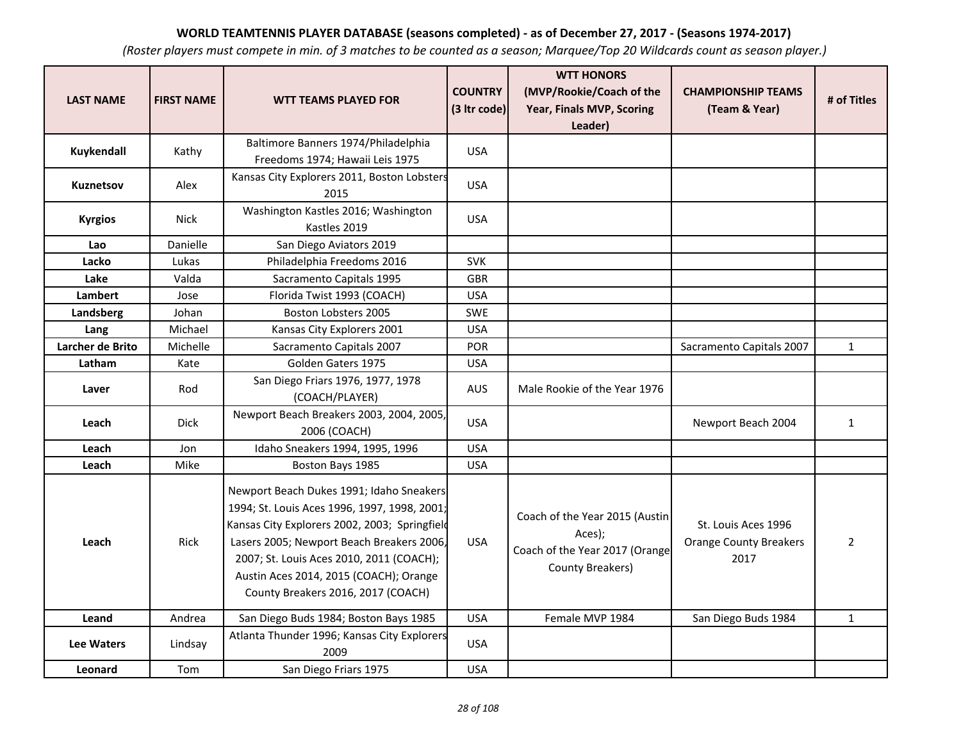| <b>LAST NAME</b> | <b>FIRST NAME</b> | <b>WTT TEAMS PLAYED FOR</b>                                                                                                                                                                                                                                                                                        | <b>COUNTRY</b><br>(3 Itr code) | <b>WTT HONORS</b><br>(MVP/Rookie/Coach of the<br>Year, Finals MVP, Scoring<br>Leader)          | <b>CHAMPIONSHIP TEAMS</b><br>(Team & Year)                   | # of Titles    |
|------------------|-------------------|--------------------------------------------------------------------------------------------------------------------------------------------------------------------------------------------------------------------------------------------------------------------------------------------------------------------|--------------------------------|------------------------------------------------------------------------------------------------|--------------------------------------------------------------|----------------|
| Kuykendall       | Kathy             | Baltimore Banners 1974/Philadelphia<br>Freedoms 1974; Hawaii Leis 1975                                                                                                                                                                                                                                             | <b>USA</b>                     |                                                                                                |                                                              |                |
| <b>Kuznetsov</b> | Alex              | Kansas City Explorers 2011, Boston Lobsters<br>2015                                                                                                                                                                                                                                                                | <b>USA</b>                     |                                                                                                |                                                              |                |
| <b>Kyrgios</b>   | <b>Nick</b>       | Washington Kastles 2016; Washington<br>Kastles 2019                                                                                                                                                                                                                                                                | <b>USA</b>                     |                                                                                                |                                                              |                |
| Lao              | <b>Danielle</b>   | San Diego Aviators 2019                                                                                                                                                                                                                                                                                            |                                |                                                                                                |                                                              |                |
| Lacko            | Lukas             | Philadelphia Freedoms 2016                                                                                                                                                                                                                                                                                         | <b>SVK</b>                     |                                                                                                |                                                              |                |
| Lake             | Valda             | Sacramento Capitals 1995                                                                                                                                                                                                                                                                                           | GBR                            |                                                                                                |                                                              |                |
| <b>Lambert</b>   | Jose              | Florida Twist 1993 (COACH)                                                                                                                                                                                                                                                                                         | <b>USA</b>                     |                                                                                                |                                                              |                |
| Landsberg        | Johan             | Boston Lobsters 2005                                                                                                                                                                                                                                                                                               | <b>SWE</b>                     |                                                                                                |                                                              |                |
| Lang             | Michael           | Kansas City Explorers 2001                                                                                                                                                                                                                                                                                         | <b>USA</b>                     |                                                                                                |                                                              |                |
| Larcher de Brito | Michelle          | Sacramento Capitals 2007                                                                                                                                                                                                                                                                                           | <b>POR</b>                     |                                                                                                | Sacramento Capitals 2007                                     | $\mathbf{1}$   |
| Latham           | Kate              | Golden Gaters 1975                                                                                                                                                                                                                                                                                                 | <b>USA</b>                     |                                                                                                |                                                              |                |
| Laver            | Rod               | San Diego Friars 1976, 1977, 1978<br>(COACH/PLAYER)                                                                                                                                                                                                                                                                | <b>AUS</b>                     | Male Rookie of the Year 1976                                                                   |                                                              |                |
| Leach            | <b>Dick</b>       | Newport Beach Breakers 2003, 2004, 2005,<br>2006 (COACH)                                                                                                                                                                                                                                                           | <b>USA</b>                     |                                                                                                | Newport Beach 2004                                           | $\mathbf{1}$   |
| Leach            | Jon               | Idaho Sneakers 1994, 1995, 1996                                                                                                                                                                                                                                                                                    | <b>USA</b>                     |                                                                                                |                                                              |                |
| Leach            | Mike              | Boston Bays 1985                                                                                                                                                                                                                                                                                                   | <b>USA</b>                     |                                                                                                |                                                              |                |
| Leach            | <b>Rick</b>       | Newport Beach Dukes 1991; Idaho Sneakers<br>1994; St. Louis Aces 1996, 1997, 1998, 2001;<br>Kansas City Explorers 2002, 2003; Springfield<br>Lasers 2005; Newport Beach Breakers 2006,<br>2007; St. Louis Aces 2010, 2011 (COACH);<br>Austin Aces 2014, 2015 (COACH); Orange<br>County Breakers 2016, 2017 (COACH) | <b>USA</b>                     | Coach of the Year 2015 (Austin<br>Aces);<br>Coach of the Year 2017 (Orange<br>County Breakers) | St. Louis Aces 1996<br><b>Orange County Breakers</b><br>2017 | $\overline{2}$ |
| Leand            | Andrea            | San Diego Buds 1984; Boston Bays 1985                                                                                                                                                                                                                                                                              | <b>USA</b>                     | Female MVP 1984                                                                                | San Diego Buds 1984                                          | $\mathbf{1}$   |
| Lee Waters       | Lindsay           | Atlanta Thunder 1996; Kansas City Explorers<br>2009                                                                                                                                                                                                                                                                | <b>USA</b>                     |                                                                                                |                                                              |                |
| Leonard          | Tom               | San Diego Friars 1975                                                                                                                                                                                                                                                                                              | <b>USA</b>                     |                                                                                                |                                                              |                |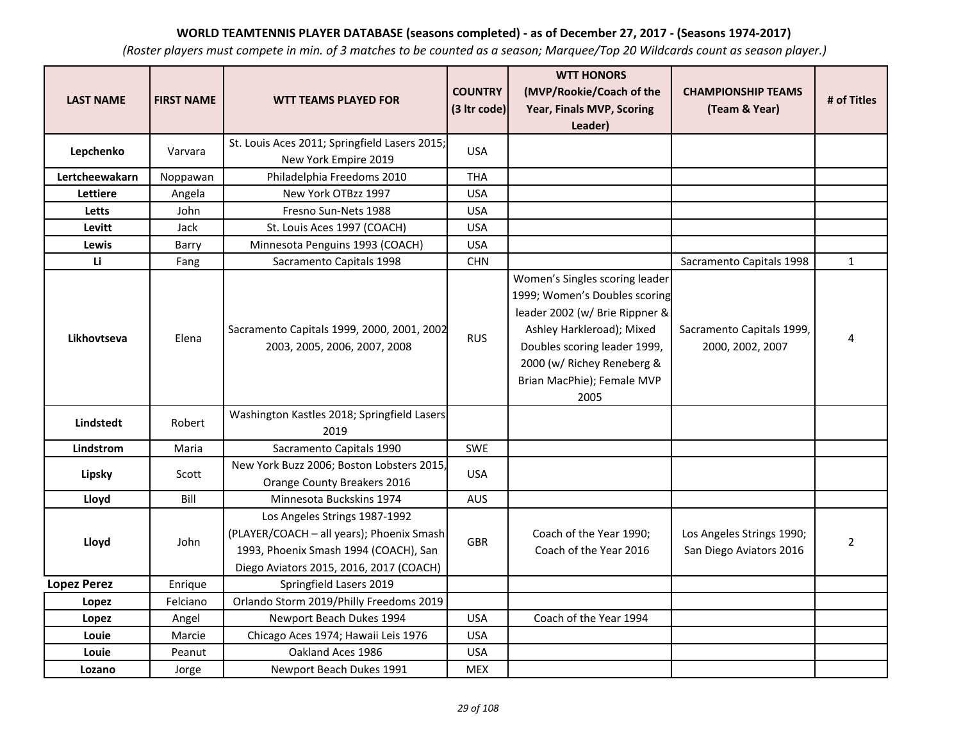| <b>LAST NAME</b>   | <b>FIRST NAME</b> | <b>WTT TEAMS PLAYED FOR</b>                                                                                                                                    | <b>COUNTRY</b><br>(3 Itr code) | <b>WTT HONORS</b><br>(MVP/Rookie/Coach of the<br>Year, Finals MVP, Scoring<br>Leader)                                                                                                                                              | <b>CHAMPIONSHIP TEAMS</b><br>(Team & Year)           | # of Titles    |
|--------------------|-------------------|----------------------------------------------------------------------------------------------------------------------------------------------------------------|--------------------------------|------------------------------------------------------------------------------------------------------------------------------------------------------------------------------------------------------------------------------------|------------------------------------------------------|----------------|
| Lepchenko          | Varvara           | St. Louis Aces 2011; Springfield Lasers 2015;<br>New York Empire 2019                                                                                          | <b>USA</b>                     |                                                                                                                                                                                                                                    |                                                      |                |
| Lertcheewakarn     | Noppawan          | Philadelphia Freedoms 2010                                                                                                                                     | <b>THA</b>                     |                                                                                                                                                                                                                                    |                                                      |                |
| <b>Lettiere</b>    | Angela            | New York OTBzz 1997                                                                                                                                            | <b>USA</b>                     |                                                                                                                                                                                                                                    |                                                      |                |
| Letts              | John              | Fresno Sun-Nets 1988                                                                                                                                           | <b>USA</b>                     |                                                                                                                                                                                                                                    |                                                      |                |
| Levitt             | Jack              | St. Louis Aces 1997 (COACH)                                                                                                                                    | <b>USA</b>                     |                                                                                                                                                                                                                                    |                                                      |                |
| Lewis              | Barry             | Minnesota Penguins 1993 (COACH)                                                                                                                                | <b>USA</b>                     |                                                                                                                                                                                                                                    |                                                      |                |
| Li                 | Fang              | Sacramento Capitals 1998                                                                                                                                       | <b>CHN</b>                     |                                                                                                                                                                                                                                    | Sacramento Capitals 1998                             | $\mathbf{1}$   |
| Likhovtseva        | Elena             | Sacramento Capitals 1999, 2000, 2001, 2002<br>2003, 2005, 2006, 2007, 2008                                                                                     | <b>RUS</b>                     | Women's Singles scoring leader<br>1999; Women's Doubles scoring<br>leader 2002 (w/ Brie Rippner &<br>Ashley Harkleroad); Mixed<br>Doubles scoring leader 1999,<br>2000 (w/ Richey Reneberg &<br>Brian MacPhie); Female MVP<br>2005 | Sacramento Capitals 1999,<br>2000, 2002, 2007        | 4              |
| Lindstedt          | Robert            | Washington Kastles 2018; Springfield Lasers<br>2019                                                                                                            |                                |                                                                                                                                                                                                                                    |                                                      |                |
| Lindstrom          | Maria             | Sacramento Capitals 1990                                                                                                                                       | <b>SWE</b>                     |                                                                                                                                                                                                                                    |                                                      |                |
| Lipsky             | Scott             | New York Buzz 2006; Boston Lobsters 2015,<br>Orange County Breakers 2016                                                                                       | <b>USA</b>                     |                                                                                                                                                                                                                                    |                                                      |                |
| Lloyd              | Bill              | Minnesota Buckskins 1974                                                                                                                                       | <b>AUS</b>                     |                                                                                                                                                                                                                                    |                                                      |                |
| Lloyd              | John              | Los Angeles Strings 1987-1992<br>(PLAYER/COACH - all years); Phoenix Smash<br>1993, Phoenix Smash 1994 (COACH), San<br>Diego Aviators 2015, 2016, 2017 (COACH) | <b>GBR</b>                     | Coach of the Year 1990;<br>Coach of the Year 2016                                                                                                                                                                                  | Los Angeles Strings 1990;<br>San Diego Aviators 2016 | $\overline{2}$ |
| <b>Lopez Perez</b> | Enrique           | Springfield Lasers 2019                                                                                                                                        |                                |                                                                                                                                                                                                                                    |                                                      |                |
| Lopez              | Felciano          | Orlando Storm 2019/Philly Freedoms 2019                                                                                                                        |                                |                                                                                                                                                                                                                                    |                                                      |                |
| Lopez              | Angel             | Newport Beach Dukes 1994                                                                                                                                       | <b>USA</b>                     | Coach of the Year 1994                                                                                                                                                                                                             |                                                      |                |
| Louie              | Marcie            | Chicago Aces 1974; Hawaii Leis 1976                                                                                                                            | <b>USA</b>                     |                                                                                                                                                                                                                                    |                                                      |                |
| Louie              | Peanut            | Oakland Aces 1986                                                                                                                                              | <b>USA</b>                     |                                                                                                                                                                                                                                    |                                                      |                |
| Lozano             | Jorge             | Newport Beach Dukes 1991                                                                                                                                       | <b>MEX</b>                     |                                                                                                                                                                                                                                    |                                                      |                |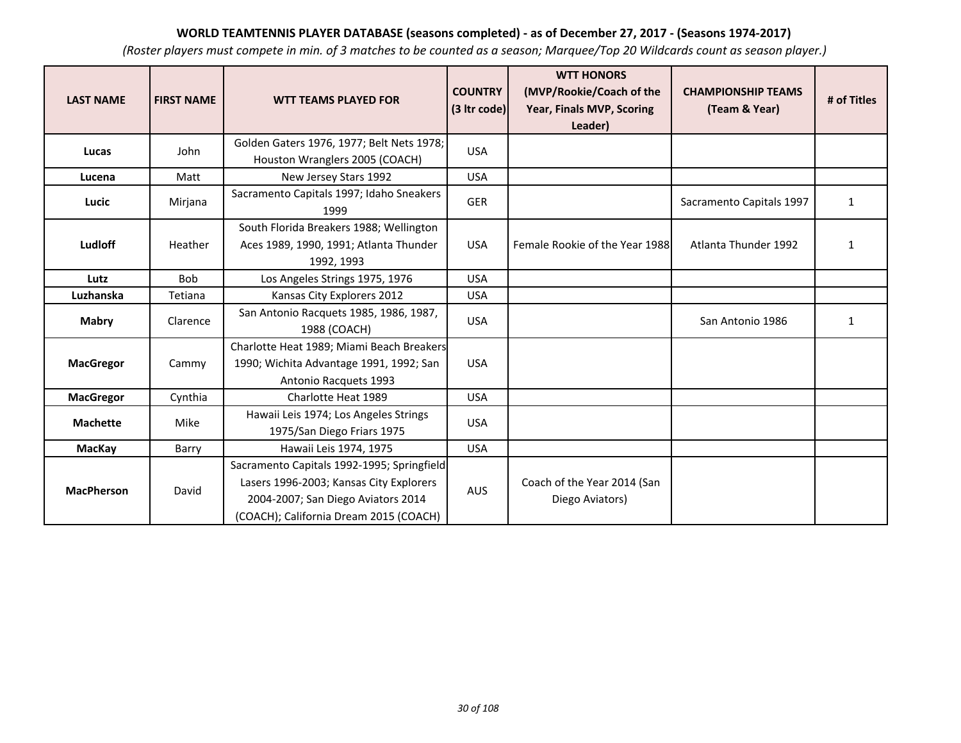| <b>LAST NAME</b>  | <b>FIRST NAME</b> | <b>WTT TEAMS PLAYED FOR</b>                                                                                                                                           | <b>COUNTRY</b><br>(3 Itr code) | <b>WTT HONORS</b><br>(MVP/Rookie/Coach of the<br>Year, Finals MVP, Scoring<br>Leader) | <b>CHAMPIONSHIP TEAMS</b><br>(Team & Year) | # of Titles  |
|-------------------|-------------------|-----------------------------------------------------------------------------------------------------------------------------------------------------------------------|--------------------------------|---------------------------------------------------------------------------------------|--------------------------------------------|--------------|
| Lucas             | John              | Golden Gaters 1976, 1977; Belt Nets 1978;<br>Houston Wranglers 2005 (COACH)                                                                                           | <b>USA</b>                     |                                                                                       |                                            |              |
| Lucena            | Matt              | New Jersey Stars 1992                                                                                                                                                 | <b>USA</b>                     |                                                                                       |                                            |              |
| Lucic             | Mirjana           | Sacramento Capitals 1997; Idaho Sneakers<br>1999                                                                                                                      | <b>GER</b>                     |                                                                                       | Sacramento Capitals 1997                   | 1            |
| Ludloff           | Heather           | South Florida Breakers 1988; Wellington<br>Aces 1989, 1990, 1991; Atlanta Thunder<br>1992, 1993                                                                       | <b>USA</b>                     | Female Rookie of the Year 1988                                                        | Atlanta Thunder 1992                       | 1            |
| Lutz              | <b>Bob</b>        | Los Angeles Strings 1975, 1976                                                                                                                                        | <b>USA</b>                     |                                                                                       |                                            |              |
| Luzhanska         | Tetiana           | Kansas City Explorers 2012                                                                                                                                            | <b>USA</b>                     |                                                                                       |                                            |              |
| <b>Mabry</b>      | Clarence          | San Antonio Racquets 1985, 1986, 1987,<br>1988 (COACH)                                                                                                                | <b>USA</b>                     |                                                                                       | San Antonio 1986                           | $\mathbf{1}$ |
| <b>MacGregor</b>  | Cammy             | Charlotte Heat 1989; Miami Beach Breakers<br>1990; Wichita Advantage 1991, 1992; San<br>Antonio Racquets 1993                                                         | <b>USA</b>                     |                                                                                       |                                            |              |
| <b>MacGregor</b>  | Cynthia           | Charlotte Heat 1989                                                                                                                                                   | <b>USA</b>                     |                                                                                       |                                            |              |
| <b>Machette</b>   | Mike              | Hawaii Leis 1974; Los Angeles Strings<br>1975/San Diego Friars 1975                                                                                                   | <b>USA</b>                     |                                                                                       |                                            |              |
| <b>MacKay</b>     | Barry             | Hawaii Leis 1974, 1975                                                                                                                                                | <b>USA</b>                     |                                                                                       |                                            |              |
| <b>MacPherson</b> | David             | Sacramento Capitals 1992-1995; Springfield<br>Lasers 1996-2003; Kansas City Explorers<br>2004-2007; San Diego Aviators 2014<br>(COACH); California Dream 2015 (COACH) | <b>AUS</b>                     | Coach of the Year 2014 (San<br>Diego Aviators)                                        |                                            |              |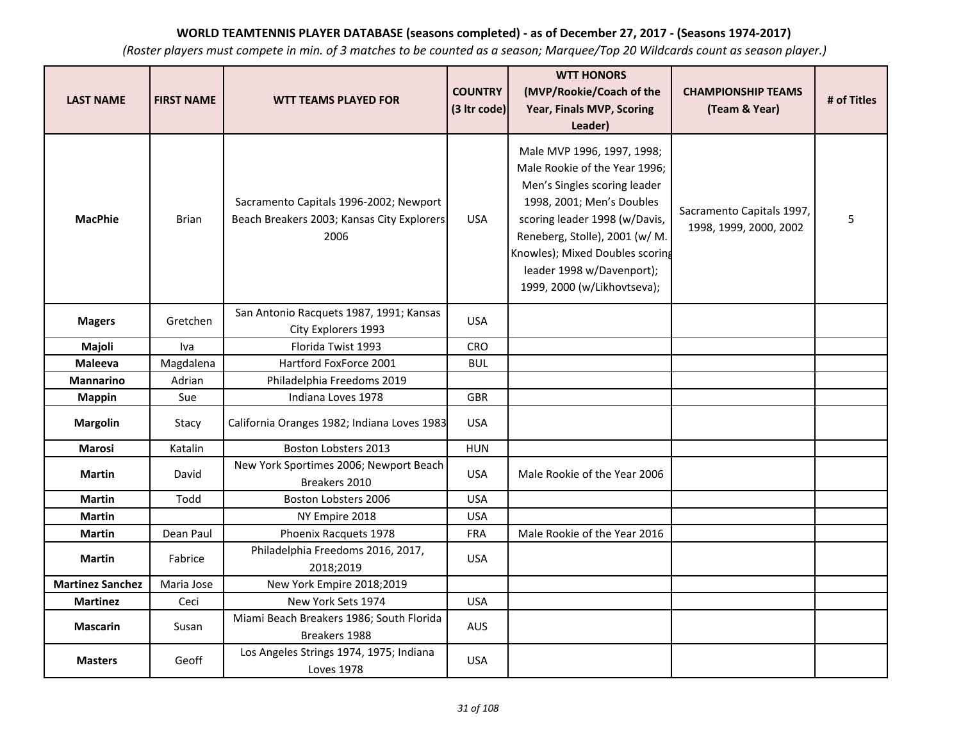| <b>LAST NAME</b>        | <b>FIRST NAME</b> | <b>WTT TEAMS PLAYED FOR</b>                                                                  | <b>COUNTRY</b><br>(3 Itr code) | <b>WTT HONORS</b><br>(MVP/Rookie/Coach of the<br>Year, Finals MVP, Scoring<br>Leader)                                                                                                                                                                                                      | <b>CHAMPIONSHIP TEAMS</b><br>(Team & Year)          | # of Titles |
|-------------------------|-------------------|----------------------------------------------------------------------------------------------|--------------------------------|--------------------------------------------------------------------------------------------------------------------------------------------------------------------------------------------------------------------------------------------------------------------------------------------|-----------------------------------------------------|-------------|
| <b>MacPhie</b>          | <b>Brian</b>      | Sacramento Capitals 1996-2002; Newport<br>Beach Breakers 2003; Kansas City Explorers<br>2006 | <b>USA</b>                     | Male MVP 1996, 1997, 1998;<br>Male Rookie of the Year 1996;<br>Men's Singles scoring leader<br>1998, 2001; Men's Doubles<br>scoring leader 1998 (w/Davis,<br>Reneberg, Stolle), 2001 (w/ M.<br>Knowles); Mixed Doubles scoring<br>leader 1998 w/Davenport);<br>1999, 2000 (w/Likhovtseva); | Sacramento Capitals 1997,<br>1998, 1999, 2000, 2002 | 5           |
| <b>Magers</b>           | Gretchen          | San Antonio Racquets 1987, 1991; Kansas<br>City Explorers 1993                               | <b>USA</b>                     |                                                                                                                                                                                                                                                                                            |                                                     |             |
| Majoli                  | Iva               | Florida Twist 1993                                                                           | CRO                            |                                                                                                                                                                                                                                                                                            |                                                     |             |
| <b>Maleeva</b>          | Magdalena         | Hartford FoxForce 2001                                                                       | <b>BUL</b>                     |                                                                                                                                                                                                                                                                                            |                                                     |             |
| <b>Mannarino</b>        | Adrian            | Philadelphia Freedoms 2019                                                                   |                                |                                                                                                                                                                                                                                                                                            |                                                     |             |
| <b>Mappin</b>           | Sue               | Indiana Loves 1978                                                                           | <b>GBR</b>                     |                                                                                                                                                                                                                                                                                            |                                                     |             |
| <b>Margolin</b>         | Stacy             | California Oranges 1982; Indiana Loves 1983                                                  | <b>USA</b>                     |                                                                                                                                                                                                                                                                                            |                                                     |             |
| <b>Marosi</b>           | Katalin           | Boston Lobsters 2013                                                                         | <b>HUN</b>                     |                                                                                                                                                                                                                                                                                            |                                                     |             |
| <b>Martin</b>           | David             | New York Sportimes 2006; Newport Beach<br>Breakers 2010                                      | <b>USA</b>                     | Male Rookie of the Year 2006                                                                                                                                                                                                                                                               |                                                     |             |
| <b>Martin</b>           | Todd              | Boston Lobsters 2006                                                                         | <b>USA</b>                     |                                                                                                                                                                                                                                                                                            |                                                     |             |
| <b>Martin</b>           |                   | NY Empire 2018                                                                               | <b>USA</b>                     |                                                                                                                                                                                                                                                                                            |                                                     |             |
| <b>Martin</b>           | Dean Paul         | Phoenix Racquets 1978                                                                        | <b>FRA</b>                     | Male Rookie of the Year 2016                                                                                                                                                                                                                                                               |                                                     |             |
| <b>Martin</b>           | Fabrice           | Philadelphia Freedoms 2016, 2017,<br>2018;2019                                               | <b>USA</b>                     |                                                                                                                                                                                                                                                                                            |                                                     |             |
| <b>Martinez Sanchez</b> | Maria Jose        | New York Empire 2018;2019                                                                    |                                |                                                                                                                                                                                                                                                                                            |                                                     |             |
| <b>Martinez</b>         | Ceci              | New York Sets 1974                                                                           | <b>USA</b>                     |                                                                                                                                                                                                                                                                                            |                                                     |             |
| <b>Mascarin</b>         | Susan             | Miami Beach Breakers 1986; South Florida<br>Breakers 1988                                    | AUS                            |                                                                                                                                                                                                                                                                                            |                                                     |             |
| <b>Masters</b>          | Geoff             | Los Angeles Strings 1974, 1975; Indiana<br><b>Loves 1978</b>                                 | <b>USA</b>                     |                                                                                                                                                                                                                                                                                            |                                                     |             |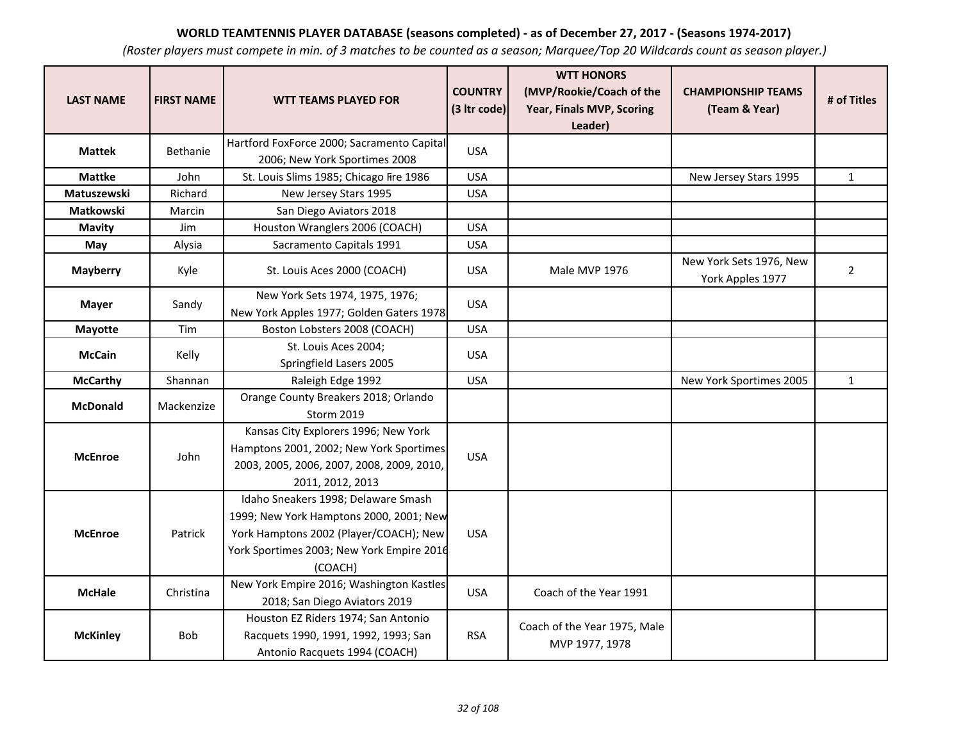| <b>LAST NAME</b> | <b>FIRST NAME</b> | <b>WTT TEAMS PLAYED FOR</b>                                                                                                                                                      | <b>COUNTRY</b><br>(3 Itr code) | <b>WTT HONORS</b><br>(MVP/Rookie/Coach of the<br>Year, Finals MVP, Scoring<br>Leader) | <b>CHAMPIONSHIP TEAMS</b><br>(Team & Year)  | # of Titles    |
|------------------|-------------------|----------------------------------------------------------------------------------------------------------------------------------------------------------------------------------|--------------------------------|---------------------------------------------------------------------------------------|---------------------------------------------|----------------|
| <b>Mattek</b>    | <b>Bethanie</b>   | Hartford FoxForce 2000; Sacramento Capital<br>2006; New York Sportimes 2008                                                                                                      | <b>USA</b>                     |                                                                                       |                                             |                |
| <b>Mattke</b>    | John              | St. Louis Slims 1985; Chicago Fire 1986                                                                                                                                          | <b>USA</b>                     |                                                                                       | New Jersey Stars 1995                       | $\mathbf{1}$   |
| Matuszewski      | Richard           | New Jersey Stars 1995                                                                                                                                                            | <b>USA</b>                     |                                                                                       |                                             |                |
| Matkowski        | Marcin            | San Diego Aviators 2018                                                                                                                                                          |                                |                                                                                       |                                             |                |
| <b>Mavity</b>    | Jim               | Houston Wranglers 2006 (COACH)                                                                                                                                                   | <b>USA</b>                     |                                                                                       |                                             |                |
| May              | Alysia            | Sacramento Capitals 1991                                                                                                                                                         | <b>USA</b>                     |                                                                                       |                                             |                |
| <b>Mayberry</b>  | Kyle              | St. Louis Aces 2000 (COACH)                                                                                                                                                      | <b>USA</b>                     | Male MVP 1976                                                                         | New York Sets 1976, New<br>York Apples 1977 | $\overline{2}$ |
| <b>Mayer</b>     | Sandy             | New York Sets 1974, 1975, 1976;<br>New York Apples 1977; Golden Gaters 1978                                                                                                      | <b>USA</b>                     |                                                                                       |                                             |                |
| <b>Mayotte</b>   | Tim               | Boston Lobsters 2008 (COACH)                                                                                                                                                     | <b>USA</b>                     |                                                                                       |                                             |                |
| <b>McCain</b>    | Kelly             | St. Louis Aces 2004;<br>Springfield Lasers 2005                                                                                                                                  | <b>USA</b>                     |                                                                                       |                                             |                |
| <b>McCarthy</b>  | Shannan           | Raleigh Edge 1992                                                                                                                                                                | <b>USA</b>                     |                                                                                       | New York Sportimes 2005                     | $\mathbf{1}$   |
| <b>McDonald</b>  | Mackenzize        | Orange County Breakers 2018; Orlando<br>Storm 2019                                                                                                                               |                                |                                                                                       |                                             |                |
| <b>McEnroe</b>   | John              | Kansas City Explorers 1996; New York<br>Hamptons 2001, 2002; New York Sportimes<br>2003, 2005, 2006, 2007, 2008, 2009, 2010,<br>2011, 2012, 2013                                 | <b>USA</b>                     |                                                                                       |                                             |                |
| <b>McEnroe</b>   | Patrick           | Idaho Sneakers 1998; Delaware Smash<br>1999; New York Hamptons 2000, 2001; New<br>York Hamptons 2002 (Player/COACH); New<br>York Sportimes 2003; New York Empire 2016<br>(COACH) | <b>USA</b>                     |                                                                                       |                                             |                |
| <b>McHale</b>    | Christina         | New York Empire 2016; Washington Kastles<br>2018; San Diego Aviators 2019                                                                                                        | <b>USA</b>                     | Coach of the Year 1991                                                                |                                             |                |
| <b>McKinley</b>  | <b>Bob</b>        | Houston EZ Riders 1974; San Antonio<br>Racquets 1990, 1991, 1992, 1993; San<br>Antonio Racquets 1994 (COACH)                                                                     | <b>RSA</b>                     | Coach of the Year 1975, Male<br>MVP 1977, 1978                                        |                                             |                |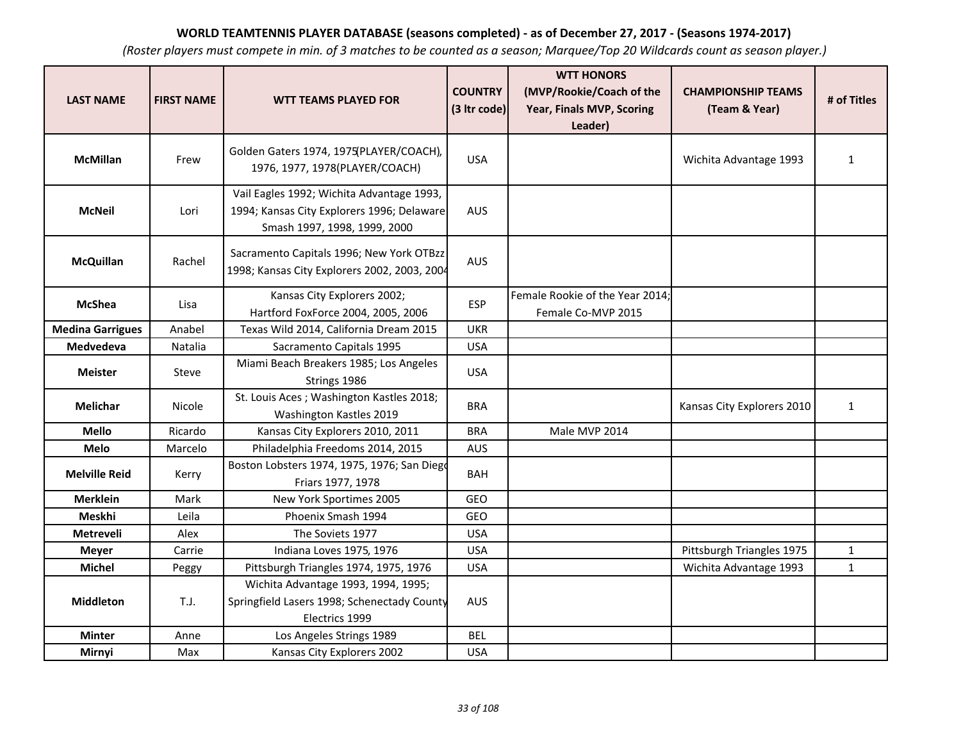| <b>LAST NAME</b>        | <b>FIRST NAME</b> | <b>WTT TEAMS PLAYED FOR</b>                                                                                             | <b>COUNTRY</b><br>(3 Itr code) | <b>WTT HONORS</b><br>(MVP/Rookie/Coach of the<br>Year, Finals MVP, Scoring<br>Leader) | <b>CHAMPIONSHIP TEAMS</b><br>(Team & Year) | # of Titles  |
|-------------------------|-------------------|-------------------------------------------------------------------------------------------------------------------------|--------------------------------|---------------------------------------------------------------------------------------|--------------------------------------------|--------------|
| <b>McMillan</b>         | Frew              | Golden Gaters 1974, 1975(PLAYER/COACH),<br>1976, 1977, 1978(PLAYER/COACH)                                               | <b>USA</b>                     |                                                                                       | Wichita Advantage 1993                     | $\mathbf{1}$ |
| <b>McNeil</b>           | Lori              | Vail Eagles 1992; Wichita Advantage 1993,<br>1994; Kansas City Explorers 1996; Delaware<br>Smash 1997, 1998, 1999, 2000 | <b>AUS</b>                     |                                                                                       |                                            |              |
| <b>McQuillan</b>        | Rachel            | Sacramento Capitals 1996; New York OTBzz<br>1998; Kansas City Explorers 2002, 2003, 2004                                | <b>AUS</b>                     |                                                                                       |                                            |              |
| <b>McShea</b>           | Lisa              | Kansas City Explorers 2002;<br>Hartford FoxForce 2004, 2005, 2006                                                       | <b>ESP</b>                     | Female Rookie of the Year 2014;<br>Female Co-MVP 2015                                 |                                            |              |
| <b>Medina Garrigues</b> | Anabel            | Texas Wild 2014, California Dream 2015                                                                                  | <b>UKR</b>                     |                                                                                       |                                            |              |
| <b>Medvedeva</b>        | Natalia           | Sacramento Capitals 1995                                                                                                | <b>USA</b>                     |                                                                                       |                                            |              |
| <b>Meister</b>          | Steve             | Miami Beach Breakers 1985; Los Angeles<br>Strings 1986                                                                  | <b>USA</b>                     |                                                                                       |                                            |              |
| <b>Melichar</b>         | Nicole            | St. Louis Aces; Washington Kastles 2018;<br>Washington Kastles 2019                                                     | <b>BRA</b>                     |                                                                                       | Kansas City Explorers 2010                 | $\mathbf{1}$ |
| <b>Mello</b>            | Ricardo           | Kansas City Explorers 2010, 2011                                                                                        | <b>BRA</b>                     | Male MVP 2014                                                                         |                                            |              |
| Melo                    | Marcelo           | Philadelphia Freedoms 2014, 2015                                                                                        | <b>AUS</b>                     |                                                                                       |                                            |              |
| <b>Melville Reid</b>    | Kerry             | Boston Lobsters 1974, 1975, 1976; San Diego<br>Friars 1977, 1978                                                        | <b>BAH</b>                     |                                                                                       |                                            |              |
| <b>Merklein</b>         | Mark              | New York Sportimes 2005                                                                                                 | GEO                            |                                                                                       |                                            |              |
| Meskhi                  | Leila             | Phoenix Smash 1994                                                                                                      | GEO                            |                                                                                       |                                            |              |
| <b>Metreveli</b>        | Alex              | The Soviets 1977                                                                                                        | <b>USA</b>                     |                                                                                       |                                            |              |
| <b>Meyer</b>            | Carrie            | Indiana Loves 1975, 1976                                                                                                | <b>USA</b>                     |                                                                                       | Pittsburgh Triangles 1975                  | $\mathbf 1$  |
| <b>Michel</b>           | Peggy             | Pittsburgh Triangles 1974, 1975, 1976                                                                                   | <b>USA</b>                     |                                                                                       | Wichita Advantage 1993                     | $\mathbf{1}$ |
| Middleton               | T.J.              | Wichita Advantage 1993, 1994, 1995;<br>Springfield Lasers 1998; Schenectady County<br>Electrics 1999                    | <b>AUS</b>                     |                                                                                       |                                            |              |
| <b>Minter</b>           | Anne              | Los Angeles Strings 1989                                                                                                | <b>BEL</b>                     |                                                                                       |                                            |              |
| Mirnyi                  | Max               | Kansas City Explorers 2002                                                                                              | <b>USA</b>                     |                                                                                       |                                            |              |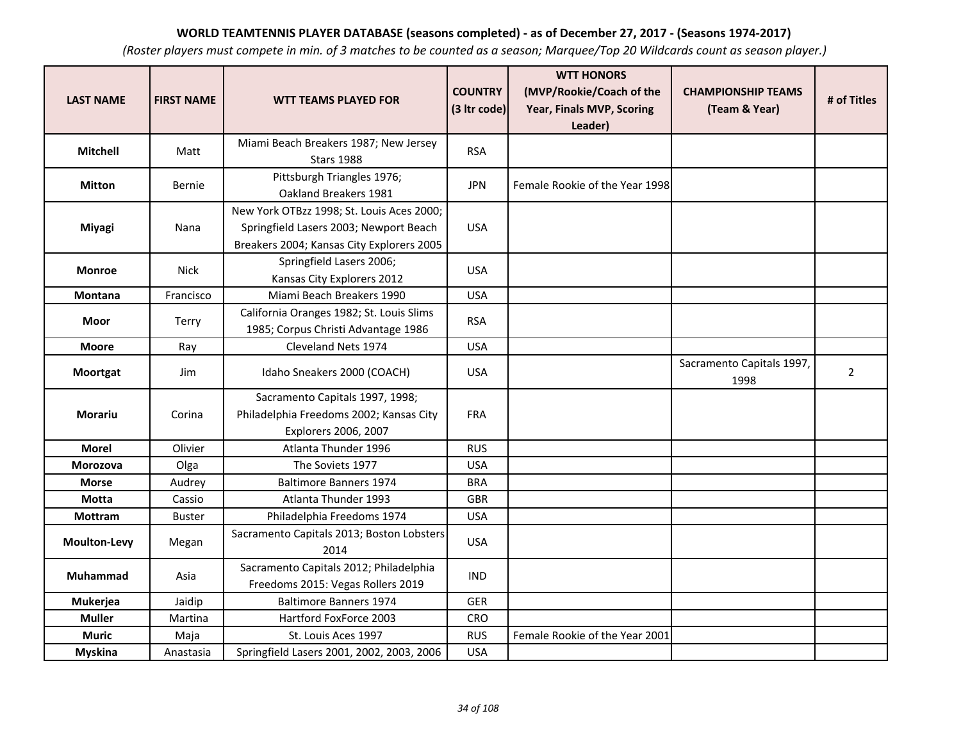| <b>LAST NAME</b>    | <b>FIRST NAME</b> | <b>WTT TEAMS PLAYED FOR</b>                                                                                                      | <b>COUNTRY</b><br>(3 Itr code) | <b>WTT HONORS</b><br>(MVP/Rookie/Coach of the<br>Year, Finals MVP, Scoring<br>Leader) | <b>CHAMPIONSHIP TEAMS</b><br>(Team & Year) | # of Titles    |
|---------------------|-------------------|----------------------------------------------------------------------------------------------------------------------------------|--------------------------------|---------------------------------------------------------------------------------------|--------------------------------------------|----------------|
| <b>Mitchell</b>     | Matt              | Miami Beach Breakers 1987; New Jersey<br><b>Stars 1988</b>                                                                       | <b>RSA</b>                     |                                                                                       |                                            |                |
| <b>Mitton</b>       | Bernie            | Pittsburgh Triangles 1976;<br>Oakland Breakers 1981                                                                              | <b>JPN</b>                     | Female Rookie of the Year 1998                                                        |                                            |                |
| <b>Miyagi</b>       | Nana              | New York OTBzz 1998; St. Louis Aces 2000;<br>Springfield Lasers 2003; Newport Beach<br>Breakers 2004; Kansas City Explorers 2005 | <b>USA</b>                     |                                                                                       |                                            |                |
| <b>Monroe</b>       | <b>Nick</b>       | Springfield Lasers 2006;<br>Kansas City Explorers 2012                                                                           | <b>USA</b>                     |                                                                                       |                                            |                |
| Montana             | Francisco         | Miami Beach Breakers 1990                                                                                                        | <b>USA</b>                     |                                                                                       |                                            |                |
| <b>Moor</b>         | Terry             | California Oranges 1982; St. Louis Slims<br>1985; Corpus Christi Advantage 1986                                                  | <b>RSA</b>                     |                                                                                       |                                            |                |
| <b>Moore</b>        | Ray               | Cleveland Nets 1974                                                                                                              | <b>USA</b>                     |                                                                                       |                                            |                |
| <b>Moortgat</b>     | Jim               | Idaho Sneakers 2000 (COACH)                                                                                                      | <b>USA</b>                     |                                                                                       | Sacramento Capitals 1997,<br>1998          | $\overline{2}$ |
| Morariu             | Corina            | Sacramento Capitals 1997, 1998;<br>Philadelphia Freedoms 2002; Kansas City<br>Explorers 2006, 2007                               | <b>FRA</b>                     |                                                                                       |                                            |                |
| <b>Morel</b>        | Olivier           | Atlanta Thunder 1996                                                                                                             | <b>RUS</b>                     |                                                                                       |                                            |                |
| <b>Morozova</b>     | Olga              | The Soviets 1977                                                                                                                 | <b>USA</b>                     |                                                                                       |                                            |                |
| <b>Morse</b>        | Audrey            | <b>Baltimore Banners 1974</b>                                                                                                    | <b>BRA</b>                     |                                                                                       |                                            |                |
| Motta               | Cassio            | Atlanta Thunder 1993                                                                                                             | <b>GBR</b>                     |                                                                                       |                                            |                |
| <b>Mottram</b>      | <b>Buster</b>     | Philadelphia Freedoms 1974                                                                                                       | <b>USA</b>                     |                                                                                       |                                            |                |
| <b>Moulton-Levy</b> | Megan             | Sacramento Capitals 2013; Boston Lobsters<br>2014                                                                                | <b>USA</b>                     |                                                                                       |                                            |                |
| Muhammad            | Asia              | Sacramento Capitals 2012; Philadelphia<br>Freedoms 2015: Vegas Rollers 2019                                                      | <b>IND</b>                     |                                                                                       |                                            |                |
| <b>Mukerjea</b>     | Jaidip            | <b>Baltimore Banners 1974</b>                                                                                                    | <b>GER</b>                     |                                                                                       |                                            |                |
| <b>Muller</b>       | Martina           | Hartford FoxForce 2003                                                                                                           | CRO                            |                                                                                       |                                            |                |
| <b>Muric</b>        | Maja              | St. Louis Aces 1997                                                                                                              | <b>RUS</b>                     | Female Rookie of the Year 2001                                                        |                                            |                |
| <b>Myskina</b>      | Anastasia         | Springfield Lasers 2001, 2002, 2003, 2006                                                                                        | <b>USA</b>                     |                                                                                       |                                            |                |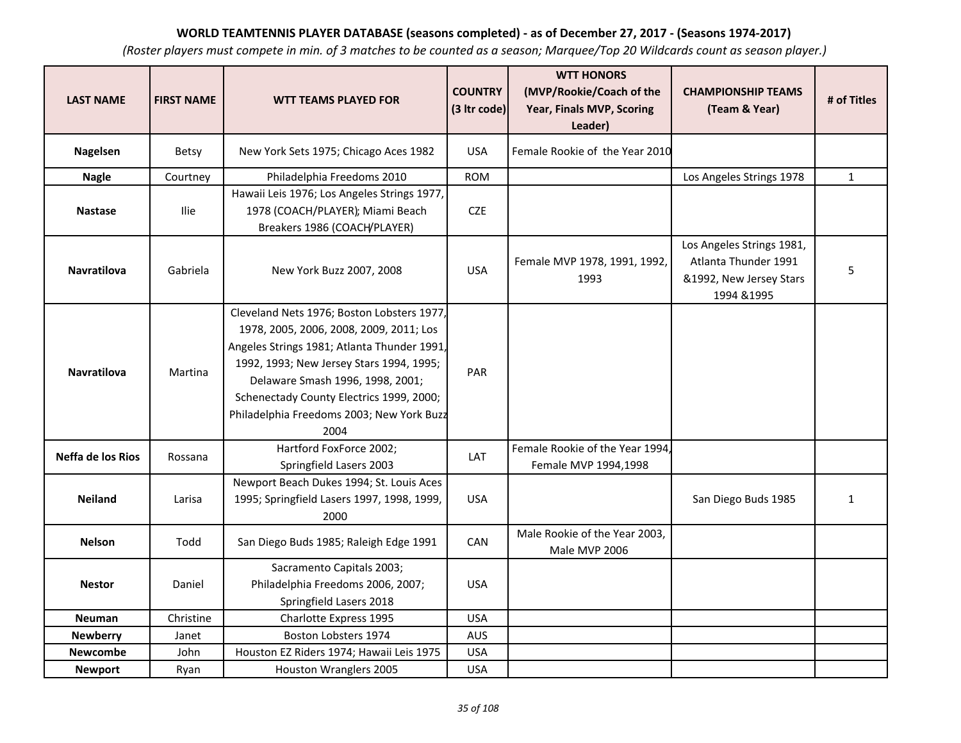| <b>LAST NAME</b>   | <b>FIRST NAME</b> | <b>WTT TEAMS PLAYED FOR</b>                                                                                                                                                                                                                                                                                           | <b>COUNTRY</b><br>(3 Itr code) | <b>WTT HONORS</b><br>(MVP/Rookie/Coach of the<br>Year, Finals MVP, Scoring<br>Leader) | <b>CHAMPIONSHIP TEAMS</b><br>(Team & Year)                                                  | # of Titles  |
|--------------------|-------------------|-----------------------------------------------------------------------------------------------------------------------------------------------------------------------------------------------------------------------------------------------------------------------------------------------------------------------|--------------------------------|---------------------------------------------------------------------------------------|---------------------------------------------------------------------------------------------|--------------|
| <b>Nagelsen</b>    | <b>Betsy</b>      | New York Sets 1975; Chicago Aces 1982                                                                                                                                                                                                                                                                                 | <b>USA</b>                     | Female Rookie of the Year 2010                                                        |                                                                                             |              |
| <b>Nagle</b>       | Courtney          | Philadelphia Freedoms 2010                                                                                                                                                                                                                                                                                            | <b>ROM</b>                     |                                                                                       | Los Angeles Strings 1978                                                                    | $\mathbf{1}$ |
| <b>Nastase</b>     | <b>Ilie</b>       | Hawaii Leis 1976; Los Angeles Strings 1977,<br>1978 (COACH/PLAYER); Miami Beach<br>Breakers 1986 (COACH/PLAYER)                                                                                                                                                                                                       | <b>CZE</b>                     |                                                                                       |                                                                                             |              |
| Navratilova        | Gabriela          | New York Buzz 2007, 2008                                                                                                                                                                                                                                                                                              | <b>USA</b>                     | Female MVP 1978, 1991, 1992,<br>1993                                                  | Los Angeles Strings 1981,<br>Atlanta Thunder 1991<br>&1992, New Jersey Stars<br>1994 & 1995 | 5            |
| <b>Navratilova</b> | Martina           | Cleveland Nets 1976; Boston Lobsters 1977,<br>1978, 2005, 2006, 2008, 2009, 2011; Los<br>Angeles Strings 1981; Atlanta Thunder 1991,<br>1992, 1993; New Jersey Stars 1994, 1995;<br>Delaware Smash 1996, 1998, 2001;<br>Schenectady County Electrics 1999, 2000;<br>Philadelphia Freedoms 2003; New York Buzz<br>2004 | PAR                            |                                                                                       |                                                                                             |              |
| Neffa de los Rios  | Rossana           | Hartford FoxForce 2002;<br>Springfield Lasers 2003                                                                                                                                                                                                                                                                    | LAT                            | Female Rookie of the Year 1994,<br>Female MVP 1994,1998                               |                                                                                             |              |
| <b>Neiland</b>     | Larisa            | Newport Beach Dukes 1994; St. Louis Aces<br>1995; Springfield Lasers 1997, 1998, 1999,<br>2000                                                                                                                                                                                                                        | <b>USA</b>                     |                                                                                       | San Diego Buds 1985                                                                         | $\mathbf{1}$ |
| <b>Nelson</b>      | Todd              | San Diego Buds 1985; Raleigh Edge 1991                                                                                                                                                                                                                                                                                | CAN                            | Male Rookie of the Year 2003,<br>Male MVP 2006                                        |                                                                                             |              |
| <b>Nestor</b>      | Daniel            | Sacramento Capitals 2003;<br>Philadelphia Freedoms 2006, 2007;<br>Springfield Lasers 2018                                                                                                                                                                                                                             | <b>USA</b>                     |                                                                                       |                                                                                             |              |
| <b>Neuman</b>      | Christine         | Charlotte Express 1995                                                                                                                                                                                                                                                                                                | <b>USA</b>                     |                                                                                       |                                                                                             |              |
| <b>Newberry</b>    | Janet             | Boston Lobsters 1974                                                                                                                                                                                                                                                                                                  | <b>AUS</b>                     |                                                                                       |                                                                                             |              |
| <b>Newcombe</b>    | John              | Houston EZ Riders 1974; Hawaii Leis 1975                                                                                                                                                                                                                                                                              | <b>USA</b>                     |                                                                                       |                                                                                             |              |
| <b>Newport</b>     | Ryan              | Houston Wranglers 2005                                                                                                                                                                                                                                                                                                | <b>USA</b>                     |                                                                                       |                                                                                             |              |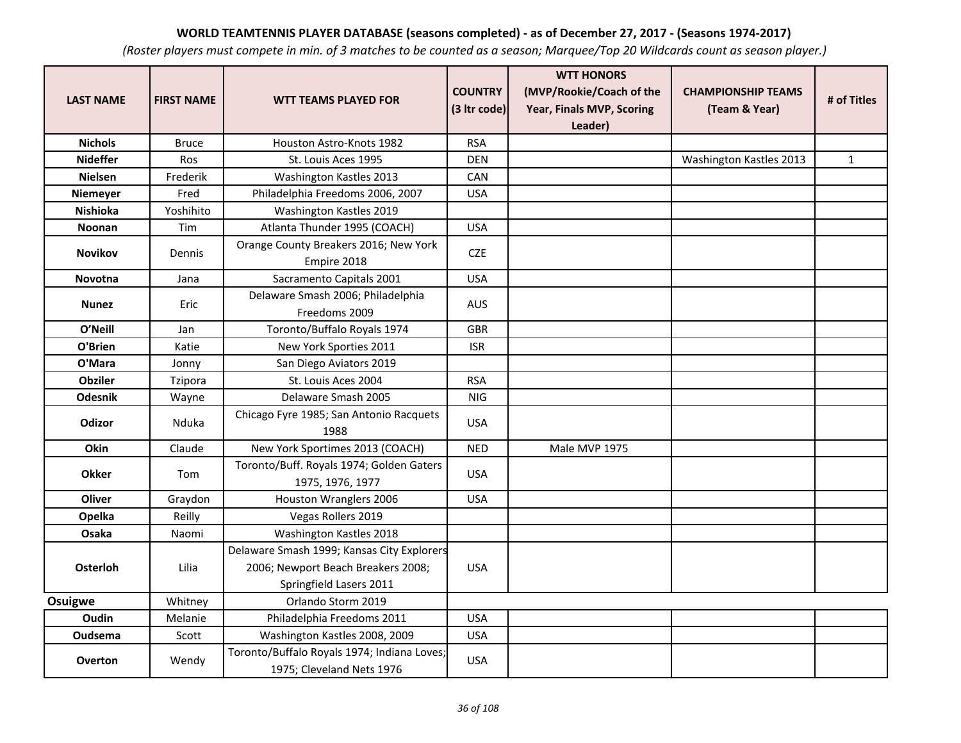| <b>LAST NAME</b> | <b>FIRST NAME</b> | <b>WTT TEAMS PLAYED FOR</b>                                                                                 | <b>COUNTRY</b><br>(3 Itr code) | <b>WTT HONORS</b><br>(MVP/Rookie/Coach of the<br>Year, Finals MVP, Scoring<br>Leader) | <b>CHAMPIONSHIP TEAMS</b><br>(Team & Year) | # of Titles  |
|------------------|-------------------|-------------------------------------------------------------------------------------------------------------|--------------------------------|---------------------------------------------------------------------------------------|--------------------------------------------|--------------|
| <b>Nichols</b>   | <b>Bruce</b>      | Houston Astro-Knots 1982                                                                                    | <b>RSA</b>                     |                                                                                       |                                            |              |
| <b>Nideffer</b>  | Ros               | St. Louis Aces 1995                                                                                         | <b>DEN</b>                     |                                                                                       | Washington Kastles 2013                    | $\mathbf{1}$ |
| <b>Nielsen</b>   | Frederik          | Washington Kastles 2013                                                                                     | CAN                            |                                                                                       |                                            |              |
| Niemeyer         | Fred              | Philadelphia Freedoms 2006, 2007                                                                            | <b>USA</b>                     |                                                                                       |                                            |              |
| <b>Nishioka</b>  | Yoshihito         | Washington Kastles 2019                                                                                     |                                |                                                                                       |                                            |              |
| Noonan           | Tim               | Atlanta Thunder 1995 (COACH)                                                                                | <b>USA</b>                     |                                                                                       |                                            |              |
| <b>Novikov</b>   | Dennis            | Orange County Breakers 2016; New York<br>Empire 2018                                                        | <b>CZE</b>                     |                                                                                       |                                            |              |
| Novotna          | Jana              | Sacramento Capitals 2001                                                                                    | <b>USA</b>                     |                                                                                       |                                            |              |
| <b>Nunez</b>     | Eric              | Delaware Smash 2006; Philadelphia<br>Freedoms 2009                                                          | <b>AUS</b>                     |                                                                                       |                                            |              |
| O'Neill          | Jan               | Toronto/Buffalo Royals 1974                                                                                 | <b>GBR</b>                     |                                                                                       |                                            |              |
| O'Brien          | Katie             | New York Sporties 2011                                                                                      | <b>ISR</b>                     |                                                                                       |                                            |              |
| O'Mara           | Jonny             | San Diego Aviators 2019                                                                                     |                                |                                                                                       |                                            |              |
| <b>Obziler</b>   | Tzipora           | St. Louis Aces 2004                                                                                         | <b>RSA</b>                     |                                                                                       |                                            |              |
| <b>Odesnik</b>   | Wayne             | Delaware Smash 2005                                                                                         | <b>NIG</b>                     |                                                                                       |                                            |              |
| <b>Odizor</b>    | Nduka             | Chicago Fyre 1985; San Antonio Racquets<br>1988                                                             | <b>USA</b>                     |                                                                                       |                                            |              |
| Okin             | Claude            | New York Sportimes 2013 (COACH)                                                                             | <b>NED</b>                     | Male MVP 1975                                                                         |                                            |              |
| <b>Okker</b>     | Tom               | Toronto/Buff. Royals 1974; Golden Gaters<br>1975, 1976, 1977                                                | <b>USA</b>                     |                                                                                       |                                            |              |
| Oliver           | Graydon           | Houston Wranglers 2006                                                                                      | <b>USA</b>                     |                                                                                       |                                            |              |
| Opelka           | Reilly            | Vegas Rollers 2019                                                                                          |                                |                                                                                       |                                            |              |
| Osaka            | Naomi             | Washington Kastles 2018                                                                                     |                                |                                                                                       |                                            |              |
| <b>Osterloh</b>  | Lilia             | Delaware Smash 1999; Kansas City Explorers<br>2006; Newport Beach Breakers 2008;<br>Springfield Lasers 2011 | <b>USA</b>                     |                                                                                       |                                            |              |
| <b>Osuigwe</b>   | Whitney           | Orlando Storm 2019                                                                                          |                                |                                                                                       |                                            |              |
| Oudin            | Melanie           | Philadelphia Freedoms 2011                                                                                  | <b>USA</b>                     |                                                                                       |                                            |              |
| Oudsema          | Scott             | Washington Kastles 2008, 2009                                                                               | <b>USA</b>                     |                                                                                       |                                            |              |
| <b>Overton</b>   | Wendy             | Toronto/Buffalo Royals 1974; Indiana Loves;<br>1975; Cleveland Nets 1976                                    | <b>USA</b>                     |                                                                                       |                                            |              |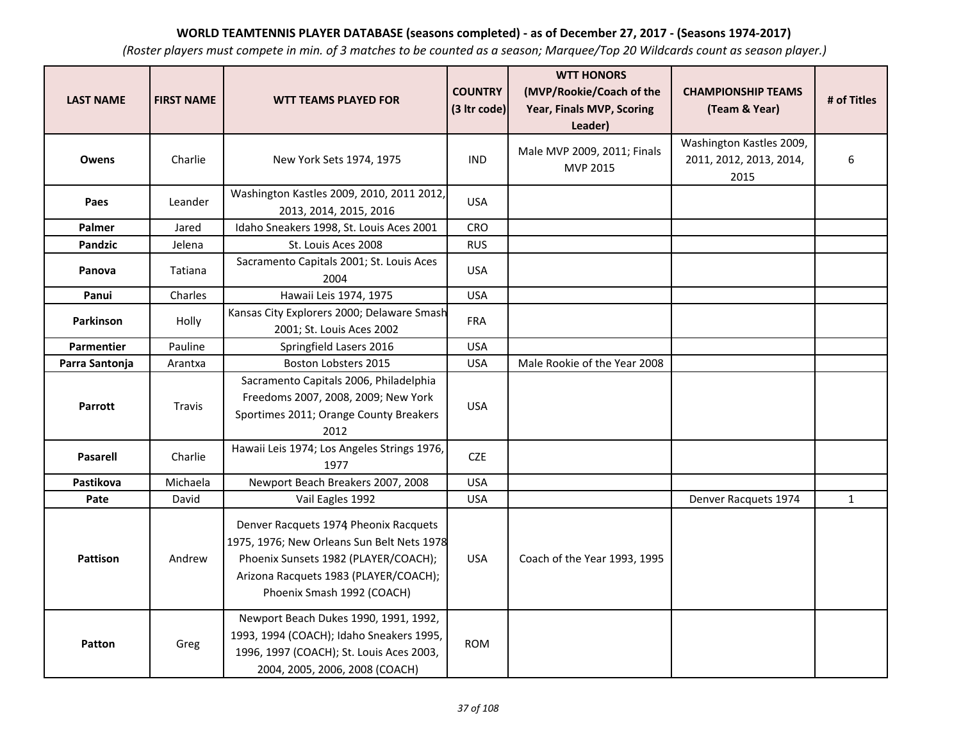| <b>LAST NAME</b> | <b>FIRST NAME</b> | <b>WTT TEAMS PLAYED FOR</b>                                                                                                                                                                        | <b>COUNTRY</b><br>(3 Itr code) | <b>WTT HONORS</b><br>(MVP/Rookie/Coach of the<br>Year, Finals MVP, Scoring<br>Leader) | <b>CHAMPIONSHIP TEAMS</b><br>(Team & Year)                  | # of Titles |
|------------------|-------------------|----------------------------------------------------------------------------------------------------------------------------------------------------------------------------------------------------|--------------------------------|---------------------------------------------------------------------------------------|-------------------------------------------------------------|-------------|
| <b>Owens</b>     | Charlie           | New York Sets 1974, 1975                                                                                                                                                                           | <b>IND</b>                     | Male MVP 2009, 2011; Finals<br>MVP 2015                                               | Washington Kastles 2009,<br>2011, 2012, 2013, 2014,<br>2015 | 6           |
| Paes             | Leander           | Washington Kastles 2009, 2010, 2011 2012,<br>2013, 2014, 2015, 2016                                                                                                                                | <b>USA</b>                     |                                                                                       |                                                             |             |
| <b>Palmer</b>    | Jared             | Idaho Sneakers 1998, St. Louis Aces 2001                                                                                                                                                           | <b>CRO</b>                     |                                                                                       |                                                             |             |
| <b>Pandzic</b>   | Jelena            | St. Louis Aces 2008                                                                                                                                                                                | <b>RUS</b>                     |                                                                                       |                                                             |             |
| Panova           | Tatiana           | Sacramento Capitals 2001; St. Louis Aces<br>2004                                                                                                                                                   | <b>USA</b>                     |                                                                                       |                                                             |             |
| Panui            | Charles           | Hawaii Leis 1974, 1975                                                                                                                                                                             | <b>USA</b>                     |                                                                                       |                                                             |             |
| Parkinson        | Holly             | Kansas City Explorers 2000; Delaware Smash<br>2001; St. Louis Aces 2002                                                                                                                            | <b>FRA</b>                     |                                                                                       |                                                             |             |
| Parmentier       | Pauline           | Springfield Lasers 2016                                                                                                                                                                            | <b>USA</b>                     |                                                                                       |                                                             |             |
| Parra Santonja   | Arantxa           | Boston Lobsters 2015                                                                                                                                                                               | <b>USA</b>                     | Male Rookie of the Year 2008                                                          |                                                             |             |
| Parrott          | Travis            | Sacramento Capitals 2006, Philadelphia<br>Freedoms 2007, 2008, 2009; New York<br>Sportimes 2011; Orange County Breakers<br>2012                                                                    | <b>USA</b>                     |                                                                                       |                                                             |             |
| <b>Pasarell</b>  | Charlie           | Hawaii Leis 1974; Los Angeles Strings 1976,<br>1977                                                                                                                                                | <b>CZE</b>                     |                                                                                       |                                                             |             |
| Pastikova        | Michaela          | Newport Beach Breakers 2007, 2008                                                                                                                                                                  | <b>USA</b>                     |                                                                                       |                                                             |             |
| Pate             | David             | Vail Eagles 1992                                                                                                                                                                                   | <b>USA</b>                     |                                                                                       | Denver Racquets 1974                                        | $\mathbf 1$ |
| <b>Pattison</b>  | Andrew            | Denver Racquets 1974 Pheonix Racquets<br>1975, 1976; New Orleans Sun Belt Nets 1978<br>Phoenix Sunsets 1982 (PLAYER/COACH);<br>Arizona Racquets 1983 (PLAYER/COACH);<br>Phoenix Smash 1992 (COACH) | <b>USA</b>                     | Coach of the Year 1993, 1995                                                          |                                                             |             |
| Patton           | Greg              | Newport Beach Dukes 1990, 1991, 1992,<br>1993, 1994 (COACH); Idaho Sneakers 1995,<br>1996, 1997 (COACH); St. Louis Aces 2003,<br>2004, 2005, 2006, 2008 (COACH)                                    | <b>ROM</b>                     |                                                                                       |                                                             |             |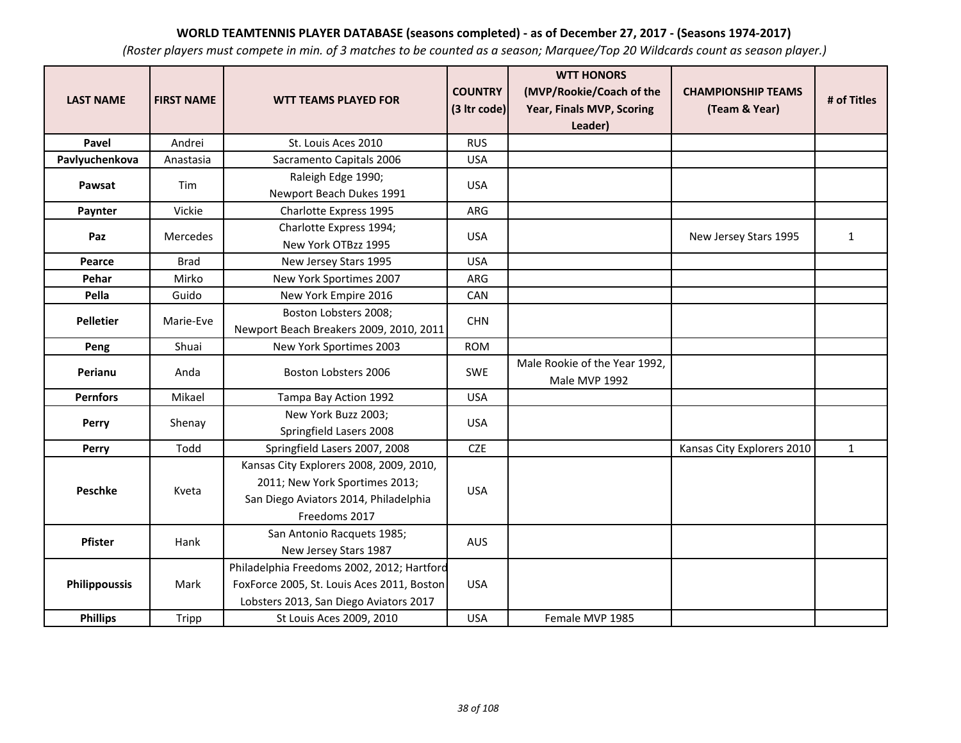| <b>LAST NAME</b>     | <b>FIRST NAME</b> | <b>WTT TEAMS PLAYED FOR</b>                                                                                                         | <b>COUNTRY</b><br>(3 Itr code) | <b>WTT HONORS</b><br>(MVP/Rookie/Coach of the<br>Year, Finals MVP, Scoring<br>Leader) | <b>CHAMPIONSHIP TEAMS</b><br>(Team & Year) | # of Titles  |
|----------------------|-------------------|-------------------------------------------------------------------------------------------------------------------------------------|--------------------------------|---------------------------------------------------------------------------------------|--------------------------------------------|--------------|
| Pavel                | Andrei            | St. Louis Aces 2010                                                                                                                 | <b>RUS</b>                     |                                                                                       |                                            |              |
| Pavlyuchenkova       | Anastasia         | Sacramento Capitals 2006                                                                                                            | <b>USA</b>                     |                                                                                       |                                            |              |
| Pawsat               | Tim               | Raleigh Edge 1990;<br>Newport Beach Dukes 1991                                                                                      | <b>USA</b>                     |                                                                                       |                                            |              |
| Paynter              | Vickie            | <b>Charlotte Express 1995</b>                                                                                                       | ARG                            |                                                                                       |                                            |              |
| Paz                  | <b>Mercedes</b>   | Charlotte Express 1994;<br>New York OTBzz 1995                                                                                      | <b>USA</b>                     |                                                                                       | New Jersey Stars 1995                      | $\mathbf{1}$ |
| Pearce               | <b>Brad</b>       | New Jersey Stars 1995                                                                                                               | <b>USA</b>                     |                                                                                       |                                            |              |
| Pehar                | Mirko             | New York Sportimes 2007                                                                                                             | ARG                            |                                                                                       |                                            |              |
| Pella                | Guido             | New York Empire 2016                                                                                                                | CAN                            |                                                                                       |                                            |              |
| <b>Pelletier</b>     | Marie-Eve         | Boston Lobsters 2008;<br>Newport Beach Breakers 2009, 2010, 2011                                                                    | <b>CHN</b>                     |                                                                                       |                                            |              |
| Peng                 | Shuai             | New York Sportimes 2003                                                                                                             | <b>ROM</b>                     |                                                                                       |                                            |              |
| Perianu              | Anda              | Boston Lobsters 2006                                                                                                                | <b>SWE</b>                     | Male Rookie of the Year 1992,<br>Male MVP 1992                                        |                                            |              |
| <b>Pernfors</b>      | Mikael            | Tampa Bay Action 1992                                                                                                               | <b>USA</b>                     |                                                                                       |                                            |              |
| Perry                | Shenay            | New York Buzz 2003;<br>Springfield Lasers 2008                                                                                      | <b>USA</b>                     |                                                                                       |                                            |              |
| Perry                | Todd              | Springfield Lasers 2007, 2008                                                                                                       | <b>CZE</b>                     |                                                                                       | Kansas City Explorers 2010                 | $\mathbf{1}$ |
| Peschke              | Kveta             | Kansas City Explorers 2008, 2009, 2010,<br>2011; New York Sportimes 2013;<br>San Diego Aviators 2014, Philadelphia<br>Freedoms 2017 | <b>USA</b>                     |                                                                                       |                                            |              |
| Pfister              | Hank              | San Antonio Racquets 1985;<br>New Jersey Stars 1987                                                                                 | <b>AUS</b>                     |                                                                                       |                                            |              |
| <b>Philippoussis</b> | Mark              | Philadelphia Freedoms 2002, 2012; Hartford<br>FoxForce 2005, St. Louis Aces 2011, Boston<br>Lobsters 2013, San Diego Aviators 2017  | <b>USA</b>                     |                                                                                       |                                            |              |
| <b>Phillips</b>      | Tripp             | St Louis Aces 2009, 2010                                                                                                            | <b>USA</b>                     | Female MVP 1985                                                                       |                                            |              |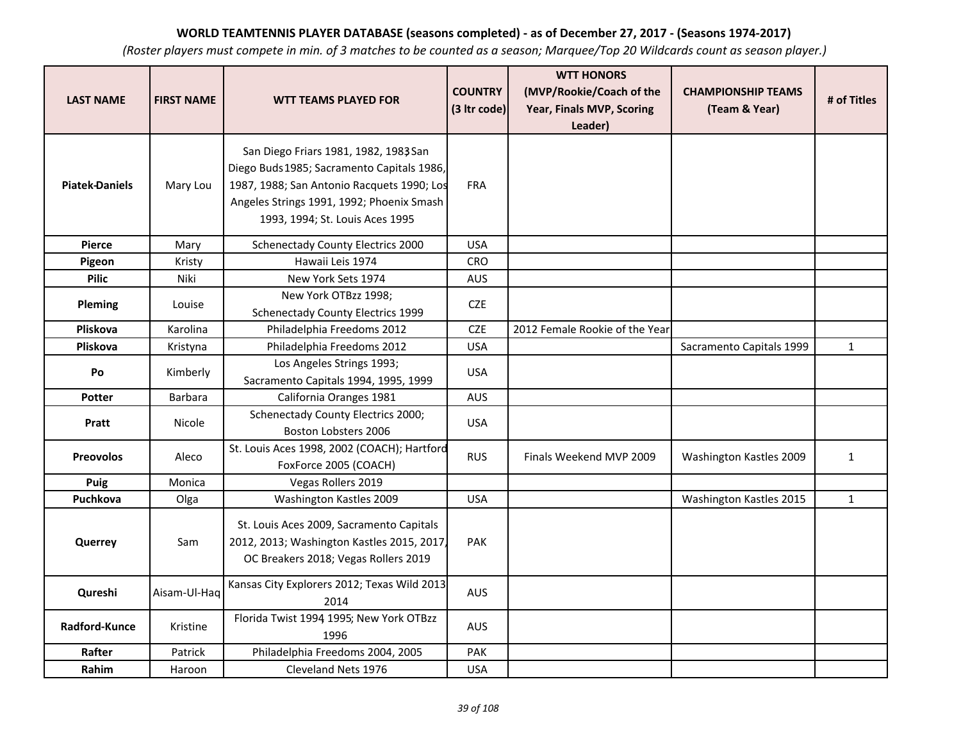| <b>LAST NAME</b>      | <b>FIRST NAME</b> | <b>WTT TEAMS PLAYED FOR</b>                                                                                                                                                                                       | <b>COUNTRY</b><br>(3 Itr code) | <b>WTT HONORS</b><br>(MVP/Rookie/Coach of the<br>Year, Finals MVP, Scoring<br>Leader) | <b>CHAMPIONSHIP TEAMS</b><br>(Team & Year) | # of Titles  |
|-----------------------|-------------------|-------------------------------------------------------------------------------------------------------------------------------------------------------------------------------------------------------------------|--------------------------------|---------------------------------------------------------------------------------------|--------------------------------------------|--------------|
| <b>Piatek-Daniels</b> | Mary Lou          | San Diego Friars 1981, 1982, 1983 San<br>Diego Buds 1985; Sacramento Capitals 1986,<br>1987, 1988; San Antonio Racquets 1990; Los<br>Angeles Strings 1991, 1992; Phoenix Smash<br>1993, 1994; St. Louis Aces 1995 | FRA                            |                                                                                       |                                            |              |
| <b>Pierce</b>         | Mary              | Schenectady County Electrics 2000                                                                                                                                                                                 | <b>USA</b>                     |                                                                                       |                                            |              |
| Pigeon                | Kristy            | Hawaii Leis 1974                                                                                                                                                                                                  | <b>CRO</b>                     |                                                                                       |                                            |              |
| <b>Pilic</b>          | Niki              | New York Sets 1974                                                                                                                                                                                                | AUS                            |                                                                                       |                                            |              |
| Pleming               | Louise            | New York OTBzz 1998;<br><b>Schenectady County Electrics 1999</b>                                                                                                                                                  | <b>CZE</b>                     |                                                                                       |                                            |              |
| Pliskova              | Karolina          | Philadelphia Freedoms 2012                                                                                                                                                                                        | <b>CZE</b>                     | 2012 Female Rookie of the Year                                                        |                                            |              |
| Pliskova              | Kristyna          | Philadelphia Freedoms 2012                                                                                                                                                                                        | <b>USA</b>                     |                                                                                       | Sacramento Capitals 1999                   | $\mathbf{1}$ |
| Po                    | Kimberly          | Los Angeles Strings 1993;<br>Sacramento Capitals 1994, 1995, 1999                                                                                                                                                 | <b>USA</b>                     |                                                                                       |                                            |              |
| Potter                | Barbara           | California Oranges 1981                                                                                                                                                                                           | <b>AUS</b>                     |                                                                                       |                                            |              |
| Pratt                 | Nicole            | Schenectady County Electrics 2000;<br>Boston Lobsters 2006                                                                                                                                                        | <b>USA</b>                     |                                                                                       |                                            |              |
| <b>Preovolos</b>      | Aleco             | St. Louis Aces 1998, 2002 (COACH); Hartford<br>FoxForce 2005 (COACH)                                                                                                                                              | <b>RUS</b>                     | Finals Weekend MVP 2009                                                               | Washington Kastles 2009                    | $\mathbf{1}$ |
| Puig                  | Monica            | Vegas Rollers 2019                                                                                                                                                                                                |                                |                                                                                       |                                            |              |
| Puchkova              | Olga              | Washington Kastles 2009                                                                                                                                                                                           | <b>USA</b>                     |                                                                                       | Washington Kastles 2015                    | $\mathbf 1$  |
| Querrey               | Sam               | St. Louis Aces 2009, Sacramento Capitals<br>2012, 2013; Washington Kastles 2015, 2017,<br>OC Breakers 2018; Vegas Rollers 2019                                                                                    | PAK                            |                                                                                       |                                            |              |
| Qureshi               | Aisam-Ul-Haq      | Kansas City Explorers 2012; Texas Wild 2013<br>2014                                                                                                                                                               | AUS                            |                                                                                       |                                            |              |
| Radford-Kunce         | Kristine          | Florida Twist 1994 1995; New York OTBzz<br>1996                                                                                                                                                                   | AUS                            |                                                                                       |                                            |              |
| Rafter                | Patrick           | Philadelphia Freedoms 2004, 2005                                                                                                                                                                                  | PAK                            |                                                                                       |                                            |              |
| Rahim                 | Haroon            | Cleveland Nets 1976                                                                                                                                                                                               | <b>USA</b>                     |                                                                                       |                                            |              |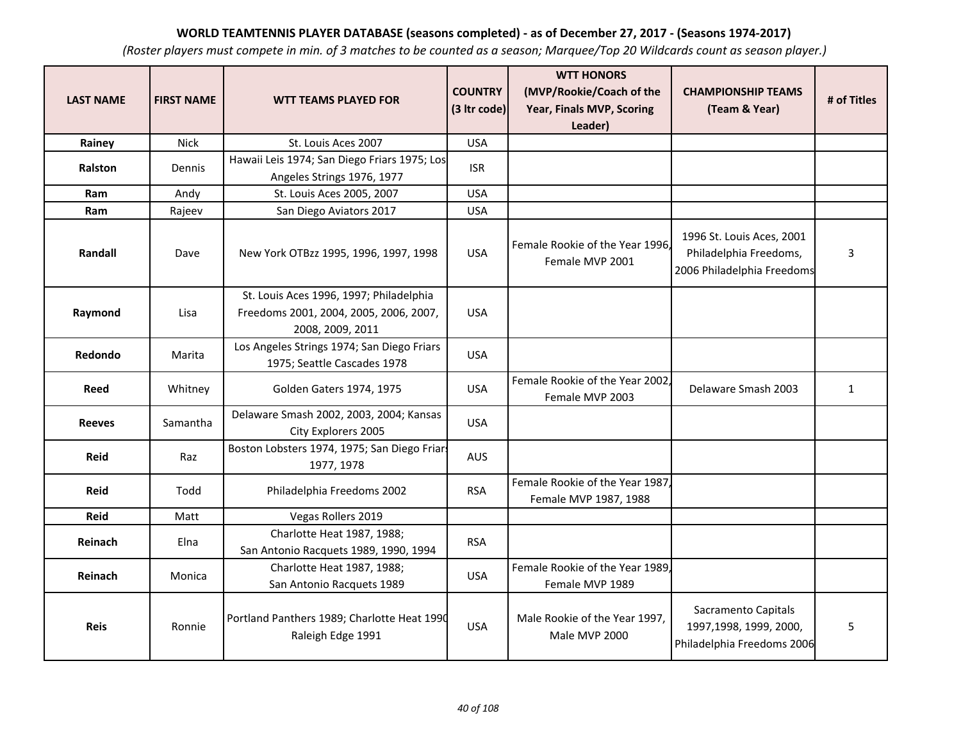| <b>LAST NAME</b> | <b>FIRST NAME</b> | <b>WTT TEAMS PLAYED FOR</b>                                                                           | <b>COUNTRY</b><br>(3 Itr code) | <b>WTT HONORS</b><br>(MVP/Rookie/Coach of the<br>Year, Finals MVP, Scoring<br>Leader) | <b>CHAMPIONSHIP TEAMS</b><br>(Team & Year)                                        | # of Titles  |
|------------------|-------------------|-------------------------------------------------------------------------------------------------------|--------------------------------|---------------------------------------------------------------------------------------|-----------------------------------------------------------------------------------|--------------|
| Rainey           | Nick              | St. Louis Aces 2007                                                                                   | <b>USA</b>                     |                                                                                       |                                                                                   |              |
| Ralston          | Dennis            | Hawaii Leis 1974; San Diego Friars 1975; Los<br>Angeles Strings 1976, 1977                            | <b>ISR</b>                     |                                                                                       |                                                                                   |              |
| Ram              | Andy              | St. Louis Aces 2005, 2007                                                                             | <b>USA</b>                     |                                                                                       |                                                                                   |              |
| Ram              | Rajeev            | San Diego Aviators 2017                                                                               | <b>USA</b>                     |                                                                                       |                                                                                   |              |
| Randall          | Dave              | New York OTBzz 1995, 1996, 1997, 1998                                                                 | <b>USA</b>                     | Female Rookie of the Year 1996.<br>Female MVP 2001                                    | 1996 St. Louis Aces, 2001<br>Philadelphia Freedoms,<br>2006 Philadelphia Freedoms | 3            |
| Raymond          | Lisa              | St. Louis Aces 1996, 1997; Philadelphia<br>Freedoms 2001, 2004, 2005, 2006, 2007,<br>2008, 2009, 2011 | <b>USA</b>                     |                                                                                       |                                                                                   |              |
| Redondo          | Marita            | Los Angeles Strings 1974; San Diego Friars<br>1975; Seattle Cascades 1978                             | <b>USA</b>                     |                                                                                       |                                                                                   |              |
| Reed             | Whitney           | Golden Gaters 1974, 1975                                                                              | <b>USA</b>                     | Female Rookie of the Year 2002,<br>Female MVP 2003                                    | Delaware Smash 2003                                                               | $\mathbf{1}$ |
| <b>Reeves</b>    | Samantha          | Delaware Smash 2002, 2003, 2004; Kansas<br>City Explorers 2005                                        | <b>USA</b>                     |                                                                                       |                                                                                   |              |
| <b>Reid</b>      | Raz               | Boston Lobsters 1974, 1975; San Diego Friars<br>1977, 1978                                            | AUS                            |                                                                                       |                                                                                   |              |
| <b>Reid</b>      | Todd              | Philadelphia Freedoms 2002                                                                            | <b>RSA</b>                     | Female Rookie of the Year 1987,<br>Female MVP 1987, 1988                              |                                                                                   |              |
| <b>Reid</b>      | Matt              | Vegas Rollers 2019                                                                                    |                                |                                                                                       |                                                                                   |              |
| <b>Reinach</b>   | Elna              | Charlotte Heat 1987, 1988;<br>San Antonio Racquets 1989, 1990, 1994                                   | <b>RSA</b>                     |                                                                                       |                                                                                   |              |
| Reinach          | Monica            | Charlotte Heat 1987, 1988;<br>San Antonio Racquets 1989                                               | <b>USA</b>                     | Female Rookie of the Year 1989.<br>Female MVP 1989                                    |                                                                                   |              |
| <b>Reis</b>      | Ronnie            | Portland Panthers 1989; Charlotte Heat 1990<br>Raleigh Edge 1991                                      | <b>USA</b>                     | Male Rookie of the Year 1997,<br>Male MVP 2000                                        | Sacramento Capitals<br>1997,1998, 1999, 2000,<br>Philadelphia Freedoms 2006       | 5            |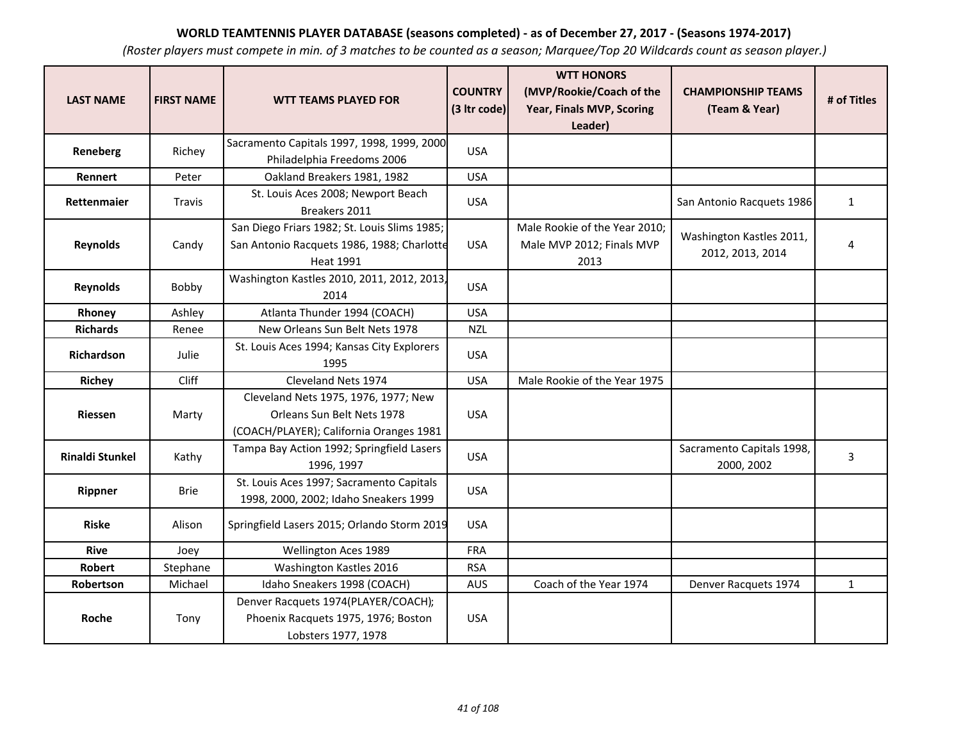| <b>LAST NAME</b>       | <b>FIRST NAME</b> | <b>WTT TEAMS PLAYED FOR</b>                                                                                    | <b>COUNTRY</b><br>(3 Itr code) | <b>WTT HONORS</b><br>(MVP/Rookie/Coach of the<br>Year, Finals MVP, Scoring<br>Leader) | <b>CHAMPIONSHIP TEAMS</b><br>(Team & Year)   | # of Titles    |
|------------------------|-------------------|----------------------------------------------------------------------------------------------------------------|--------------------------------|---------------------------------------------------------------------------------------|----------------------------------------------|----------------|
| Reneberg               | Richey            | Sacramento Capitals 1997, 1998, 1999, 2000<br>Philadelphia Freedoms 2006                                       | <b>USA</b>                     |                                                                                       |                                              |                |
| Rennert                | Peter             | Oakland Breakers 1981, 1982                                                                                    | <b>USA</b>                     |                                                                                       |                                              |                |
| Rettenmaier            | Travis            | St. Louis Aces 2008; Newport Beach<br>Breakers 2011                                                            | <b>USA</b>                     |                                                                                       | San Antonio Racquets 1986                    | $\mathbf{1}$   |
| <b>Reynolds</b>        | Candy             | San Diego Friars 1982; St. Louis Slims 1985;<br>San Antonio Racquets 1986, 1988; Charlotte<br><b>Heat 1991</b> | <b>USA</b>                     | Male Rookie of the Year 2010;<br>Male MVP 2012; Finals MVP<br>2013                    | Washington Kastles 2011,<br>2012, 2013, 2014 | $\overline{4}$ |
| <b>Reynolds</b>        | Bobby             | Washington Kastles 2010, 2011, 2012, 2013,<br>2014                                                             | <b>USA</b>                     |                                                                                       |                                              |                |
| Rhoney                 | Ashley            | Atlanta Thunder 1994 (COACH)                                                                                   | <b>USA</b>                     |                                                                                       |                                              |                |
| <b>Richards</b>        | Renee             | New Orleans Sun Belt Nets 1978                                                                                 | <b>NZL</b>                     |                                                                                       |                                              |                |
| Richardson             | Julie             | St. Louis Aces 1994; Kansas City Explorers<br>1995                                                             | <b>USA</b>                     |                                                                                       |                                              |                |
| <b>Richey</b>          | Cliff             | Cleveland Nets 1974                                                                                            | <b>USA</b>                     | Male Rookie of the Year 1975                                                          |                                              |                |
| <b>Riessen</b>         | Marty             | Cleveland Nets 1975, 1976, 1977; New<br>Orleans Sun Belt Nets 1978<br>(COACH/PLAYER); California Oranges 1981  | <b>USA</b>                     |                                                                                       |                                              |                |
| <b>Rinaldi Stunkel</b> | Kathy             | Tampa Bay Action 1992; Springfield Lasers<br>1996, 1997                                                        | <b>USA</b>                     |                                                                                       | Sacramento Capitals 1998,<br>2000, 2002      | 3              |
| Rippner                | <b>Brie</b>       | St. Louis Aces 1997; Sacramento Capitals<br>1998, 2000, 2002; Idaho Sneakers 1999                              | <b>USA</b>                     |                                                                                       |                                              |                |
| <b>Riske</b>           | Alison            | Springfield Lasers 2015; Orlando Storm 2019                                                                    | <b>USA</b>                     |                                                                                       |                                              |                |
| <b>Rive</b>            | Joey              | Wellington Aces 1989                                                                                           | <b>FRA</b>                     |                                                                                       |                                              |                |
| <b>Robert</b>          | Stephane          | Washington Kastles 2016                                                                                        | <b>RSA</b>                     |                                                                                       |                                              |                |
| Robertson              | Michael           | Idaho Sneakers 1998 (COACH)                                                                                    | <b>AUS</b>                     | Coach of the Year 1974                                                                | Denver Racquets 1974                         | $\mathbf{1}$   |
| Roche                  | Tony              | Denver Racquets 1974(PLAYER/COACH);<br>Phoenix Racquets 1975, 1976; Boston<br>Lobsters 1977, 1978              | <b>USA</b>                     |                                                                                       |                                              |                |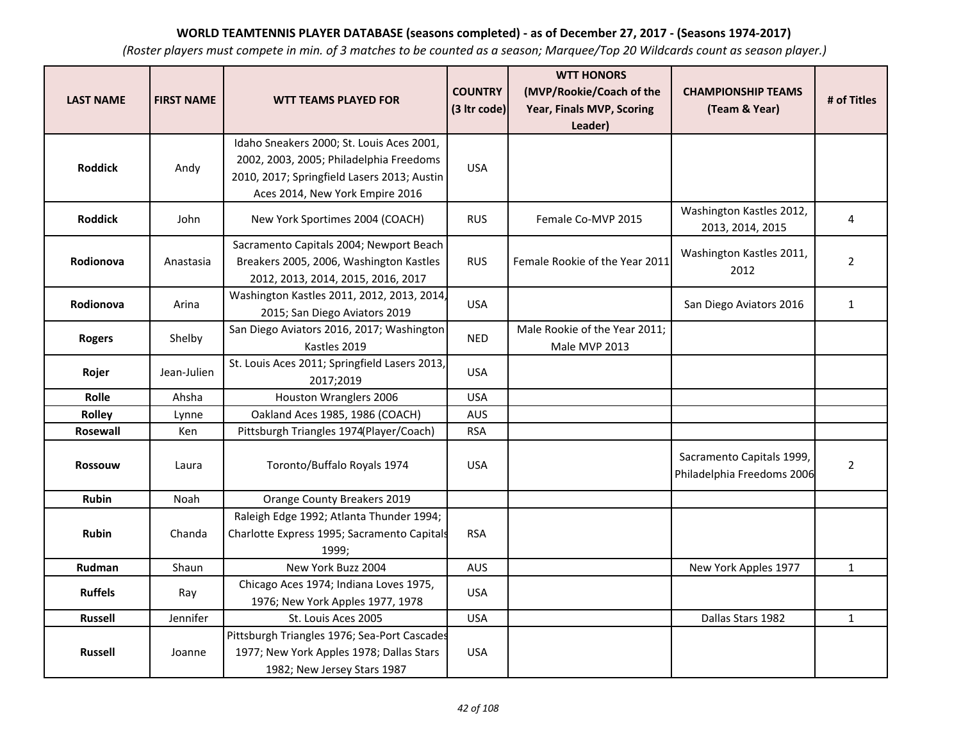| <b>LAST NAME</b> | <b>FIRST NAME</b> | <b>WTT TEAMS PLAYED FOR</b>                                                                                                                                            | <b>COUNTRY</b><br>(3 Itr code) | <b>WTT HONORS</b><br>(MVP/Rookie/Coach of the<br>Year, Finals MVP, Scoring | <b>CHAMPIONSHIP TEAMS</b><br>(Team & Year)              | # of Titles    |
|------------------|-------------------|------------------------------------------------------------------------------------------------------------------------------------------------------------------------|--------------------------------|----------------------------------------------------------------------------|---------------------------------------------------------|----------------|
|                  |                   |                                                                                                                                                                        |                                | Leader)                                                                    |                                                         |                |
| <b>Roddick</b>   | Andy              | Idaho Sneakers 2000; St. Louis Aces 2001,<br>2002, 2003, 2005; Philadelphia Freedoms<br>2010, 2017; Springfield Lasers 2013; Austin<br>Aces 2014, New York Empire 2016 | <b>USA</b>                     |                                                                            |                                                         |                |
| <b>Roddick</b>   | John              | New York Sportimes 2004 (COACH)                                                                                                                                        | <b>RUS</b>                     | Female Co-MVP 2015                                                         | Washington Kastles 2012,<br>2013, 2014, 2015            | 4              |
| Rodionova        | Anastasia         | Sacramento Capitals 2004; Newport Beach<br>Breakers 2005, 2006, Washington Kastles<br>2012, 2013, 2014, 2015, 2016, 2017                                               | <b>RUS</b>                     | Female Rookie of the Year 2011                                             | Washington Kastles 2011,<br>2012                        | $\overline{2}$ |
| Rodionova        | Arina             | Washington Kastles 2011, 2012, 2013, 2014,<br>2015; San Diego Aviators 2019                                                                                            | <b>USA</b>                     |                                                                            | San Diego Aviators 2016                                 | $\mathbf{1}$   |
| <b>Rogers</b>    | Shelby            | San Diego Aviators 2016, 2017; Washington<br>Kastles 2019                                                                                                              | <b>NED</b>                     | Male Rookie of the Year 2011;<br>Male MVP 2013                             |                                                         |                |
| Rojer            | Jean-Julien       | St. Louis Aces 2011; Springfield Lasers 2013,<br>2017;2019                                                                                                             | <b>USA</b>                     |                                                                            |                                                         |                |
| Rolle            | Ahsha             | Houston Wranglers 2006                                                                                                                                                 | <b>USA</b>                     |                                                                            |                                                         |                |
| Rolley           | Lynne             | Oakland Aces 1985, 1986 (COACH)                                                                                                                                        | <b>AUS</b>                     |                                                                            |                                                         |                |
| Rosewall         | Ken               | Pittsburgh Triangles 1974(Player/Coach)                                                                                                                                | <b>RSA</b>                     |                                                                            |                                                         |                |
| <b>Rossouw</b>   | Laura             | Toronto/Buffalo Royals 1974                                                                                                                                            | <b>USA</b>                     |                                                                            | Sacramento Capitals 1999,<br>Philadelphia Freedoms 2006 | $\overline{2}$ |
| <b>Rubin</b>     | Noah              | Orange County Breakers 2019                                                                                                                                            |                                |                                                                            |                                                         |                |
| <b>Rubin</b>     | Chanda            | Raleigh Edge 1992; Atlanta Thunder 1994;<br>Charlotte Express 1995; Sacramento Capitals<br>1999;                                                                       | <b>RSA</b>                     |                                                                            |                                                         |                |
| Rudman           | Shaun             | New York Buzz 2004                                                                                                                                                     | <b>AUS</b>                     |                                                                            | New York Apples 1977                                    | $\mathbf{1}$   |
| <b>Ruffels</b>   | Ray               | Chicago Aces 1974; Indiana Loves 1975,<br>1976; New York Apples 1977, 1978                                                                                             | <b>USA</b>                     |                                                                            |                                                         |                |
| <b>Russell</b>   | Jennifer          | St. Louis Aces 2005                                                                                                                                                    | <b>USA</b>                     |                                                                            | Dallas Stars 1982                                       | $\mathbf{1}$   |
| <b>Russell</b>   | Joanne            | Pittsburgh Triangles 1976; Sea-Port Cascades<br>1977; New York Apples 1978; Dallas Stars<br>1982; New Jersey Stars 1987                                                | <b>USA</b>                     |                                                                            |                                                         |                |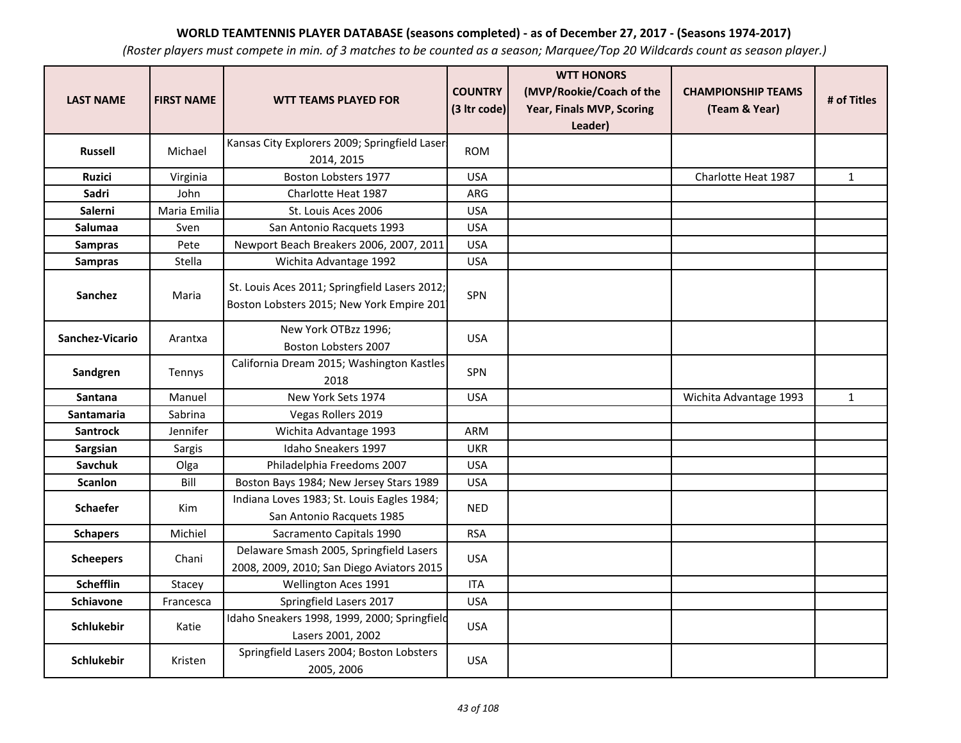| <b>LAST NAME</b>  | <b>FIRST NAME</b> | <b>WTT TEAMS PLAYED FOR</b>                                                                | <b>COUNTRY</b><br>(3 Itr code) | <b>WTT HONORS</b><br>(MVP/Rookie/Coach of the<br>Year, Finals MVP, Scoring<br>Leader) | <b>CHAMPIONSHIP TEAMS</b><br>(Team & Year) | # of Titles  |
|-------------------|-------------------|--------------------------------------------------------------------------------------------|--------------------------------|---------------------------------------------------------------------------------------|--------------------------------------------|--------------|
| Russell           | Michael           | Kansas City Explorers 2009; Springfield Laser<br>2014, 2015                                | <b>ROM</b>                     |                                                                                       |                                            |              |
| <b>Ruzici</b>     | Virginia          | Boston Lobsters 1977                                                                       | <b>USA</b>                     |                                                                                       | Charlotte Heat 1987                        | $\mathbf{1}$ |
| Sadri             | John              | Charlotte Heat 1987                                                                        | ARG                            |                                                                                       |                                            |              |
| Salerni           | Maria Emilia      | St. Louis Aces 2006                                                                        | <b>USA</b>                     |                                                                                       |                                            |              |
| Salumaa           | Sven              | San Antonio Racquets 1993                                                                  | <b>USA</b>                     |                                                                                       |                                            |              |
| <b>Sampras</b>    | Pete              | Newport Beach Breakers 2006, 2007, 2011                                                    | <b>USA</b>                     |                                                                                       |                                            |              |
| <b>Sampras</b>    | Stella            | Wichita Advantage 1992                                                                     | <b>USA</b>                     |                                                                                       |                                            |              |
| <b>Sanchez</b>    | Maria             | St. Louis Aces 2011; Springfield Lasers 2012;<br>Boston Lobsters 2015; New York Empire 201 | SPN                            |                                                                                       |                                            |              |
| Sanchez-Vicario   | Arantxa           | New York OTBzz 1996;<br>Boston Lobsters 2007                                               | <b>USA</b>                     |                                                                                       |                                            |              |
| Sandgren          | Tennys            | California Dream 2015; Washington Kastles<br>2018                                          | SPN                            |                                                                                       |                                            |              |
| <b>Santana</b>    | Manuel            | New York Sets 1974                                                                         | <b>USA</b>                     |                                                                                       | Wichita Advantage 1993                     | $\mathbf{1}$ |
| <b>Santamaria</b> | Sabrina           | Vegas Rollers 2019                                                                         |                                |                                                                                       |                                            |              |
| <b>Santrock</b>   | Jennifer          | Wichita Advantage 1993                                                                     | <b>ARM</b>                     |                                                                                       |                                            |              |
| Sargsian          | Sargis            | Idaho Sneakers 1997                                                                        | <b>UKR</b>                     |                                                                                       |                                            |              |
| <b>Savchuk</b>    | Olga              | Philadelphia Freedoms 2007                                                                 | <b>USA</b>                     |                                                                                       |                                            |              |
| <b>Scanlon</b>    | Bill              | Boston Bays 1984; New Jersey Stars 1989                                                    | <b>USA</b>                     |                                                                                       |                                            |              |
| <b>Schaefer</b>   | Kim               | Indiana Loves 1983; St. Louis Eagles 1984;<br>San Antonio Racquets 1985                    | <b>NED</b>                     |                                                                                       |                                            |              |
| <b>Schapers</b>   | Michiel           | Sacramento Capitals 1990                                                                   | <b>RSA</b>                     |                                                                                       |                                            |              |
| <b>Scheepers</b>  | Chani             | Delaware Smash 2005, Springfield Lasers<br>2008, 2009, 2010; San Diego Aviators 2015       | <b>USA</b>                     |                                                                                       |                                            |              |
| <b>Schefflin</b>  | Stacey            | Wellington Aces 1991                                                                       | <b>ITA</b>                     |                                                                                       |                                            |              |
| <b>Schiavone</b>  | Francesca         | Springfield Lasers 2017                                                                    | <b>USA</b>                     |                                                                                       |                                            |              |
| <b>Schlukebir</b> | Katie             | Idaho Sneakers 1998, 1999, 2000; Springfield<br>Lasers 2001, 2002                          | <b>USA</b>                     |                                                                                       |                                            |              |
| <b>Schlukebir</b> | Kristen           | Springfield Lasers 2004; Boston Lobsters<br>2005, 2006                                     | <b>USA</b>                     |                                                                                       |                                            |              |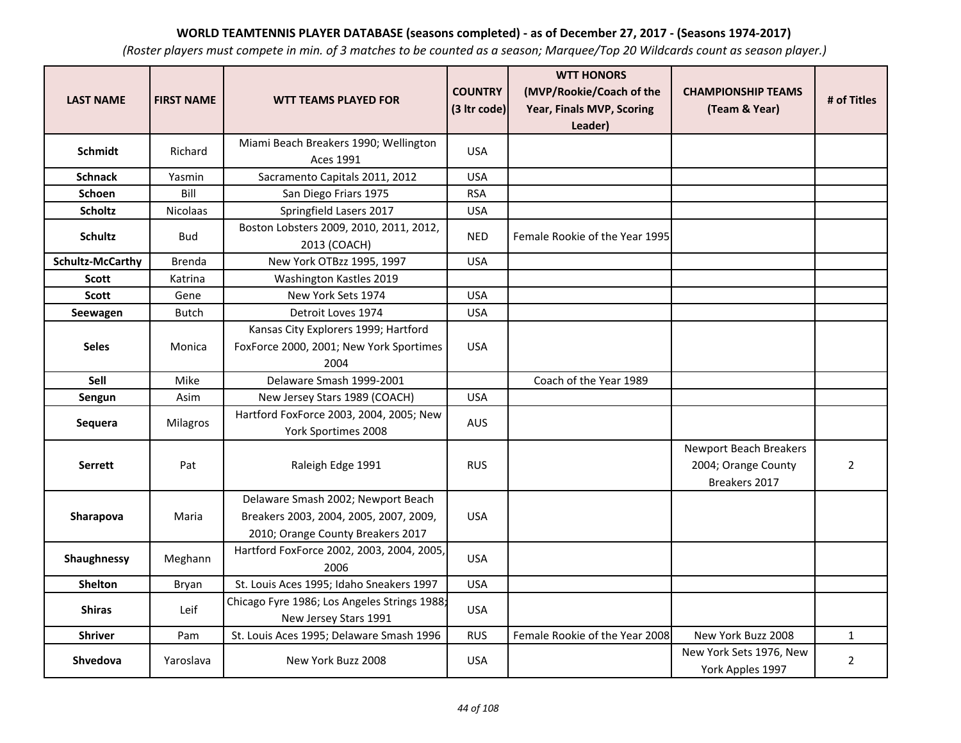| <b>LAST NAME</b>        | <b>FIRST NAME</b> | <b>WTT TEAMS PLAYED FOR</b>                                                                                       | <b>COUNTRY</b><br>(3 Itr code) | <b>WTT HONORS</b><br>(MVP/Rookie/Coach of the<br>Year, Finals MVP, Scoring | <b>CHAMPIONSHIP TEAMS</b><br>(Team & Year)                     | # of Titles    |
|-------------------------|-------------------|-------------------------------------------------------------------------------------------------------------------|--------------------------------|----------------------------------------------------------------------------|----------------------------------------------------------------|----------------|
|                         |                   |                                                                                                                   |                                | Leader)                                                                    |                                                                |                |
| Schmidt                 | Richard           | Miami Beach Breakers 1990; Wellington<br><b>Aces 1991</b>                                                         | <b>USA</b>                     |                                                                            |                                                                |                |
| <b>Schnack</b>          | Yasmin            | Sacramento Capitals 2011, 2012                                                                                    | <b>USA</b>                     |                                                                            |                                                                |                |
| <b>Schoen</b>           | Bill              | San Diego Friars 1975                                                                                             | <b>RSA</b>                     |                                                                            |                                                                |                |
| <b>Scholtz</b>          | <b>Nicolaas</b>   | Springfield Lasers 2017                                                                                           | <b>USA</b>                     |                                                                            |                                                                |                |
| <b>Schultz</b>          | <b>Bud</b>        | Boston Lobsters 2009, 2010, 2011, 2012,<br>2013 (COACH)                                                           | <b>NED</b>                     | Female Rookie of the Year 1995                                             |                                                                |                |
| <b>Schultz-McCarthy</b> | Brenda            | New York OTBzz 1995, 1997                                                                                         | <b>USA</b>                     |                                                                            |                                                                |                |
| <b>Scott</b>            | Katrina           | Washington Kastles 2019                                                                                           |                                |                                                                            |                                                                |                |
| <b>Scott</b>            | Gene              | New York Sets 1974                                                                                                | <b>USA</b>                     |                                                                            |                                                                |                |
| Seewagen                | <b>Butch</b>      | Detroit Loves 1974                                                                                                | <b>USA</b>                     |                                                                            |                                                                |                |
| <b>Seles</b>            | Monica            | Kansas City Explorers 1999; Hartford<br>FoxForce 2000, 2001; New York Sportimes<br>2004                           | <b>USA</b>                     |                                                                            |                                                                |                |
| Sell                    | Mike              | Delaware Smash 1999-2001                                                                                          |                                | Coach of the Year 1989                                                     |                                                                |                |
| Sengun                  | Asim              | New Jersey Stars 1989 (COACH)                                                                                     | <b>USA</b>                     |                                                                            |                                                                |                |
| Sequera                 | Milagros          | Hartford FoxForce 2003, 2004, 2005; New<br>York Sportimes 2008                                                    | <b>AUS</b>                     |                                                                            |                                                                |                |
| <b>Serrett</b>          | Pat               | Raleigh Edge 1991                                                                                                 | <b>RUS</b>                     |                                                                            | Newport Beach Breakers<br>2004; Orange County<br>Breakers 2017 | $\overline{2}$ |
| Sharapova               | Maria             | Delaware Smash 2002; Newport Beach<br>Breakers 2003, 2004, 2005, 2007, 2009,<br>2010; Orange County Breakers 2017 | <b>USA</b>                     |                                                                            |                                                                |                |
| Shaughnessy             | Meghann           | Hartford FoxForce 2002, 2003, 2004, 2005,<br>2006                                                                 | <b>USA</b>                     |                                                                            |                                                                |                |
| <b>Shelton</b>          | Bryan             | St. Louis Aces 1995; Idaho Sneakers 1997                                                                          | <b>USA</b>                     |                                                                            |                                                                |                |
| <b>Shiras</b>           | Leif              | Chicago Fyre 1986; Los Angeles Strings 1988;<br>New Jersey Stars 1991                                             | <b>USA</b>                     |                                                                            |                                                                |                |
| <b>Shriver</b>          | Pam               | St. Louis Aces 1995; Delaware Smash 1996                                                                          | <b>RUS</b>                     | Female Rookie of the Year 2008                                             | New York Buzz 2008                                             | $\mathbf{1}$   |
| Shvedova                | Yaroslava         | New York Buzz 2008                                                                                                | <b>USA</b>                     |                                                                            | New York Sets 1976, New<br>York Apples 1997                    | $\overline{2}$ |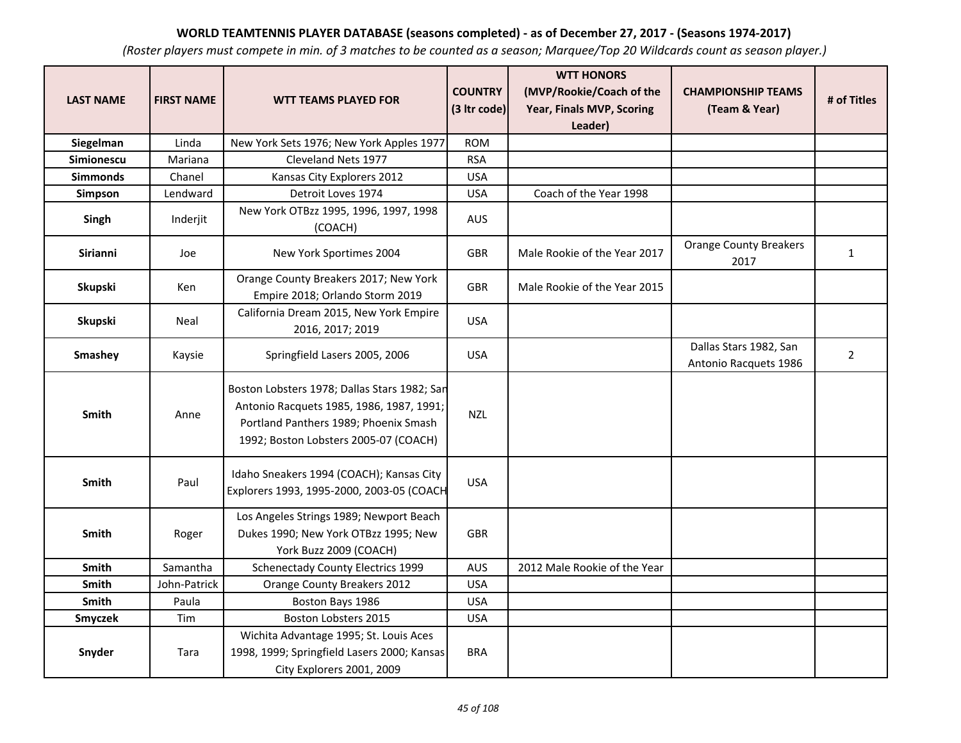| <b>LAST NAME</b> | <b>FIRST NAME</b> | <b>WTT TEAMS PLAYED FOR</b>                                                                                                                                                | <b>COUNTRY</b> | <b>WTT HONORS</b><br>(MVP/Rookie/Coach of the | <b>CHAMPIONSHIP TEAMS</b>                       | # of Titles    |
|------------------|-------------------|----------------------------------------------------------------------------------------------------------------------------------------------------------------------------|----------------|-----------------------------------------------|-------------------------------------------------|----------------|
|                  |                   |                                                                                                                                                                            | (3 Itr code)   | Year, Finals MVP, Scoring<br>Leader)          | (Team & Year)                                   |                |
| Siegelman        | Linda             | New York Sets 1976; New York Apples 1977                                                                                                                                   | <b>ROM</b>     |                                               |                                                 |                |
| Simionescu       | Mariana           | Cleveland Nets 1977                                                                                                                                                        | <b>RSA</b>     |                                               |                                                 |                |
| <b>Simmonds</b>  | Chanel            | Kansas City Explorers 2012                                                                                                                                                 | <b>USA</b>     |                                               |                                                 |                |
| Simpson          | Lendward          | Detroit Loves 1974                                                                                                                                                         | <b>USA</b>     | Coach of the Year 1998                        |                                                 |                |
| Singh            | Inderjit          | New York OTBzz 1995, 1996, 1997, 1998<br>(COACH)                                                                                                                           | AUS            |                                               |                                                 |                |
| Sirianni         | Joe               | New York Sportimes 2004                                                                                                                                                    | <b>GBR</b>     | Male Rookie of the Year 2017                  | <b>Orange County Breakers</b><br>2017           | $\mathbf{1}$   |
| Skupski          | Ken               | Orange County Breakers 2017; New York<br>Empire 2018; Orlando Storm 2019                                                                                                   | <b>GBR</b>     | Male Rookie of the Year 2015                  |                                                 |                |
| Skupski          | Neal              | California Dream 2015, New York Empire<br>2016, 2017; 2019                                                                                                                 | <b>USA</b>     |                                               |                                                 |                |
| Smashey          | Kaysie            | Springfield Lasers 2005, 2006                                                                                                                                              | <b>USA</b>     |                                               | Dallas Stars 1982, San<br>Antonio Racquets 1986 | $\overline{2}$ |
| Smith            | Anne              | Boston Lobsters 1978; Dallas Stars 1982; San<br>Antonio Racquets 1985, 1986, 1987, 1991;<br>Portland Panthers 1989; Phoenix Smash<br>1992; Boston Lobsters 2005-07 (COACH) | <b>NZL</b>     |                                               |                                                 |                |
| Smith            | Paul              | Idaho Sneakers 1994 (COACH); Kansas City<br>Explorers 1993, 1995-2000, 2003-05 (COACH                                                                                      | <b>USA</b>     |                                               |                                                 |                |
| Smith            | Roger             | Los Angeles Strings 1989; Newport Beach<br>Dukes 1990; New York OTBzz 1995; New<br>York Buzz 2009 (COACH)                                                                  | <b>GBR</b>     |                                               |                                                 |                |
| <b>Smith</b>     | Samantha          | <b>Schenectady County Electrics 1999</b>                                                                                                                                   | <b>AUS</b>     | 2012 Male Rookie of the Year                  |                                                 |                |
| Smith            | John-Patrick      | Orange County Breakers 2012                                                                                                                                                | <b>USA</b>     |                                               |                                                 |                |
| <b>Smith</b>     | Paula             | Boston Bays 1986                                                                                                                                                           | <b>USA</b>     |                                               |                                                 |                |
| Smyczek          | Tim               | Boston Lobsters 2015                                                                                                                                                       | <b>USA</b>     |                                               |                                                 |                |
| Snyder           | Tara              | Wichita Advantage 1995; St. Louis Aces<br>1998, 1999; Springfield Lasers 2000; Kansas<br>City Explorers 2001, 2009                                                         | <b>BRA</b>     |                                               |                                                 |                |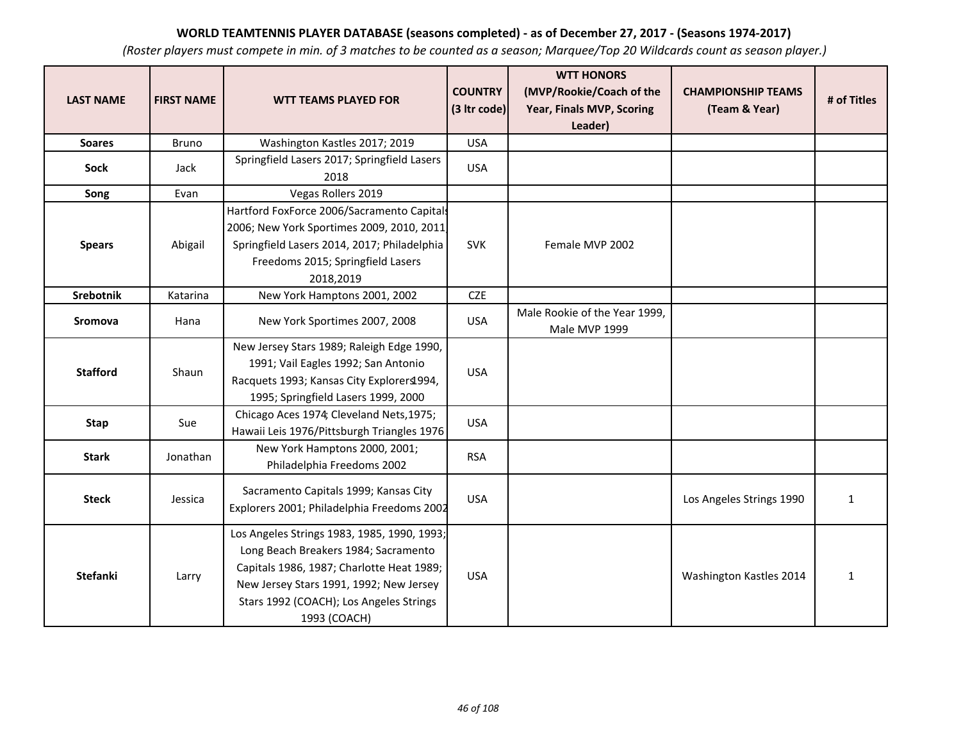| <b>LAST NAME</b> | <b>FIRST NAME</b> | <b>WTT TEAMS PLAYED FOR</b>                                                                                                                                                                                                            | <b>COUNTRY</b><br>(3 Itr code) | <b>WTT HONORS</b><br>(MVP/Rookie/Coach of the<br>Year, Finals MVP, Scoring<br>Leader) | <b>CHAMPIONSHIP TEAMS</b><br>(Team & Year) | # of Titles  |
|------------------|-------------------|----------------------------------------------------------------------------------------------------------------------------------------------------------------------------------------------------------------------------------------|--------------------------------|---------------------------------------------------------------------------------------|--------------------------------------------|--------------|
| <b>Soares</b>    | Bruno             | Washington Kastles 2017; 2019                                                                                                                                                                                                          | <b>USA</b>                     |                                                                                       |                                            |              |
| <b>Sock</b>      | Jack              | Springfield Lasers 2017; Springfield Lasers<br>2018                                                                                                                                                                                    | <b>USA</b>                     |                                                                                       |                                            |              |
| Song             | Evan              | Vegas Rollers 2019                                                                                                                                                                                                                     |                                |                                                                                       |                                            |              |
| <b>Spears</b>    | Abigail           | Hartford FoxForce 2006/Sacramento Capitals<br>2006; New York Sportimes 2009, 2010, 2011<br>Springfield Lasers 2014, 2017; Philadelphia<br>Freedoms 2015; Springfield Lasers<br>2018,2019                                               | <b>SVK</b>                     | Female MVP 2002                                                                       |                                            |              |
| Srebotnik        | Katarina          | New York Hamptons 2001, 2002                                                                                                                                                                                                           | <b>CZE</b>                     |                                                                                       |                                            |              |
| Sromova          | Hana              | New York Sportimes 2007, 2008                                                                                                                                                                                                          | <b>USA</b>                     | Male Rookie of the Year 1999,<br>Male MVP 1999                                        |                                            |              |
| <b>Stafford</b>  | Shaun             | New Jersey Stars 1989; Raleigh Edge 1990,<br>1991; Vail Eagles 1992; San Antonio<br>Racquets 1993; Kansas City Explorers1994,<br>1995; Springfield Lasers 1999, 2000                                                                   | <b>USA</b>                     |                                                                                       |                                            |              |
| <b>Stap</b>      | Sue               | Chicago Aces 1974; Cleveland Nets, 1975;<br>Hawaii Leis 1976/Pittsburgh Triangles 1976                                                                                                                                                 | <b>USA</b>                     |                                                                                       |                                            |              |
| <b>Stark</b>     | Jonathan          | New York Hamptons 2000, 2001;<br>Philadelphia Freedoms 2002                                                                                                                                                                            | <b>RSA</b>                     |                                                                                       |                                            |              |
| <b>Steck</b>     | Jessica           | Sacramento Capitals 1999; Kansas City<br>Explorers 2001; Philadelphia Freedoms 2002                                                                                                                                                    | <b>USA</b>                     |                                                                                       | Los Angeles Strings 1990                   | $\mathbf{1}$ |
| <b>Stefanki</b>  | Larry             | Los Angeles Strings 1983, 1985, 1990, 1993;<br>Long Beach Breakers 1984; Sacramento<br>Capitals 1986, 1987; Charlotte Heat 1989;<br>New Jersey Stars 1991, 1992; New Jersey<br>Stars 1992 (COACH); Los Angeles Strings<br>1993 (COACH) | <b>USA</b>                     |                                                                                       | Washington Kastles 2014                    | $\mathbf{1}$ |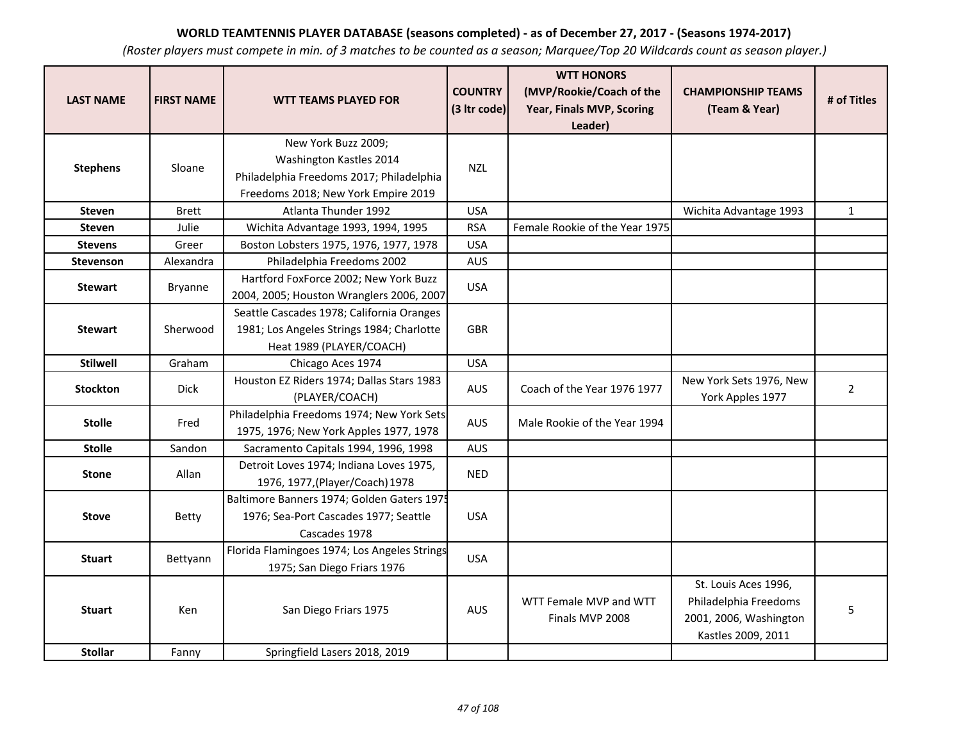| <b>LAST NAME</b> | <b>FIRST NAME</b> | <b>WTT TEAMS PLAYED FOR</b>                                                                                                       | <b>COUNTRY</b><br>(3 Itr code) | <b>WTT HONORS</b><br>(MVP/Rookie/Coach of the<br>Year, Finals MVP, Scoring<br>Leader) | <b>CHAMPIONSHIP TEAMS</b><br>(Team & Year)                                                    | # of Titles    |
|------------------|-------------------|-----------------------------------------------------------------------------------------------------------------------------------|--------------------------------|---------------------------------------------------------------------------------------|-----------------------------------------------------------------------------------------------|----------------|
| <b>Stephens</b>  | Sloane            | New York Buzz 2009;<br>Washington Kastles 2014<br>Philadelphia Freedoms 2017; Philadelphia<br>Freedoms 2018; New York Empire 2019 | <b>NZL</b>                     |                                                                                       |                                                                                               |                |
| <b>Steven</b>    | <b>Brett</b>      | Atlanta Thunder 1992                                                                                                              | <b>USA</b>                     |                                                                                       | Wichita Advantage 1993                                                                        | $\mathbf{1}$   |
| <b>Steven</b>    | Julie             | Wichita Advantage 1993, 1994, 1995                                                                                                | <b>RSA</b>                     | Female Rookie of the Year 1975                                                        |                                                                                               |                |
| <b>Stevens</b>   | Greer             | Boston Lobsters 1975, 1976, 1977, 1978                                                                                            | <b>USA</b>                     |                                                                                       |                                                                                               |                |
| <b>Stevenson</b> | Alexandra         | Philadelphia Freedoms 2002                                                                                                        | <b>AUS</b>                     |                                                                                       |                                                                                               |                |
| <b>Stewart</b>   | <b>Bryanne</b>    | Hartford FoxForce 2002; New York Buzz<br>2004, 2005; Houston Wranglers 2006, 2007                                                 | <b>USA</b>                     |                                                                                       |                                                                                               |                |
| <b>Stewart</b>   | Sherwood          | Seattle Cascades 1978; California Oranges<br>1981; Los Angeles Strings 1984; Charlotte<br>Heat 1989 (PLAYER/COACH)                | <b>GBR</b>                     |                                                                                       |                                                                                               |                |
| <b>Stilwell</b>  | Graham            | Chicago Aces 1974                                                                                                                 | <b>USA</b>                     |                                                                                       |                                                                                               |                |
| <b>Stockton</b>  | <b>Dick</b>       | Houston EZ Riders 1974; Dallas Stars 1983<br>(PLAYER/COACH)                                                                       | AUS                            | Coach of the Year 1976 1977                                                           | New York Sets 1976, New<br>York Apples 1977                                                   | $\overline{2}$ |
| <b>Stolle</b>    | Fred              | Philadelphia Freedoms 1974; New York Sets<br>1975, 1976; New York Apples 1977, 1978                                               | <b>AUS</b>                     | Male Rookie of the Year 1994                                                          |                                                                                               |                |
| <b>Stolle</b>    | Sandon            | Sacramento Capitals 1994, 1996, 1998                                                                                              | <b>AUS</b>                     |                                                                                       |                                                                                               |                |
| <b>Stone</b>     | Allan             | Detroit Loves 1974; Indiana Loves 1975,<br>1976, 1977, (Player/Coach) 1978                                                        | <b>NED</b>                     |                                                                                       |                                                                                               |                |
| <b>Stove</b>     | Betty             | Baltimore Banners 1974; Golden Gaters 1975<br>1976; Sea-Port Cascades 1977; Seattle<br>Cascades 1978                              | <b>USA</b>                     |                                                                                       |                                                                                               |                |
| <b>Stuart</b>    | Bettyann          | Florida Flamingoes 1974; Los Angeles Strings<br>1975; San Diego Friars 1976                                                       | <b>USA</b>                     |                                                                                       |                                                                                               |                |
| <b>Stuart</b>    | Ken               | San Diego Friars 1975                                                                                                             | <b>AUS</b>                     | WTT Female MVP and WTT<br>Finals MVP 2008                                             | St. Louis Aces 1996,<br>Philadelphia Freedoms<br>2001, 2006, Washington<br>Kastles 2009, 2011 | 5              |
| <b>Stollar</b>   | Fanny             | Springfield Lasers 2018, 2019                                                                                                     |                                |                                                                                       |                                                                                               |                |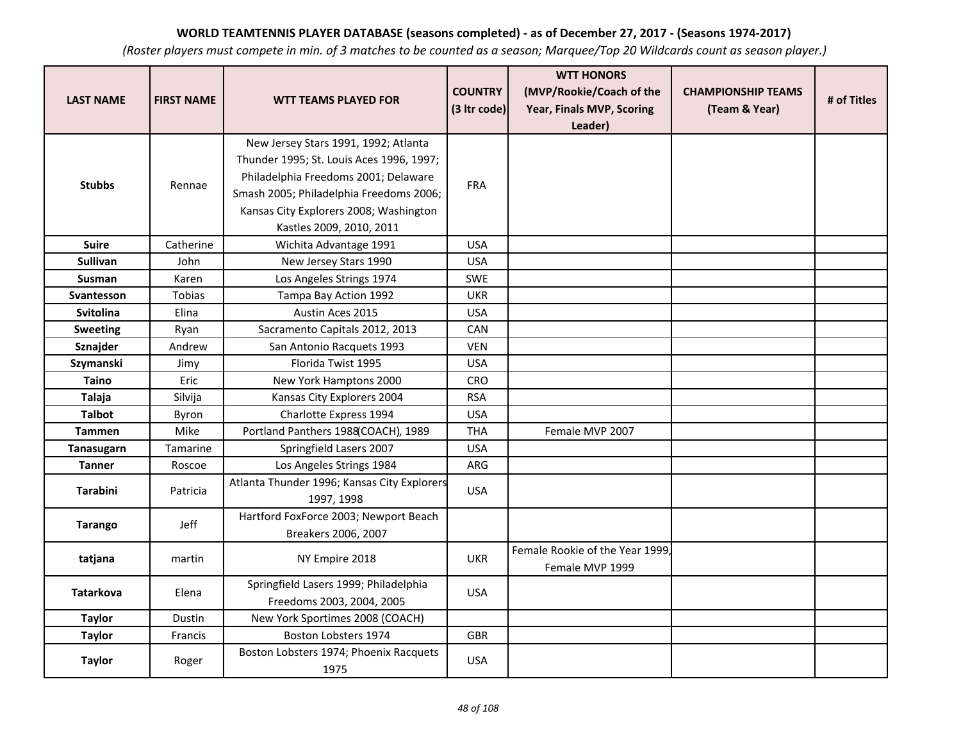| <b>LAST NAME</b>  | <b>FIRST NAME</b> | <b>WTT TEAMS PLAYED FOR</b>                                        | <b>COUNTRY</b> | <b>WTT HONORS</b><br>(MVP/Rookie/Coach of the      | <b>CHAMPIONSHIP TEAMS</b> | # of Titles |
|-------------------|-------------------|--------------------------------------------------------------------|----------------|----------------------------------------------------|---------------------------|-------------|
|                   |                   |                                                                    | (3 Itr code)   | Year, Finals MVP, Scoring<br>Leader)               | (Team & Year)             |             |
|                   |                   | New Jersey Stars 1991, 1992; Atlanta                               |                |                                                    |                           |             |
|                   |                   | Thunder 1995; St. Louis Aces 1996, 1997;                           |                |                                                    |                           |             |
| <b>Stubbs</b>     | Rennae            | Philadelphia Freedoms 2001; Delaware                               | <b>FRA</b>     |                                                    |                           |             |
|                   |                   | Smash 2005; Philadelphia Freedoms 2006;                            |                |                                                    |                           |             |
|                   |                   | Kansas City Explorers 2008; Washington                             |                |                                                    |                           |             |
|                   |                   | Kastles 2009, 2010, 2011                                           |                |                                                    |                           |             |
| <b>Suire</b>      | Catherine         | Wichita Advantage 1991                                             | <b>USA</b>     |                                                    |                           |             |
| <b>Sullivan</b>   | John              | New Jersey Stars 1990                                              | <b>USA</b>     |                                                    |                           |             |
| <b>Susman</b>     | Karen             | Los Angeles Strings 1974                                           | <b>SWE</b>     |                                                    |                           |             |
| <b>Svantesson</b> | <b>Tobias</b>     | Tampa Bay Action 1992                                              | <b>UKR</b>     |                                                    |                           |             |
| <b>Svitolina</b>  | Elina             | Austin Aces 2015                                                   | <b>USA</b>     |                                                    |                           |             |
| <b>Sweeting</b>   | Ryan              | Sacramento Capitals 2012, 2013                                     | <b>CAN</b>     |                                                    |                           |             |
| Sznajder          | Andrew            | San Antonio Racquets 1993                                          | <b>VEN</b>     |                                                    |                           |             |
| Szymanski         | Jimy              | Florida Twist 1995                                                 | <b>USA</b>     |                                                    |                           |             |
| <b>Taino</b>      | Eric              | New York Hamptons 2000                                             | CRO            |                                                    |                           |             |
| Talaja            | Silvija           | Kansas City Explorers 2004                                         | <b>RSA</b>     |                                                    |                           |             |
| <b>Talbot</b>     | Byron             | Charlotte Express 1994                                             | <b>USA</b>     |                                                    |                           |             |
| <b>Tammen</b>     | Mike              | Portland Panthers 1988(COACH), 1989                                | <b>THA</b>     | Female MVP 2007                                    |                           |             |
| Tanasugarn        | Tamarine          | Springfield Lasers 2007                                            | <b>USA</b>     |                                                    |                           |             |
| <b>Tanner</b>     | Roscoe            | Los Angeles Strings 1984                                           | ARG            |                                                    |                           |             |
| <b>Tarabini</b>   | Patricia          | Atlanta Thunder 1996; Kansas City Explorers<br>1997, 1998          | <b>USA</b>     |                                                    |                           |             |
| <b>Tarango</b>    | Jeff              | Hartford FoxForce 2003; Newport Beach<br>Breakers 2006, 2007       |                |                                                    |                           |             |
| tatjana           | martin            | NY Empire 2018                                                     | <b>UKR</b>     | Female Rookie of the Year 1999.<br>Female MVP 1999 |                           |             |
| <b>Tatarkova</b>  | Elena             | Springfield Lasers 1999; Philadelphia<br>Freedoms 2003, 2004, 2005 | <b>USA</b>     |                                                    |                           |             |
| <b>Taylor</b>     | Dustin            | New York Sportimes 2008 (COACH)                                    |                |                                                    |                           |             |
| <b>Taylor</b>     | Francis           | Boston Lobsters 1974                                               | <b>GBR</b>     |                                                    |                           |             |
| <b>Taylor</b>     | Roger             | Boston Lobsters 1974; Phoenix Racquets<br>1975                     | <b>USA</b>     |                                                    |                           |             |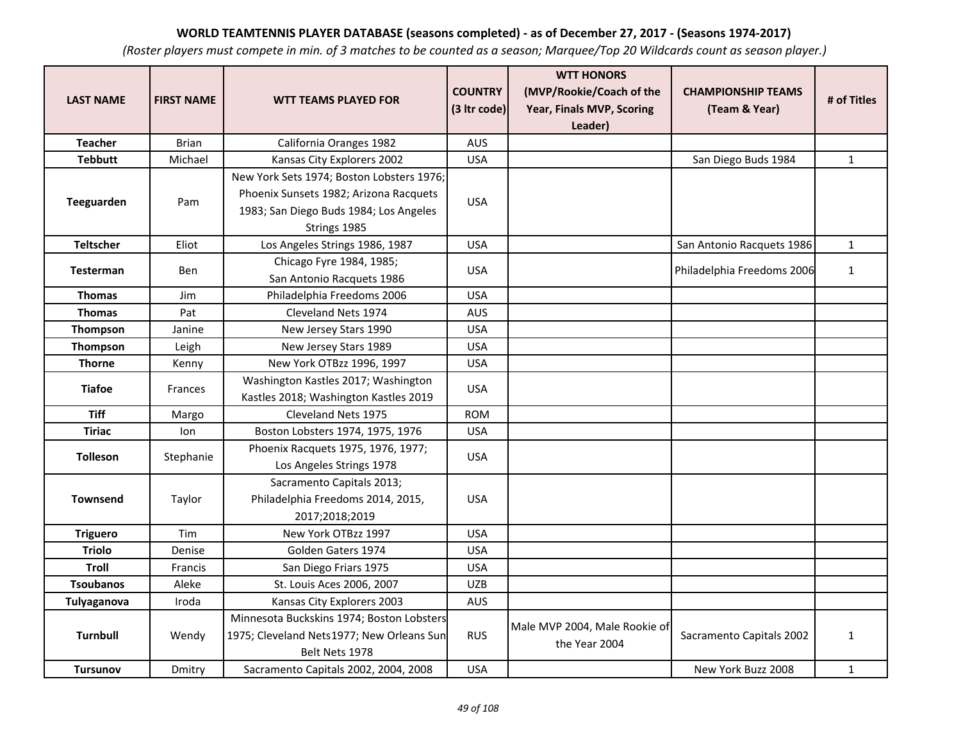| <b>LAST NAME</b> | <b>FIRST NAME</b> | <b>WTT TEAMS PLAYED FOR</b>                                                                                                                   | <b>COUNTRY</b><br>(3 Itr code) | <b>WTT HONORS</b><br>(MVP/Rookie/Coach of the<br>Year, Finals MVP, Scoring<br>Leader) | <b>CHAMPIONSHIP TEAMS</b><br>(Team & Year) | # of Titles  |
|------------------|-------------------|-----------------------------------------------------------------------------------------------------------------------------------------------|--------------------------------|---------------------------------------------------------------------------------------|--------------------------------------------|--------------|
| <b>Teacher</b>   | <b>Brian</b>      | California Oranges 1982                                                                                                                       | <b>AUS</b>                     |                                                                                       |                                            |              |
| <b>Tebbutt</b>   | Michael           | Kansas City Explorers 2002                                                                                                                    | <b>USA</b>                     |                                                                                       | San Diego Buds 1984                        | $\mathbf{1}$ |
| Teeguarden       | Pam               | New York Sets 1974; Boston Lobsters 1976;<br>Phoenix Sunsets 1982; Arizona Racquets<br>1983; San Diego Buds 1984; Los Angeles<br>Strings 1985 | <b>USA</b>                     |                                                                                       |                                            |              |
| <b>Teltscher</b> | Eliot             | Los Angeles Strings 1986, 1987                                                                                                                | <b>USA</b>                     |                                                                                       | San Antonio Racquets 1986                  | $\mathbf{1}$ |
| <b>Testerman</b> | Ben               | Chicago Fyre 1984, 1985;<br>San Antonio Racquets 1986                                                                                         | <b>USA</b>                     |                                                                                       | Philadelphia Freedoms 2006                 | $\mathbf{1}$ |
| <b>Thomas</b>    | Jim               | Philadelphia Freedoms 2006                                                                                                                    | <b>USA</b>                     |                                                                                       |                                            |              |
| <b>Thomas</b>    | Pat               | Cleveland Nets 1974                                                                                                                           | <b>AUS</b>                     |                                                                                       |                                            |              |
| Thompson         | Janine            | New Jersey Stars 1990                                                                                                                         | <b>USA</b>                     |                                                                                       |                                            |              |
| Thompson         | Leigh             | New Jersey Stars 1989                                                                                                                         | <b>USA</b>                     |                                                                                       |                                            |              |
| <b>Thorne</b>    | Kenny             | New York OTBzz 1996, 1997                                                                                                                     | <b>USA</b>                     |                                                                                       |                                            |              |
| <b>Tiafoe</b>    | <b>Frances</b>    | Washington Kastles 2017; Washington<br>Kastles 2018; Washington Kastles 2019                                                                  | <b>USA</b>                     |                                                                                       |                                            |              |
| <b>Tiff</b>      | Margo             | Cleveland Nets 1975                                                                                                                           | <b>ROM</b>                     |                                                                                       |                                            |              |
| <b>Tiriac</b>    | lon               | Boston Lobsters 1974, 1975, 1976                                                                                                              | <b>USA</b>                     |                                                                                       |                                            |              |
| <b>Tolleson</b>  | Stephanie         | Phoenix Racquets 1975, 1976, 1977;<br>Los Angeles Strings 1978                                                                                | <b>USA</b>                     |                                                                                       |                                            |              |
| <b>Townsend</b>  | Taylor            | Sacramento Capitals 2013;<br>Philadelphia Freedoms 2014, 2015,<br>2017;2018;2019                                                              | <b>USA</b>                     |                                                                                       |                                            |              |
| <b>Triguero</b>  | Tim               | New York OTBzz 1997                                                                                                                           | <b>USA</b>                     |                                                                                       |                                            |              |
| <b>Triolo</b>    | Denise            | Golden Gaters 1974                                                                                                                            | <b>USA</b>                     |                                                                                       |                                            |              |
| Troll            | Francis           | San Diego Friars 1975                                                                                                                         | <b>USA</b>                     |                                                                                       |                                            |              |
| <b>Tsoubanos</b> | Aleke             | St. Louis Aces 2006, 2007                                                                                                                     | <b>UZB</b>                     |                                                                                       |                                            |              |
| Tulyaganova      | Iroda             | Kansas City Explorers 2003                                                                                                                    | <b>AUS</b>                     |                                                                                       |                                            |              |
| <b>Turnbull</b>  | Wendy             | Minnesota Buckskins 1974; Boston Lobsters<br>1975; Cleveland Nets1977; New Orleans Sun<br>Belt Nets 1978                                      | <b>RUS</b>                     | Male MVP 2004, Male Rookie of<br>the Year 2004                                        | Sacramento Capitals 2002                   | $\mathbf{1}$ |
| <b>Tursunov</b>  | Dmitry            | Sacramento Capitals 2002, 2004, 2008                                                                                                          | <b>USA</b>                     |                                                                                       | New York Buzz 2008                         | $\mathbf{1}$ |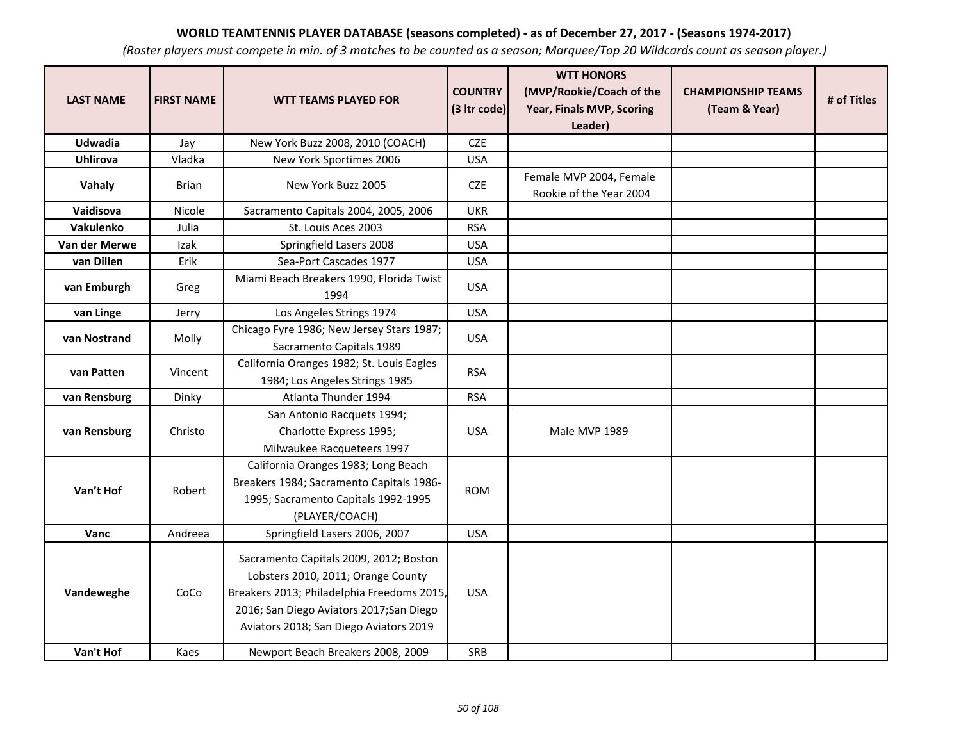| <b>LAST NAME</b> | <b>FIRST NAME</b> | <b>WTT TEAMS PLAYED FOR</b>                                                                                                                                                                                      | <b>COUNTRY</b><br>(3 Itr code) | <b>WTT HONORS</b><br>(MVP/Rookie/Coach of the<br>Year, Finals MVP, Scoring<br>Leader) | <b>CHAMPIONSHIP TEAMS</b><br>(Team & Year) | # of Titles |
|------------------|-------------------|------------------------------------------------------------------------------------------------------------------------------------------------------------------------------------------------------------------|--------------------------------|---------------------------------------------------------------------------------------|--------------------------------------------|-------------|
| Udwadia          | Jay               | New York Buzz 2008, 2010 (COACH)                                                                                                                                                                                 | <b>CZE</b>                     |                                                                                       |                                            |             |
| <b>Uhlirova</b>  | Vladka            | New York Sportimes 2006                                                                                                                                                                                          | <b>USA</b>                     |                                                                                       |                                            |             |
| Vahaly           | <b>Brian</b>      | New York Buzz 2005                                                                                                                                                                                               | CZE                            | Female MVP 2004, Female<br>Rookie of the Year 2004                                    |                                            |             |
| Vaidisova        | Nicole            | Sacramento Capitals 2004, 2005, 2006                                                                                                                                                                             | <b>UKR</b>                     |                                                                                       |                                            |             |
| Vakulenko        | Julia             | St. Louis Aces 2003                                                                                                                                                                                              | <b>RSA</b>                     |                                                                                       |                                            |             |
| Van der Merwe    | Izak              | Springfield Lasers 2008                                                                                                                                                                                          | <b>USA</b>                     |                                                                                       |                                            |             |
| van Dillen       | Erik              | Sea-Port Cascades 1977                                                                                                                                                                                           | <b>USA</b>                     |                                                                                       |                                            |             |
| van Emburgh      | Greg              | Miami Beach Breakers 1990, Florida Twist<br>1994                                                                                                                                                                 | <b>USA</b>                     |                                                                                       |                                            |             |
| van Linge        | Jerry             | Los Angeles Strings 1974                                                                                                                                                                                         | <b>USA</b>                     |                                                                                       |                                            |             |
| van Nostrand     | Molly             | Chicago Fyre 1986; New Jersey Stars 1987;<br>Sacramento Capitals 1989                                                                                                                                            | <b>USA</b>                     |                                                                                       |                                            |             |
| van Patten       | Vincent           | California Oranges 1982; St. Louis Eagles<br>1984; Los Angeles Strings 1985                                                                                                                                      | <b>RSA</b>                     |                                                                                       |                                            |             |
| van Rensburg     | Dinky             | Atlanta Thunder 1994                                                                                                                                                                                             | <b>RSA</b>                     |                                                                                       |                                            |             |
| van Rensburg     | Christo           | San Antonio Racquets 1994;<br>Charlotte Express 1995;<br>Milwaukee Racqueteers 1997                                                                                                                              | <b>USA</b>                     | Male MVP 1989                                                                         |                                            |             |
| Van't Hof        | Robert            | California Oranges 1983; Long Beach<br>Breakers 1984; Sacramento Capitals 1986-<br>1995; Sacramento Capitals 1992-1995<br>(PLAYER/COACH)                                                                         | <b>ROM</b>                     |                                                                                       |                                            |             |
| Vanc             | Andreea           | Springfield Lasers 2006, 2007                                                                                                                                                                                    | <b>USA</b>                     |                                                                                       |                                            |             |
| Vandeweghe       | CoCo              | Sacramento Capitals 2009, 2012; Boston<br>Lobsters 2010, 2011; Orange County<br>Breakers 2013; Philadelphia Freedoms 2015,<br>2016; San Diego Aviators 2017; San Diego<br>Aviators 2018; San Diego Aviators 2019 | <b>USA</b>                     |                                                                                       |                                            |             |
| Van't Hof        | Kaes              | Newport Beach Breakers 2008, 2009                                                                                                                                                                                | SRB                            |                                                                                       |                                            |             |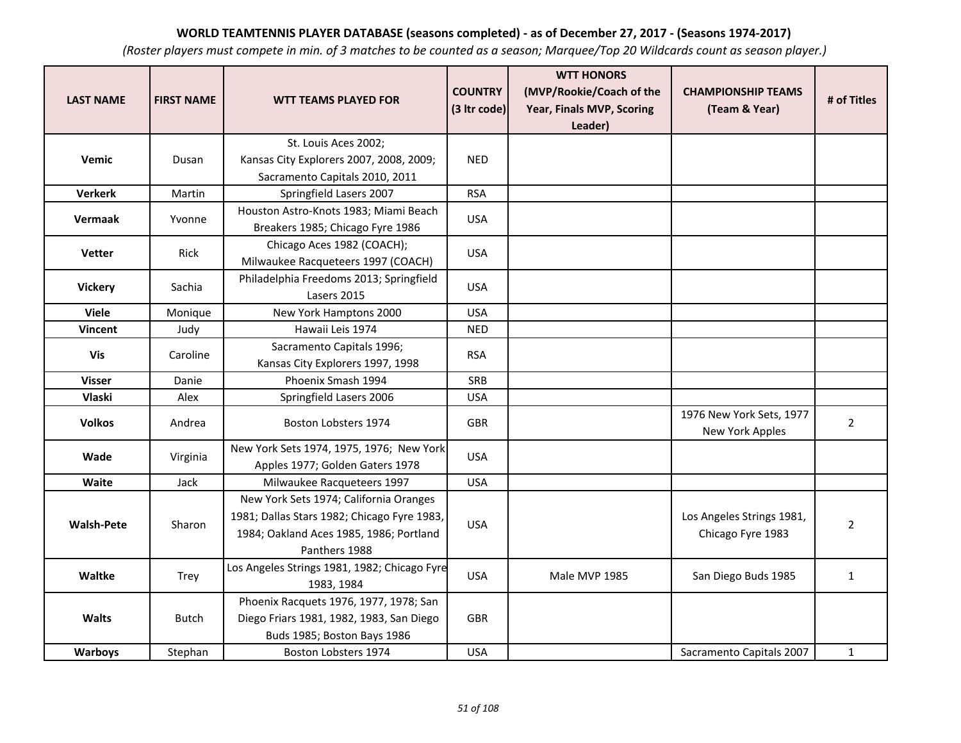| <b>LAST NAME</b>  | <b>FIRST NAME</b> | <b>WTT TEAMS PLAYED FOR</b>                                                                                       | <b>COUNTRY</b><br>(3 Itr code) | <b>WTT HONORS</b><br>(MVP/Rookie/Coach of the<br>Year, Finals MVP, Scoring<br>Leader) | <b>CHAMPIONSHIP TEAMS</b><br>(Team & Year)  | # of Titles    |
|-------------------|-------------------|-------------------------------------------------------------------------------------------------------------------|--------------------------------|---------------------------------------------------------------------------------------|---------------------------------------------|----------------|
|                   |                   | St. Louis Aces 2002;                                                                                              |                                |                                                                                       |                                             |                |
| Vemic             | Dusan             | Kansas City Explorers 2007, 2008, 2009;                                                                           | <b>NED</b>                     |                                                                                       |                                             |                |
|                   |                   | Sacramento Capitals 2010, 2011                                                                                    |                                |                                                                                       |                                             |                |
| <b>Verkerk</b>    | Martin            | Springfield Lasers 2007                                                                                           | <b>RSA</b>                     |                                                                                       |                                             |                |
| Vermaak           | Yvonne            | Houston Astro-Knots 1983; Miami Beach<br>Breakers 1985; Chicago Fyre 1986                                         | <b>USA</b>                     |                                                                                       |                                             |                |
| <b>Vetter</b>     | <b>Rick</b>       | Chicago Aces 1982 (COACH);<br>Milwaukee Racqueteers 1997 (COACH)                                                  | <b>USA</b>                     |                                                                                       |                                             |                |
| <b>Vickery</b>    | Sachia            | Philadelphia Freedoms 2013; Springfield<br>Lasers 2015                                                            | <b>USA</b>                     |                                                                                       |                                             |                |
| <b>Viele</b>      | Monique           | New York Hamptons 2000                                                                                            | <b>USA</b>                     |                                                                                       |                                             |                |
| <b>Vincent</b>    | Judy              | Hawaii Leis 1974                                                                                                  | <b>NED</b>                     |                                                                                       |                                             |                |
| Vis               | Caroline          | Sacramento Capitals 1996;<br>Kansas City Explorers 1997, 1998                                                     | <b>RSA</b>                     |                                                                                       |                                             |                |
| <b>Visser</b>     | Danie             | Phoenix Smash 1994                                                                                                | SRB                            |                                                                                       |                                             |                |
| <b>Vlaski</b>     | Alex              | Springfield Lasers 2006                                                                                           | <b>USA</b>                     |                                                                                       |                                             |                |
| <b>Volkos</b>     | Andrea            | Boston Lobsters 1974                                                                                              | <b>GBR</b>                     |                                                                                       | 1976 New York Sets, 1977<br>New York Apples | $\overline{2}$ |
| Wade              | Virginia          | New York Sets 1974, 1975, 1976; New York<br>Apples 1977; Golden Gaters 1978                                       | <b>USA</b>                     |                                                                                       |                                             |                |
| Waite             | Jack              | Milwaukee Racqueteers 1997                                                                                        | <b>USA</b>                     |                                                                                       |                                             |                |
|                   |                   | New York Sets 1974; California Oranges                                                                            |                                |                                                                                       |                                             |                |
| <b>Walsh-Pete</b> | Sharon            | 1981; Dallas Stars 1982; Chicago Fyre 1983,                                                                       | <b>USA</b>                     |                                                                                       | Los Angeles Strings 1981,                   | $\overline{2}$ |
|                   |                   | 1984; Oakland Aces 1985, 1986; Portland                                                                           |                                |                                                                                       | Chicago Fyre 1983                           |                |
|                   |                   | Panthers 1988                                                                                                     |                                |                                                                                       |                                             |                |
| Waltke            | <b>Trey</b>       | Los Angeles Strings 1981, 1982; Chicago Fyre<br>1983, 1984                                                        | <b>USA</b>                     | Male MVP 1985                                                                         | San Diego Buds 1985                         | $\mathbf{1}$   |
| <b>Walts</b>      | <b>Butch</b>      | Phoenix Racquets 1976, 1977, 1978; San<br>Diego Friars 1981, 1982, 1983, San Diego<br>Buds 1985; Boston Bays 1986 | <b>GBR</b>                     |                                                                                       |                                             |                |
| Warboys           | Stephan           | Boston Lobsters 1974                                                                                              | <b>USA</b>                     |                                                                                       | Sacramento Capitals 2007                    | $\mathbf{1}$   |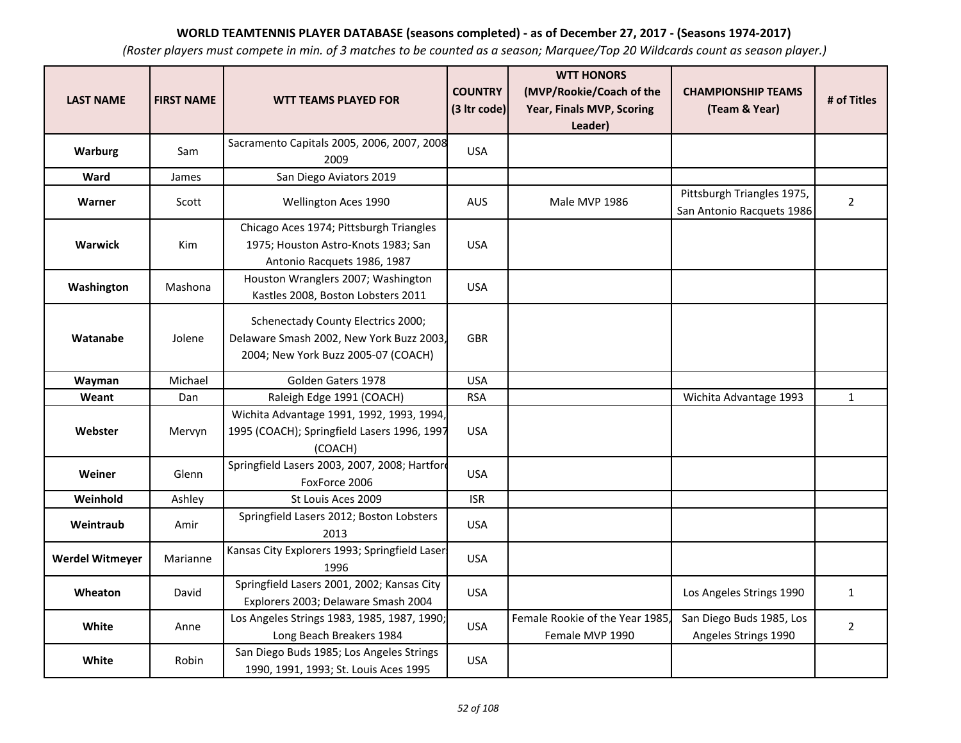| <b>LAST NAME</b>       | <b>FIRST NAME</b> | <b>WTT TEAMS PLAYED FOR</b>                                                                                           | <b>COUNTRY</b><br>(3 Itr code) | <b>WTT HONORS</b><br>(MVP/Rookie/Coach of the<br>Year, Finals MVP, Scoring<br>Leader) | <b>CHAMPIONSHIP TEAMS</b><br>(Team & Year)              | # of Titles    |
|------------------------|-------------------|-----------------------------------------------------------------------------------------------------------------------|--------------------------------|---------------------------------------------------------------------------------------|---------------------------------------------------------|----------------|
| <b>Warburg</b>         | Sam               | Sacramento Capitals 2005, 2006, 2007, 2008<br>2009                                                                    | <b>USA</b>                     |                                                                                       |                                                         |                |
| Ward                   | James             | San Diego Aviators 2019                                                                                               |                                |                                                                                       |                                                         |                |
| Warner                 | Scott             | Wellington Aces 1990                                                                                                  | AUS                            | Male MVP 1986                                                                         | Pittsburgh Triangles 1975,<br>San Antonio Racquets 1986 | $\overline{2}$ |
| Warwick                | Kim               | Chicago Aces 1974; Pittsburgh Triangles<br>1975; Houston Astro-Knots 1983; San<br>Antonio Racquets 1986, 1987         | <b>USA</b>                     |                                                                                       |                                                         |                |
| Washington             | Mashona           | Houston Wranglers 2007; Washington<br>Kastles 2008, Boston Lobsters 2011                                              | <b>USA</b>                     |                                                                                       |                                                         |                |
| Watanabe               | Jolene            | Schenectady County Electrics 2000;<br>Delaware Smash 2002, New York Buzz 2003,<br>2004; New York Buzz 2005-07 (COACH) | <b>GBR</b>                     |                                                                                       |                                                         |                |
| Wayman                 | Michael           | Golden Gaters 1978                                                                                                    | <b>USA</b>                     |                                                                                       |                                                         |                |
| Weant                  | Dan               | Raleigh Edge 1991 (COACH)                                                                                             | <b>RSA</b>                     |                                                                                       | Wichita Advantage 1993                                  | $\mathbf{1}$   |
| Webster                | Mervyn            | Wichita Advantage 1991, 1992, 1993, 1994,<br>1995 (COACH); Springfield Lasers 1996, 1997<br>(COACH)                   | <b>USA</b>                     |                                                                                       |                                                         |                |
| Weiner                 | Glenn             | Springfield Lasers 2003, 2007, 2008; Hartford<br>FoxForce 2006                                                        | <b>USA</b>                     |                                                                                       |                                                         |                |
| Weinhold               | Ashley            | St Louis Aces 2009                                                                                                    | <b>ISR</b>                     |                                                                                       |                                                         |                |
| Weintraub              | Amir              | Springfield Lasers 2012; Boston Lobsters<br>2013                                                                      | <b>USA</b>                     |                                                                                       |                                                         |                |
| <b>Werdel Witmeyer</b> | Marianne          | Kansas City Explorers 1993; Springfield Laser<br>1996                                                                 | <b>USA</b>                     |                                                                                       |                                                         |                |
| <b>Wheaton</b>         | David             | Springfield Lasers 2001, 2002; Kansas City<br>Explorers 2003; Delaware Smash 2004                                     | <b>USA</b>                     |                                                                                       | Los Angeles Strings 1990                                | $\mathbf{1}$   |
| White                  | Anne              | Los Angeles Strings 1983, 1985, 1987, 1990;<br>Long Beach Breakers 1984                                               | <b>USA</b>                     | Female Rookie of the Year 1985<br>Female MVP 1990                                     | San Diego Buds 1985, Los<br>Angeles Strings 1990        | $\overline{2}$ |
| White                  | Robin             | San Diego Buds 1985; Los Angeles Strings<br>1990, 1991, 1993; St. Louis Aces 1995                                     | <b>USA</b>                     |                                                                                       |                                                         |                |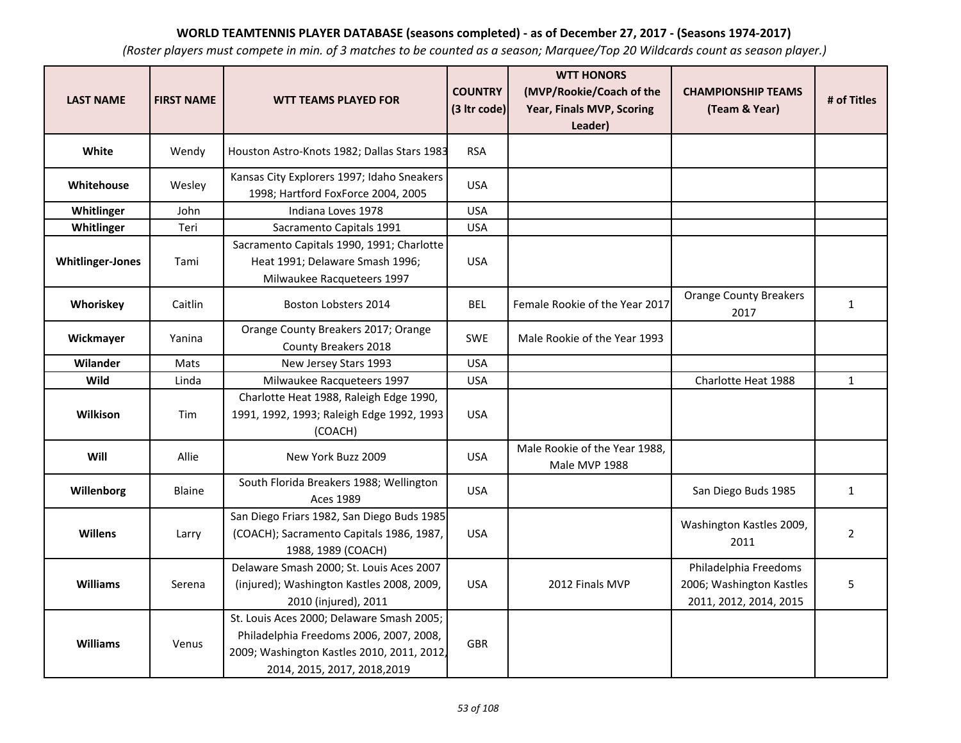| <b>LAST NAME</b>        | <b>FIRST NAME</b> | <b>WTT TEAMS PLAYED FOR</b>                                                                                                                                        | <b>COUNTRY</b><br>(3 Itr code) | <b>WTT HONORS</b><br>(MVP/Rookie/Coach of the<br>Year, Finals MVP, Scoring | <b>CHAMPIONSHIP TEAMS</b><br>(Team & Year)                                  | # of Titles    |
|-------------------------|-------------------|--------------------------------------------------------------------------------------------------------------------------------------------------------------------|--------------------------------|----------------------------------------------------------------------------|-----------------------------------------------------------------------------|----------------|
|                         |                   |                                                                                                                                                                    |                                | Leader)                                                                    |                                                                             |                |
| White                   | Wendy             | Houston Astro-Knots 1982; Dallas Stars 1983                                                                                                                        | <b>RSA</b>                     |                                                                            |                                                                             |                |
| Whitehouse              | Wesley            | Kansas City Explorers 1997; Idaho Sneakers<br>1998; Hartford FoxForce 2004, 2005                                                                                   | <b>USA</b>                     |                                                                            |                                                                             |                |
| Whitlinger              | John              | Indiana Loves 1978                                                                                                                                                 | <b>USA</b>                     |                                                                            |                                                                             |                |
| Whitlinger              | Teri              | Sacramento Capitals 1991                                                                                                                                           | <b>USA</b>                     |                                                                            |                                                                             |                |
| <b>Whitlinger-Jones</b> | Tami              | Sacramento Capitals 1990, 1991; Charlotte<br>Heat 1991; Delaware Smash 1996;<br>Milwaukee Racqueteers 1997                                                         | <b>USA</b>                     |                                                                            |                                                                             |                |
| Whoriskey               | Caitlin           | Boston Lobsters 2014                                                                                                                                               | <b>BEL</b>                     | Female Rookie of the Year 2017                                             | <b>Orange County Breakers</b><br>2017                                       | $\mathbf{1}$   |
| Wickmayer               | Yanina            | Orange County Breakers 2017; Orange<br>County Breakers 2018                                                                                                        | <b>SWE</b>                     | Male Rookie of the Year 1993                                               |                                                                             |                |
| Wilander                | Mats              | New Jersey Stars 1993                                                                                                                                              | <b>USA</b>                     |                                                                            |                                                                             |                |
| Wild                    | Linda             | Milwaukee Racqueteers 1997                                                                                                                                         | <b>USA</b>                     |                                                                            | Charlotte Heat 1988                                                         | $\mathbf{1}$   |
| Wilkison                | Tim               | Charlotte Heat 1988, Raleigh Edge 1990,<br>1991, 1992, 1993; Raleigh Edge 1992, 1993<br>(COACH)                                                                    | <b>USA</b>                     |                                                                            |                                                                             |                |
| Will                    | Allie             | New York Buzz 2009                                                                                                                                                 | <b>USA</b>                     | Male Rookie of the Year 1988,<br>Male MVP 1988                             |                                                                             |                |
| Willenborg              | Blaine            | South Florida Breakers 1988; Wellington<br><b>Aces 1989</b>                                                                                                        | <b>USA</b>                     |                                                                            | San Diego Buds 1985                                                         | $\mathbf{1}$   |
| <b>Willens</b>          | Larry             | San Diego Friars 1982, San Diego Buds 1985<br>(COACH); Sacramento Capitals 1986, 1987,<br>1988, 1989 (COACH)                                                       | <b>USA</b>                     |                                                                            | Washington Kastles 2009,<br>2011                                            | $\overline{2}$ |
| <b>Williams</b>         | Serena            | Delaware Smash 2000; St. Louis Aces 2007<br>(injured); Washington Kastles 2008, 2009,<br>2010 (injured), 2011                                                      | <b>USA</b>                     | 2012 Finals MVP                                                            | Philadelphia Freedoms<br>2006; Washington Kastles<br>2011, 2012, 2014, 2015 | 5              |
| <b>Williams</b>         | Venus             | St. Louis Aces 2000; Delaware Smash 2005;<br>Philadelphia Freedoms 2006, 2007, 2008,<br>2009; Washington Kastles 2010, 2011, 2012,<br>2014, 2015, 2017, 2018, 2019 | <b>GBR</b>                     |                                                                            |                                                                             |                |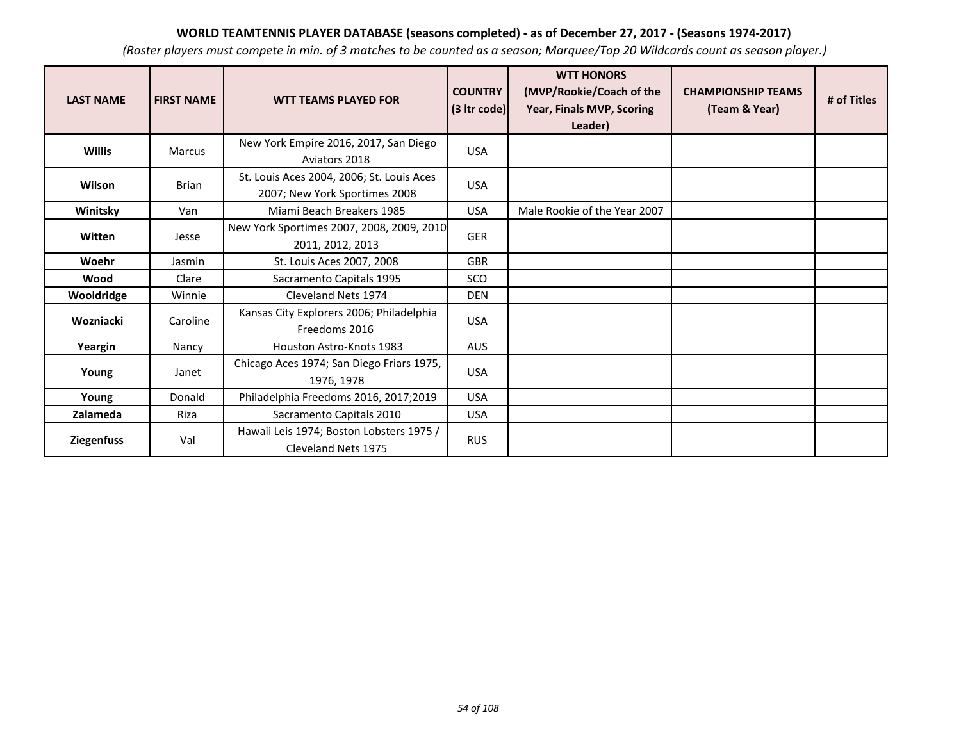| <b>LAST NAME</b>  | <b>FIRST NAME</b> | <b>WTT TEAMS PLAYED FOR</b>                                                | <b>COUNTRY</b><br>$(3$ ltr code) | <b>WTT HONORS</b><br>(MVP/Rookie/Coach of the<br>Year, Finals MVP, Scoring<br>Leader) | <b>CHAMPIONSHIP TEAMS</b><br>(Team & Year) | # of Titles |
|-------------------|-------------------|----------------------------------------------------------------------------|----------------------------------|---------------------------------------------------------------------------------------|--------------------------------------------|-------------|
| <b>Willis</b>     | Marcus            | New York Empire 2016, 2017, San Diego<br>Aviators 2018                     | <b>USA</b>                       |                                                                                       |                                            |             |
| Wilson            | <b>Brian</b>      | St. Louis Aces 2004, 2006; St. Louis Aces<br>2007; New York Sportimes 2008 | <b>USA</b>                       |                                                                                       |                                            |             |
| Winitsky          | Van               | Miami Beach Breakers 1985                                                  | <b>USA</b>                       | Male Rookie of the Year 2007                                                          |                                            |             |
| Witten            | Jesse             | New York Sportimes 2007, 2008, 2009, 2010<br>2011, 2012, 2013              | <b>GER</b>                       |                                                                                       |                                            |             |
| Woehr             | Jasmin            | St. Louis Aces 2007, 2008                                                  | <b>GBR</b>                       |                                                                                       |                                            |             |
| Wood              | Clare             | Sacramento Capitals 1995                                                   | SCO                              |                                                                                       |                                            |             |
| Wooldridge        | Winnie            | Cleveland Nets 1974                                                        | <b>DEN</b>                       |                                                                                       |                                            |             |
| Wozniacki         | Caroline          | Kansas City Explorers 2006; Philadelphia<br>Freedoms 2016                  | <b>USA</b>                       |                                                                                       |                                            |             |
| Yeargin           | Nancy             | <b>Houston Astro-Knots 1983</b>                                            | <b>AUS</b>                       |                                                                                       |                                            |             |
| Young             | Janet             | Chicago Aces 1974; San Diego Friars 1975,<br>1976, 1978                    | <b>USA</b>                       |                                                                                       |                                            |             |
| Young             | Donald            | Philadelphia Freedoms 2016, 2017;2019                                      | <b>USA</b>                       |                                                                                       |                                            |             |
| Zalameda          | Riza              | Sacramento Capitals 2010                                                   | <b>USA</b>                       |                                                                                       |                                            |             |
| <b>Ziegenfuss</b> | Val               | Hawaii Leis 1974; Boston Lobsters 1975 /<br>Cleveland Nets 1975            | <b>RUS</b>                       |                                                                                       |                                            |             |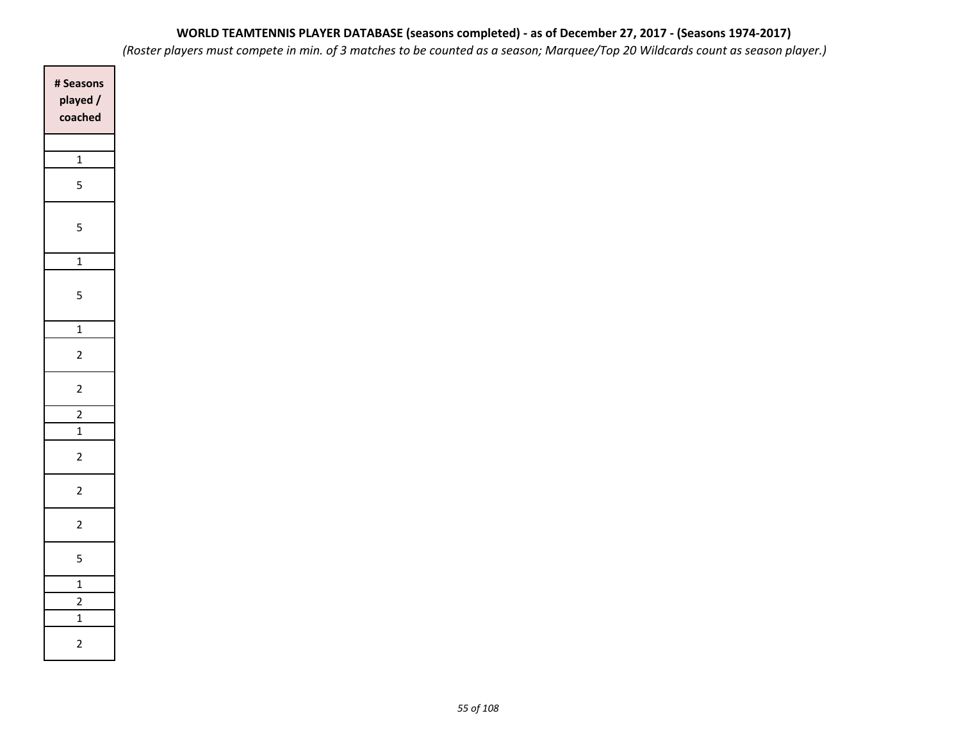*(Roster players must compete in min. of 3 matches to be counted as a season; Marquee/Top 20 Wildcards count as season player.)*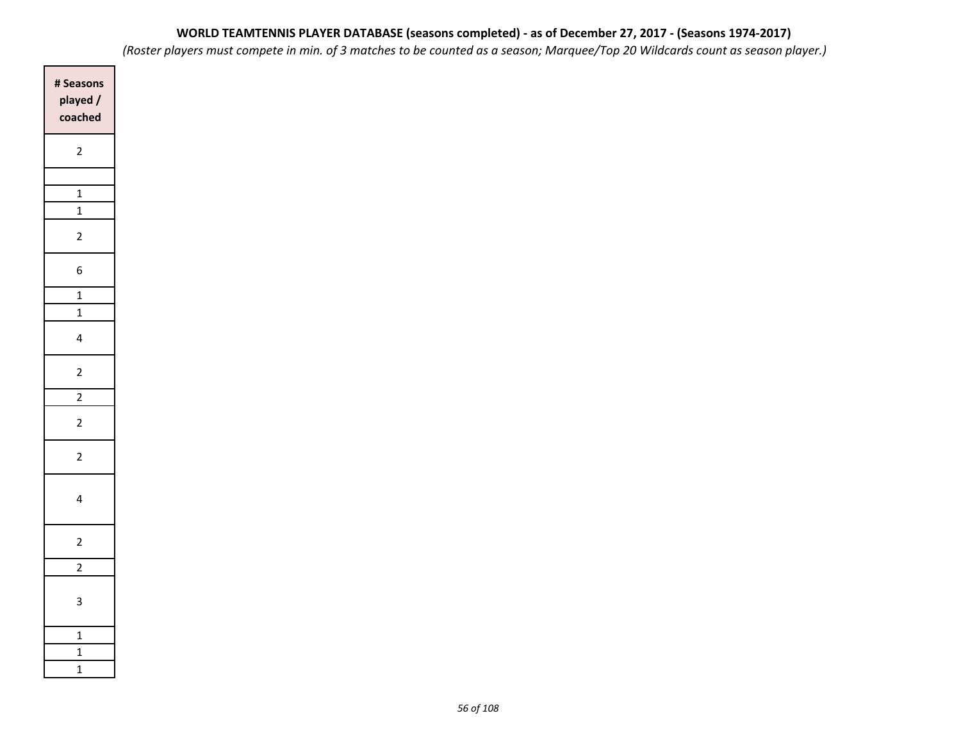| # Seasons<br>played /<br>coached |
|----------------------------------|
| $\overline{c}$                   |
|                                  |
| $\mathbf{1}$                     |
| $\overline{1}$                   |
| $\overline{c}$                   |
| 6                                |
| $\overline{1}$                   |
| $\overline{1}$                   |
| 4                                |
| $\overline{\mathbf{c}}$          |
| $\frac{1}{2}$                    |
| $\overline{c}$                   |
| $\overline{2}$                   |
| 4                                |
| $\overline{2}$                   |
| $\overline{2}$                   |
| 3                                |
| $\overline{1}$                   |
| $\overline{1}$                   |
| $\overline{1}$                   |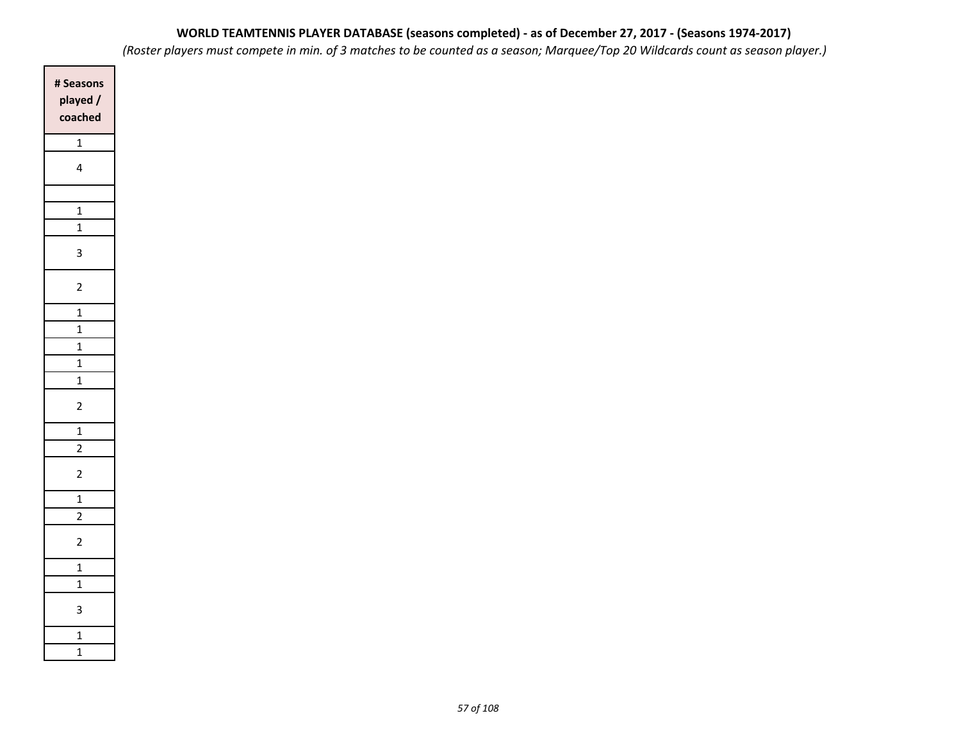*(Roster players must compete in min. of 3 matches to be counted as a season; Marquee/Top 20 Wildcards count as season player.)*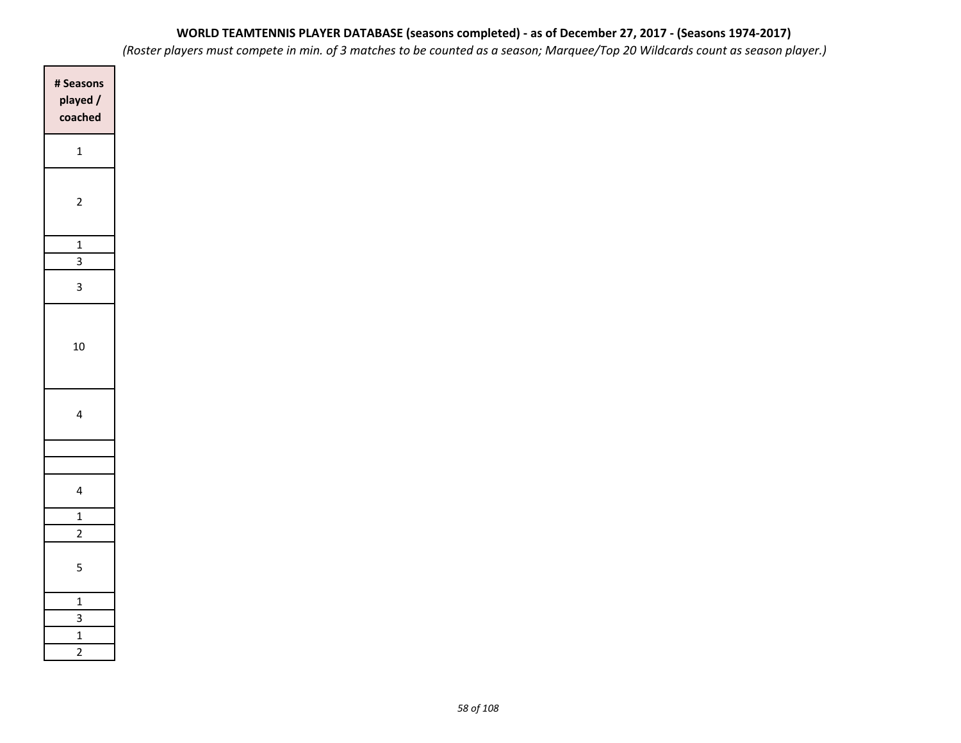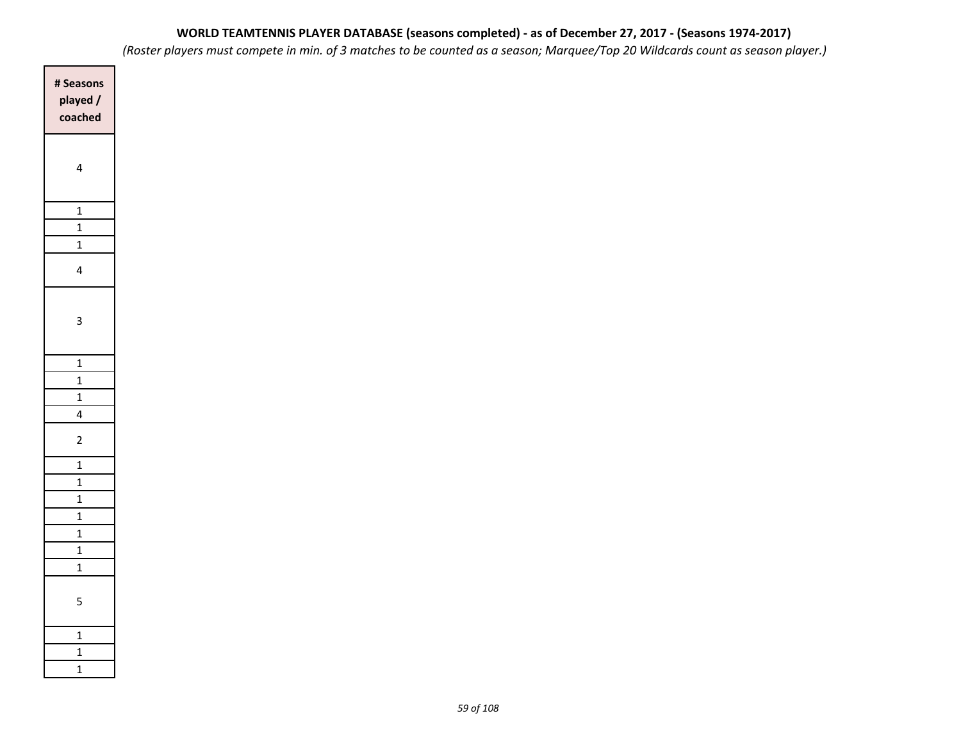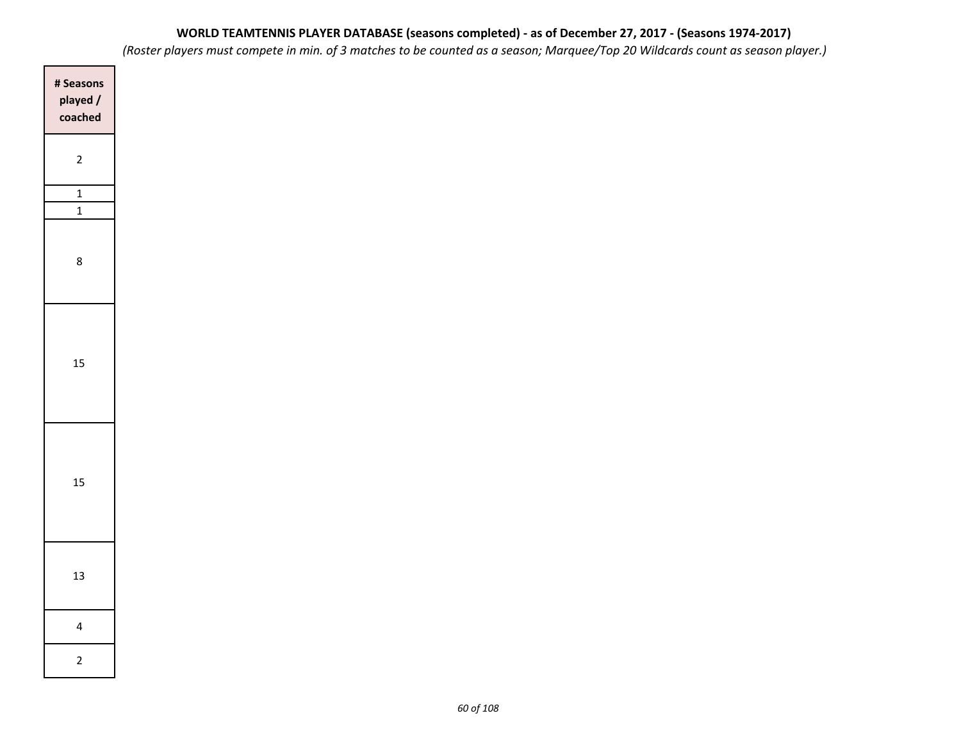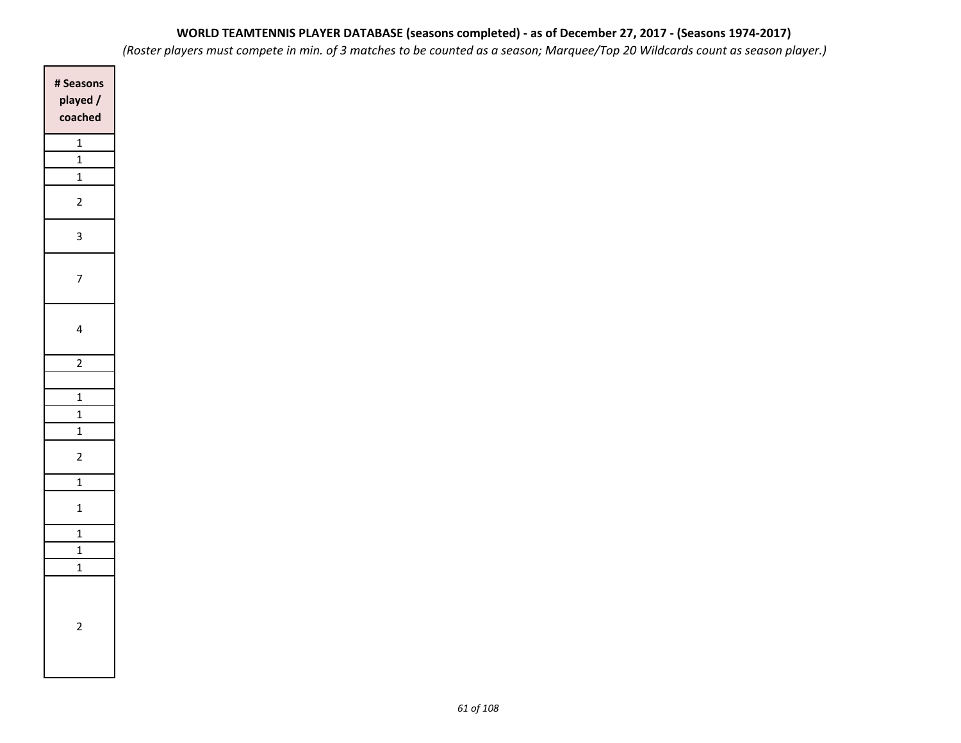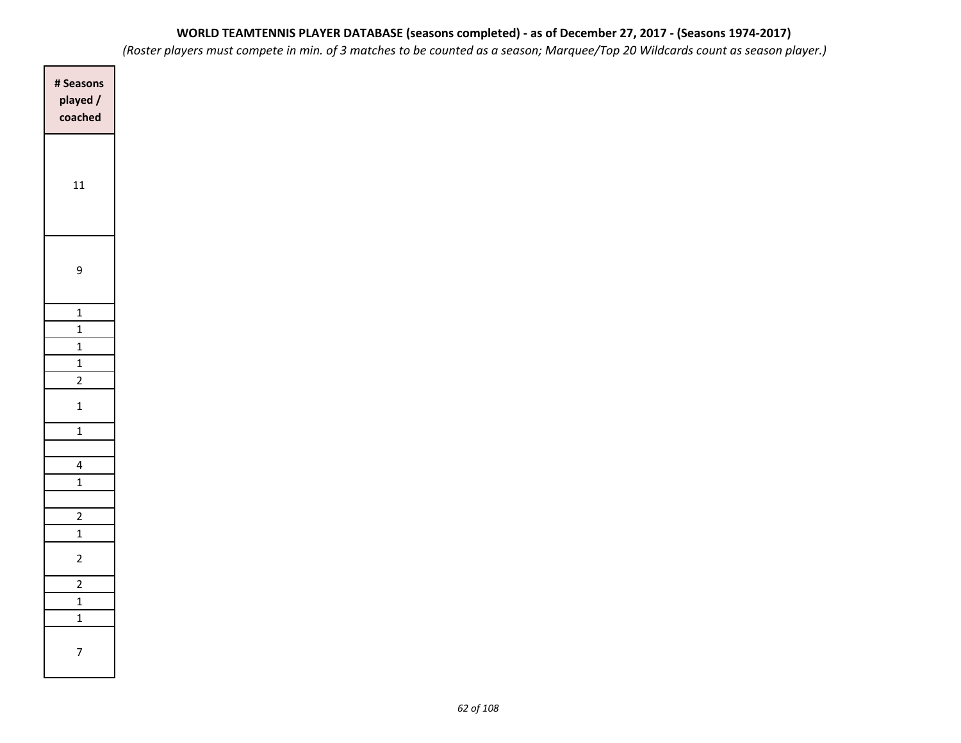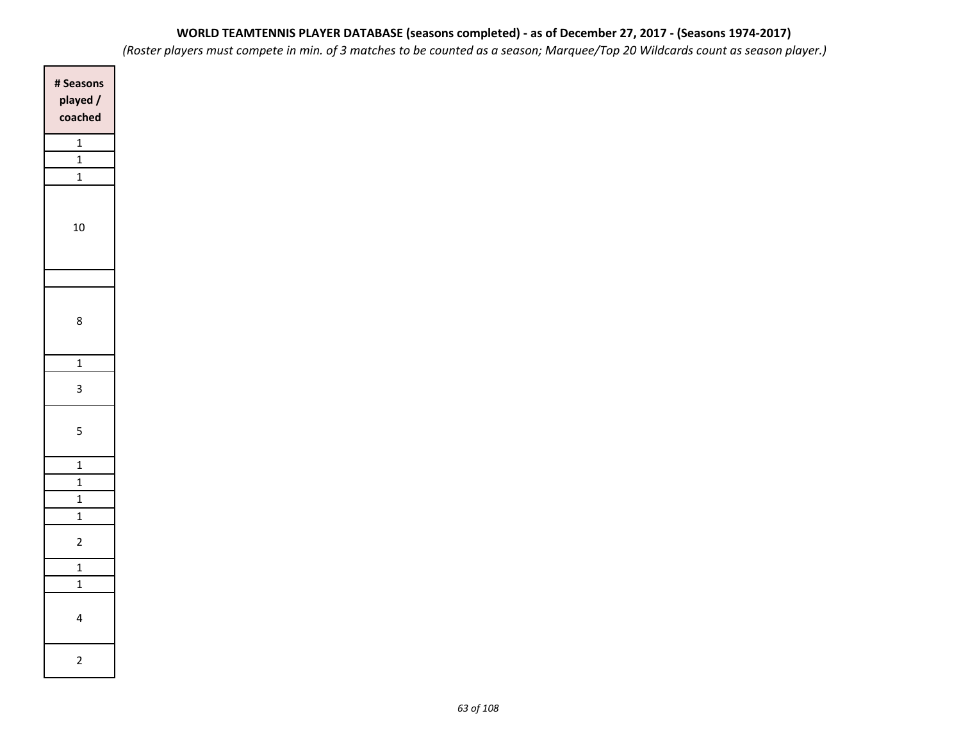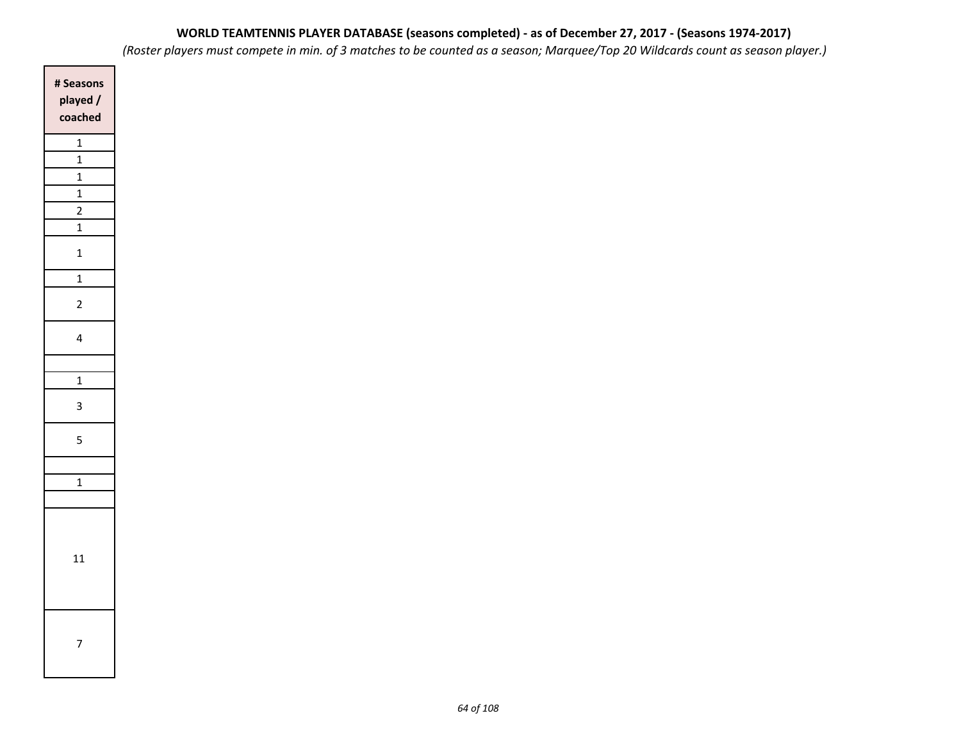*(Roster players must compete in min. of 3 matches to be counted as a season; Marquee/Top 20 Wildcards count as season player.)*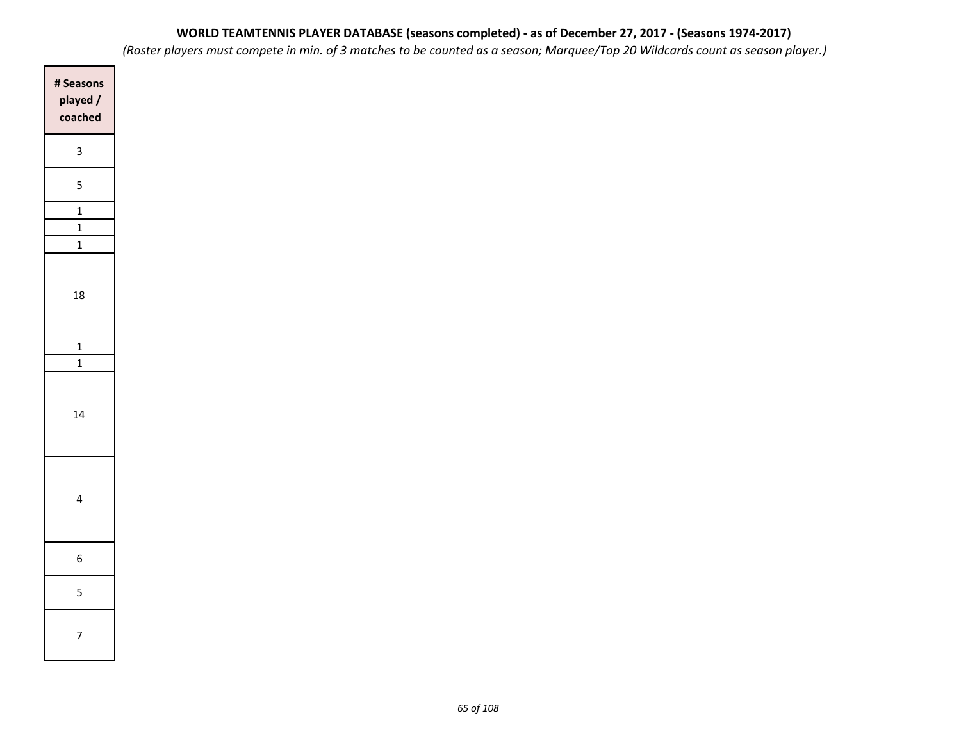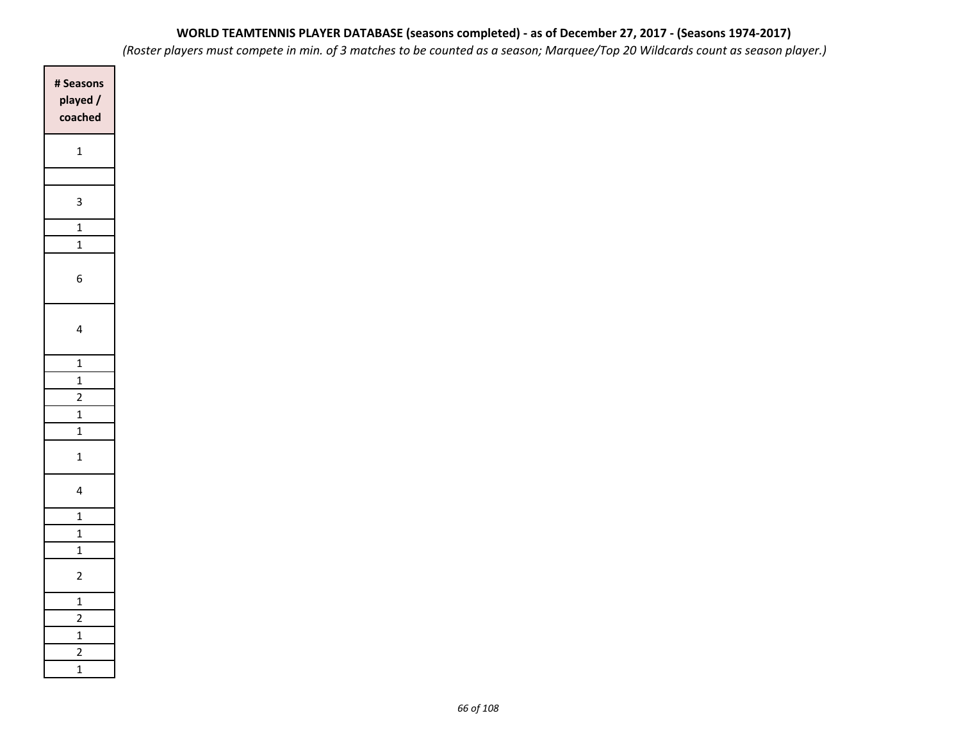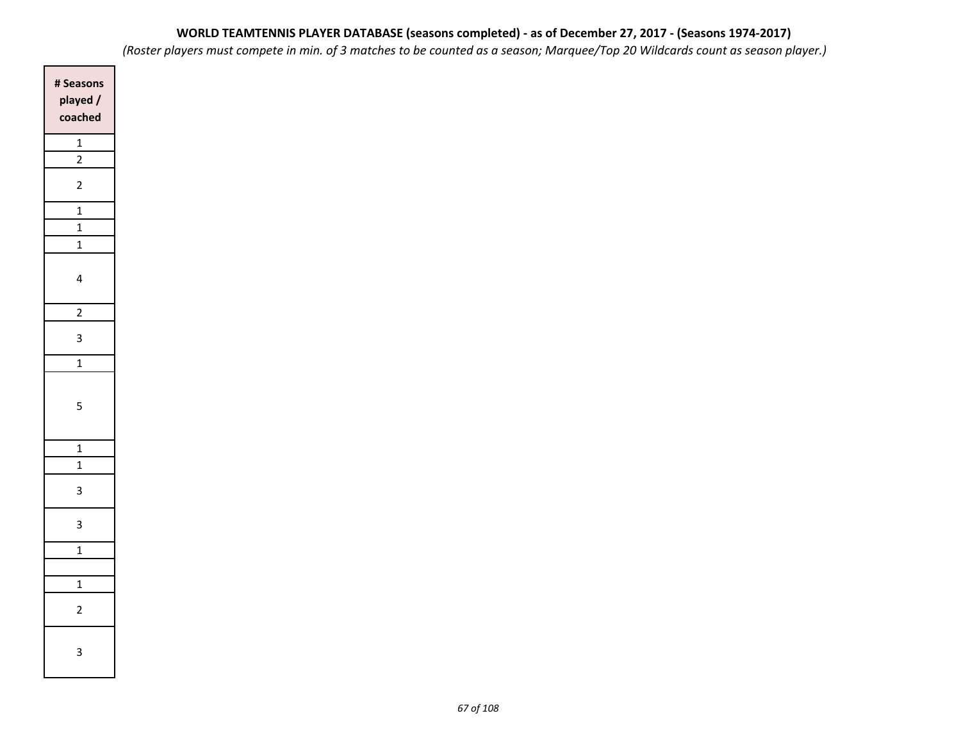| # Seasons<br>played /<br>coached |
|----------------------------------|
| $\overline{1}$                   |
| $\overline{2}$                   |
| $\overline{2}$                   |
| $\overline{\mathbf{1}}$          |
| $\overline{\mathbf{1}}$          |
| $\overline{1}$                   |
| 4                                |
| $\overline{2}$                   |
| 3                                |
| $\overline{1}$                   |
| 5                                |
| $\mathbf{1}$                     |
| $\mathbf{1}$                     |
| 3                                |
| 3                                |
| $\overline{1}$                   |
|                                  |
| $\overline{\mathbf{1}}$          |
| 2                                |
| 3                                |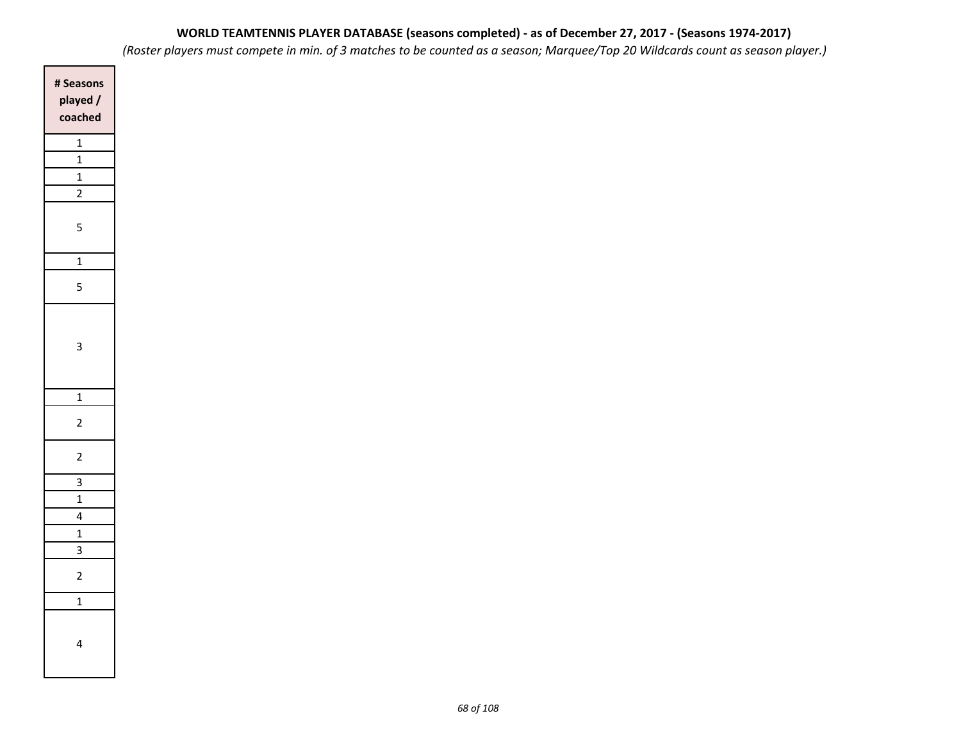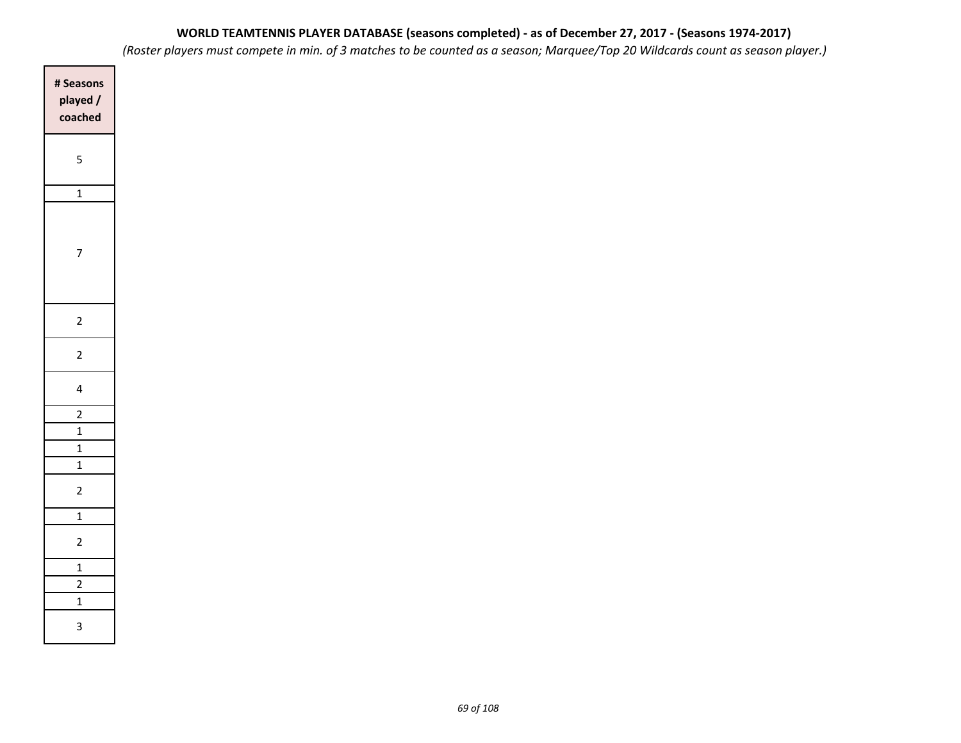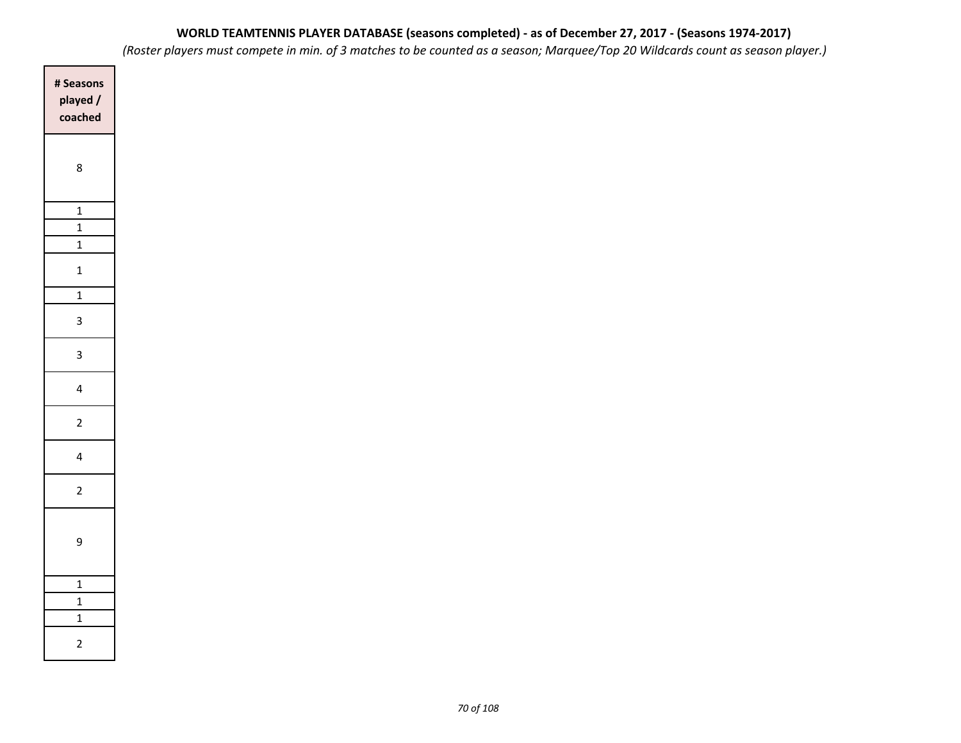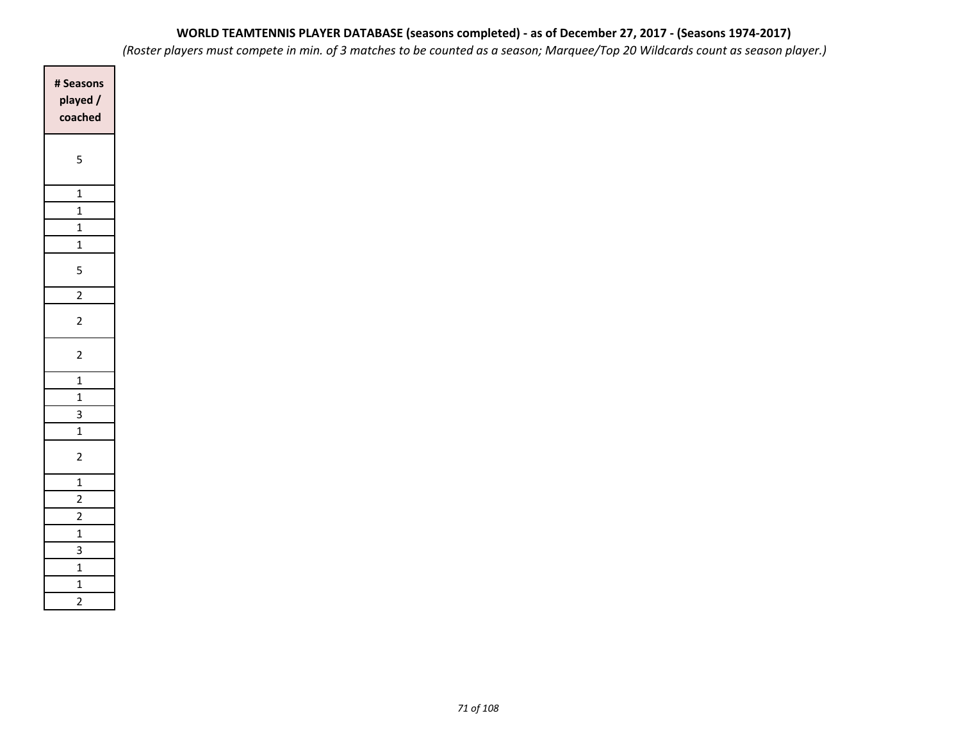| # Seasons<br>played /<br>coached         |
|------------------------------------------|
| 5                                        |
| $\mathbf{1}$                             |
| $\mathbf{1}$                             |
| $\mathbf{1}$                             |
| $\mathbf{1}$                             |
| 5                                        |
| $\overline{2}$                           |
| $\overline{2}$                           |
| $\overline{c}$                           |
| $\overline{1}$                           |
| $\mathbf{1}$                             |
| 3                                        |
| $\mathbf{1}$                             |
| $\overline{c}$                           |
| $\overline{1}$                           |
| $\overline{2}$                           |
| $\overline{2}$                           |
| $\overline{1}$                           |
| $\overline{3}$                           |
| $\mathbf{1}$                             |
| $\overline{\mathbf{1}}$<br>$\frac{1}{2}$ |
|                                          |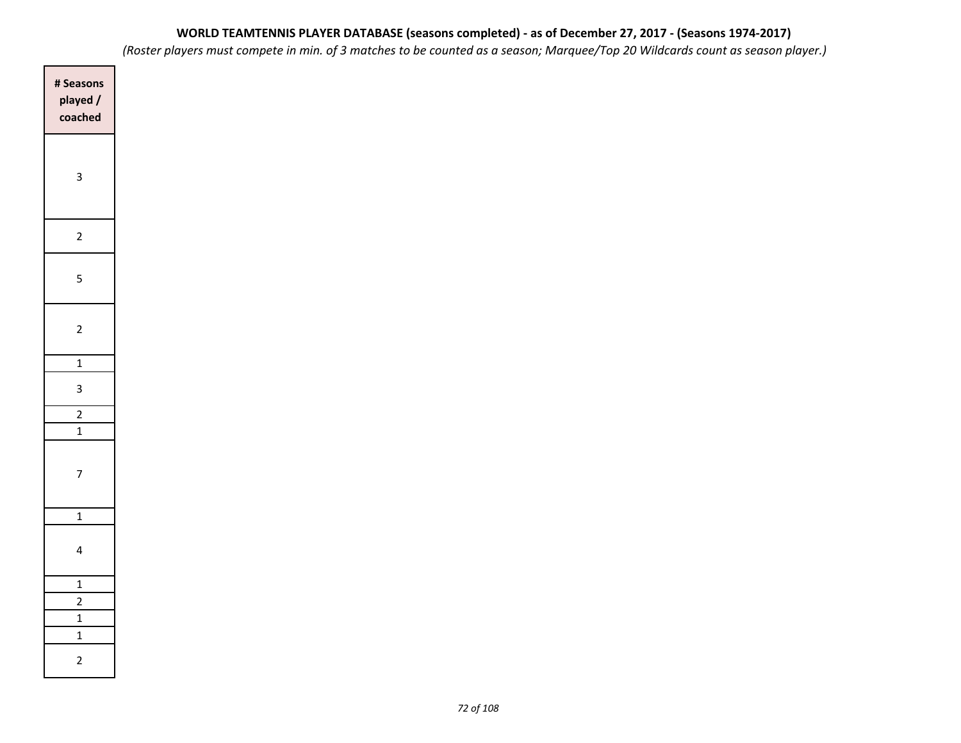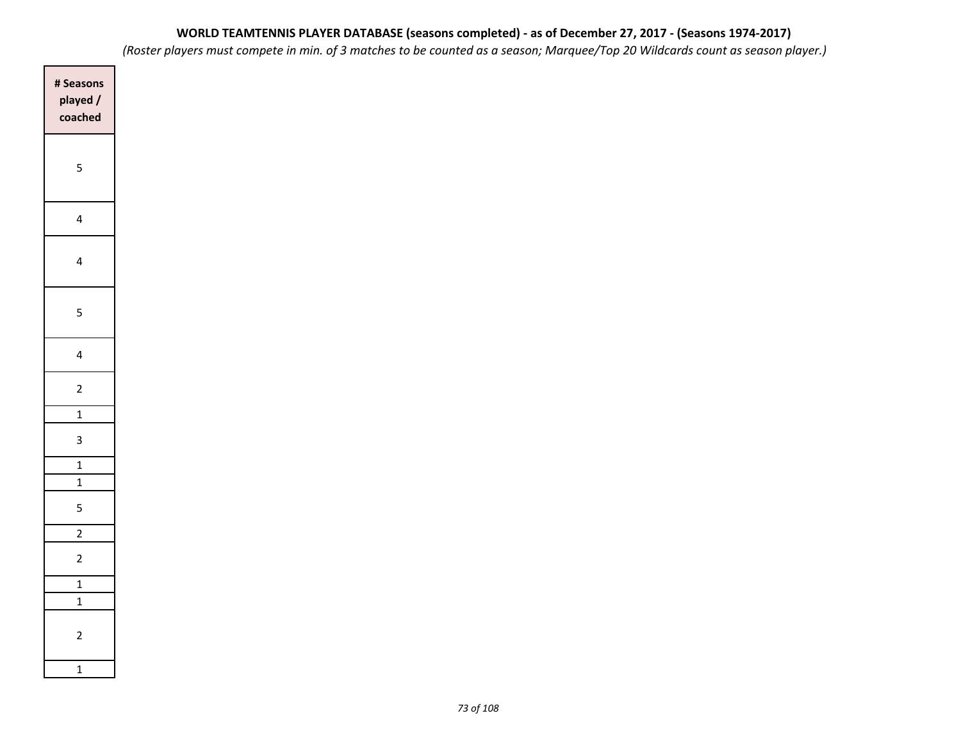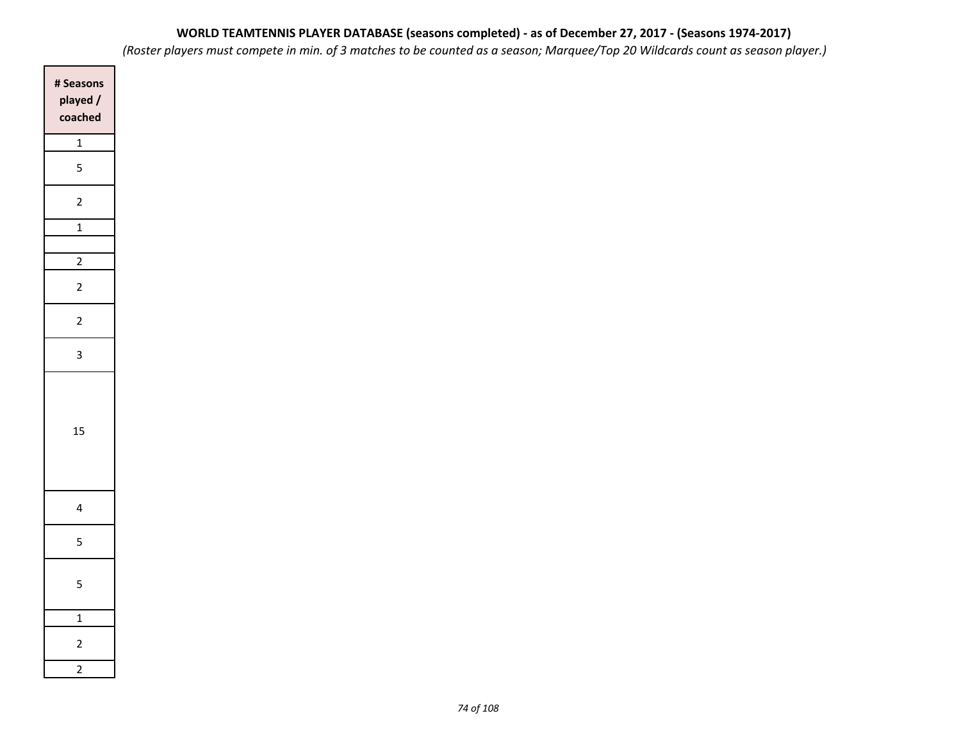| # Seasons<br>played /<br>coached |
|----------------------------------|
| $\overline{1}$                   |
| 5                                |
| $\overline{c}$                   |
| $\overline{1}$                   |
| $\overline{2}$                   |
| $\overline{c}$                   |
| $\overline{c}$                   |
| 3                                |
| 15                               |
| 4                                |
| 5                                |
| 5                                |
| $\overline{1}$                   |
| $\overline{\mathbf{c}}$          |
| $\frac{1}{2}$                    |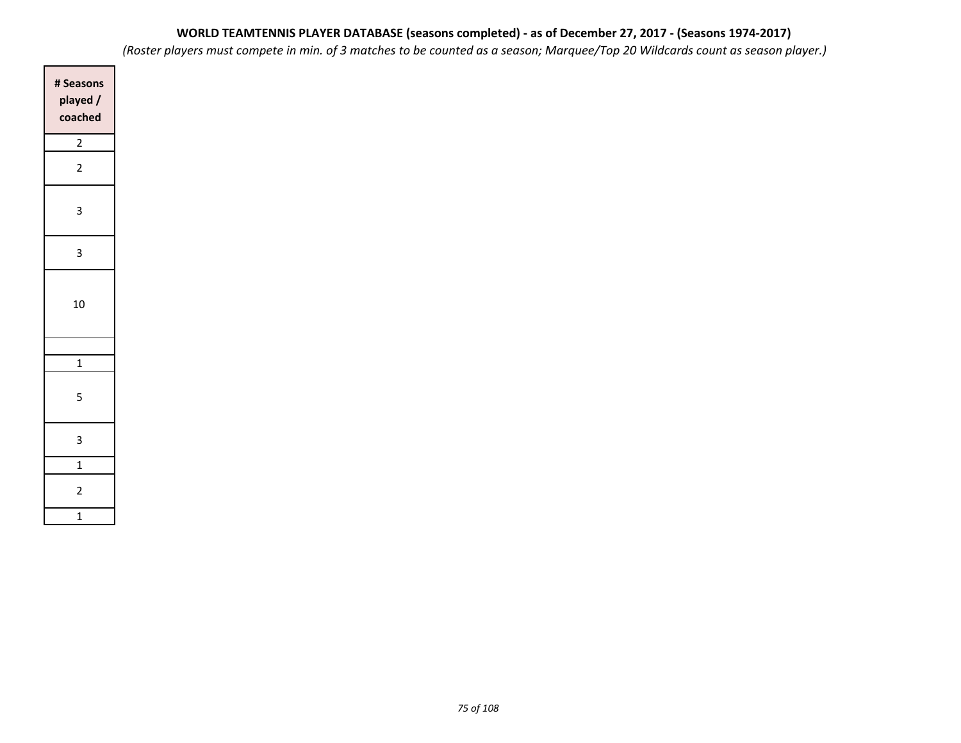*(Roster players must compete in min. of 3 matches to be counted as a season; Marquee/Top 20 Wildcards count as season player.)*

| # Seasons<br>played/<br>coached |
|---------------------------------|
| $\overline{a}$                  |
| $\overline{a}$                  |
| 3                               |
| 3                               |
| 10                              |
|                                 |
| $\overline{1}$                  |
| 5                               |
| 3                               |
| $\mathbf{1}$                    |
| $\overline{2}$                  |
| $\overline{\mathbf{1}}$         |

 $\Box$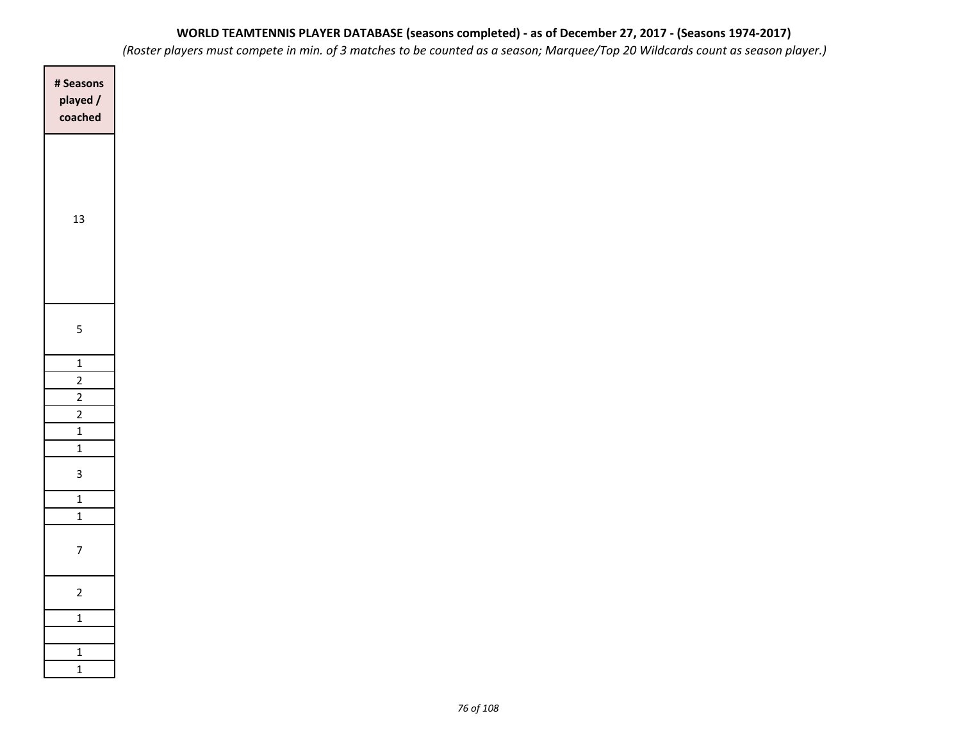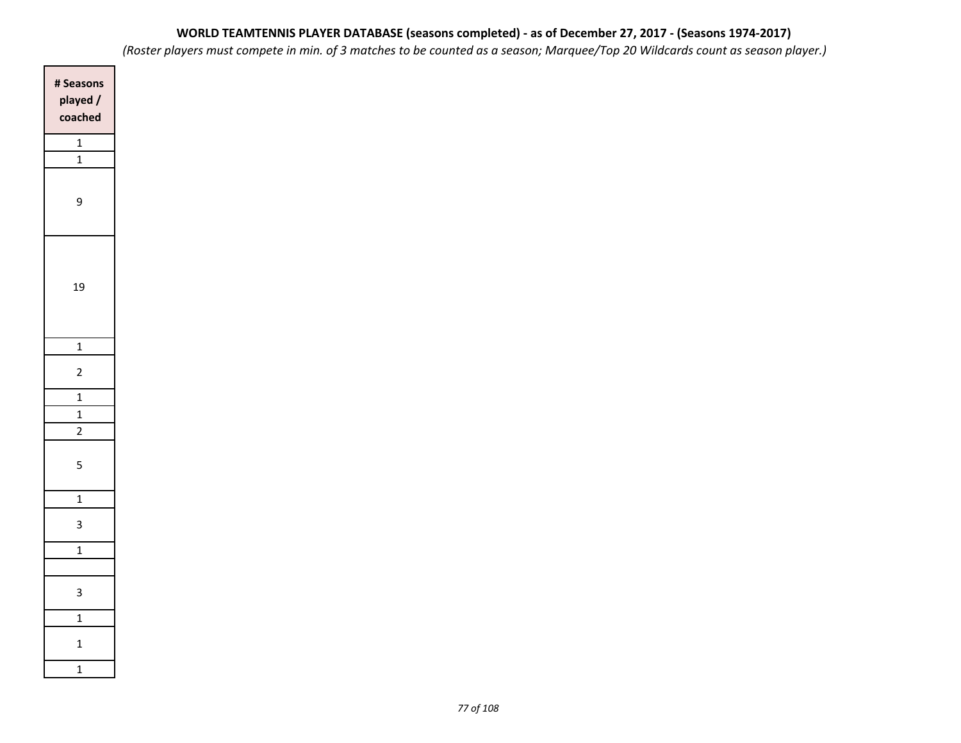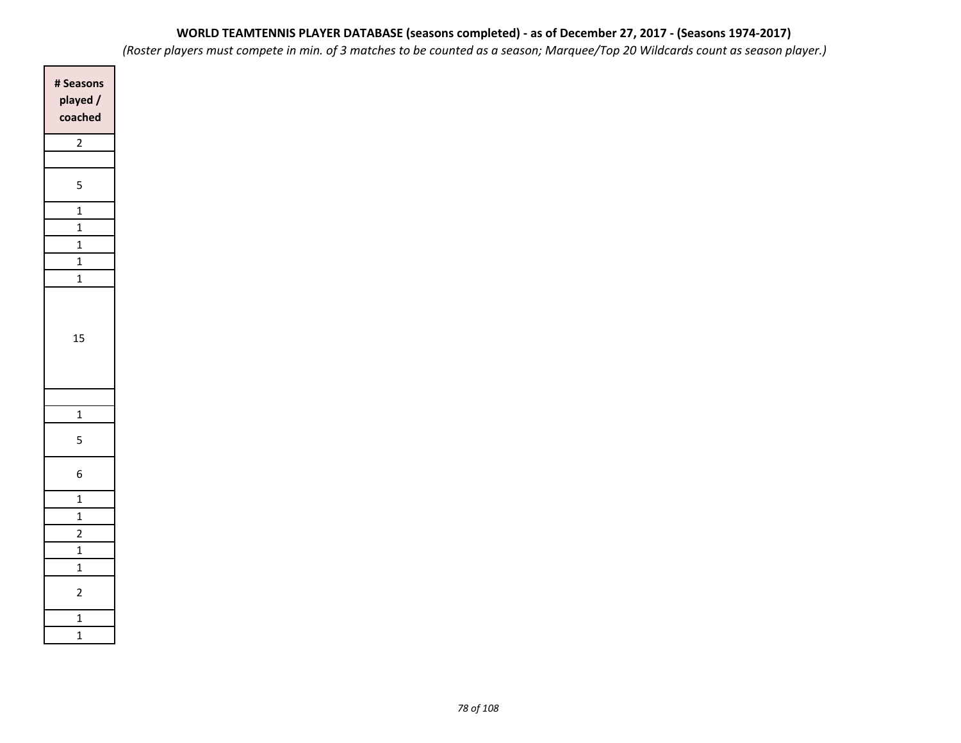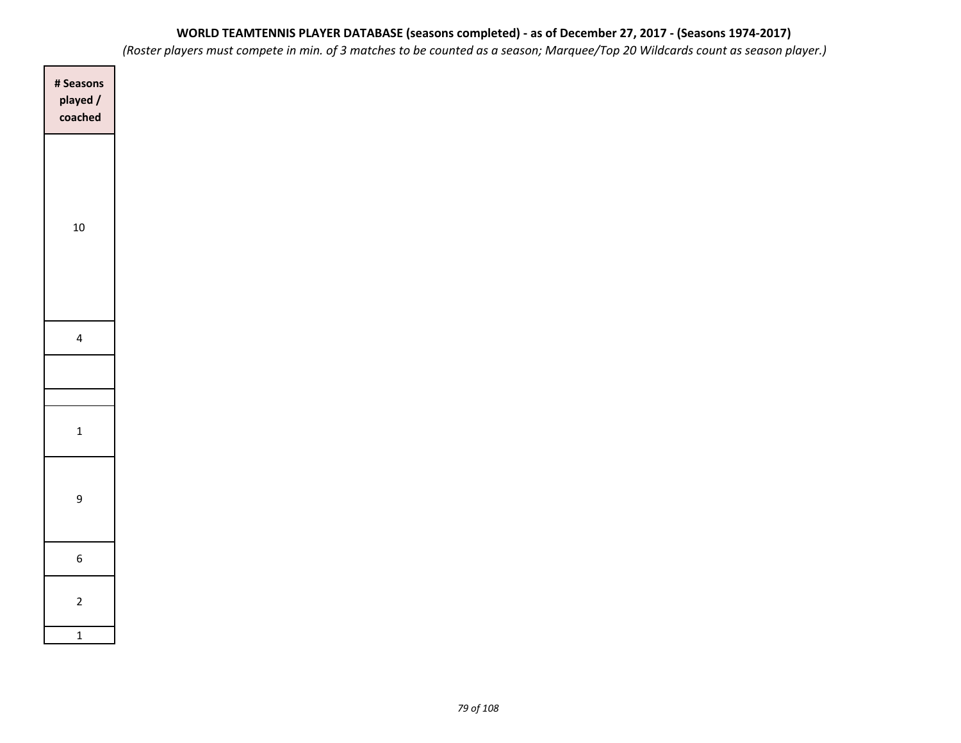| # Seasons<br>played /<br>coached |
|----------------------------------|
|                                  |
| $10\,$                           |
|                                  |
| $\overline{\mathbf{4}}$          |
|                                  |
| $\mathbf 1$                      |
| $\mathsf g$                      |
| $\boldsymbol{6}$                 |
| $\mathbf 2$                      |
| $\mathbf 1$                      |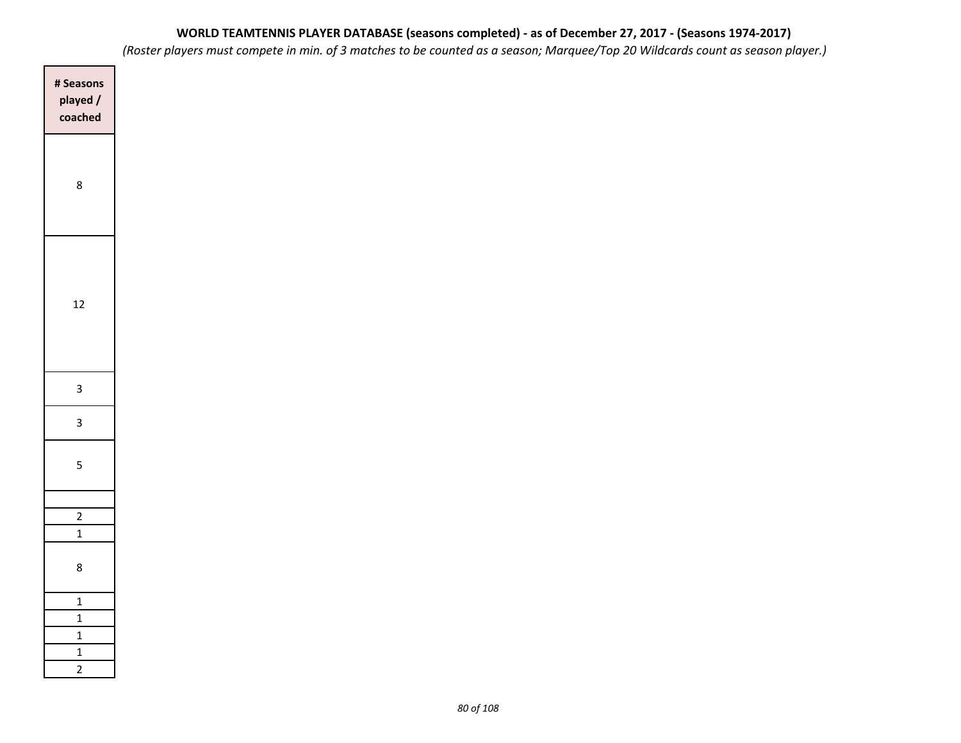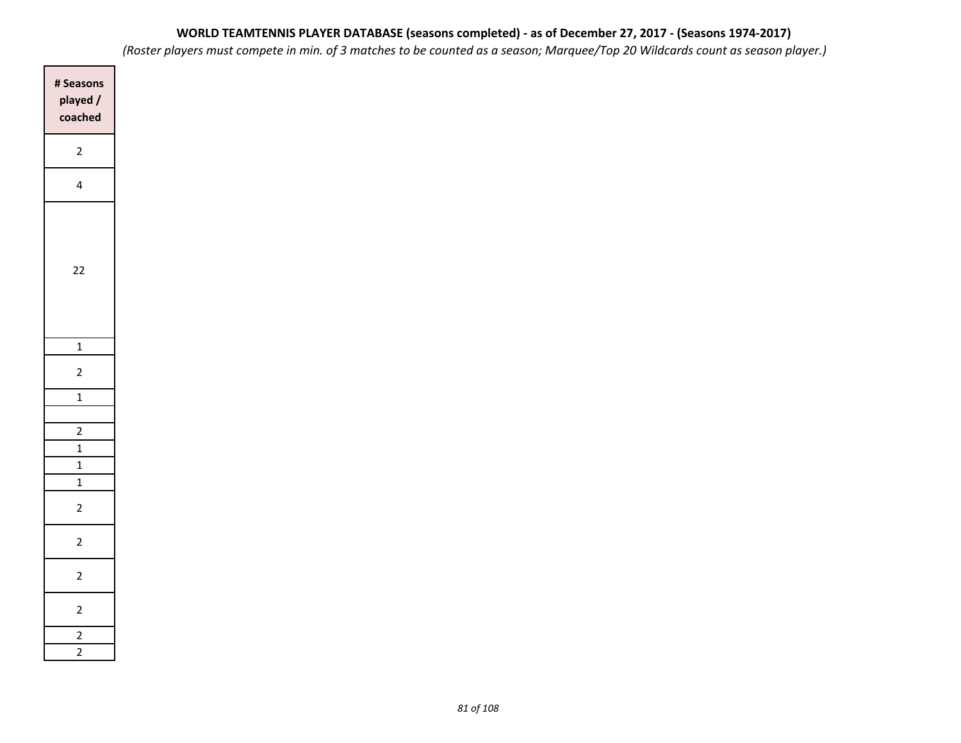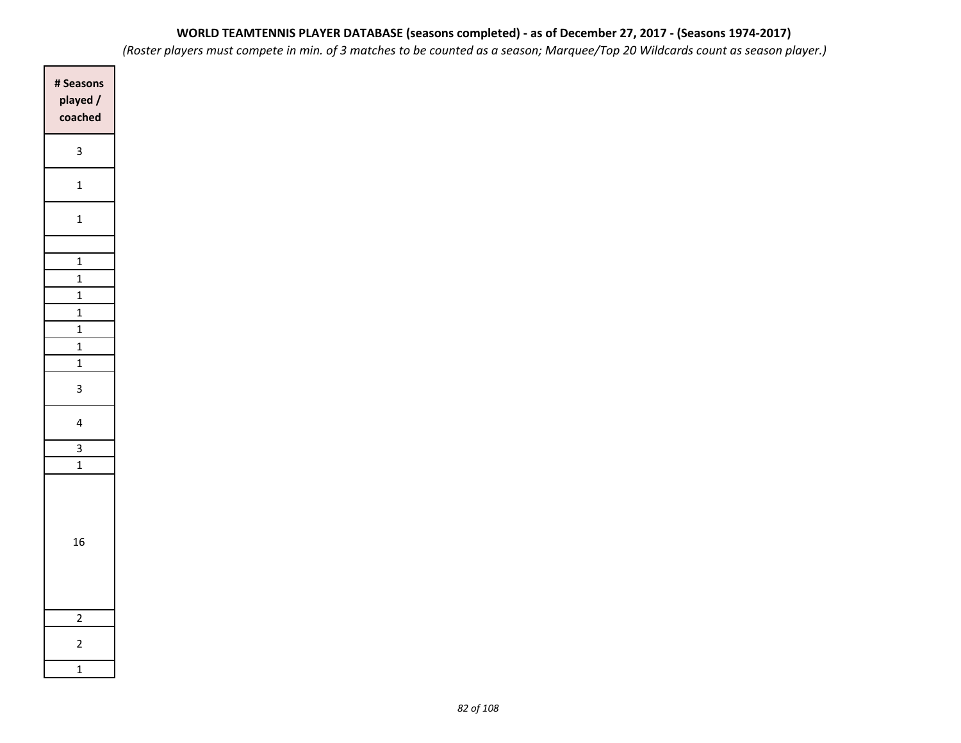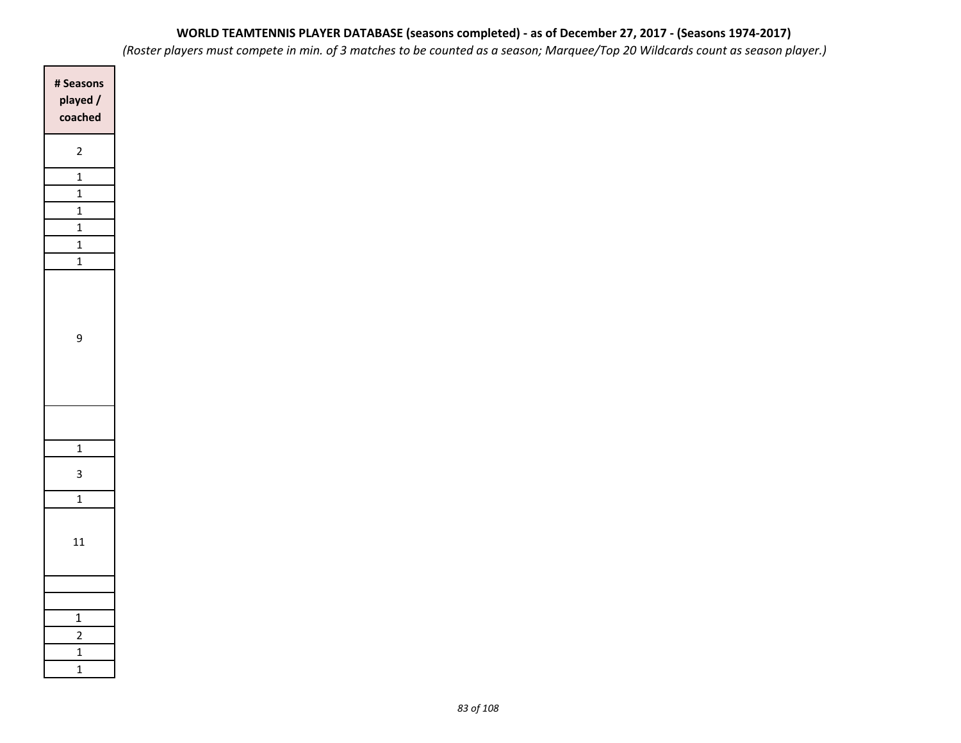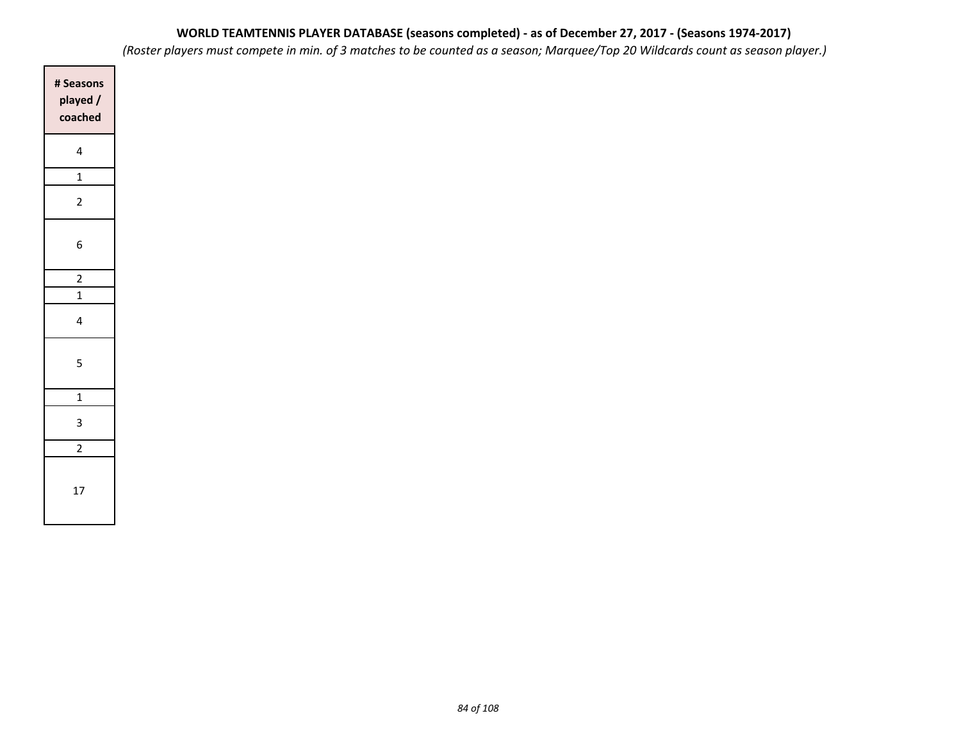*(Roster players must compete in min. of 3 matches to be counted as a season; Marquee/Top 20 Wildcards count as season player.)*

| # Seasons<br>played /<br>coached |
|----------------------------------|
| 4                                |
| $\mathbf{1}$                     |
| $\overline{2}$                   |
| 6                                |
| $\frac{1}{2}$                    |
|                                  |
| 4                                |
| 5                                |
| $\mathbf{1}$                     |
| 3                                |
| $\overline{2}$                   |
| 17                               |

 $\Box$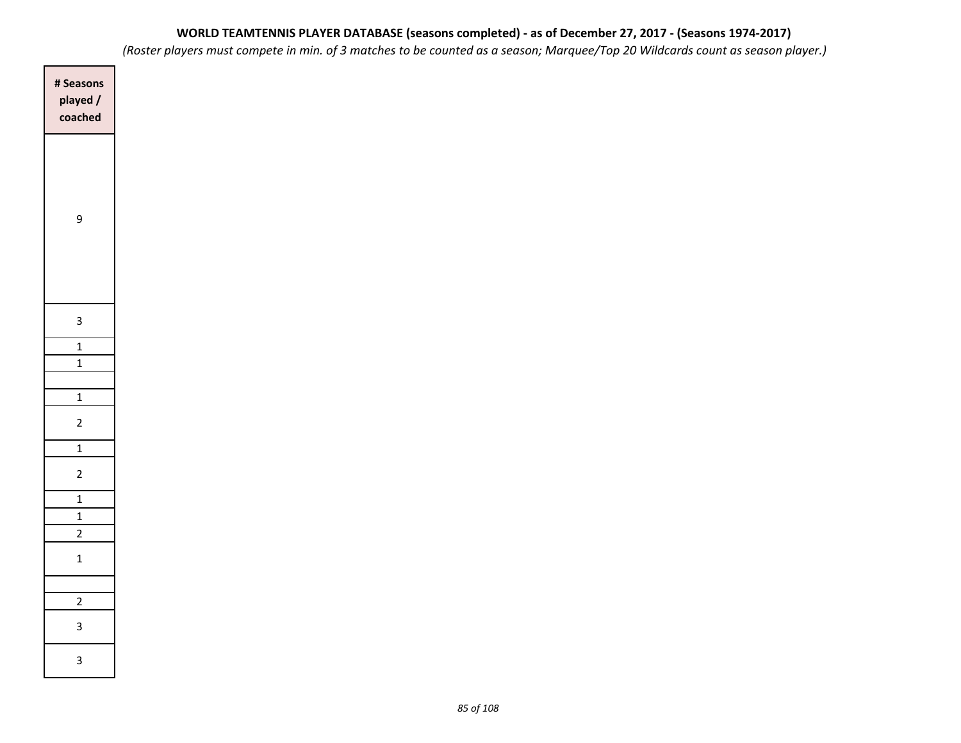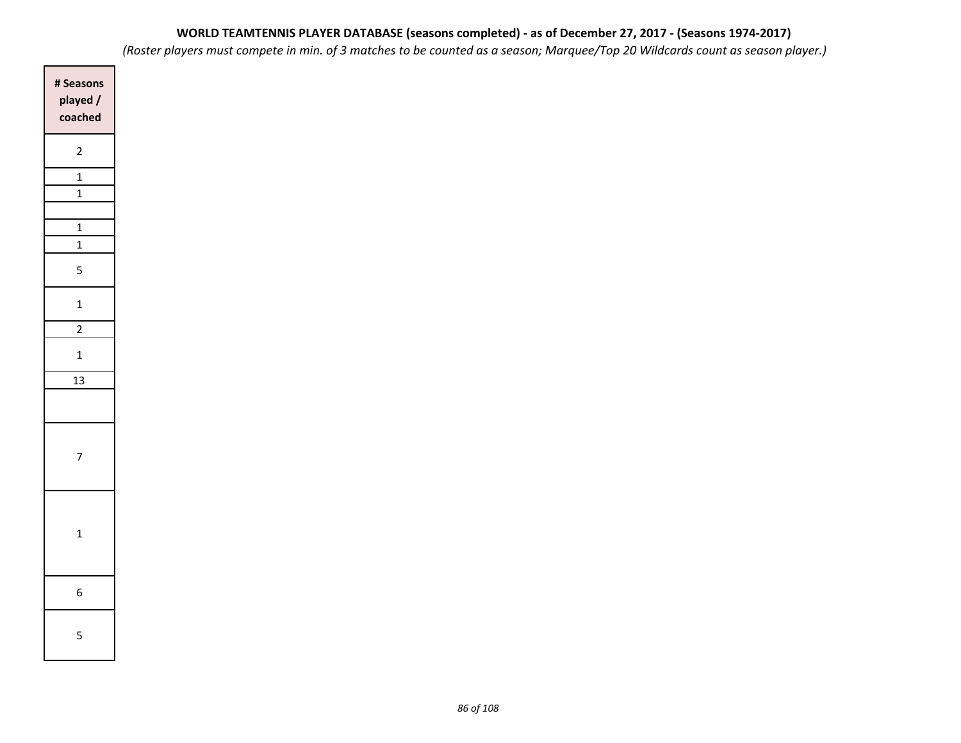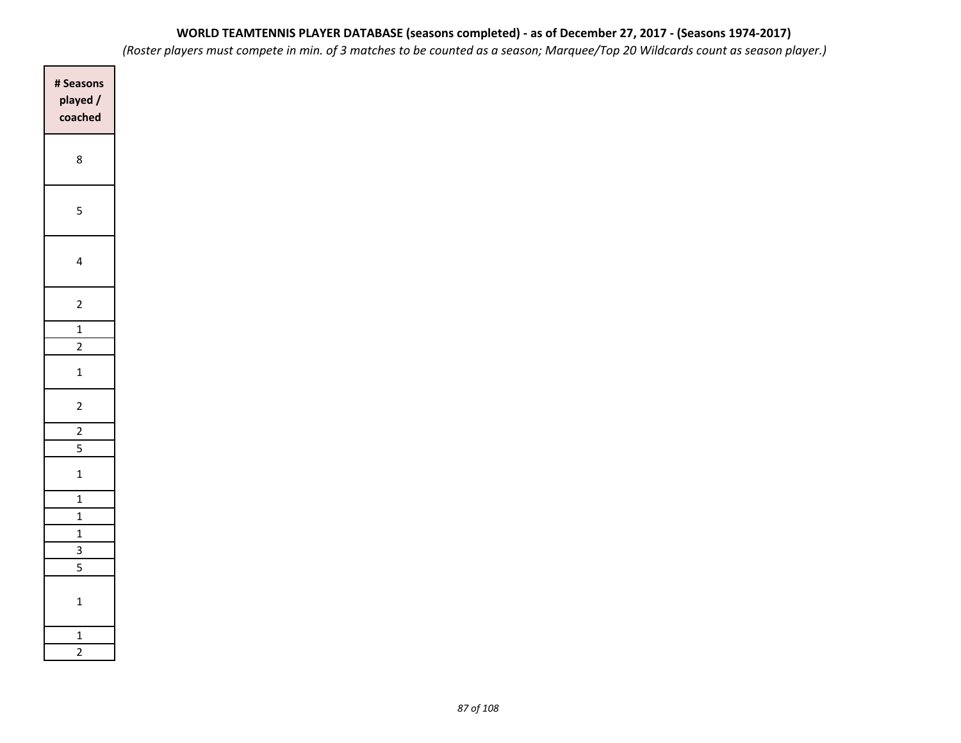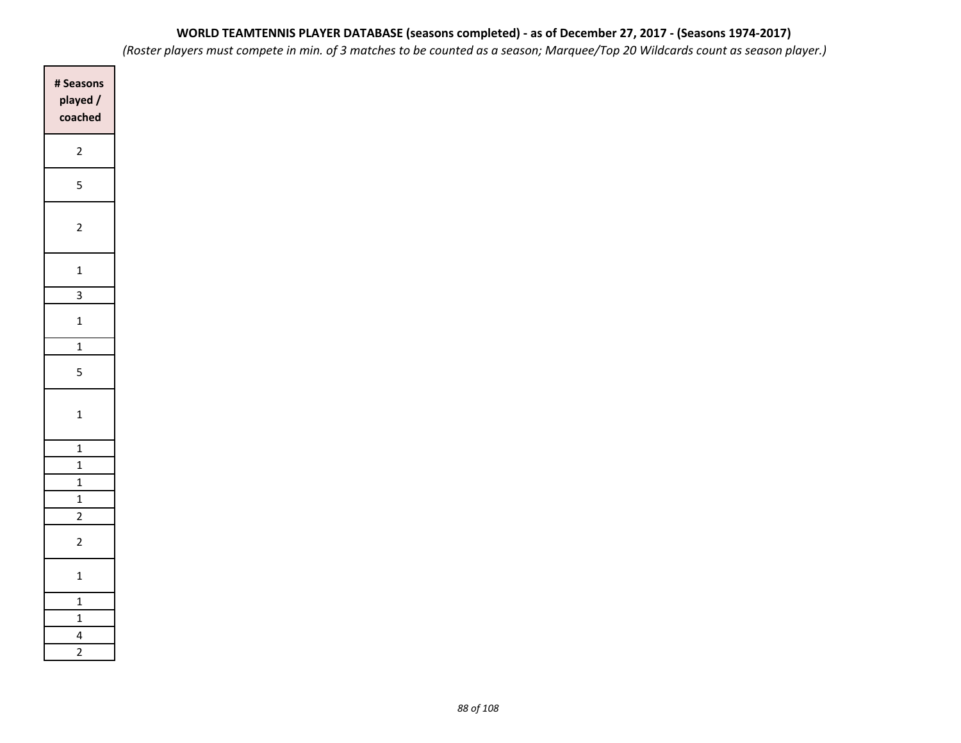| # Seasons<br>played/<br>coached |
|---------------------------------|
| $\overline{c}$                  |
| 5                               |
| $\overline{c}$                  |
| $\mathbf{1}$                    |
| $\overline{3}$                  |
| $\overline{1}$                  |
| $\overline{1}$                  |
| 5                               |
| $\overline{1}$                  |
| $\overline{1}$                  |
| $\mathbf{1}$                    |
| $\mathbf{1}$                    |
| $\mathbf{1}$                    |
| $\frac{2}{1}$                   |
| $\overline{c}$                  |
| $\mathbf{1}$                    |
| $\overline{1}$                  |
| $\overline{1}$                  |
| 4                               |
| $\overline{2}$                  |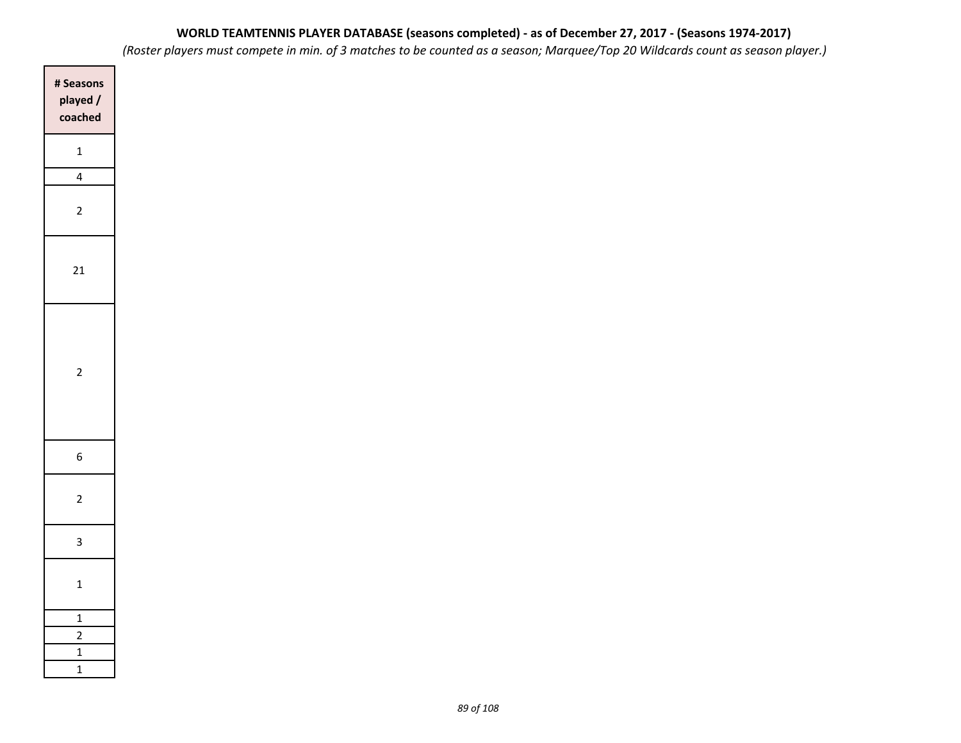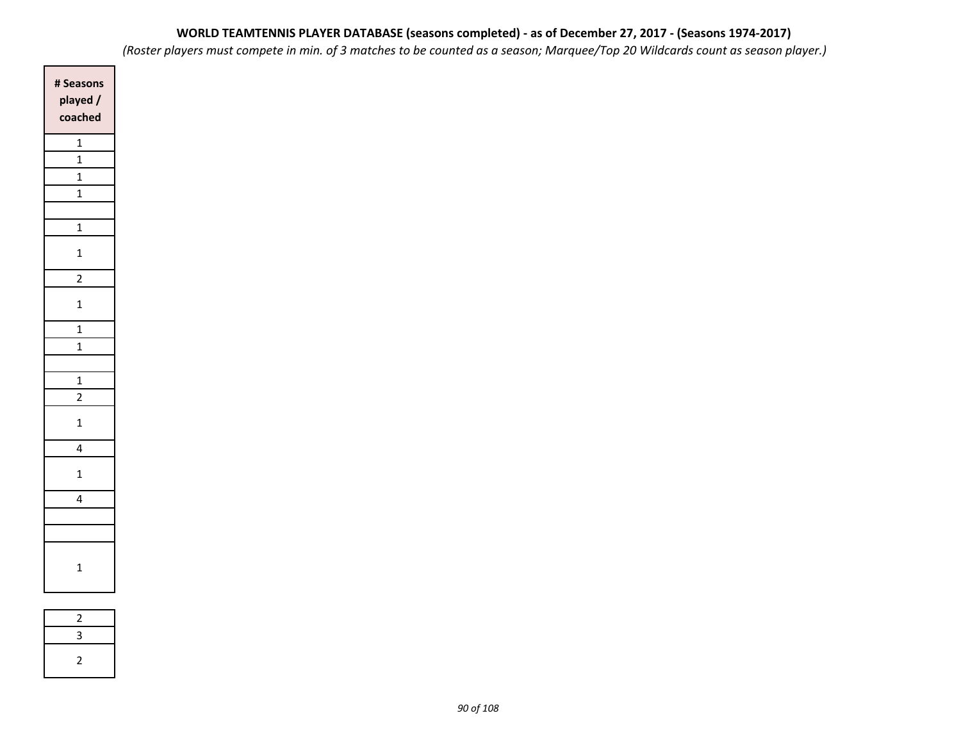*(Roster players must compete in min. of 3 matches to be counted as a season; Marquee/Top 20 Wildcards count as season player.)*

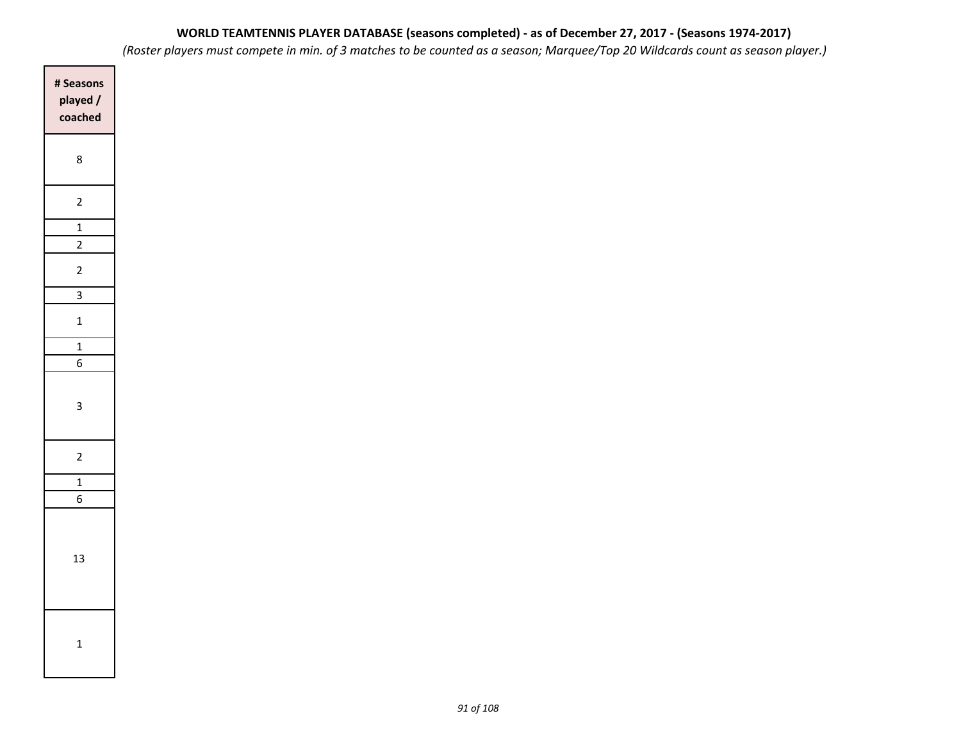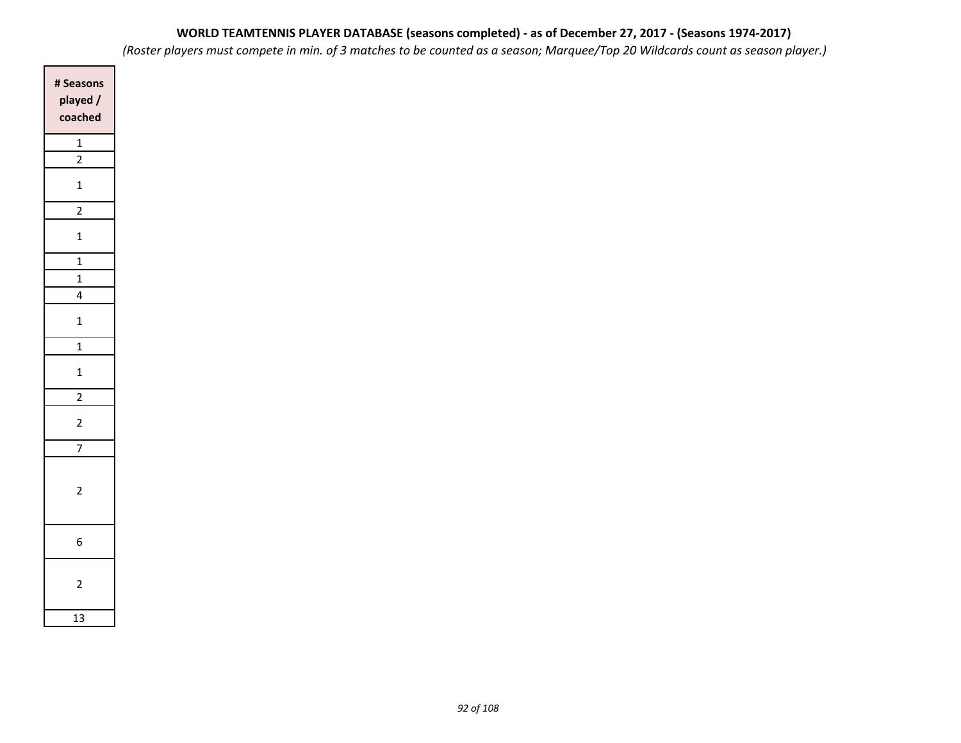| # Seasons<br>played /<br>coached |
|----------------------------------|
| $\overline{1}$<br>$\overline{2}$ |
| $\overline{1}$                   |
| $\overline{2}$                   |
| $\mathbf{1}$                     |
| $\frac{1}{1}$                    |
| $\mathbf{1}$                     |
| 4                                |
| $\mathbf{1}$                     |
| $\frac{1}{1}$                    |
| $\mathbf{1}$                     |
| $\overline{2}$                   |
| $\overline{c}$                   |
| $\frac{1}{7}$                    |
| $\overline{2}$                   |
| 6                                |
| $\overline{2}$                   |
| 13                               |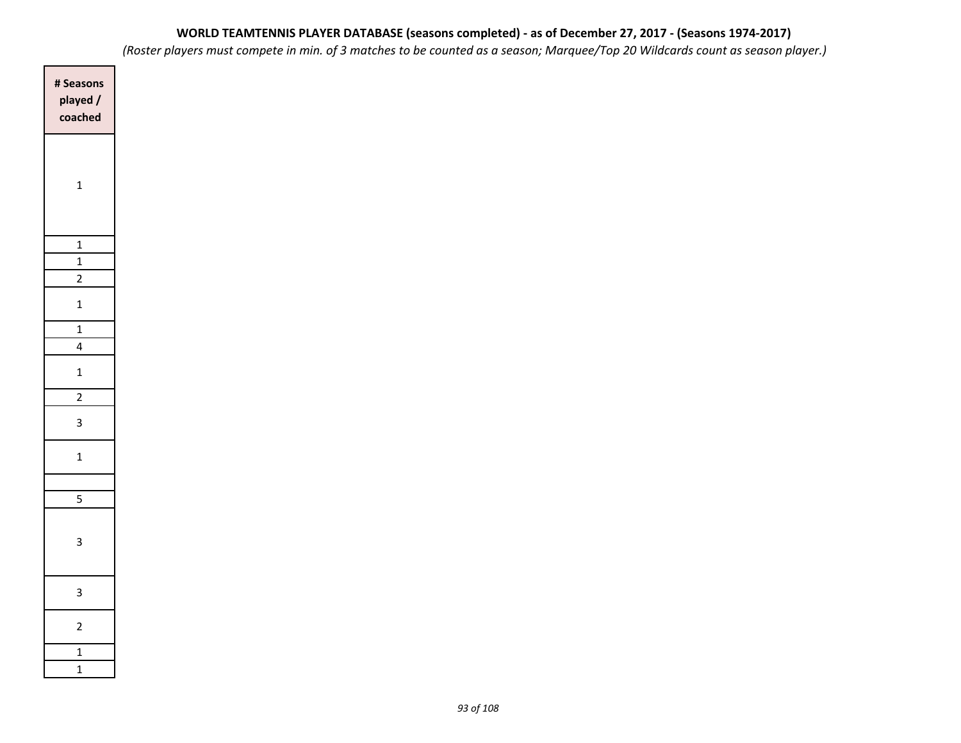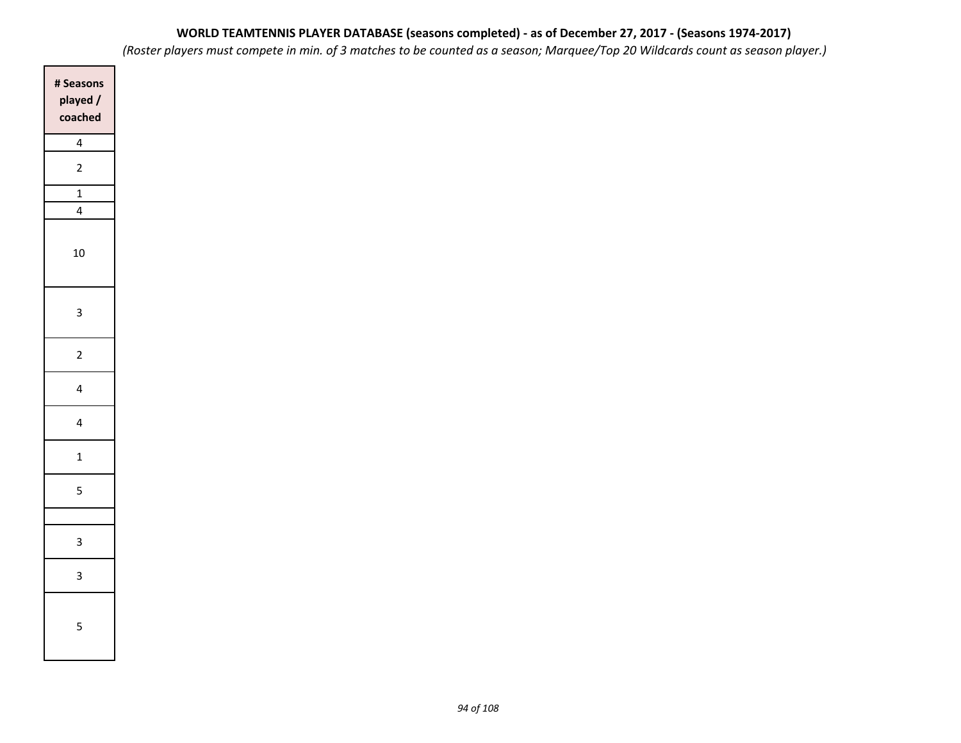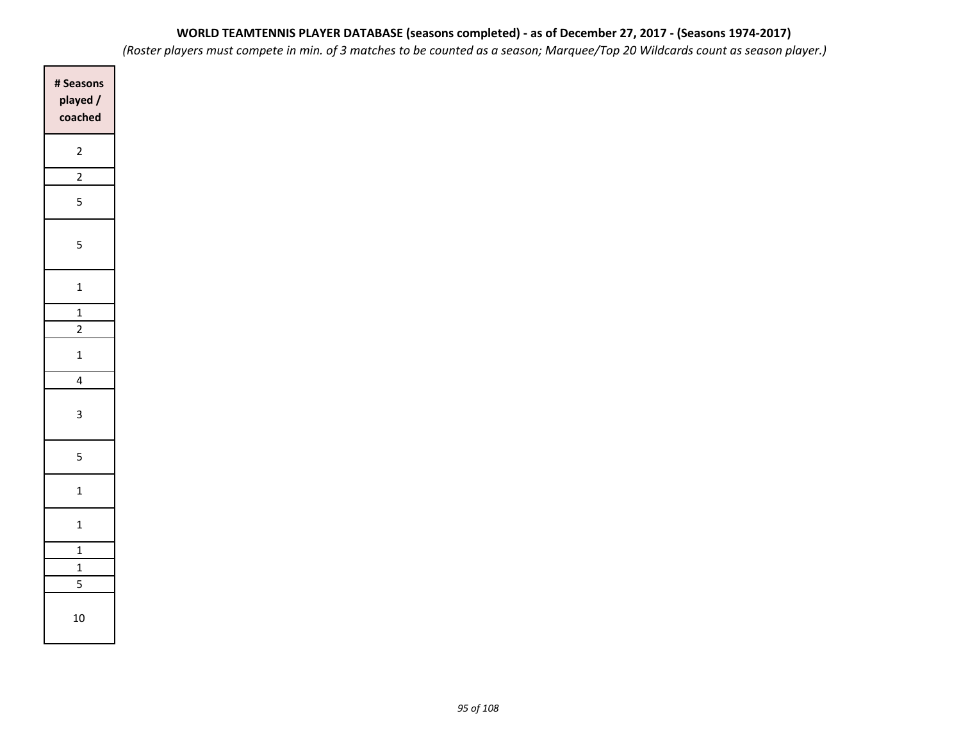| # Seasons<br>played/<br>coached |
|---------------------------------|
| $\overline{\mathbf{c}}$         |
| $\overline{2}$                  |
| 5                               |
| 5                               |
| $\mathbf{1}$                    |
| $\frac{1}{2}$                   |
| $\overline{2}$                  |
| $\mathbf{1}$                    |
| 4                               |
| 3                               |
| 5                               |
| $\mathbf{1}$                    |
| $\mathbf{1}$                    |
| $\frac{1}{1}$                   |
| $\overline{1}$                  |
| 5                               |
| 10                              |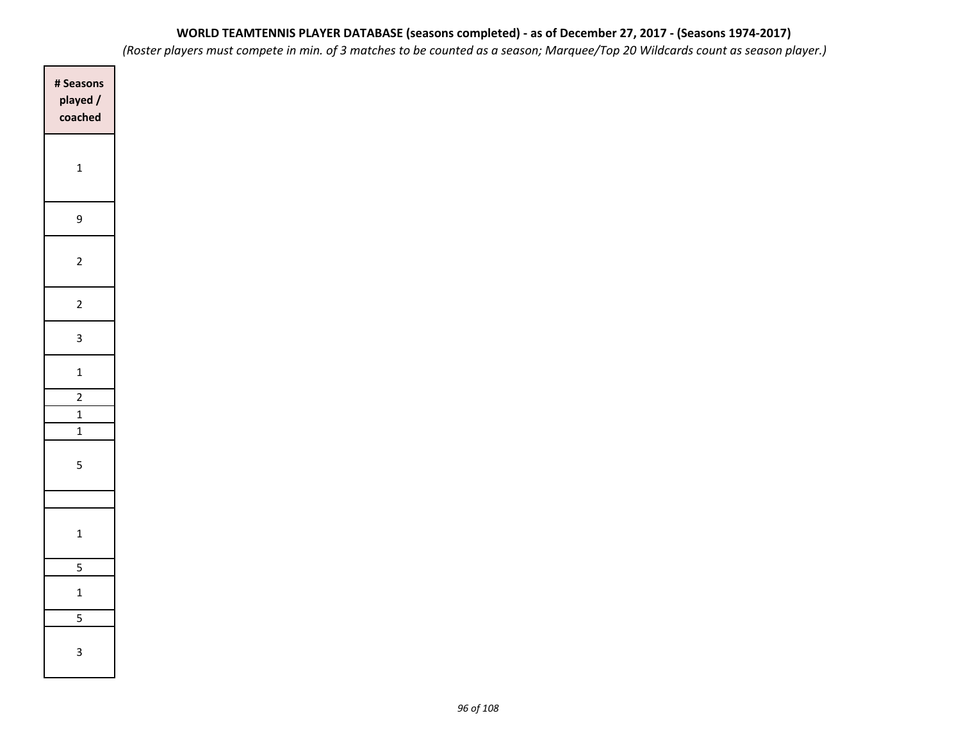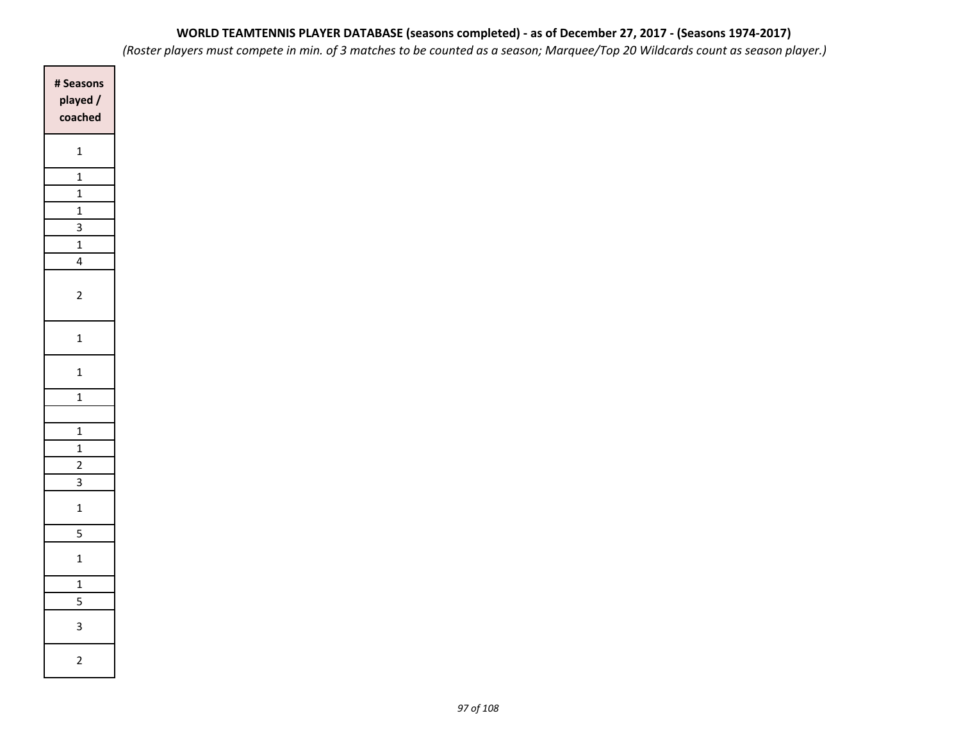*(Roster players must compete in min. of 3 matches to be counted as a season; Marquee/Top 20 Wildcards count as season player.)*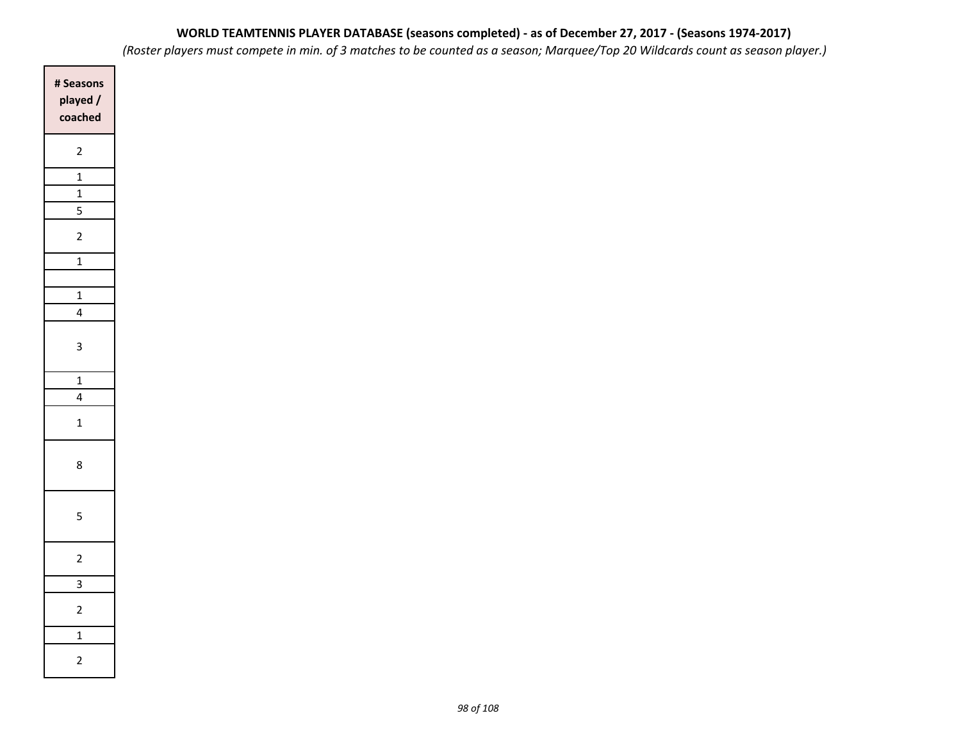| # Seasons<br>played /<br>coached |
|----------------------------------|
| $\overline{c}$                   |
| $\overline{1}$                   |
| $\mathbf{1}$                     |
| $\overline{5}$                   |
| $\overline{2}$                   |
| $\overline{1}$                   |
|                                  |
| $\overline{1}$                   |
| 4                                |
| 3                                |
| $\overline{1}$                   |
| 4                                |
| $\overline{1}$                   |
| 8                                |
| 5                                |
| $\overline{c}$                   |
| $\overline{\overline{3}}$        |
| $\overline{c}$                   |
| $\overline{1}$                   |
| $\overline{c}$                   |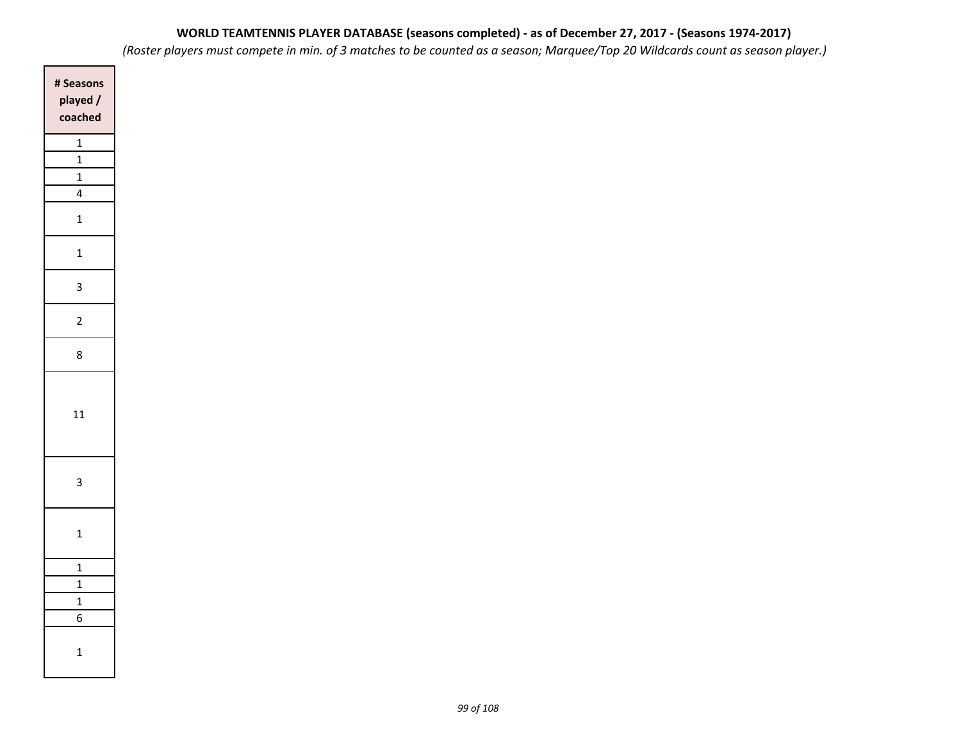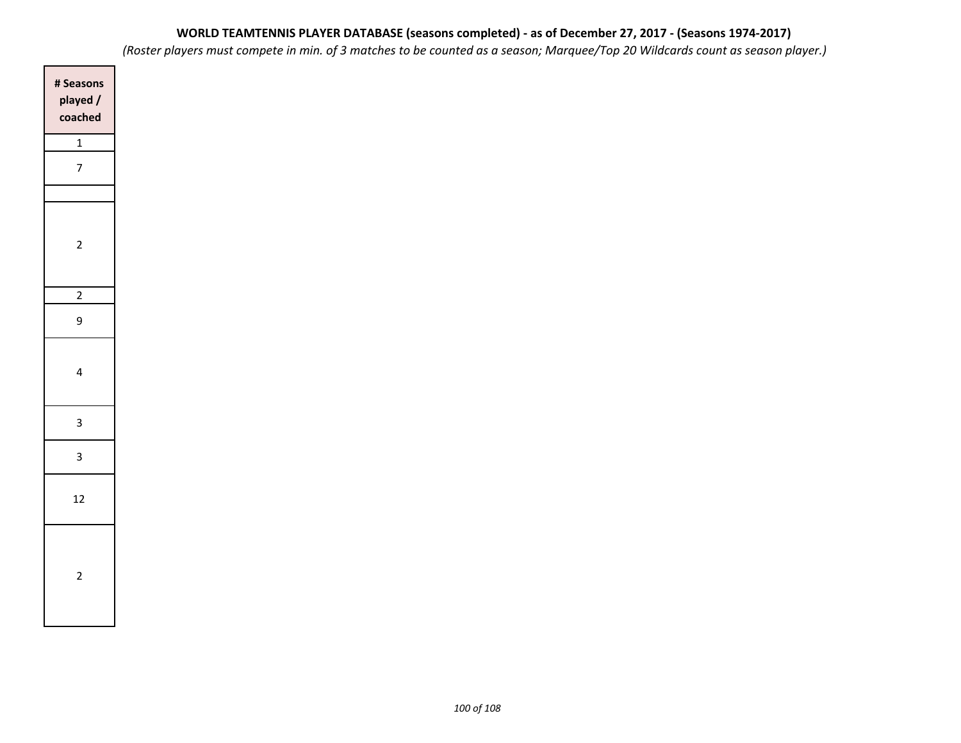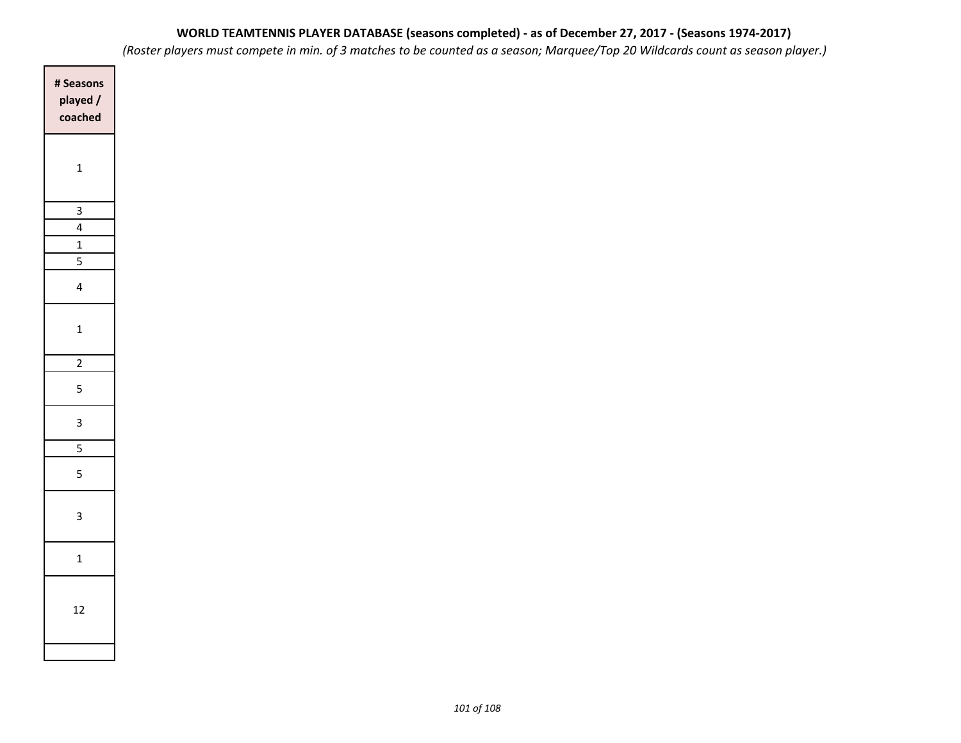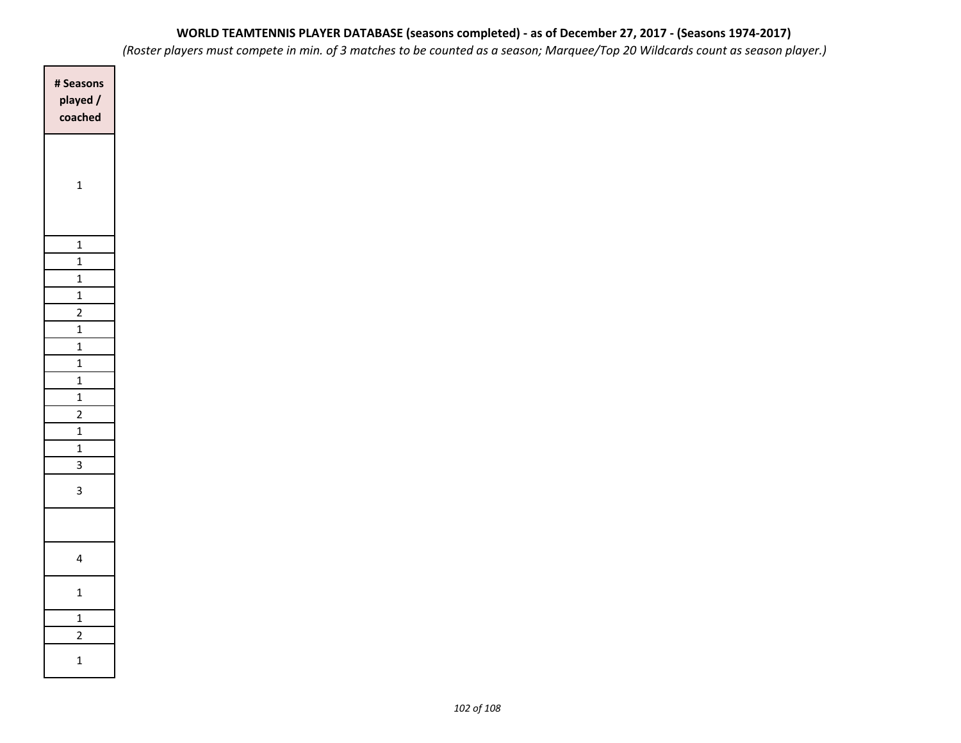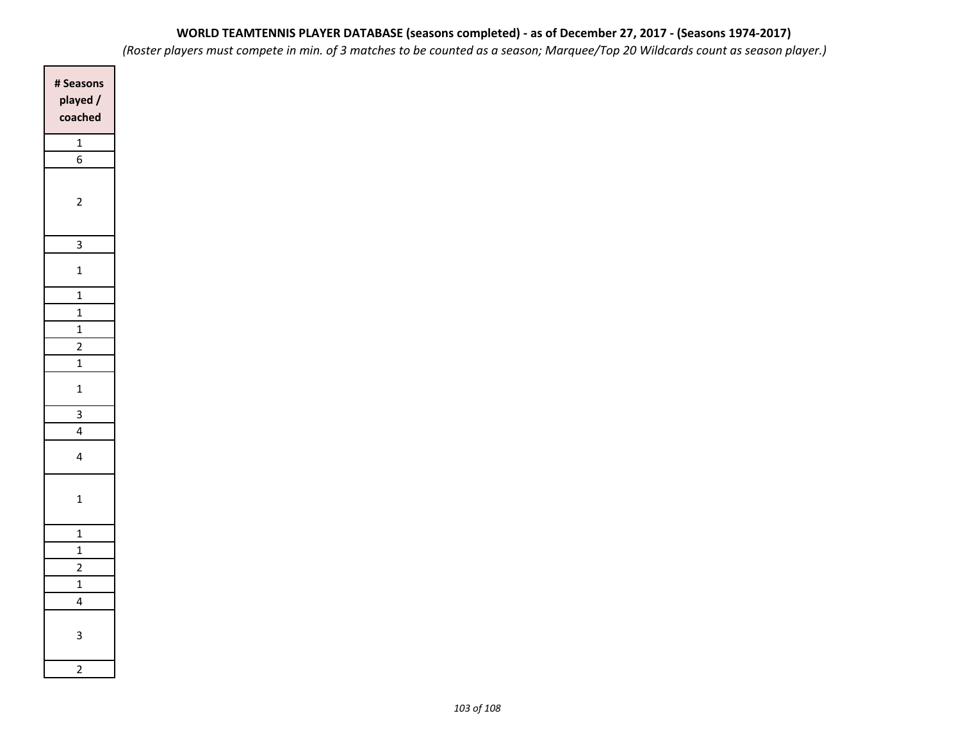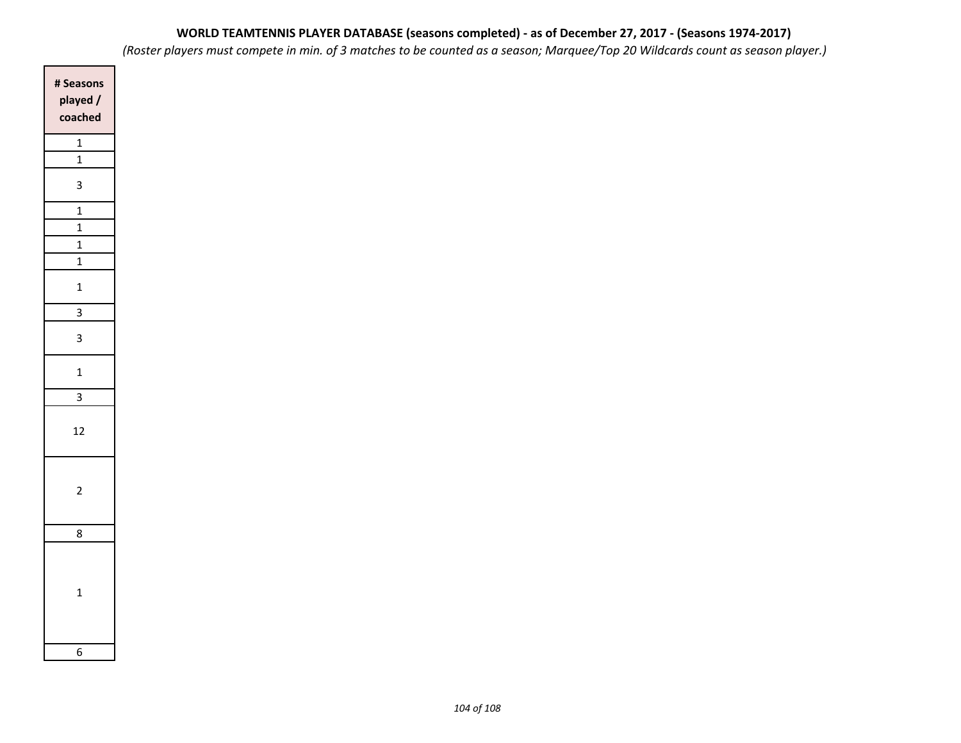| # Seasons<br>played /<br>coached |
|----------------------------------|
| $\mathbf{1}$<br>$\mathbf 1$      |
|                                  |
| 3                                |
| $\frac{1}{1}$                    |
| $\overline{1}$                   |
| $\mathbf{1}$                     |
| $\mathbf{1}$                     |
| $\mathbf{1}$                     |
| 3                                |
| 3                                |
| $\mathbf{1}$                     |
| 3                                |
| 12                               |
| $\overline{c}$                   |
| 8                                |
| $\overline{1}$                   |
| 6                                |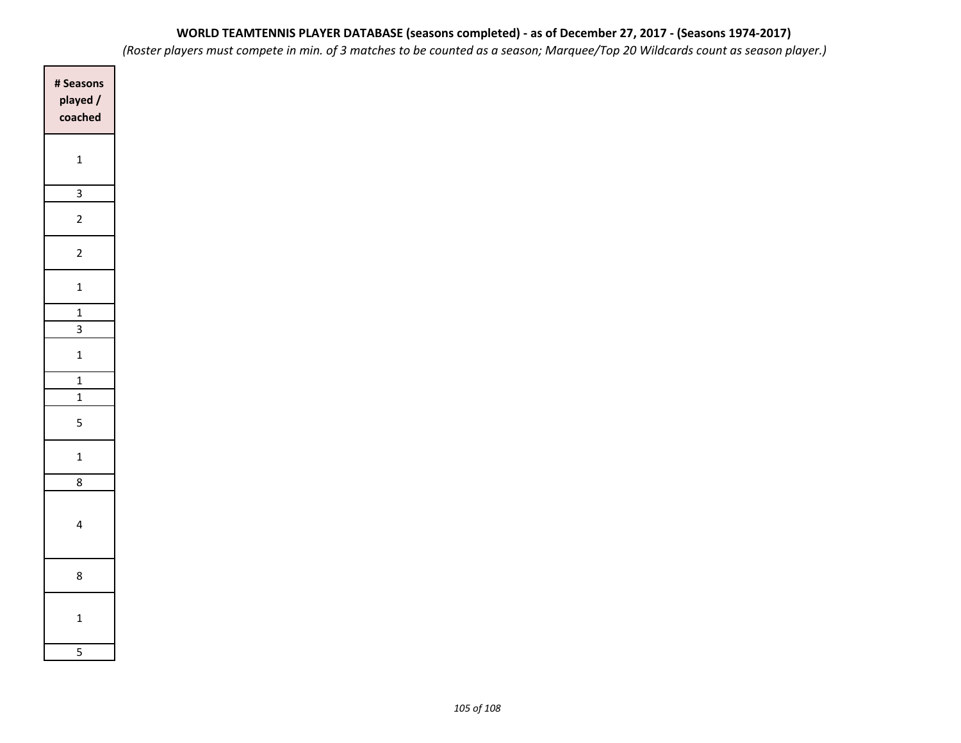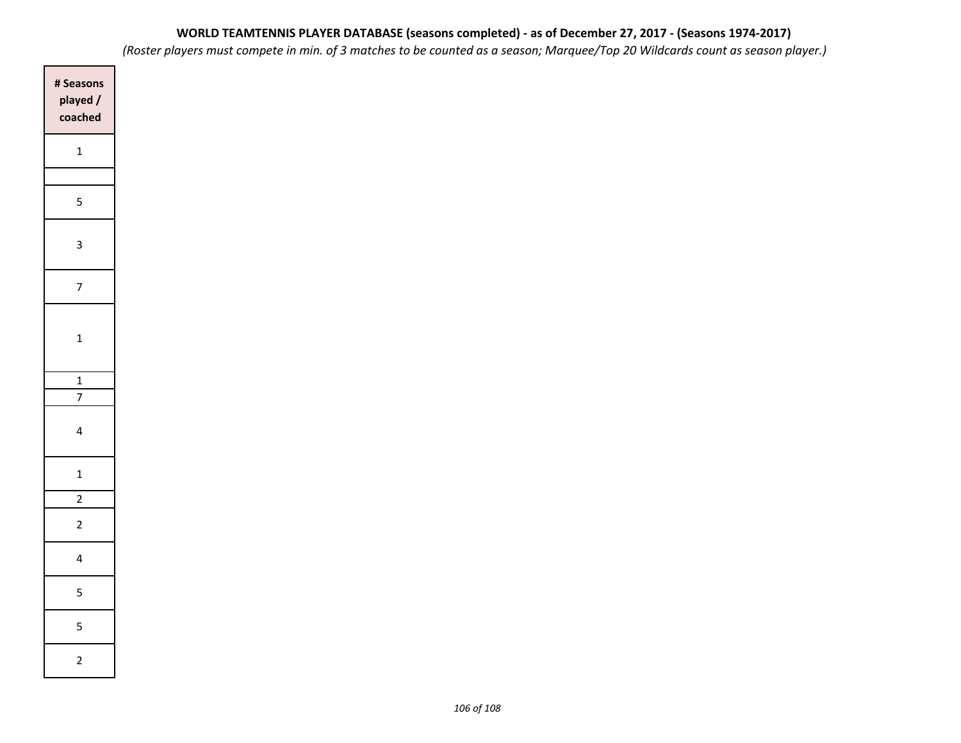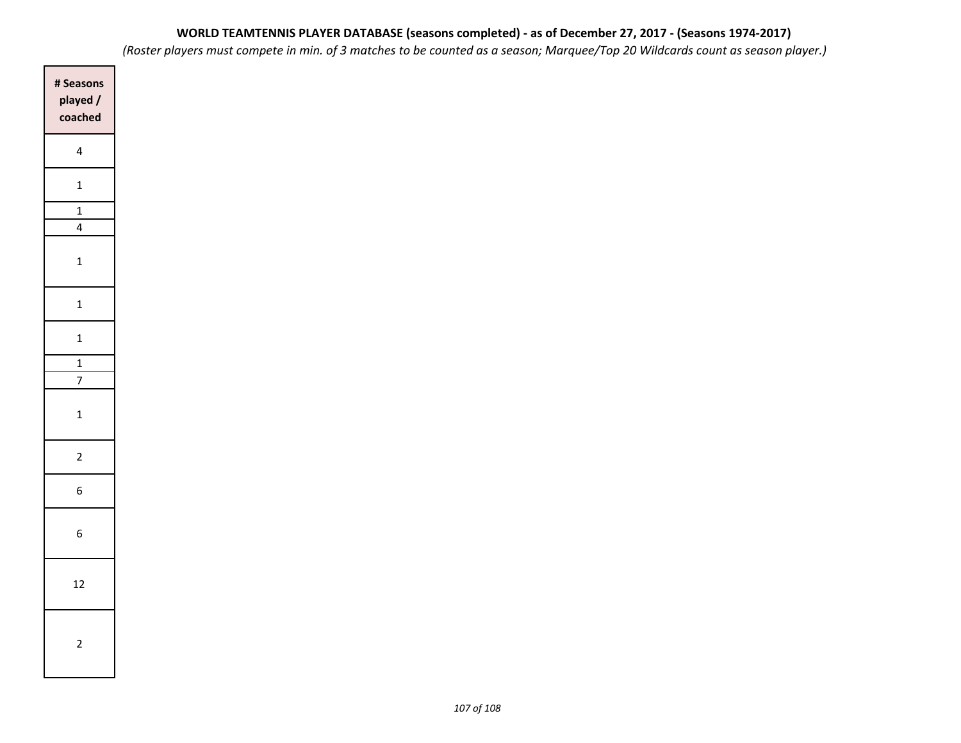